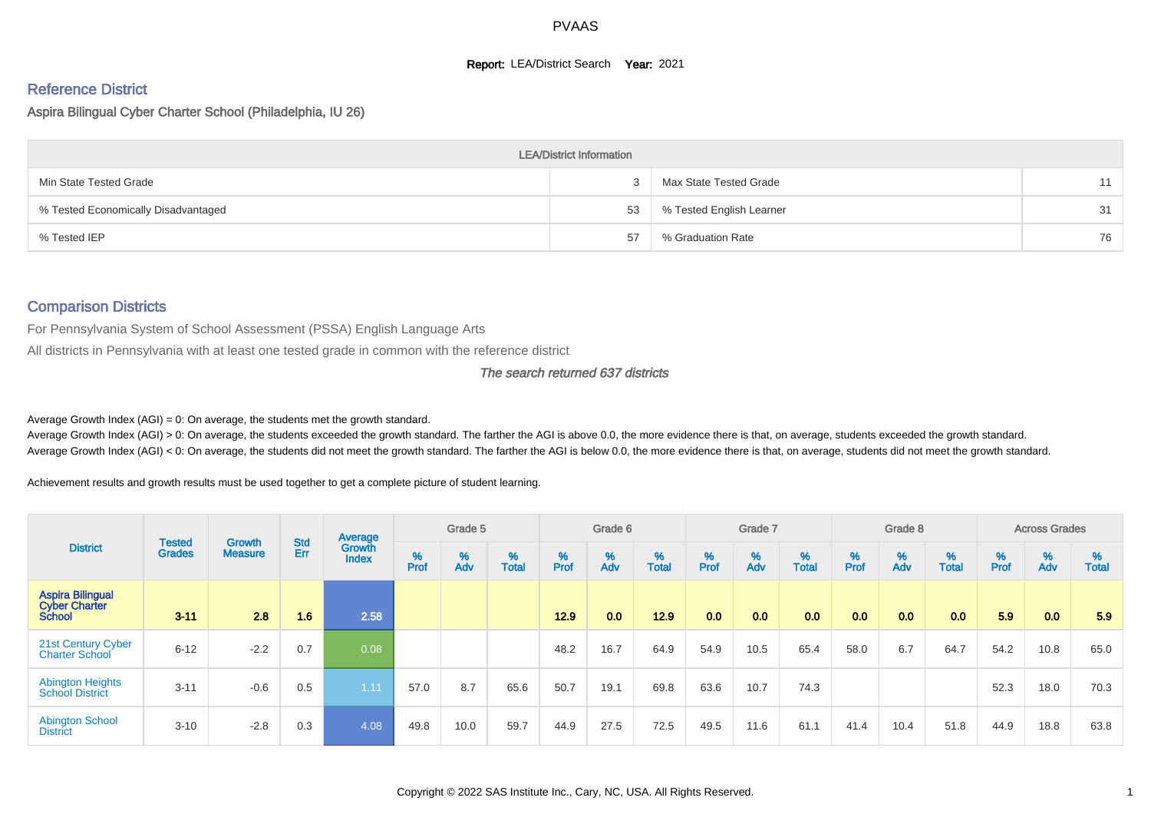### **Report: LEA/District Search Year: 2021**

# Reference District

### Aspira Bilingual Cyber Charter School (Philadelphia, IU 26)

|                                     | <b>LEA/District Information</b> |                          |    |
|-------------------------------------|---------------------------------|--------------------------|----|
| Min State Tested Grade              |                                 | Max State Tested Grade   | 11 |
| % Tested Economically Disadvantaged | 53                              | % Tested English Learner | 31 |
| % Tested IEP                        | 57                              | % Graduation Rate        | 76 |

# Comparison Districts

For Pennsylvania System of School Assessment (PSSA) English Language Arts

All districts in Pennsylvania with at least one tested grade in common with the reference district

#### The search returned 637 districts

Average Growth Index  $(AGI) = 0$ : On average, the students met the growth standard.

Average Growth Index (AGI) > 0: On average, the students exceeded the growth standard. The farther the AGI is above 0.0, the more evidence there is that, on average, students exceeded the growth standard. Average Growth Index (AGI) < 0: On average, the students did not meet the growth standard. The farther the AGI is below 0.0, the more evidence there is that, on average, students did not meet the growth standard.

Achievement results and growth results must be used together to get a complete picture of student learning.

|                                                                  |                                |                                 |                   | Average                |           | Grade 5  |                   |           | Grade 6  |                   |           | Grade 7  |                   |           | Grade 8  |                   |           | <b>Across Grades</b> |                   |
|------------------------------------------------------------------|--------------------------------|---------------------------------|-------------------|------------------------|-----------|----------|-------------------|-----------|----------|-------------------|-----------|----------|-------------------|-----------|----------|-------------------|-----------|----------------------|-------------------|
| <b>District</b>                                                  | <b>Tested</b><br><b>Grades</b> | <b>Growth</b><br><b>Measure</b> | <b>Std</b><br>Err | Growth<br><b>Index</b> | %<br>Prof | %<br>Adv | %<br><b>Total</b> | %<br>Prof | %<br>Adv | %<br><b>Total</b> | %<br>Prof | %<br>Adv | %<br><b>Total</b> | %<br>Prof | %<br>Adv | %<br><b>Total</b> | %<br>Prof | %<br>Adv             | %<br><b>Total</b> |
| <b>Aspira Bilingual</b><br><b>Cyber Charter</b><br><b>School</b> | $3 - 11$                       | 2.8                             | 1.6               | 2.58                   |           |          |                   | 12.9      | 0.0      | 12.9              | 0.0       | 0.0      | 0.0               | 0.0       | 0.0      | 0.0               | 5.9       | 0.0                  | 5.9               |
| 21st Century Cyber<br><b>Charter School</b>                      | $6 - 12$                       | $-2.2$                          | 0.7               | 0.08                   |           |          |                   | 48.2      | 16.7     | 64.9              | 54.9      | 10.5     | 65.4              | 58.0      | 6.7      | 64.7              | 54.2      | 10.8                 | 65.0              |
| <b>Abington Heights</b><br><b>School District</b>                | $3 - 11$                       | $-0.6$                          | 0.5               | 1.11                   | 57.0      | 8.7      | 65.6              | 50.7      | 19.1     | 69.8              | 63.6      | 10.7     | 74.3              |           |          |                   | 52.3      | 18.0                 | 70.3              |
| <b>Abington School</b><br><b>District</b>                        | $3 - 10$                       | $-2.8$                          | 0.3               | 4.08                   | 49.8      | 10.0     | 59.7              | 44.9      | 27.5     | 72.5              | 49.5      | 11.6     | 61.1              | 41.4      | 10.4     | 51.8              | 44.9      | 18.8                 | 63.8              |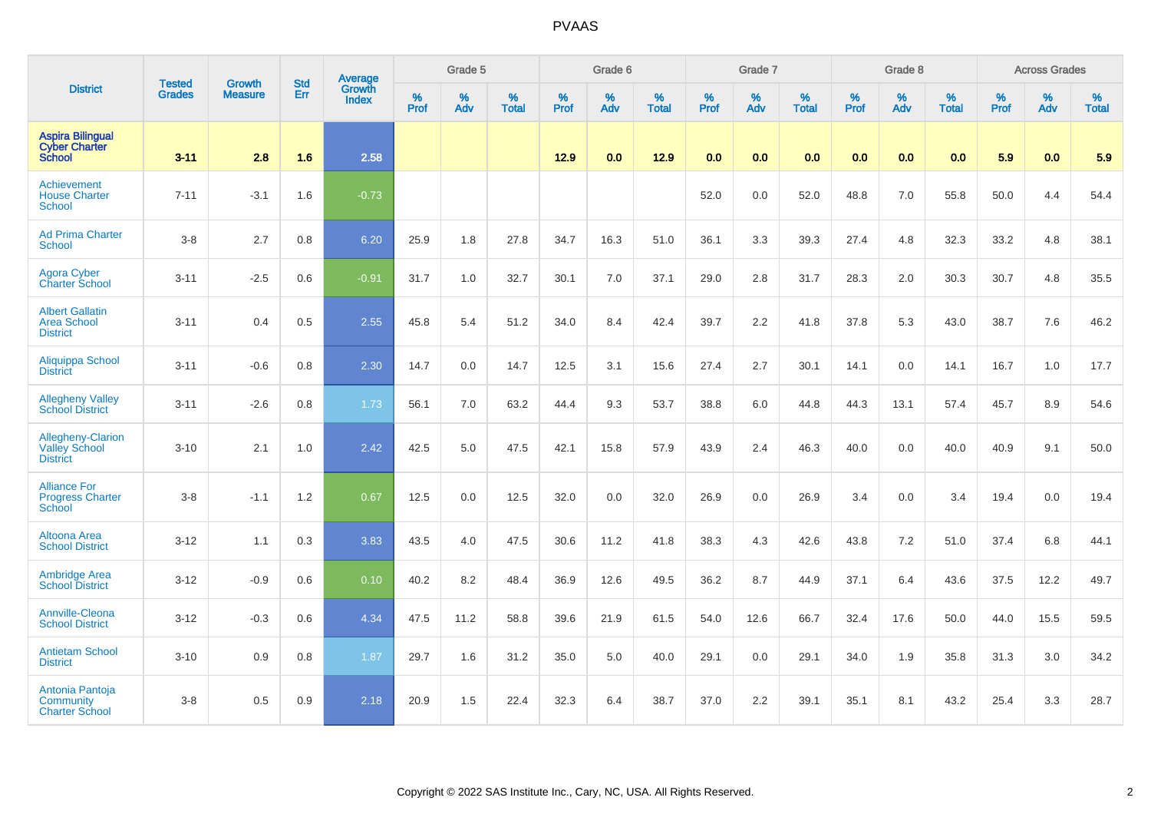|                                                                     |                                |                                 | <b>Std</b> | Average                       |              | Grade 5  |                   |           | Grade 6  |                   |           | Grade 7  |                   |           | Grade 8  |                   |           | <b>Across Grades</b> |                   |
|---------------------------------------------------------------------|--------------------------------|---------------------------------|------------|-------------------------------|--------------|----------|-------------------|-----------|----------|-------------------|-----------|----------|-------------------|-----------|----------|-------------------|-----------|----------------------|-------------------|
| <b>District</b>                                                     | <b>Tested</b><br><b>Grades</b> | <b>Growth</b><br><b>Measure</b> | Err        | <b>Growth</b><br><b>Index</b> | $\%$<br>Prof | %<br>Adv | %<br><b>Total</b> | %<br>Prof | %<br>Adv | %<br><b>Total</b> | %<br>Prof | %<br>Adv | %<br><b>Total</b> | %<br>Prof | %<br>Adv | %<br><b>Total</b> | %<br>Prof | %<br>Adv             | %<br><b>Total</b> |
| <b>Aspira Bilingual</b><br><b>Cyber Charter</b><br><b>School</b>    | $3 - 11$                       | 2.8                             | 1.6        | 2.58                          |              |          |                   | 12.9      | 0.0      | 12.9              | 0.0       | 0.0      | 0.0               | 0.0       | 0.0      | 0.0               | 5.9       | 0.0                  | 5.9               |
| Achievement<br><b>House Charter</b><br><b>School</b>                | $7 - 11$                       | $-3.1$                          | 1.6        | $-0.73$                       |              |          |                   |           |          |                   | 52.0      | 0.0      | 52.0              | 48.8      | 7.0      | 55.8              | 50.0      | 4.4                  | 54.4              |
| <b>Ad Prima Charter</b><br><b>School</b>                            | $3-8$                          | 2.7                             | 0.8        | 6.20                          | 25.9         | 1.8      | 27.8              | 34.7      | 16.3     | 51.0              | 36.1      | 3.3      | 39.3              | 27.4      | 4.8      | 32.3              | 33.2      | 4.8                  | 38.1              |
| <b>Agora Cyber</b><br><b>Charter School</b>                         | $3 - 11$                       | $-2.5$                          | 0.6        | $-0.91$                       | 31.7         | 1.0      | 32.7              | 30.1      | 7.0      | 37.1              | 29.0      | 2.8      | 31.7              | 28.3      | 2.0      | 30.3              | 30.7      | 4.8                  | 35.5              |
| <b>Albert Gallatin</b><br><b>Area School</b><br><b>District</b>     | $3 - 11$                       | 0.4                             | 0.5        | 2.55                          | 45.8         | 5.4      | 51.2              | 34.0      | 8.4      | 42.4              | 39.7      | 2.2      | 41.8              | 37.8      | 5.3      | 43.0              | 38.7      | 7.6                  | 46.2              |
| <b>Aliquippa School</b><br><b>District</b>                          | $3 - 11$                       | $-0.6$                          | 0.8        | 2.30                          | 14.7         | 0.0      | 14.7              | 12.5      | 3.1      | 15.6              | 27.4      | 2.7      | 30.1              | 14.1      | 0.0      | 14.1              | 16.7      | 1.0                  | 17.7              |
| <b>Allegheny Valley</b><br><b>School District</b>                   | $3 - 11$                       | $-2.6$                          | 0.8        | 1.73                          | 56.1         | 7.0      | 63.2              | 44.4      | 9.3      | 53.7              | 38.8      | 6.0      | 44.8              | 44.3      | 13.1     | 57.4              | 45.7      | 8.9                  | 54.6              |
| <b>Allegheny-Clarion</b><br><b>Valley School</b><br><b>District</b> | $3 - 10$                       | 2.1                             | 1.0        | 2.42                          | 42.5         | 5.0      | 47.5              | 42.1      | 15.8     | 57.9              | 43.9      | 2.4      | 46.3              | 40.0      | 0.0      | 40.0              | 40.9      | 9.1                  | 50.0              |
| <b>Alliance For</b><br><b>Progress Charter</b><br><b>School</b>     | $3 - 8$                        | $-1.1$                          | 1.2        | 0.67                          | 12.5         | 0.0      | 12.5              | 32.0      | 0.0      | 32.0              | 26.9      | 0.0      | 26.9              | 3.4       | 0.0      | 3.4               | 19.4      | 0.0                  | 19.4              |
| <b>Altoona Area</b><br><b>School District</b>                       | $3 - 12$                       | 1.1                             | 0.3        | 3.83                          | 43.5         | 4.0      | 47.5              | 30.6      | 11.2     | 41.8              | 38.3      | 4.3      | 42.6              | 43.8      | 7.2      | 51.0              | 37.4      | 6.8                  | 44.1              |
| <b>Ambridge Area</b><br><b>School District</b>                      | $3 - 12$                       | $-0.9$                          | 0.6        | 0.10                          | 40.2         | 8.2      | 48.4              | 36.9      | 12.6     | 49.5              | 36.2      | 8.7      | 44.9              | 37.1      | 6.4      | 43.6              | 37.5      | 12.2                 | 49.7              |
| <b>Annville-Cleona</b><br><b>School District</b>                    | $3 - 12$                       | $-0.3$                          | 0.6        | 4.34                          | 47.5         | 11.2     | 58.8              | 39.6      | 21.9     | 61.5              | 54.0      | 12.6     | 66.7              | 32.4      | 17.6     | 50.0              | 44.0      | 15.5                 | 59.5              |
| <b>Antietam School</b><br><b>District</b>                           | $3 - 10$                       | 0.9                             | 0.8        | 1.87                          | 29.7         | 1.6      | 31.2              | 35.0      | 5.0      | 40.0              | 29.1      | 0.0      | 29.1              | 34.0      | 1.9      | 35.8              | 31.3      | 3.0                  | 34.2              |
| Antonia Pantoja<br>Community<br><b>Charter School</b>               | $3-8$                          | 0.5                             | 0.9        | 2.18                          | 20.9         | 1.5      | 22.4              | 32.3      | 6.4      | 38.7              | 37.0      | 2.2      | 39.1              | 35.1      | 8.1      | 43.2              | 25.4      | 3.3                  | 28.7              |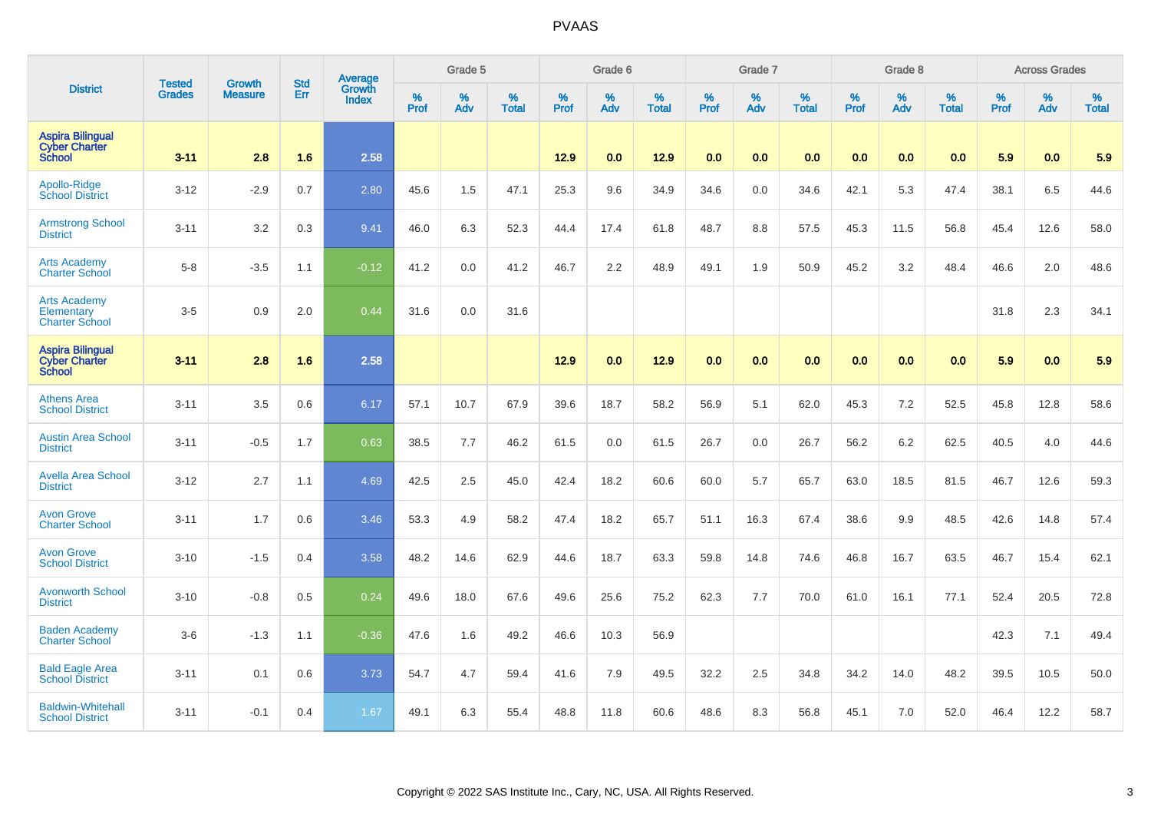|                                                                  | <b>Tested</b> | <b>Growth</b>  | <b>Std</b> | Average                       |           | Grade 5  |                   |           | Grade 6  |                   |           | Grade 7  |                   |           | Grade 8  |                   |           | <b>Across Grades</b> |                   |
|------------------------------------------------------------------|---------------|----------------|------------|-------------------------------|-----------|----------|-------------------|-----------|----------|-------------------|-----------|----------|-------------------|-----------|----------|-------------------|-----------|----------------------|-------------------|
| <b>District</b>                                                  | <b>Grades</b> | <b>Measure</b> | Err        | <b>Growth</b><br><b>Index</b> | %<br>Prof | %<br>Adv | %<br><b>Total</b> | %<br>Prof | %<br>Adv | %<br><b>Total</b> | %<br>Prof | %<br>Adv | %<br><b>Total</b> | %<br>Prof | %<br>Adv | %<br><b>Total</b> | %<br>Prof | %<br>Adv             | %<br><b>Total</b> |
| <b>Aspira Bilingual</b><br><b>Cyber Charter</b><br><b>School</b> | $3 - 11$      | 2.8            | 1.6        | 2.58                          |           |          |                   | 12.9      | 0.0      | 12.9              | 0.0       | 0.0      | 0.0               | 0.0       | 0.0      | 0.0               | 5.9       | 0.0                  | 5.9               |
| Apollo-Ridge<br><b>School District</b>                           | $3 - 12$      | $-2.9$         | 0.7        | 2.80                          | 45.6      | 1.5      | 47.1              | 25.3      | 9.6      | 34.9              | 34.6      | 0.0      | 34.6              | 42.1      | 5.3      | 47.4              | 38.1      | 6.5                  | 44.6              |
| <b>Armstrong School</b><br><b>District</b>                       | $3 - 11$      | 3.2            | 0.3        | 9.41                          | 46.0      | 6.3      | 52.3              | 44.4      | 17.4     | 61.8              | 48.7      | 8.8      | 57.5              | 45.3      | 11.5     | 56.8              | 45.4      | 12.6                 | 58.0              |
| <b>Arts Academy</b><br><b>Charter School</b>                     | $5 - 8$       | $-3.5$         | 1.1        | $-0.12$                       | 41.2      | 0.0      | 41.2              | 46.7      | 2.2      | 48.9              | 49.1      | 1.9      | 50.9              | 45.2      | 3.2      | 48.4              | 46.6      | 2.0                  | 48.6              |
| <b>Arts Academy</b><br>Elementary<br><b>Charter School</b>       | $3-5$         | 0.9            | 2.0        | 0.44                          | 31.6      | 0.0      | 31.6              |           |          |                   |           |          |                   |           |          |                   | 31.8      | 2.3                  | 34.1              |
| <b>Aspira Bilingual</b><br><b>Cyber Charter</b><br><b>School</b> | $3 - 11$      | 2.8            | 1.6        | 2.58                          |           |          |                   | 12.9      | 0.0      | 12.9              | 0.0       | 0.0      | 0.0               | 0.0       | 0.0      | 0.0               | 5.9       | 0.0                  | 5.9               |
| <b>Athens Area</b><br><b>School District</b>                     | $3 - 11$      | 3.5            | 0.6        | 6.17                          | 57.1      | 10.7     | 67.9              | 39.6      | 18.7     | 58.2              | 56.9      | 5.1      | 62.0              | 45.3      | 7.2      | 52.5              | 45.8      | 12.8                 | 58.6              |
| <b>Austin Area School</b><br><b>District</b>                     | $3 - 11$      | $-0.5$         | 1.7        | 0.63                          | 38.5      | 7.7      | 46.2              | 61.5      | 0.0      | 61.5              | 26.7      | 0.0      | 26.7              | 56.2      | 6.2      | 62.5              | 40.5      | 4.0                  | 44.6              |
| <b>Avella Area School</b><br><b>District</b>                     | $3 - 12$      | 2.7            | 1.1        | 4.69                          | 42.5      | 2.5      | 45.0              | 42.4      | 18.2     | 60.6              | 60.0      | 5.7      | 65.7              | 63.0      | 18.5     | 81.5              | 46.7      | 12.6                 | 59.3              |
| <b>Avon Grove</b><br><b>Charter School</b>                       | $3 - 11$      | 1.7            | 0.6        | 3.46                          | 53.3      | 4.9      | 58.2              | 47.4      | 18.2     | 65.7              | 51.1      | 16.3     | 67.4              | 38.6      | 9.9      | 48.5              | 42.6      | 14.8                 | 57.4              |
| <b>Avon Grove</b><br><b>School District</b>                      | $3 - 10$      | $-1.5$         | 0.4        | 3.58                          | 48.2      | 14.6     | 62.9              | 44.6      | 18.7     | 63.3              | 59.8      | 14.8     | 74.6              | 46.8      | 16.7     | 63.5              | 46.7      | 15.4                 | 62.1              |
| <b>Avonworth School</b><br><b>District</b>                       | $3 - 10$      | $-0.8$         | 0.5        | 0.24                          | 49.6      | 18.0     | 67.6              | 49.6      | 25.6     | 75.2              | 62.3      | 7.7      | 70.0              | 61.0      | 16.1     | 77.1              | 52.4      | 20.5                 | 72.8              |
| <b>Baden Academy</b><br><b>Charter School</b>                    | $3-6$         | $-1.3$         | 1.1        | $-0.36$                       | 47.6      | 1.6      | 49.2              | 46.6      | 10.3     | 56.9              |           |          |                   |           |          |                   | 42.3      | 7.1                  | 49.4              |
| <b>Bald Eagle Area</b><br><b>School District</b>                 | $3 - 11$      | 0.1            | 0.6        | 3.73                          | 54.7      | 4.7      | 59.4              | 41.6      | 7.9      | 49.5              | 32.2      | 2.5      | 34.8              | 34.2      | 14.0     | 48.2              | 39.5      | 10.5                 | 50.0              |
| <b>Baldwin-Whitehall</b><br><b>School District</b>               | $3 - 11$      | $-0.1$         | 0.4        | 1.67                          | 49.1      | 6.3      | 55.4              | 48.8      | 11.8     | 60.6              | 48.6      | 8.3      | 56.8              | 45.1      | 7.0      | 52.0              | 46.4      | 12.2                 | 58.7              |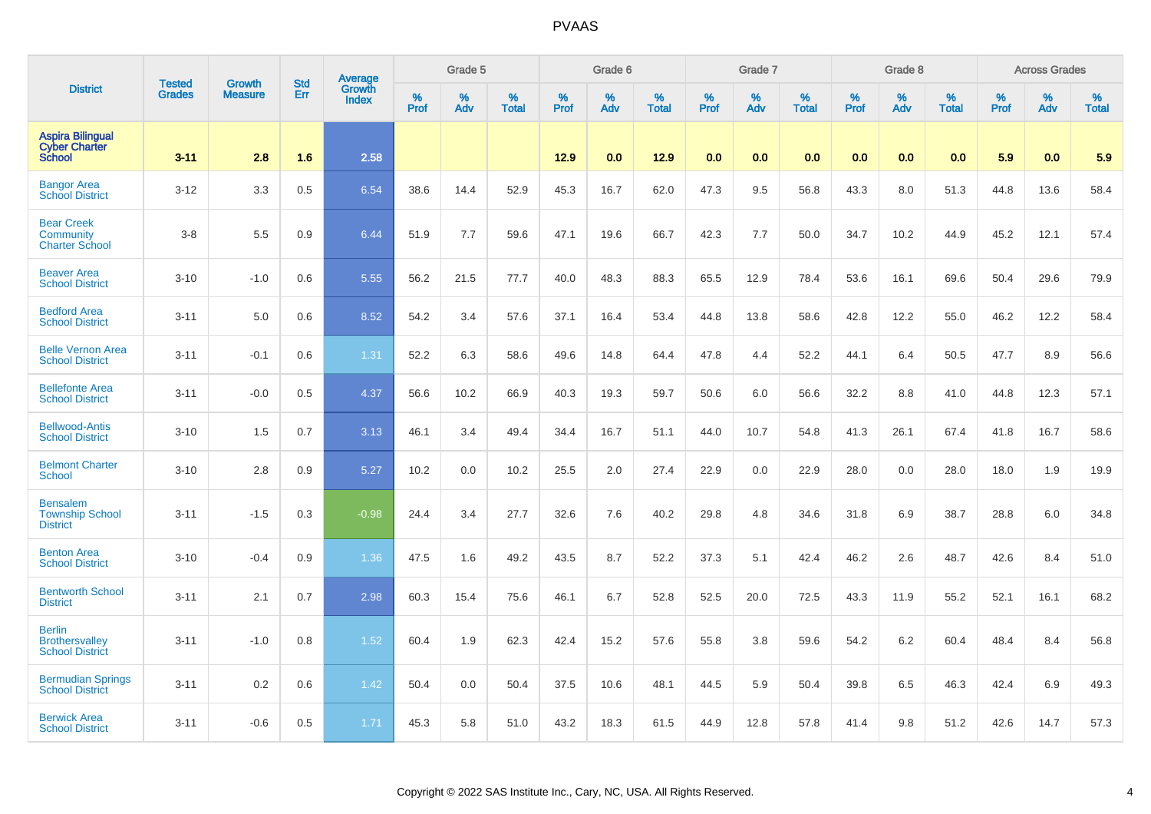|                                                                  | <b>Tested</b> | <b>Growth</b>  | <b>Std</b> | Average<br>Growth |                  | Grade 5  |                   |           | Grade 6  |                   |           | Grade 7  |                   |           | Grade 8  |                   |                  | <b>Across Grades</b> |                   |
|------------------------------------------------------------------|---------------|----------------|------------|-------------------|------------------|----------|-------------------|-----------|----------|-------------------|-----------|----------|-------------------|-----------|----------|-------------------|------------------|----------------------|-------------------|
| <b>District</b>                                                  | <b>Grades</b> | <b>Measure</b> | Err        | <b>Index</b>      | %<br><b>Prof</b> | %<br>Adv | %<br><b>Total</b> | %<br>Prof | %<br>Adv | %<br><b>Total</b> | %<br>Prof | %<br>Adv | %<br><b>Total</b> | %<br>Prof | %<br>Adv | %<br><b>Total</b> | %<br><b>Prof</b> | %<br>Adv             | %<br><b>Total</b> |
| <b>Aspira Bilingual</b><br><b>Cyber Charter</b><br><b>School</b> | $3 - 11$      | 2.8            | 1.6        | 2.58              |                  |          |                   | 12.9      | 0.0      | 12.9              | 0.0       | 0.0      | 0.0               | 0.0       | 0.0      | 0.0               | 5.9              | 0.0                  | 5.9               |
| <b>Bangor Area</b><br><b>School District</b>                     | $3 - 12$      | 3.3            | 0.5        | 6.54              | 38.6             | 14.4     | 52.9              | 45.3      | 16.7     | 62.0              | 47.3      | 9.5      | 56.8              | 43.3      | 8.0      | 51.3              | 44.8             | 13.6                 | 58.4              |
| <b>Bear Creek</b><br>Community<br><b>Charter School</b>          | $3-8$         | 5.5            | 0.9        | 6.44              | 51.9             | 7.7      | 59.6              | 47.1      | 19.6     | 66.7              | 42.3      | 7.7      | 50.0              | 34.7      | 10.2     | 44.9              | 45.2             | 12.1                 | 57.4              |
| <b>Beaver Area</b><br><b>School District</b>                     | $3 - 10$      | $-1.0$         | 0.6        | 5.55              | 56.2             | 21.5     | 77.7              | 40.0      | 48.3     | 88.3              | 65.5      | 12.9     | 78.4              | 53.6      | 16.1     | 69.6              | 50.4             | 29.6                 | 79.9              |
| <b>Bedford Area</b><br><b>School District</b>                    | $3 - 11$      | 5.0            | 0.6        | 8.52              | 54.2             | 3.4      | 57.6              | 37.1      | 16.4     | 53.4              | 44.8      | 13.8     | 58.6              | 42.8      | 12.2     | 55.0              | 46.2             | 12.2                 | 58.4              |
| <b>Belle Vernon Area</b><br><b>School District</b>               | $3 - 11$      | $-0.1$         | 0.6        | 1.31              | 52.2             | 6.3      | 58.6              | 49.6      | 14.8     | 64.4              | 47.8      | 4.4      | 52.2              | 44.1      | 6.4      | 50.5              | 47.7             | 8.9                  | 56.6              |
| <b>Bellefonte Area</b><br><b>School District</b>                 | $3 - 11$      | $-0.0$         | 0.5        | 4.37              | 56.6             | 10.2     | 66.9              | 40.3      | 19.3     | 59.7              | 50.6      | 6.0      | 56.6              | 32.2      | 8.8      | 41.0              | 44.8             | 12.3                 | 57.1              |
| <b>Bellwood-Antis</b><br><b>School District</b>                  | $3 - 10$      | 1.5            | 0.7        | 3.13              | 46.1             | 3.4      | 49.4              | 34.4      | 16.7     | 51.1              | 44.0      | 10.7     | 54.8              | 41.3      | 26.1     | 67.4              | 41.8             | 16.7                 | 58.6              |
| <b>Belmont Charter</b><br><b>School</b>                          | $3 - 10$      | 2.8            | 0.9        | 5.27              | 10.2             | 0.0      | 10.2              | 25.5      | 2.0      | 27.4              | 22.9      | 0.0      | 22.9              | 28.0      | 0.0      | 28.0              | 18.0             | 1.9                  | 19.9              |
| <b>Bensalem</b><br><b>Township School</b><br><b>District</b>     | $3 - 11$      | $-1.5$         | 0.3        | $-0.98$           | 24.4             | 3.4      | 27.7              | 32.6      | 7.6      | 40.2              | 29.8      | 4.8      | 34.6              | 31.8      | 6.9      | 38.7              | 28.8             | 6.0                  | 34.8              |
| <b>Benton Area</b><br><b>School District</b>                     | $3 - 10$      | $-0.4$         | 0.9        | 1.36              | 47.5             | 1.6      | 49.2              | 43.5      | 8.7      | 52.2              | 37.3      | 5.1      | 42.4              | 46.2      | 2.6      | 48.7              | 42.6             | 8.4                  | 51.0              |
| <b>Bentworth School</b><br><b>District</b>                       | $3 - 11$      | 2.1            | 0.7        | 2.98              | 60.3             | 15.4     | 75.6              | 46.1      | 6.7      | 52.8              | 52.5      | 20.0     | 72.5              | 43.3      | 11.9     | 55.2              | 52.1             | 16.1                 | 68.2              |
| <b>Berlin</b><br><b>Brothersvalley</b><br><b>School District</b> | $3 - 11$      | $-1.0$         | 0.8        | 1.52              | 60.4             | 1.9      | 62.3              | 42.4      | 15.2     | 57.6              | 55.8      | 3.8      | 59.6              | 54.2      | 6.2      | 60.4              | 48.4             | 8.4                  | 56.8              |
| <b>Bermudian Springs</b><br><b>School District</b>               | $3 - 11$      | 0.2            | 0.6        | 1.42              | 50.4             | 0.0      | 50.4              | 37.5      | 10.6     | 48.1              | 44.5      | 5.9      | 50.4              | 39.8      | 6.5      | 46.3              | 42.4             | 6.9                  | 49.3              |
| <b>Berwick Area</b><br><b>School District</b>                    | $3 - 11$      | $-0.6$         | 0.5        | 1.71              | 45.3             | 5.8      | 51.0              | 43.2      | 18.3     | 61.5              | 44.9      | 12.8     | 57.8              | 41.4      | 9.8      | 51.2              | 42.6             | 14.7                 | 57.3              |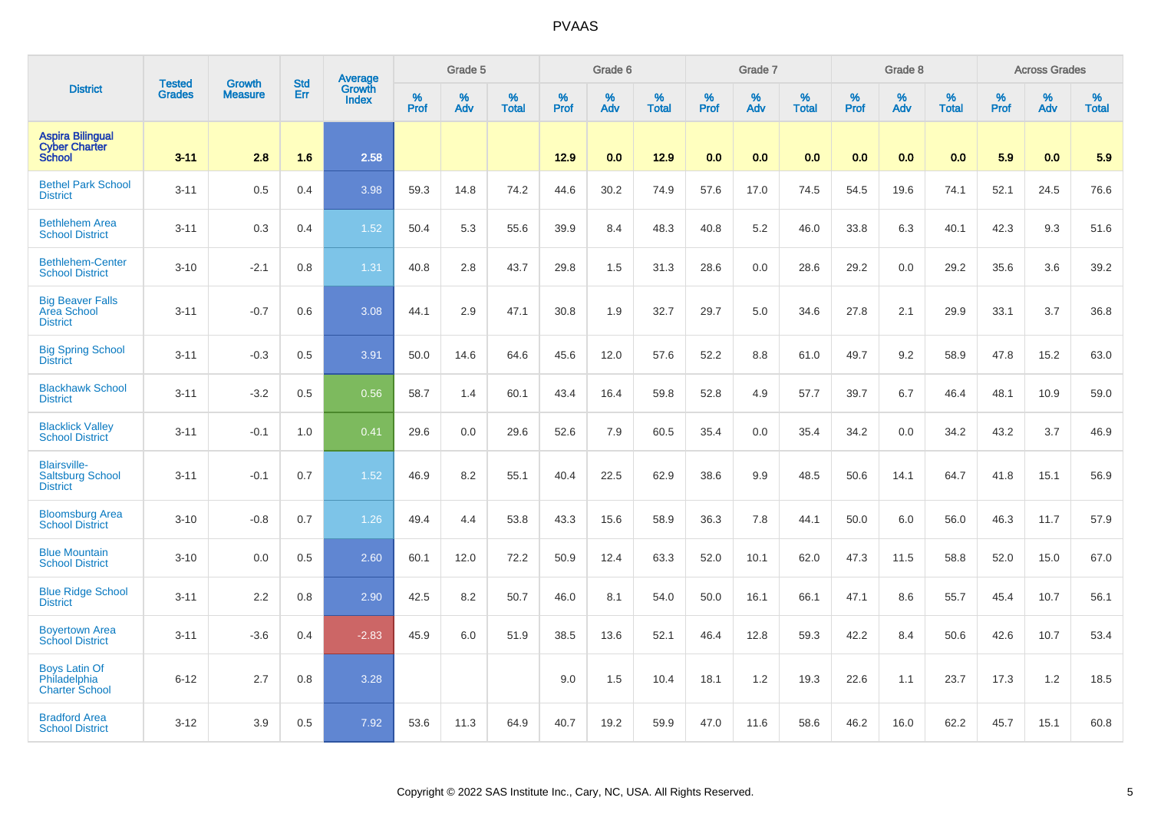|                                                                   |                         | <b>Growth</b>  | <b>Std</b> | Average                |                     | Grade 5     |                   |           | Grade 6     |                   |           | Grade 7  |                   |           | Grade 8  |                   |              | <b>Across Grades</b> |                   |
|-------------------------------------------------------------------|-------------------------|----------------|------------|------------------------|---------------------|-------------|-------------------|-----------|-------------|-------------------|-----------|----------|-------------------|-----------|----------|-------------------|--------------|----------------------|-------------------|
| <b>District</b>                                                   | <b>Tested</b><br>Grades | <b>Measure</b> | Err        | Growth<br><b>Index</b> | $\%$<br><b>Prof</b> | $\%$<br>Adv | %<br><b>Total</b> | %<br>Prof | $\%$<br>Adv | %<br><b>Total</b> | %<br>Prof | %<br>Adv | %<br><b>Total</b> | %<br>Prof | %<br>Adv | %<br><b>Total</b> | $\%$<br>Prof | %<br>Adv             | %<br><b>Total</b> |
| <b>Aspira Bilingual</b><br><b>Cyber Charter</b><br><b>School</b>  | $3 - 11$                | 2.8            | 1.6        | 2.58                   |                     |             |                   | 12.9      | 0.0         | 12.9              | 0.0       | 0.0      | 0.0               | 0.0       | 0.0      | 0.0               | 5.9          | 0.0                  | 5.9               |
| <b>Bethel Park School</b><br><b>District</b>                      | $3 - 11$                | 0.5            | 0.4        | 3.98                   | 59.3                | 14.8        | 74.2              | 44.6      | 30.2        | 74.9              | 57.6      | 17.0     | 74.5              | 54.5      | 19.6     | 74.1              | 52.1         | 24.5                 | 76.6              |
| <b>Bethlehem Area</b><br><b>School District</b>                   | $3 - 11$                | 0.3            | 0.4        | 1.52                   | 50.4                | 5.3         | 55.6              | 39.9      | 8.4         | 48.3              | 40.8      | 5.2      | 46.0              | 33.8      | 6.3      | 40.1              | 42.3         | 9.3                  | 51.6              |
| <b>Bethlehem-Center</b><br><b>School District</b>                 | $3 - 10$                | $-2.1$         | 0.8        | 1.31                   | 40.8                | 2.8         | 43.7              | 29.8      | 1.5         | 31.3              | 28.6      | 0.0      | 28.6              | 29.2      | 0.0      | 29.2              | 35.6         | 3.6                  | 39.2              |
| <b>Big Beaver Falls</b><br><b>Area School</b><br><b>District</b>  | $3 - 11$                | $-0.7$         | 0.6        | 3.08                   | 44.1                | 2.9         | 47.1              | 30.8      | 1.9         | 32.7              | 29.7      | 5.0      | 34.6              | 27.8      | 2.1      | 29.9              | 33.1         | 3.7                  | 36.8              |
| <b>Big Spring School</b><br><b>District</b>                       | $3 - 11$                | $-0.3$         | 0.5        | 3.91                   | 50.0                | 14.6        | 64.6              | 45.6      | 12.0        | 57.6              | 52.2      | 8.8      | 61.0              | 49.7      | 9.2      | 58.9              | 47.8         | 15.2                 | 63.0              |
| <b>Blackhawk School</b><br><b>District</b>                        | $3 - 11$                | $-3.2$         | 0.5        | 0.56                   | 58.7                | 1.4         | 60.1              | 43.4      | 16.4        | 59.8              | 52.8      | 4.9      | 57.7              | 39.7      | 6.7      | 46.4              | 48.1         | 10.9                 | 59.0              |
| <b>Blacklick Valley</b><br><b>School District</b>                 | $3 - 11$                | $-0.1$         | 1.0        | 0.41                   | 29.6                | 0.0         | 29.6              | 52.6      | 7.9         | 60.5              | 35.4      | 0.0      | 35.4              | 34.2      | 0.0      | 34.2              | 43.2         | 3.7                  | 46.9              |
| <b>Blairsville-</b><br><b>Saltsburg School</b><br><b>District</b> | $3 - 11$                | $-0.1$         | 0.7        | 1.52                   | 46.9                | 8.2         | 55.1              | 40.4      | 22.5        | 62.9              | 38.6      | 9.9      | 48.5              | 50.6      | 14.1     | 64.7              | 41.8         | 15.1                 | 56.9              |
| <b>Bloomsburg Area</b><br><b>School District</b>                  | $3 - 10$                | $-0.8$         | 0.7        | 1.26                   | 49.4                | 4.4         | 53.8              | 43.3      | 15.6        | 58.9              | 36.3      | 7.8      | 44.1              | 50.0      | 6.0      | 56.0              | 46.3         | 11.7                 | 57.9              |
| <b>Blue Mountain</b><br><b>School District</b>                    | $3 - 10$                | 0.0            | 0.5        | 2.60                   | 60.1                | 12.0        | 72.2              | 50.9      | 12.4        | 63.3              | 52.0      | 10.1     | 62.0              | 47.3      | 11.5     | 58.8              | 52.0         | 15.0                 | 67.0              |
| <b>Blue Ridge School</b><br><b>District</b>                       | $3 - 11$                | 2.2            | 0.8        | 2.90                   | 42.5                | 8.2         | 50.7              | 46.0      | 8.1         | 54.0              | 50.0      | 16.1     | 66.1              | 47.1      | 8.6      | 55.7              | 45.4         | 10.7                 | 56.1              |
| <b>Boyertown Area</b><br><b>School District</b>                   | $3 - 11$                | $-3.6$         | 0.4        | $-2.83$                | 45.9                | 6.0         | 51.9              | 38.5      | 13.6        | 52.1              | 46.4      | 12.8     | 59.3              | 42.2      | 8.4      | 50.6              | 42.6         | 10.7                 | 53.4              |
| <b>Boys Latin Of</b><br>Philadelphia<br><b>Charter School</b>     | $6 - 12$                | 2.7            | 0.8        | 3.28                   |                     |             |                   | 9.0       | 1.5         | 10.4              | 18.1      | 1.2      | 19.3              | 22.6      | 1.1      | 23.7              | 17.3         | 1.2                  | 18.5              |
| <b>Bradford Area</b><br><b>School District</b>                    | $3 - 12$                | 3.9            | 0.5        | 7.92                   | 53.6                | 11.3        | 64.9              | 40.7      | 19.2        | 59.9              | 47.0      | 11.6     | 58.6              | 46.2      | 16.0     | 62.2              | 45.7         | 15.1                 | 60.8              |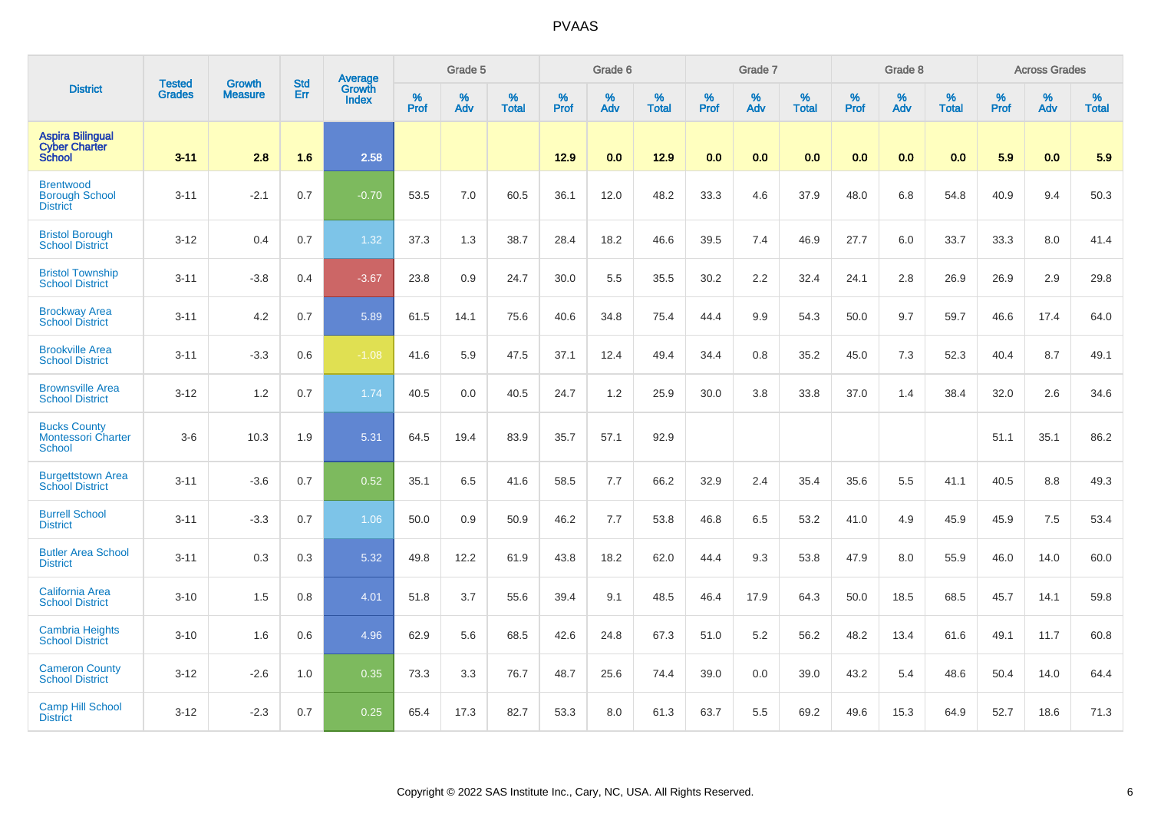|                                                                  |                         | <b>Growth</b>  | <b>Std</b> | Average         |              | Grade 5  |                   |           | Grade 6  |                   |           | Grade 7  |                   |           | Grade 8  |                   |           | <b>Across Grades</b> |                   |
|------------------------------------------------------------------|-------------------------|----------------|------------|-----------------|--------------|----------|-------------------|-----------|----------|-------------------|-----------|----------|-------------------|-----------|----------|-------------------|-----------|----------------------|-------------------|
| <b>District</b>                                                  | <b>Tested</b><br>Grades | <b>Measure</b> | <b>Err</b> | Growth<br>Index | $\%$<br>Prof | %<br>Adv | %<br><b>Total</b> | %<br>Prof | %<br>Adv | %<br><b>Total</b> | %<br>Prof | %<br>Adv | %<br><b>Total</b> | %<br>Prof | %<br>Adv | %<br><b>Total</b> | %<br>Prof | $\%$<br>Adv          | %<br><b>Total</b> |
| <b>Aspira Bilingual</b><br><b>Cyber Charter</b><br><b>School</b> | $3 - 11$                | 2.8            | 1.6        | 2.58            |              |          |                   | 12.9      | 0.0      | 12.9              | 0.0       | 0.0      | 0.0               | 0.0       | 0.0      | 0.0               | 5.9       | 0.0                  | 5.9               |
| <b>Brentwood</b><br><b>Borough School</b><br><b>District</b>     | $3 - 11$                | $-2.1$         | 0.7        | $-0.70$         | 53.5         | 7.0      | 60.5              | 36.1      | 12.0     | 48.2              | 33.3      | 4.6      | 37.9              | 48.0      | 6.8      | 54.8              | 40.9      | 9.4                  | 50.3              |
| <b>Bristol Borough</b><br><b>School District</b>                 | $3 - 12$                | 0.4            | 0.7        | 1.32            | 37.3         | 1.3      | 38.7              | 28.4      | 18.2     | 46.6              | 39.5      | 7.4      | 46.9              | 27.7      | 6.0      | 33.7              | 33.3      | 8.0                  | 41.4              |
| <b>Bristol Township</b><br><b>School District</b>                | $3 - 11$                | $-3.8$         | 0.4        | $-3.67$         | 23.8         | 0.9      | 24.7              | 30.0      | 5.5      | 35.5              | 30.2      | 2.2      | 32.4              | 24.1      | 2.8      | 26.9              | 26.9      | 2.9                  | 29.8              |
| <b>Brockway Area</b><br><b>School District</b>                   | $3 - 11$                | 4.2            | 0.7        | 5.89            | 61.5         | 14.1     | 75.6              | 40.6      | 34.8     | 75.4              | 44.4      | 9.9      | 54.3              | 50.0      | 9.7      | 59.7              | 46.6      | 17.4                 | 64.0              |
| <b>Brookville Area</b><br><b>School District</b>                 | $3 - 11$                | $-3.3$         | 0.6        | $-1.08$         | 41.6         | 5.9      | 47.5              | 37.1      | 12.4     | 49.4              | 34.4      | 0.8      | 35.2              | 45.0      | 7.3      | 52.3              | 40.4      | 8.7                  | 49.1              |
| <b>Brownsville Area</b><br><b>School District</b>                | $3 - 12$                | 1.2            | 0.7        | 1.74            | 40.5         | 0.0      | 40.5              | 24.7      | 1.2      | 25.9              | 30.0      | 3.8      | 33.8              | 37.0      | 1.4      | 38.4              | 32.0      | 2.6                  | 34.6              |
| <b>Bucks County</b><br><b>Montessori Charter</b><br>School       | $3-6$                   | 10.3           | 1.9        | 5.31            | 64.5         | 19.4     | 83.9              | 35.7      | 57.1     | 92.9              |           |          |                   |           |          |                   | 51.1      | 35.1                 | 86.2              |
| <b>Burgettstown Area</b><br><b>School District</b>               | $3 - 11$                | $-3.6$         | 0.7        | 0.52            | 35.1         | 6.5      | 41.6              | 58.5      | 7.7      | 66.2              | 32.9      | 2.4      | 35.4              | 35.6      | 5.5      | 41.1              | 40.5      | 8.8                  | 49.3              |
| <b>Burrell School</b><br><b>District</b>                         | $3 - 11$                | $-3.3$         | 0.7        | 1.06            | 50.0         | 0.9      | 50.9              | 46.2      | 7.7      | 53.8              | 46.8      | 6.5      | 53.2              | 41.0      | 4.9      | 45.9              | 45.9      | 7.5                  | 53.4              |
| <b>Butler Area School</b><br><b>District</b>                     | $3 - 11$                | 0.3            | 0.3        | 5.32            | 49.8         | 12.2     | 61.9              | 43.8      | 18.2     | 62.0              | 44.4      | 9.3      | 53.8              | 47.9      | 8.0      | 55.9              | 46.0      | 14.0                 | 60.0              |
| California Area<br><b>School District</b>                        | $3 - 10$                | 1.5            | 0.8        | 4.01            | 51.8         | 3.7      | 55.6              | 39.4      | 9.1      | 48.5              | 46.4      | 17.9     | 64.3              | 50.0      | 18.5     | 68.5              | 45.7      | 14.1                 | 59.8              |
| <b>Cambria Heights</b><br><b>School District</b>                 | $3 - 10$                | 1.6            | 0.6        | 4.96            | 62.9         | 5.6      | 68.5              | 42.6      | 24.8     | 67.3              | 51.0      | 5.2      | 56.2              | 48.2      | 13.4     | 61.6              | 49.1      | 11.7                 | 60.8              |
| <b>Cameron County</b><br><b>School District</b>                  | $3 - 12$                | $-2.6$         | 1.0        | 0.35            | 73.3         | 3.3      | 76.7              | 48.7      | 25.6     | 74.4              | 39.0      | 0.0      | 39.0              | 43.2      | 5.4      | 48.6              | 50.4      | 14.0                 | 64.4              |
| <b>Camp Hill School</b><br><b>District</b>                       | $3 - 12$                | $-2.3$         | 0.7        | 0.25            | 65.4         | 17.3     | 82.7              | 53.3      | 8.0      | 61.3              | 63.7      | 5.5      | 69.2              | 49.6      | 15.3     | 64.9              | 52.7      | 18.6                 | 71.3              |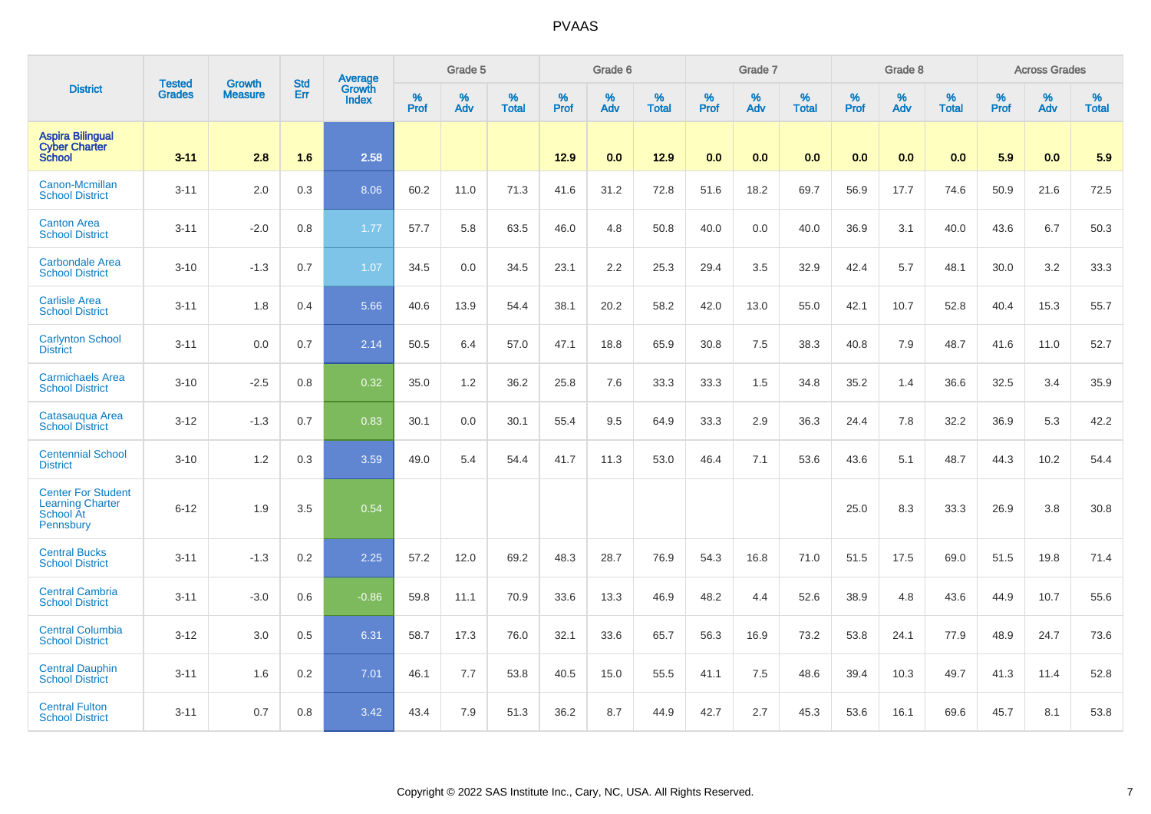|                                                                                       | <b>Tested</b> | <b>Growth</b>  | <b>Std</b> | Average                       |           | Grade 5  |                   |           | Grade 6  |                   |           | Grade 7  |                   |           | Grade 8  |                   |           | <b>Across Grades</b> |                   |
|---------------------------------------------------------------------------------------|---------------|----------------|------------|-------------------------------|-----------|----------|-------------------|-----------|----------|-------------------|-----------|----------|-------------------|-----------|----------|-------------------|-----------|----------------------|-------------------|
| <b>District</b>                                                                       | <b>Grades</b> | <b>Measure</b> | Err        | <b>Growth</b><br><b>Index</b> | %<br>Prof | %<br>Adv | %<br><b>Total</b> | %<br>Prof | %<br>Adv | %<br><b>Total</b> | %<br>Prof | %<br>Adv | %<br><b>Total</b> | %<br>Prof | %<br>Adv | %<br><b>Total</b> | %<br>Prof | %<br>Adv             | %<br><b>Total</b> |
| <b>Aspira Bilingual</b><br><b>Cyber Charter</b><br><b>School</b>                      | $3 - 11$      | 2.8            | 1.6        | 2.58                          |           |          |                   | 12.9      | 0.0      | 12.9              | 0.0       | 0.0      | 0.0               | 0.0       | 0.0      | 0.0               | 5.9       | 0.0                  | 5.9               |
| Canon-Mcmillan<br><b>School District</b>                                              | $3 - 11$      | 2.0            | 0.3        | 8.06                          | 60.2      | 11.0     | 71.3              | 41.6      | 31.2     | 72.8              | 51.6      | 18.2     | 69.7              | 56.9      | 17.7     | 74.6              | 50.9      | 21.6                 | 72.5              |
| <b>Canton Area</b><br><b>School District</b>                                          | $3 - 11$      | $-2.0$         | 0.8        | 1.77                          | 57.7      | 5.8      | 63.5              | 46.0      | 4.8      | 50.8              | 40.0      | 0.0      | 40.0              | 36.9      | 3.1      | 40.0              | 43.6      | 6.7                  | 50.3              |
| <b>Carbondale Area</b><br><b>School District</b>                                      | $3 - 10$      | $-1.3$         | 0.7        | 1.07                          | 34.5      | 0.0      | 34.5              | 23.1      | 2.2      | 25.3              | 29.4      | 3.5      | 32.9              | 42.4      | 5.7      | 48.1              | 30.0      | 3.2                  | 33.3              |
| <b>Carlisle Area</b><br><b>School District</b>                                        | $3 - 11$      | 1.8            | 0.4        | 5.66                          | 40.6      | 13.9     | 54.4              | 38.1      | 20.2     | 58.2              | 42.0      | 13.0     | 55.0              | 42.1      | 10.7     | 52.8              | 40.4      | 15.3                 | 55.7              |
| <b>Carlynton School</b><br><b>District</b>                                            | $3 - 11$      | 0.0            | 0.7        | 2.14                          | 50.5      | 6.4      | 57.0              | 47.1      | 18.8     | 65.9              | 30.8      | 7.5      | 38.3              | 40.8      | 7.9      | 48.7              | 41.6      | 11.0                 | 52.7              |
| <b>Carmichaels Area</b><br><b>School District</b>                                     | $3 - 10$      | $-2.5$         | 0.8        | 0.32                          | 35.0      | 1.2      | 36.2              | 25.8      | 7.6      | 33.3              | 33.3      | 1.5      | 34.8              | 35.2      | 1.4      | 36.6              | 32.5      | 3.4                  | 35.9              |
| Catasaugua Area<br><b>School District</b>                                             | $3 - 12$      | $-1.3$         | 0.7        | 0.83                          | 30.1      | 0.0      | 30.1              | 55.4      | 9.5      | 64.9              | 33.3      | 2.9      | 36.3              | 24.4      | 7.8      | 32.2              | 36.9      | 5.3                  | 42.2              |
| <b>Centennial School</b><br><b>District</b>                                           | $3 - 10$      | 1.2            | 0.3        | 3.59                          | 49.0      | 5.4      | 54.4              | 41.7      | 11.3     | 53.0              | 46.4      | 7.1      | 53.6              | 43.6      | 5.1      | 48.7              | 44.3      | 10.2                 | 54.4              |
| <b>Center For Student</b><br><b>Learning Charter</b><br><b>School At</b><br>Pennsbury | $6 - 12$      | 1.9            | 3.5        | 0.54                          |           |          |                   |           |          |                   |           |          |                   | 25.0      | 8.3      | 33.3              | 26.9      | 3.8                  | 30.8              |
| <b>Central Bucks</b><br><b>School District</b>                                        | $3 - 11$      | $-1.3$         | 0.2        | 2.25                          | 57.2      | 12.0     | 69.2              | 48.3      | 28.7     | 76.9              | 54.3      | 16.8     | 71.0              | 51.5      | 17.5     | 69.0              | 51.5      | 19.8                 | 71.4              |
| <b>Central Cambria</b><br><b>School District</b>                                      | $3 - 11$      | $-3.0$         | 0.6        | $-0.86$                       | 59.8      | 11.1     | 70.9              | 33.6      | 13.3     | 46.9              | 48.2      | 4.4      | 52.6              | 38.9      | 4.8      | 43.6              | 44.9      | 10.7                 | 55.6              |
| <b>Central Columbia</b><br><b>School District</b>                                     | $3 - 12$      | 3.0            | 0.5        | 6.31                          | 58.7      | 17.3     | 76.0              | 32.1      | 33.6     | 65.7              | 56.3      | 16.9     | 73.2              | 53.8      | 24.1     | 77.9              | 48.9      | 24.7                 | 73.6              |
| <b>Central Dauphin</b><br><b>School District</b>                                      | $3 - 11$      | 1.6            | 0.2        | 7.01                          | 46.1      | 7.7      | 53.8              | 40.5      | 15.0     | 55.5              | 41.1      | 7.5      | 48.6              | 39.4      | 10.3     | 49.7              | 41.3      | 11.4                 | 52.8              |
| <b>Central Fulton</b><br><b>School District</b>                                       | $3 - 11$      | 0.7            | 0.8        | 3.42                          | 43.4      | 7.9      | 51.3              | 36.2      | 8.7      | 44.9              | 42.7      | 2.7      | 45.3              | 53.6      | 16.1     | 69.6              | 45.7      | 8.1                  | 53.8              |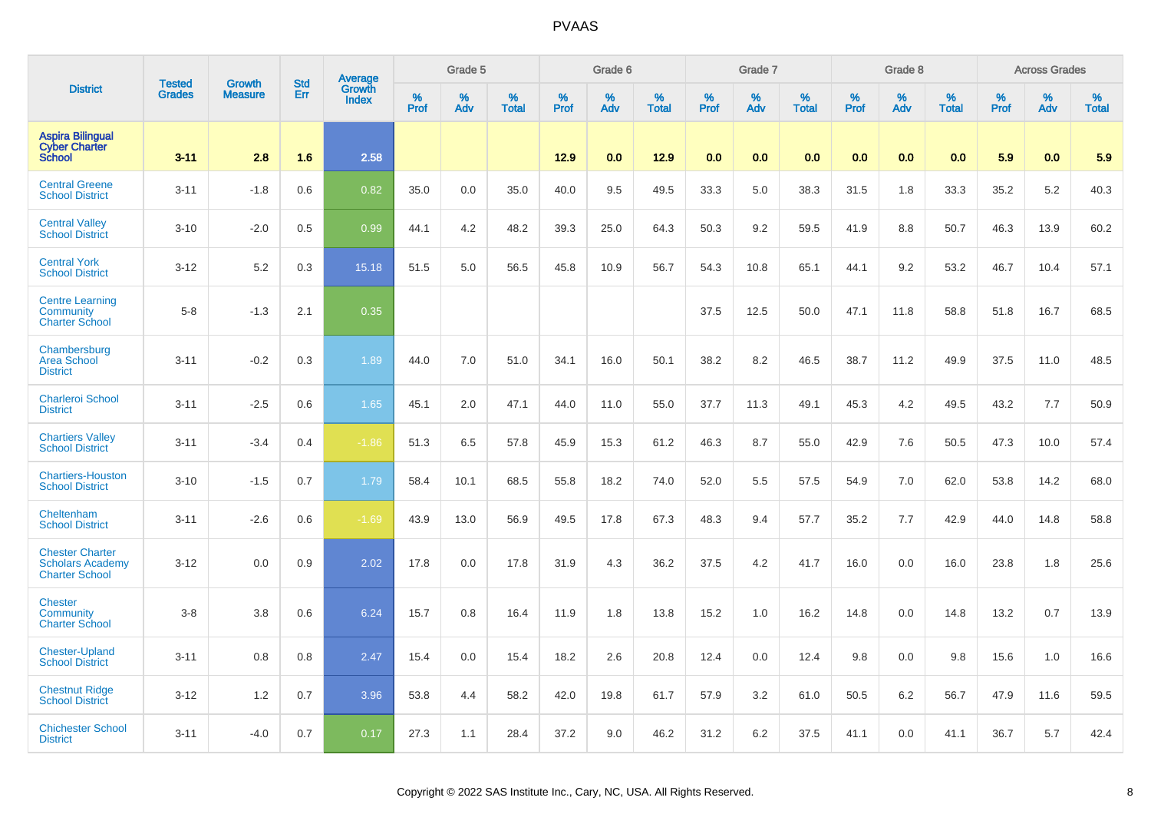|                                                                            | <b>Tested</b> | Growth         | <b>Std</b> | <b>Average</b><br>Growth |                     | Grade 5  |                   |           | Grade 6  |                   |           | Grade 7  |                   |           | Grade 8  |                   |           | <b>Across Grades</b> |                   |
|----------------------------------------------------------------------------|---------------|----------------|------------|--------------------------|---------------------|----------|-------------------|-----------|----------|-------------------|-----------|----------|-------------------|-----------|----------|-------------------|-----------|----------------------|-------------------|
| <b>District</b>                                                            | <b>Grades</b> | <b>Measure</b> | Err        | <b>Index</b>             | $\%$<br><b>Prof</b> | %<br>Adv | %<br><b>Total</b> | %<br>Prof | %<br>Adv | %<br><b>Total</b> | %<br>Prof | %<br>Adv | %<br><b>Total</b> | %<br>Prof | %<br>Adv | %<br><b>Total</b> | %<br>Prof | %<br>Adv             | %<br><b>Total</b> |
| <b>Aspira Bilingual</b><br><b>Cyber Charter</b><br><b>School</b>           | $3 - 11$      | 2.8            | 1.6        | 2.58                     |                     |          |                   | 12.9      | 0.0      | 12.9              | 0.0       | 0.0      | 0.0               | 0.0       | 0.0      | 0.0               | 5.9       | 0.0                  | 5.9               |
| <b>Central Greene</b><br><b>School District</b>                            | $3 - 11$      | $-1.8$         | 0.6        | 0.82                     | 35.0                | 0.0      | 35.0              | 40.0      | 9.5      | 49.5              | 33.3      | 5.0      | 38.3              | 31.5      | 1.8      | 33.3              | 35.2      | 5.2                  | 40.3              |
| <b>Central Valley</b><br><b>School District</b>                            | $3 - 10$      | $-2.0$         | 0.5        | 0.99                     | 44.1                | 4.2      | 48.2              | 39.3      | 25.0     | 64.3              | 50.3      | 9.2      | 59.5              | 41.9      | 8.8      | 50.7              | 46.3      | 13.9                 | 60.2              |
| <b>Central York</b><br><b>School District</b>                              | $3-12$        | 5.2            | 0.3        | 15.18                    | 51.5                | 5.0      | 56.5              | 45.8      | 10.9     | 56.7              | 54.3      | 10.8     | 65.1              | 44.1      | 9.2      | 53.2              | 46.7      | 10.4                 | 57.1              |
| <b>Centre Learning</b><br>Community<br><b>Charter School</b>               | $5-8$         | $-1.3$         | 2.1        | 0.35                     |                     |          |                   |           |          |                   | 37.5      | 12.5     | 50.0              | 47.1      | 11.8     | 58.8              | 51.8      | 16.7                 | 68.5              |
| Chambersburg<br><b>Area School</b><br><b>District</b>                      | $3 - 11$      | $-0.2$         | 0.3        | 1.89                     | 44.0                | 7.0      | 51.0              | 34.1      | 16.0     | 50.1              | 38.2      | 8.2      | 46.5              | 38.7      | 11.2     | 49.9              | 37.5      | 11.0                 | 48.5              |
| <b>Charleroi School</b><br><b>District</b>                                 | $3 - 11$      | $-2.5$         | 0.6        | 1.65                     | 45.1                | 2.0      | 47.1              | 44.0      | 11.0     | 55.0              | 37.7      | 11.3     | 49.1              | 45.3      | 4.2      | 49.5              | 43.2      | 7.7                  | 50.9              |
| <b>Chartiers Valley</b><br><b>School District</b>                          | $3 - 11$      | $-3.4$         | 0.4        | $-1.86$                  | 51.3                | 6.5      | 57.8              | 45.9      | 15.3     | 61.2              | 46.3      | 8.7      | 55.0              | 42.9      | 7.6      | 50.5              | 47.3      | 10.0                 | 57.4              |
| <b>Chartiers-Houston</b><br><b>School District</b>                         | $3 - 10$      | $-1.5$         | 0.7        | 1.79                     | 58.4                | 10.1     | 68.5              | 55.8      | 18.2     | 74.0              | 52.0      | 5.5      | 57.5              | 54.9      | 7.0      | 62.0              | 53.8      | 14.2                 | 68.0              |
| Cheltenham<br><b>School District</b>                                       | $3 - 11$      | $-2.6$         | 0.6        | $-1.69$                  | 43.9                | 13.0     | 56.9              | 49.5      | 17.8     | 67.3              | 48.3      | 9.4      | 57.7              | 35.2      | 7.7      | 42.9              | 44.0      | 14.8                 | 58.8              |
| <b>Chester Charter</b><br><b>Scholars Academy</b><br><b>Charter School</b> | $3 - 12$      | 0.0            | 0.9        | 2.02                     | 17.8                | 0.0      | 17.8              | 31.9      | 4.3      | 36.2              | 37.5      | 4.2      | 41.7              | 16.0      | 0.0      | 16.0              | 23.8      | 1.8                  | 25.6              |
| <b>Chester</b><br>Community<br><b>Charter School</b>                       | $3 - 8$       | 3.8            | 0.6        | 6.24                     | 15.7                | 0.8      | 16.4              | 11.9      | 1.8      | 13.8              | 15.2      | 1.0      | 16.2              | 14.8      | 0.0      | 14.8              | 13.2      | 0.7                  | 13.9              |
| <b>Chester-Upland</b><br><b>School District</b>                            | $3 - 11$      | 0.8            | 0.8        | 2.47                     | 15.4                | 0.0      | 15.4              | 18.2      | 2.6      | 20.8              | 12.4      | 0.0      | 12.4              | 9.8       | 0.0      | 9.8               | 15.6      | 1.0                  | 16.6              |
| <b>Chestnut Ridge</b><br><b>School District</b>                            | $3 - 12$      | 1.2            | 0.7        | 3.96                     | 53.8                | 4.4      | 58.2              | 42.0      | 19.8     | 61.7              | 57.9      | 3.2      | 61.0              | 50.5      | 6.2      | 56.7              | 47.9      | 11.6                 | 59.5              |
| <b>Chichester School</b><br><b>District</b>                                | $3 - 11$      | $-4.0$         | 0.7        | 0.17                     | 27.3                | 1.1      | 28.4              | 37.2      | 9.0      | 46.2              | 31.2      | 6.2      | 37.5              | 41.1      | 0.0      | 41.1              | 36.7      | 5.7                  | 42.4              |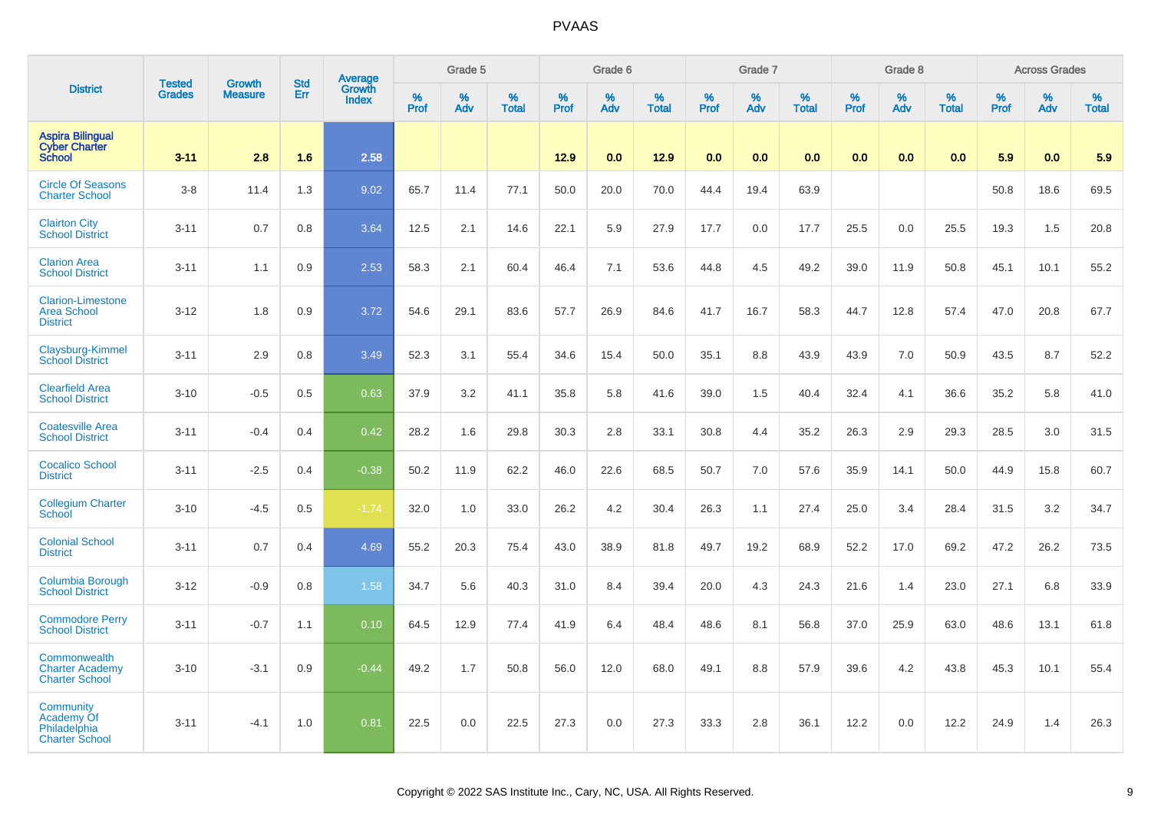|                                                                   | <b>Tested</b> | <b>Growth</b>  | <b>Std</b> | Average                |                     | Grade 5  |                   |           | Grade 6  |                   |           | Grade 7  |                   |                  | Grade 8  |                   |           | <b>Across Grades</b> |                   |
|-------------------------------------------------------------------|---------------|----------------|------------|------------------------|---------------------|----------|-------------------|-----------|----------|-------------------|-----------|----------|-------------------|------------------|----------|-------------------|-----------|----------------------|-------------------|
| <b>District</b>                                                   | <b>Grades</b> | <b>Measure</b> | Err        | Growth<br><b>Index</b> | $\%$<br><b>Prof</b> | %<br>Adv | %<br><b>Total</b> | %<br>Prof | %<br>Adv | %<br><b>Total</b> | %<br>Prof | %<br>Adv | %<br><b>Total</b> | %<br><b>Prof</b> | %<br>Adv | %<br><b>Total</b> | %<br>Prof | %<br>Adv             | %<br><b>Total</b> |
| <b>Aspira Bilingual</b><br><b>Cyber Charter</b><br><b>School</b>  | $3 - 11$      | 2.8            | 1.6        | 2.58                   |                     |          |                   | 12.9      | 0.0      | 12.9              | 0.0       | 0.0      | 0.0               | 0.0              | 0.0      | 0.0               | 5.9       | 0.0                  | 5.9               |
| <b>Circle Of Seasons</b><br><b>Charter School</b>                 | $3-8$         | 11.4           | 1.3        | 9.02                   | 65.7                | 11.4     | 77.1              | 50.0      | 20.0     | 70.0              | 44.4      | 19.4     | 63.9              |                  |          |                   | 50.8      | 18.6                 | 69.5              |
| <b>Clairton City</b><br><b>School District</b>                    | $3 - 11$      | 0.7            | 0.8        | 3.64                   | 12.5                | 2.1      | 14.6              | 22.1      | 5.9      | 27.9              | 17.7      | 0.0      | 17.7              | 25.5             | 0.0      | 25.5              | 19.3      | 1.5                  | 20.8              |
| <b>Clarion Area</b><br><b>School District</b>                     | $3 - 11$      | 1.1            | 0.9        | 2.53                   | 58.3                | 2.1      | 60.4              | 46.4      | 7.1      | 53.6              | 44.8      | 4.5      | 49.2              | 39.0             | 11.9     | 50.8              | 45.1      | 10.1                 | 55.2              |
| <b>Clarion-Limestone</b><br><b>Area School</b><br><b>District</b> | $3 - 12$      | 1.8            | 0.9        | 3.72                   | 54.6                | 29.1     | 83.6              | 57.7      | 26.9     | 84.6              | 41.7      | 16.7     | 58.3              | 44.7             | 12.8     | 57.4              | 47.0      | 20.8                 | 67.7              |
| Claysburg-Kimmel<br><b>School District</b>                        | $3 - 11$      | 2.9            | 0.8        | 3.49                   | 52.3                | 3.1      | 55.4              | 34.6      | 15.4     | 50.0              | 35.1      | 8.8      | 43.9              | 43.9             | 7.0      | 50.9              | 43.5      | 8.7                  | 52.2              |
| <b>Clearfield Area</b><br><b>School District</b>                  | $3 - 10$      | $-0.5$         | 0.5        | 0.63                   | 37.9                | 3.2      | 41.1              | 35.8      | 5.8      | 41.6              | 39.0      | 1.5      | 40.4              | 32.4             | 4.1      | 36.6              | 35.2      | 5.8                  | 41.0              |
| <b>Coatesville Area</b><br><b>School District</b>                 | $3 - 11$      | $-0.4$         | 0.4        | 0.42                   | 28.2                | 1.6      | 29.8              | 30.3      | 2.8      | 33.1              | 30.8      | 4.4      | 35.2              | 26.3             | 2.9      | 29.3              | 28.5      | 3.0                  | 31.5              |
| <b>Cocalico School</b><br><b>District</b>                         | $3 - 11$      | $-2.5$         | 0.4        | $-0.38$                | 50.2                | 11.9     | 62.2              | 46.0      | 22.6     | 68.5              | 50.7      | 7.0      | 57.6              | 35.9             | 14.1     | 50.0              | 44.9      | 15.8                 | 60.7              |
| <b>Collegium Charter</b><br><b>School</b>                         | $3 - 10$      | $-4.5$         | 0.5        | $-1.74$                | 32.0                | 1.0      | 33.0              | 26.2      | 4.2      | 30.4              | 26.3      | 1.1      | 27.4              | 25.0             | 3.4      | 28.4              | 31.5      | 3.2                  | 34.7              |
| <b>Colonial School</b><br><b>District</b>                         | $3 - 11$      | 0.7            | 0.4        | 4.69                   | 55.2                | 20.3     | 75.4              | 43.0      | 38.9     | 81.8              | 49.7      | 19.2     | 68.9              | 52.2             | 17.0     | 69.2              | 47.2      | 26.2                 | 73.5              |
| <b>Columbia Borough</b><br><b>School District</b>                 | $3 - 12$      | $-0.9$         | 0.8        | 1.58                   | 34.7                | 5.6      | 40.3              | 31.0      | 8.4      | 39.4              | 20.0      | 4.3      | 24.3              | 21.6             | 1.4      | 23.0              | 27.1      | 6.8                  | 33.9              |
| <b>Commodore Perry</b><br><b>School District</b>                  | $3 - 11$      | $-0.7$         | 1.1        | 0.10                   | 64.5                | 12.9     | 77.4              | 41.9      | 6.4      | 48.4              | 48.6      | 8.1      | 56.8              | 37.0             | 25.9     | 63.0              | 48.6      | 13.1                 | 61.8              |
| Commonwealth<br><b>Charter Academy</b><br><b>Charter School</b>   | $3 - 10$      | $-3.1$         | 0.9        | $-0.44$                | 49.2                | 1.7      | 50.8              | 56.0      | 12.0     | 68.0              | 49.1      | 8.8      | 57.9              | 39.6             | 4.2      | 43.8              | 45.3      | 10.1                 | 55.4              |
| Community<br>Academy Of<br>Philadelphia<br><b>Charter School</b>  | $3 - 11$      | $-4.1$         | 1.0        | 0.81                   | 22.5                | 0.0      | 22.5              | 27.3      | 0.0      | 27.3              | 33.3      | 2.8      | 36.1              | 12.2             | 0.0      | 12.2              | 24.9      | 1.4                  | 26.3              |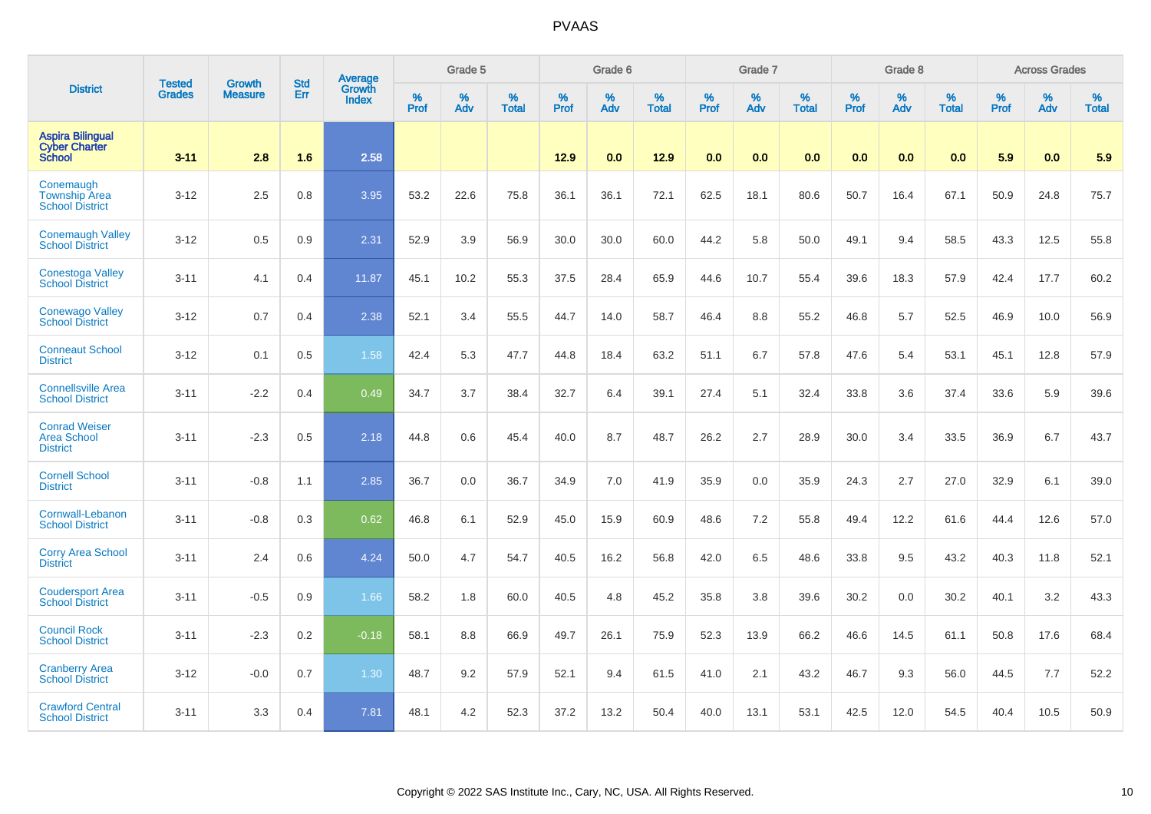|                                                                  | <b>Tested</b> | <b>Growth</b>  | <b>Std</b> | Average                |           | Grade 5  |                   |           | Grade 6  |                   |                  | Grade 7  |                   |                  | Grade 8     |                   |                  | <b>Across Grades</b> |                   |
|------------------------------------------------------------------|---------------|----------------|------------|------------------------|-----------|----------|-------------------|-----------|----------|-------------------|------------------|----------|-------------------|------------------|-------------|-------------------|------------------|----------------------|-------------------|
| <b>District</b>                                                  | <b>Grades</b> | <b>Measure</b> | Err        | Growth<br><b>Index</b> | %<br>Prof | %<br>Adv | %<br><b>Total</b> | %<br>Prof | %<br>Adv | %<br><b>Total</b> | %<br><b>Prof</b> | %<br>Adv | %<br><b>Total</b> | %<br><b>Prof</b> | $\%$<br>Adv | %<br><b>Total</b> | %<br><b>Prof</b> | %<br>Adv             | %<br><b>Total</b> |
| <b>Aspira Bilingual</b><br><b>Cyber Charter</b><br><b>School</b> | $3 - 11$      | 2.8            | 1.6        | 2.58                   |           |          |                   | 12.9      | 0.0      | 12.9              | 0.0              | 0.0      | 0.0               | 0.0              | 0.0         | 0.0               | 5.9              | 0.0                  | 5.9               |
| Conemaugh<br><b>Township Area</b><br><b>School District</b>      | $3 - 12$      | 2.5            | 0.8        | 3.95                   | 53.2      | 22.6     | 75.8              | 36.1      | 36.1     | 72.1              | 62.5             | 18.1     | 80.6              | 50.7             | 16.4        | 67.1              | 50.9             | 24.8                 | 75.7              |
| <b>Conemaugh Valley</b><br><b>School District</b>                | $3 - 12$      | 0.5            | 0.9        | 2.31                   | 52.9      | 3.9      | 56.9              | 30.0      | 30.0     | 60.0              | 44.2             | 5.8      | 50.0              | 49.1             | 9.4         | 58.5              | 43.3             | 12.5                 | 55.8              |
| <b>Conestoga Valley</b><br><b>School District</b>                | $3 - 11$      | 4.1            | 0.4        | 11.87                  | 45.1      | 10.2     | 55.3              | 37.5      | 28.4     | 65.9              | 44.6             | 10.7     | 55.4              | 39.6             | 18.3        | 57.9              | 42.4             | 17.7                 | 60.2              |
| <b>Conewago Valley</b><br><b>School District</b>                 | $3 - 12$      | 0.7            | 0.4        | 2.38                   | 52.1      | 3.4      | 55.5              | 44.7      | 14.0     | 58.7              | 46.4             | 8.8      | 55.2              | 46.8             | 5.7         | 52.5              | 46.9             | 10.0                 | 56.9              |
| <b>Conneaut School</b><br><b>District</b>                        | $3 - 12$      | 0.1            | 0.5        | 1.58                   | 42.4      | 5.3      | 47.7              | 44.8      | 18.4     | 63.2              | 51.1             | 6.7      | 57.8              | 47.6             | 5.4         | 53.1              | 45.1             | 12.8                 | 57.9              |
| <b>Connellsville Area</b><br><b>School District</b>              | $3 - 11$      | $-2.2$         | 0.4        | 0.49                   | 34.7      | 3.7      | 38.4              | 32.7      | 6.4      | 39.1              | 27.4             | 5.1      | 32.4              | 33.8             | 3.6         | 37.4              | 33.6             | 5.9                  | 39.6              |
| <b>Conrad Weiser</b><br><b>Area School</b><br><b>District</b>    | $3 - 11$      | $-2.3$         | 0.5        | 2.18                   | 44.8      | 0.6      | 45.4              | 40.0      | 8.7      | 48.7              | 26.2             | 2.7      | 28.9              | 30.0             | 3.4         | 33.5              | 36.9             | 6.7                  | 43.7              |
| <b>Cornell School</b><br><b>District</b>                         | $3 - 11$      | $-0.8$         | 1.1        | 2.85                   | 36.7      | 0.0      | 36.7              | 34.9      | 7.0      | 41.9              | 35.9             | 0.0      | 35.9              | 24.3             | 2.7         | 27.0              | 32.9             | 6.1                  | 39.0              |
| Cornwall-Lebanon<br><b>School District</b>                       | $3 - 11$      | $-0.8$         | 0.3        | 0.62                   | 46.8      | 6.1      | 52.9              | 45.0      | 15.9     | 60.9              | 48.6             | 7.2      | 55.8              | 49.4             | 12.2        | 61.6              | 44.4             | 12.6                 | 57.0              |
| <b>Corry Area School</b><br><b>District</b>                      | $3 - 11$      | 2.4            | 0.6        | 4.24                   | 50.0      | 4.7      | 54.7              | 40.5      | 16.2     | 56.8              | 42.0             | 6.5      | 48.6              | 33.8             | 9.5         | 43.2              | 40.3             | 11.8                 | 52.1              |
| <b>Coudersport Area</b><br><b>School District</b>                | $3 - 11$      | $-0.5$         | 0.9        | 1.66                   | 58.2      | 1.8      | 60.0              | 40.5      | 4.8      | 45.2              | 35.8             | 3.8      | 39.6              | 30.2             | 0.0         | 30.2              | 40.1             | 3.2                  | 43.3              |
| <b>Council Rock</b><br><b>School District</b>                    | $3 - 11$      | $-2.3$         | 0.2        | $-0.18$                | 58.1      | 8.8      | 66.9              | 49.7      | 26.1     | 75.9              | 52.3             | 13.9     | 66.2              | 46.6             | 14.5        | 61.1              | 50.8             | 17.6                 | 68.4              |
| <b>Cranberry Area</b><br><b>School District</b>                  | $3 - 12$      | $-0.0$         | 0.7        | 1.30                   | 48.7      | 9.2      | 57.9              | 52.1      | 9.4      | 61.5              | 41.0             | 2.1      | 43.2              | 46.7             | 9.3         | 56.0              | 44.5             | 7.7                  | 52.2              |
| <b>Crawford Central</b><br><b>School District</b>                | $3 - 11$      | 3.3            | 0.4        | 7.81                   | 48.1      | 4.2      | 52.3              | 37.2      | 13.2     | 50.4              | 40.0             | 13.1     | 53.1              | 42.5             | 12.0        | 54.5              | 40.4             | 10.5                 | 50.9              |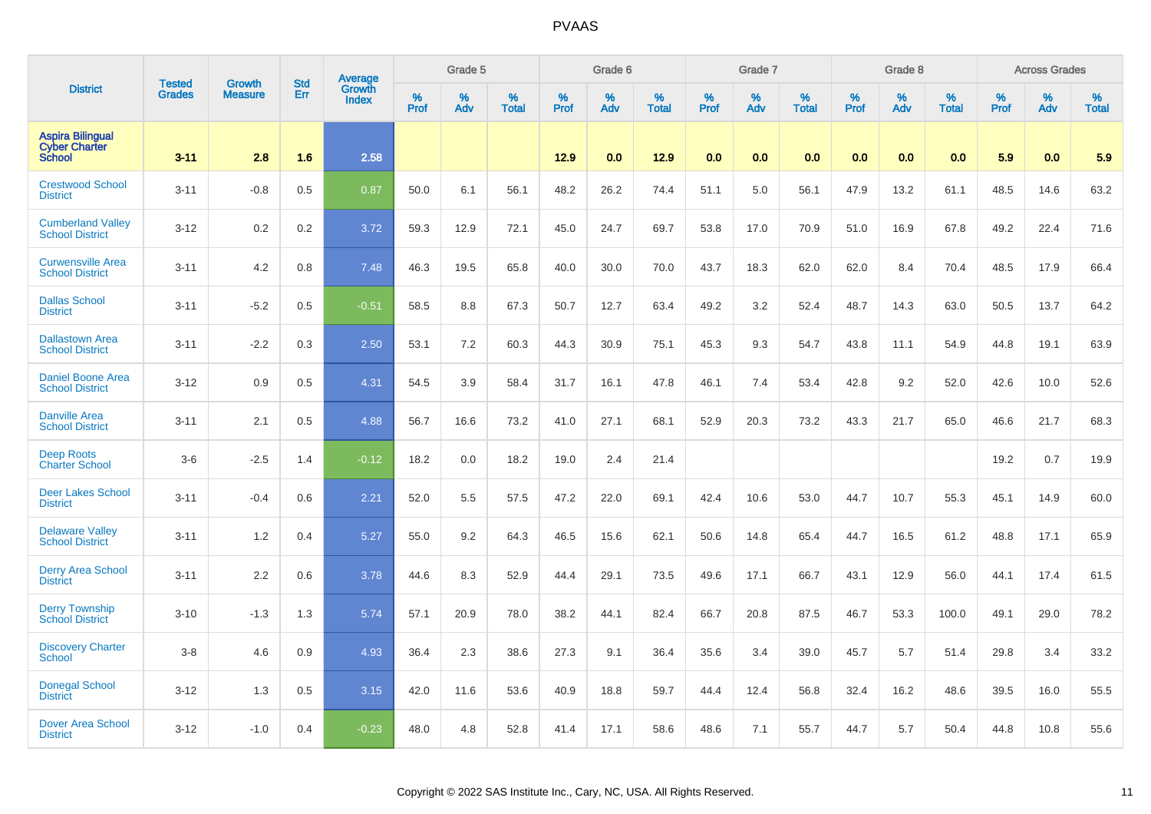|                                                                  |                                | <b>Growth</b>  | <b>Std</b> | Average<br>Growth |                     | Grade 5  |                      |              | Grade 6  |                      |              | Grade 7  |                      |              | Grade 8  |                      |                     | <b>Across Grades</b> |                      |
|------------------------------------------------------------------|--------------------------------|----------------|------------|-------------------|---------------------|----------|----------------------|--------------|----------|----------------------|--------------|----------|----------------------|--------------|----------|----------------------|---------------------|----------------------|----------------------|
| <b>District</b>                                                  | <b>Tested</b><br><b>Grades</b> | <b>Measure</b> | Err        | <b>Index</b>      | $\%$<br><b>Prof</b> | ℅<br>Adv | $\%$<br><b>Total</b> | $\%$<br>Prof | %<br>Adv | $\%$<br><b>Total</b> | $\%$<br>Prof | %<br>Adv | $\%$<br><b>Total</b> | $\%$<br>Prof | %<br>Adv | $\%$<br><b>Total</b> | $\%$<br><b>Prof</b> | $\%$<br>Adv          | $\%$<br><b>Total</b> |
| <b>Aspira Bilingual</b><br><b>Cyber Charter</b><br><b>School</b> | $3 - 11$                       | 2.8            | 1.6        | 2.58              |                     |          |                      | 12.9         | 0.0      | 12.9                 | 0.0          | 0.0      | 0.0                  | 0.0          | 0.0      | 0.0                  | 5.9                 | 0.0                  | 5.9                  |
| <b>Crestwood School</b><br><b>District</b>                       | $3 - 11$                       | $-0.8$         | 0.5        | 0.87              | 50.0                | 6.1      | 56.1                 | 48.2         | 26.2     | 74.4                 | 51.1         | 5.0      | 56.1                 | 47.9         | 13.2     | 61.1                 | 48.5                | 14.6                 | 63.2                 |
| <b>Cumberland Valley</b><br><b>School District</b>               | $3 - 12$                       | 0.2            | 0.2        | 3.72              | 59.3                | 12.9     | 72.1                 | 45.0         | 24.7     | 69.7                 | 53.8         | 17.0     | 70.9                 | 51.0         | 16.9     | 67.8                 | 49.2                | 22.4                 | 71.6                 |
| <b>Curwensville Area</b><br><b>School District</b>               | $3 - 11$                       | 4.2            | 0.8        | 7.48              | 46.3                | 19.5     | 65.8                 | 40.0         | 30.0     | 70.0                 | 43.7         | 18.3     | 62.0                 | 62.0         | 8.4      | 70.4                 | 48.5                | 17.9                 | 66.4                 |
| <b>Dallas School</b><br><b>District</b>                          | $3 - 11$                       | $-5.2$         | 0.5        | $-0.51$           | 58.5                | 8.8      | 67.3                 | 50.7         | 12.7     | 63.4                 | 49.2         | 3.2      | 52.4                 | 48.7         | 14.3     | 63.0                 | 50.5                | 13.7                 | 64.2                 |
| <b>Dallastown Area</b><br><b>School District</b>                 | $3 - 11$                       | $-2.2$         | 0.3        | 2.50              | 53.1                | 7.2      | 60.3                 | 44.3         | 30.9     | 75.1                 | 45.3         | 9.3      | 54.7                 | 43.8         | 11.1     | 54.9                 | 44.8                | 19.1                 | 63.9                 |
| <b>Daniel Boone Area</b><br><b>School District</b>               | $3 - 12$                       | 0.9            | 0.5        | 4.31              | 54.5                | 3.9      | 58.4                 | 31.7         | 16.1     | 47.8                 | 46.1         | 7.4      | 53.4                 | 42.8         | 9.2      | 52.0                 | 42.6                | 10.0                 | 52.6                 |
| <b>Danville Area</b><br><b>School District</b>                   | $3 - 11$                       | 2.1            | 0.5        | 4.88              | 56.7                | 16.6     | 73.2                 | 41.0         | 27.1     | 68.1                 | 52.9         | 20.3     | 73.2                 | 43.3         | 21.7     | 65.0                 | 46.6                | 21.7                 | 68.3                 |
| <b>Deep Roots</b><br><b>Charter School</b>                       | $3-6$                          | $-2.5$         | 1.4        | $-0.12$           | 18.2                | 0.0      | 18.2                 | 19.0         | 2.4      | 21.4                 |              |          |                      |              |          |                      | 19.2                | 0.7                  | 19.9                 |
| <b>Deer Lakes School</b><br><b>District</b>                      | $3 - 11$                       | $-0.4$         | 0.6        | 2.21              | 52.0                | 5.5      | 57.5                 | 47.2         | 22.0     | 69.1                 | 42.4         | 10.6     | 53.0                 | 44.7         | 10.7     | 55.3                 | 45.1                | 14.9                 | 60.0                 |
| <b>Delaware Valley</b><br><b>School District</b>                 | $3 - 11$                       | 1.2            | 0.4        | 5.27              | 55.0                | 9.2      | 64.3                 | 46.5         | 15.6     | 62.1                 | 50.6         | 14.8     | 65.4                 | 44.7         | 16.5     | 61.2                 | 48.8                | 17.1                 | 65.9                 |
| <b>Derry Area School</b><br><b>District</b>                      | $3 - 11$                       | 2.2            | 0.6        | 3.78              | 44.6                | 8.3      | 52.9                 | 44.4         | 29.1     | 73.5                 | 49.6         | 17.1     | 66.7                 | 43.1         | 12.9     | 56.0                 | 44.1                | 17.4                 | 61.5                 |
| <b>Derry Township</b><br><b>School District</b>                  | $3 - 10$                       | $-1.3$         | 1.3        | 5.74              | 57.1                | 20.9     | 78.0                 | 38.2         | 44.1     | 82.4                 | 66.7         | 20.8     | 87.5                 | 46.7         | 53.3     | 100.0                | 49.1                | 29.0                 | 78.2                 |
| <b>Discovery Charter</b><br><b>School</b>                        | $3-8$                          | 4.6            | 0.9        | 4.93              | 36.4                | 2.3      | 38.6                 | 27.3         | 9.1      | 36.4                 | 35.6         | 3.4      | 39.0                 | 45.7         | 5.7      | 51.4                 | 29.8                | 3.4                  | 33.2                 |
| <b>Donegal School</b><br><b>District</b>                         | $3 - 12$                       | 1.3            | 0.5        | 3.15              | 42.0                | 11.6     | 53.6                 | 40.9         | 18.8     | 59.7                 | 44.4         | 12.4     | 56.8                 | 32.4         | 16.2     | 48.6                 | 39.5                | 16.0                 | 55.5                 |
| <b>Dover Area School</b><br><b>District</b>                      | $3 - 12$                       | $-1.0$         | 0.4        | $-0.23$           | 48.0                | 4.8      | 52.8                 | 41.4         | 17.1     | 58.6                 | 48.6         | 7.1      | 55.7                 | 44.7         | 5.7      | 50.4                 | 44.8                | 10.8                 | 55.6                 |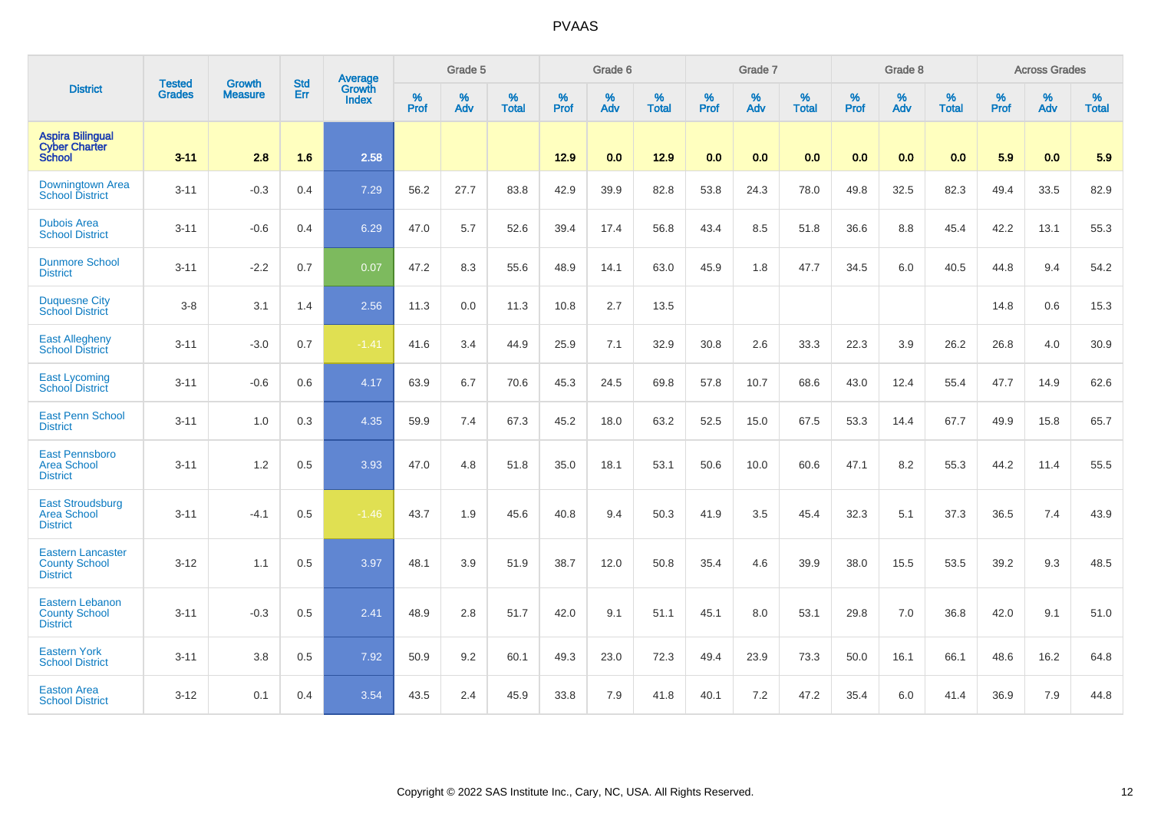|                                                                     |                                |                                 | <b>Std</b> | Average                       |              | Grade 5  |                   |                  | Grade 6  |                   |                  | Grade 7  |                   |                  | Grade 8  |                   |                  | <b>Across Grades</b> |                   |
|---------------------------------------------------------------------|--------------------------------|---------------------------------|------------|-------------------------------|--------------|----------|-------------------|------------------|----------|-------------------|------------------|----------|-------------------|------------------|----------|-------------------|------------------|----------------------|-------------------|
| <b>District</b>                                                     | <b>Tested</b><br><b>Grades</b> | <b>Growth</b><br><b>Measure</b> | Err        | <b>Growth</b><br><b>Index</b> | $\%$<br>Prof | %<br>Adv | %<br><b>Total</b> | %<br><b>Prof</b> | %<br>Adv | %<br><b>Total</b> | %<br><b>Prof</b> | %<br>Adv | %<br><b>Total</b> | %<br><b>Prof</b> | %<br>Adv | %<br><b>Total</b> | %<br><b>Prof</b> | %<br>Adv             | %<br><b>Total</b> |
| <b>Aspira Bilingual</b><br><b>Cyber Charter</b><br><b>School</b>    | $3 - 11$                       | 2.8                             | 1.6        | 2.58                          |              |          |                   | 12.9             | 0.0      | 12.9              | 0.0              | 0.0      | 0.0               | 0.0              | 0.0      | 0.0               | 5.9              | 0.0                  | 5.9               |
| Downingtown Area<br><b>School District</b>                          | $3 - 11$                       | $-0.3$                          | 0.4        | 7.29                          | 56.2         | 27.7     | 83.8              | 42.9             | 39.9     | 82.8              | 53.8             | 24.3     | 78.0              | 49.8             | 32.5     | 82.3              | 49.4             | 33.5                 | 82.9              |
| <b>Dubois Area</b><br><b>School District</b>                        | $3 - 11$                       | $-0.6$                          | 0.4        | 6.29                          | 47.0         | 5.7      | 52.6              | 39.4             | 17.4     | 56.8              | 43.4             | 8.5      | 51.8              | 36.6             | 8.8      | 45.4              | 42.2             | 13.1                 | 55.3              |
| <b>Dunmore School</b><br><b>District</b>                            | $3 - 11$                       | $-2.2$                          | 0.7        | 0.07                          | 47.2         | 8.3      | 55.6              | 48.9             | 14.1     | 63.0              | 45.9             | 1.8      | 47.7              | 34.5             | 6.0      | 40.5              | 44.8             | 9.4                  | 54.2              |
| <b>Duquesne City</b><br><b>School District</b>                      | $3-8$                          | 3.1                             | 1.4        | 2.56                          | 11.3         | 0.0      | 11.3              | 10.8             | 2.7      | 13.5              |                  |          |                   |                  |          |                   | 14.8             | 0.6                  | 15.3              |
| <b>East Allegheny</b><br><b>School District</b>                     | $3 - 11$                       | $-3.0$                          | 0.7        | $-1.41$                       | 41.6         | 3.4      | 44.9              | 25.9             | 7.1      | 32.9              | 30.8             | 2.6      | 33.3              | 22.3             | 3.9      | 26.2              | 26.8             | 4.0                  | 30.9              |
| <b>East Lycoming</b><br><b>School District</b>                      | $3 - 11$                       | $-0.6$                          | 0.6        | 4.17                          | 63.9         | 6.7      | 70.6              | 45.3             | 24.5     | 69.8              | 57.8             | 10.7     | 68.6              | 43.0             | 12.4     | 55.4              | 47.7             | 14.9                 | 62.6              |
| <b>East Penn School</b><br><b>District</b>                          | $3 - 11$                       | 1.0                             | 0.3        | 4.35                          | 59.9         | 7.4      | 67.3              | 45.2             | 18.0     | 63.2              | 52.5             | 15.0     | 67.5              | 53.3             | 14.4     | 67.7              | 49.9             | 15.8                 | 65.7              |
| <b>East Pennsboro</b><br><b>Area School</b><br><b>District</b>      | $3 - 11$                       | 1.2                             | 0.5        | 3.93                          | 47.0         | 4.8      | 51.8              | 35.0             | 18.1     | 53.1              | 50.6             | 10.0     | 60.6              | 47.1             | 8.2      | 55.3              | 44.2             | 11.4                 | 55.5              |
| <b>East Stroudsburg</b><br><b>Area School</b><br><b>District</b>    | $3 - 11$                       | $-4.1$                          | 0.5        | $-1.46$                       | 43.7         | 1.9      | 45.6              | 40.8             | 9.4      | 50.3              | 41.9             | 3.5      | 45.4              | 32.3             | 5.1      | 37.3              | 36.5             | 7.4                  | 43.9              |
| <b>Eastern Lancaster</b><br><b>County School</b><br><b>District</b> | $3 - 12$                       | 1.1                             | 0.5        | 3.97                          | 48.1         | 3.9      | 51.9              | 38.7             | 12.0     | 50.8              | 35.4             | 4.6      | 39.9              | 38.0             | 15.5     | 53.5              | 39.2             | 9.3                  | 48.5              |
| <b>Eastern Lebanon</b><br><b>County School</b><br><b>District</b>   | $3 - 11$                       | $-0.3$                          | 0.5        | 2.41                          | 48.9         | 2.8      | 51.7              | 42.0             | 9.1      | 51.1              | 45.1             | 8.0      | 53.1              | 29.8             | 7.0      | 36.8              | 42.0             | 9.1                  | 51.0              |
| <b>Eastern York</b><br><b>School District</b>                       | $3 - 11$                       | 3.8                             | 0.5        | 7.92                          | 50.9         | 9.2      | 60.1              | 49.3             | 23.0     | 72.3              | 49.4             | 23.9     | 73.3              | 50.0             | 16.1     | 66.1              | 48.6             | 16.2                 | 64.8              |
| <b>Easton Area</b><br><b>School District</b>                        | $3 - 12$                       | 0.1                             | 0.4        | 3.54                          | 43.5         | 2.4      | 45.9              | 33.8             | 7.9      | 41.8              | 40.1             | 7.2      | 47.2              | 35.4             | 6.0      | 41.4              | 36.9             | 7.9                  | 44.8              |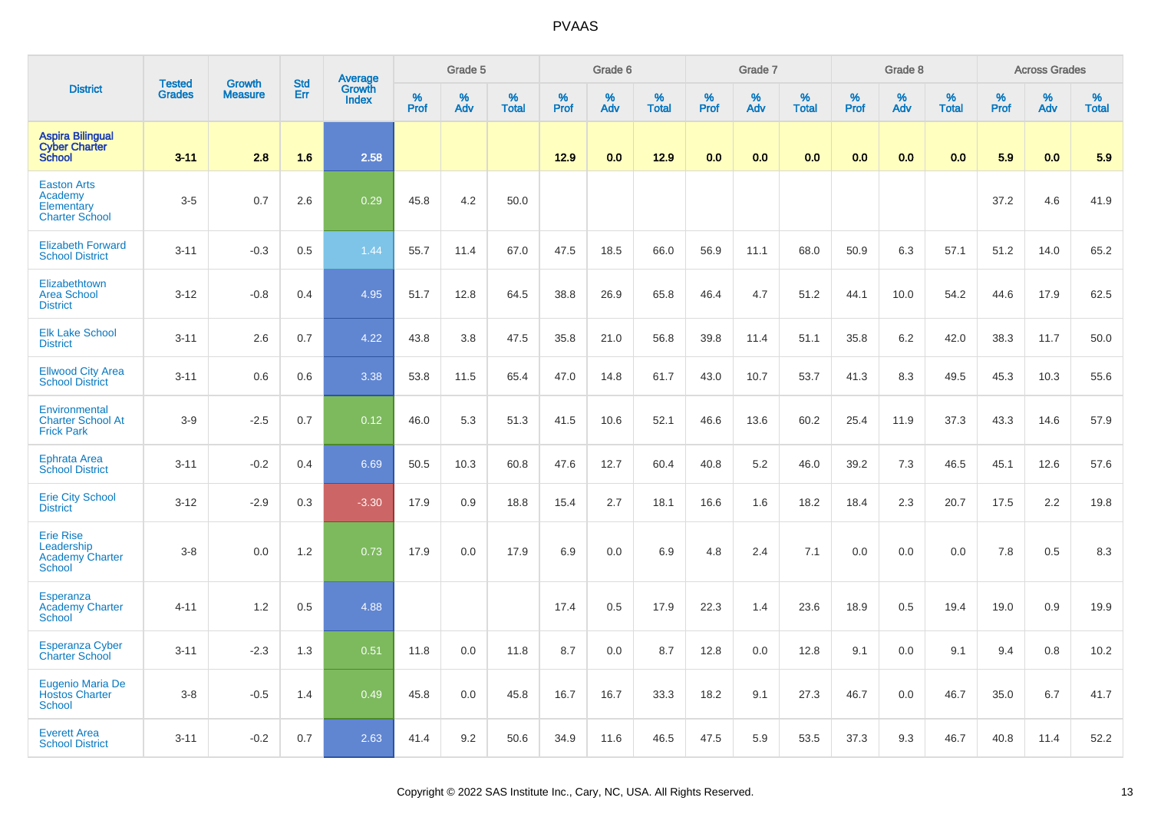|                                                                           |                                |                                 |                   |                                   |                     | Grade 5     |                      |                     | Grade 6     |                      |                  | Grade 7     |                      |                     | Grade 8  |                      |                     | <b>Across Grades</b> |                      |
|---------------------------------------------------------------------------|--------------------------------|---------------------------------|-------------------|-----------------------------------|---------------------|-------------|----------------------|---------------------|-------------|----------------------|------------------|-------------|----------------------|---------------------|----------|----------------------|---------------------|----------------------|----------------------|
| <b>District</b>                                                           | <b>Tested</b><br><b>Grades</b> | <b>Growth</b><br><b>Measure</b> | <b>Std</b><br>Err | Average<br>Growth<br><b>Index</b> | $\%$<br><b>Prof</b> | $\%$<br>Adv | $\%$<br><b>Total</b> | $\%$<br><b>Prof</b> | $\%$<br>Adv | $\%$<br><b>Total</b> | %<br><b>Prof</b> | $\%$<br>Adv | $\%$<br><b>Total</b> | $\%$<br><b>Prof</b> | %<br>Adv | $\%$<br><b>Total</b> | $\%$<br><b>Prof</b> | ℅<br>Adv             | $\%$<br><b>Total</b> |
| <b>Aspira Bilingual</b><br><b>Cyber Charter</b><br><b>School</b>          | $3 - 11$                       | 2.8                             | 1.6               | 2.58                              |                     |             |                      | 12.9                | 0.0         | 12.9                 | 0.0              | 0.0         | 0.0                  | 0.0                 | 0.0      | 0.0                  | 5.9                 | 0.0                  | 5.9                  |
| <b>Easton Arts</b><br>Academy<br>Elementary<br><b>Charter School</b>      | $3-5$                          | 0.7                             | 2.6               | 0.29                              | 45.8                | 4.2         | 50.0                 |                     |             |                      |                  |             |                      |                     |          |                      | 37.2                | 4.6                  | 41.9                 |
| <b>Elizabeth Forward</b><br><b>School District</b>                        | $3 - 11$                       | $-0.3$                          | 0.5               | 1.44                              | 55.7                | 11.4        | 67.0                 | 47.5                | 18.5        | 66.0                 | 56.9             | 11.1        | 68.0                 | 50.9                | 6.3      | 57.1                 | 51.2                | 14.0                 | 65.2                 |
| Elizabethtown<br><b>Area School</b><br><b>District</b>                    | $3 - 12$                       | $-0.8$                          | 0.4               | 4.95                              | 51.7                | 12.8        | 64.5                 | 38.8                | 26.9        | 65.8                 | 46.4             | 4.7         | 51.2                 | 44.1                | 10.0     | 54.2                 | 44.6                | 17.9                 | 62.5                 |
| <b>Elk Lake School</b><br><b>District</b>                                 | $3 - 11$                       | 2.6                             | 0.7               | 4.22                              | 43.8                | 3.8         | 47.5                 | 35.8                | 21.0        | 56.8                 | 39.8             | 11.4        | 51.1                 | 35.8                | 6.2      | 42.0                 | 38.3                | 11.7                 | 50.0                 |
| <b>Ellwood City Area</b><br><b>School District</b>                        | $3 - 11$                       | 0.6                             | 0.6               | 3.38                              | 53.8                | 11.5        | 65.4                 | 47.0                | 14.8        | 61.7                 | 43.0             | 10.7        | 53.7                 | 41.3                | 8.3      | 49.5                 | 45.3                | 10.3                 | 55.6                 |
| Environmental<br><b>Charter School At</b><br><b>Frick Park</b>            | $3-9$                          | $-2.5$                          | 0.7               | 0.12                              | 46.0                | 5.3         | 51.3                 | 41.5                | 10.6        | 52.1                 | 46.6             | 13.6        | 60.2                 | 25.4                | 11.9     | 37.3                 | 43.3                | 14.6                 | 57.9                 |
| <b>Ephrata Area</b><br><b>School District</b>                             | $3 - 11$                       | $-0.2$                          | 0.4               | 6.69                              | 50.5                | 10.3        | 60.8                 | 47.6                | 12.7        | 60.4                 | 40.8             | 5.2         | 46.0                 | 39.2                | 7.3      | 46.5                 | 45.1                | 12.6                 | 57.6                 |
| <b>Erie City School</b><br><b>District</b>                                | $3 - 12$                       | $-2.9$                          | 0.3               | $-3.30$                           | 17.9                | 0.9         | 18.8                 | 15.4                | 2.7         | 18.1                 | 16.6             | 1.6         | 18.2                 | 18.4                | 2.3      | 20.7                 | 17.5                | 2.2                  | 19.8                 |
| <b>Erie Rise</b><br>Leadership<br><b>Academy Charter</b><br><b>School</b> | $3 - 8$                        | 0.0                             | 1.2               | 0.73                              | 17.9                | 0.0         | 17.9                 | 6.9                 | 0.0         | 6.9                  | 4.8              | 2.4         | 7.1                  | 0.0                 | 0.0      | 0.0                  | 7.8                 | 0.5                  | 8.3                  |
| Esperanza<br><b>Academy Charter</b><br><b>School</b>                      | $4 - 11$                       | 1.2                             | 0.5               | 4.88                              |                     |             |                      | 17.4                | 0.5         | 17.9                 | 22.3             | 1.4         | 23.6                 | 18.9                | 0.5      | 19.4                 | 19.0                | 0.9                  | 19.9                 |
| <b>Esperanza Cyber</b><br>Charter School                                  | $3 - 11$                       | $-2.3$                          | 1.3               | 0.51                              | 11.8                | 0.0         | 11.8                 | 8.7                 | 0.0         | 8.7                  | 12.8             | 0.0         | 12.8                 | 9.1                 | 0.0      | 9.1                  | 9.4                 | 0.8                  | 10.2                 |
| <b>Eugenio Maria De</b><br><b>Hostos Charter</b><br><b>School</b>         | $3 - 8$                        | $-0.5$                          | 1.4               | 0.49                              | 45.8                | 0.0         | 45.8                 | 16.7                | 16.7        | 33.3                 | 18.2             | 9.1         | 27.3                 | 46.7                | 0.0      | 46.7                 | 35.0                | 6.7                  | 41.7                 |
| <b>Everett Area</b><br><b>School District</b>                             | $3 - 11$                       | $-0.2$                          | 0.7               | 2.63                              | 41.4                | 9.2         | 50.6                 | 34.9                | 11.6        | 46.5                 | 47.5             | 5.9         | 53.5                 | 37.3                | 9.3      | 46.7                 | 40.8                | 11.4                 | 52.2                 |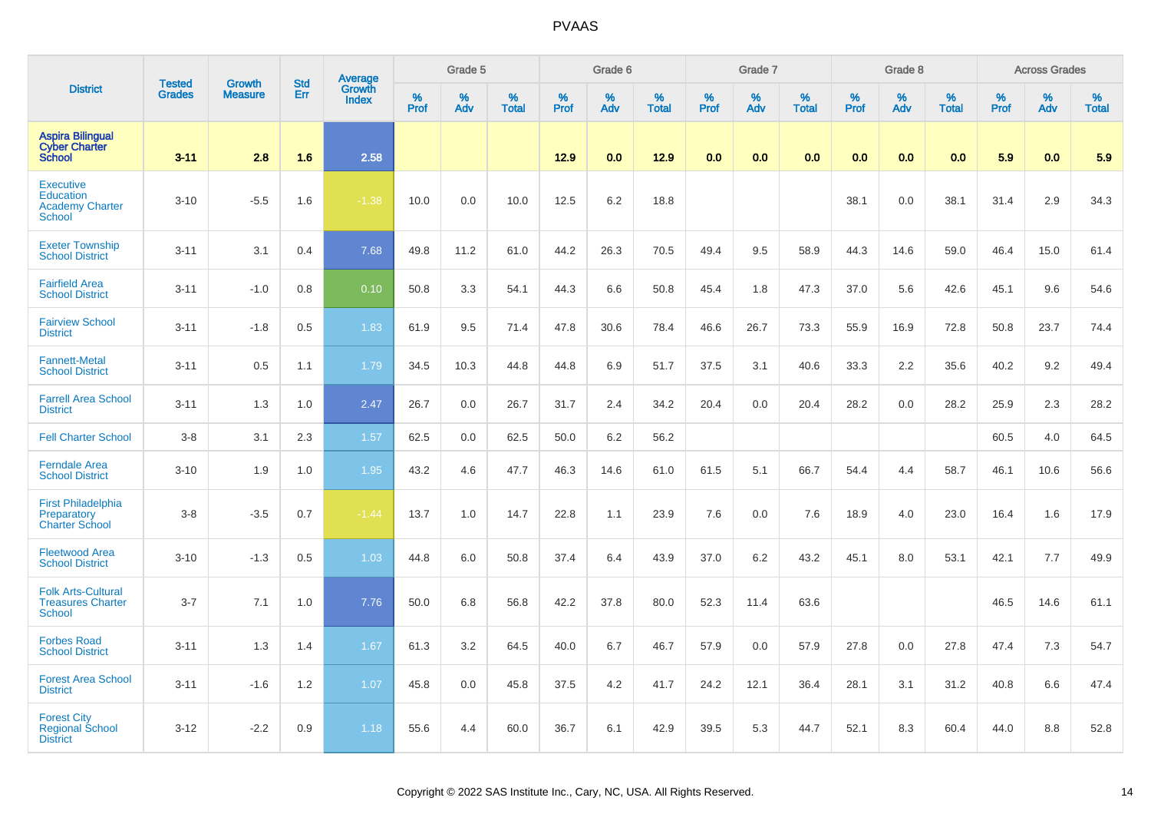|                                                                          | <b>Tested</b> | <b>Growth</b>  | <b>Std</b> | <b>Average</b><br>Growth |                  | Grade 5  |                   |                  | Grade 6  |                   |           | Grade 7  |                   |                  | Grade 8  |                   |           | <b>Across Grades</b> |                   |
|--------------------------------------------------------------------------|---------------|----------------|------------|--------------------------|------------------|----------|-------------------|------------------|----------|-------------------|-----------|----------|-------------------|------------------|----------|-------------------|-----------|----------------------|-------------------|
| <b>District</b>                                                          | <b>Grades</b> | <b>Measure</b> | Err        | <b>Index</b>             | %<br><b>Prof</b> | %<br>Adv | %<br><b>Total</b> | %<br><b>Prof</b> | %<br>Adv | %<br><b>Total</b> | %<br>Prof | %<br>Adv | %<br><b>Total</b> | %<br><b>Prof</b> | %<br>Adv | %<br><b>Total</b> | %<br>Prof | %<br>Adv             | %<br><b>Total</b> |
| <b>Aspira Bilingual</b><br><b>Cyber Charter</b><br><b>School</b>         | $3 - 11$      | 2.8            | 1.6        | 2.58                     |                  |          |                   | 12.9             | 0.0      | 12.9              | 0.0       | 0.0      | 0.0               | 0.0              | 0.0      | 0.0               | 5.9       | 0.0                  | 5.9               |
| <b>Executive</b><br>Education<br><b>Academy Charter</b><br><b>School</b> | $3 - 10$      | $-5.5$         | 1.6        | $-1.38$                  | 10.0             | 0.0      | 10.0              | 12.5             | 6.2      | 18.8              |           |          |                   | 38.1             | 0.0      | 38.1              | 31.4      | 2.9                  | 34.3              |
| <b>Exeter Township</b><br><b>School District</b>                         | $3 - 11$      | 3.1            | 0.4        | 7.68                     | 49.8             | 11.2     | 61.0              | 44.2             | 26.3     | 70.5              | 49.4      | 9.5      | 58.9              | 44.3             | 14.6     | 59.0              | 46.4      | 15.0                 | 61.4              |
| <b>Fairfield Area</b><br><b>School District</b>                          | $3 - 11$      | $-1.0$         | 0.8        | 0.10                     | 50.8             | 3.3      | 54.1              | 44.3             | 6.6      | 50.8              | 45.4      | 1.8      | 47.3              | 37.0             | 5.6      | 42.6              | 45.1      | 9.6                  | 54.6              |
| <b>Fairview School</b><br><b>District</b>                                | $3 - 11$      | $-1.8$         | 0.5        | 1.83                     | 61.9             | 9.5      | 71.4              | 47.8             | 30.6     | 78.4              | 46.6      | 26.7     | 73.3              | 55.9             | 16.9     | 72.8              | 50.8      | 23.7                 | 74.4              |
| <b>Fannett-Metal</b><br><b>School District</b>                           | $3 - 11$      | 0.5            | 1.1        | 1.79                     | 34.5             | 10.3     | 44.8              | 44.8             | 6.9      | 51.7              | 37.5      | 3.1      | 40.6              | 33.3             | 2.2      | 35.6              | 40.2      | 9.2                  | 49.4              |
| <b>Farrell Area School</b><br><b>District</b>                            | $3 - 11$      | 1.3            | 1.0        | 2.47                     | 26.7             | 0.0      | 26.7              | 31.7             | 2.4      | 34.2              | 20.4      | 0.0      | 20.4              | 28.2             | 0.0      | 28.2              | 25.9      | 2.3                  | 28.2              |
| <b>Fell Charter School</b>                                               | $3 - 8$       | 3.1            | 2.3        | 1.57                     | 62.5             | 0.0      | 62.5              | 50.0             | 6.2      | 56.2              |           |          |                   |                  |          |                   | 60.5      | 4.0                  | 64.5              |
| <b>Ferndale Area</b><br><b>School District</b>                           | $3 - 10$      | 1.9            | 1.0        | 1.95                     | 43.2             | 4.6      | 47.7              | 46.3             | 14.6     | 61.0              | 61.5      | 5.1      | 66.7              | 54.4             | 4.4      | 58.7              | 46.1      | 10.6                 | 56.6              |
| <b>First Philadelphia</b><br>Preparatory<br><b>Charter School</b>        | $3-8$         | $-3.5$         | 0.7        | $-1.44$                  | 13.7             | 1.0      | 14.7              | 22.8             | 1.1      | 23.9              | 7.6       | 0.0      | 7.6               | 18.9             | 4.0      | 23.0              | 16.4      | 1.6                  | 17.9              |
| <b>Fleetwood Area</b><br><b>School District</b>                          | $3 - 10$      | $-1.3$         | 0.5        | 1.03                     | 44.8             | 6.0      | 50.8              | 37.4             | 6.4      | 43.9              | 37.0      | 6.2      | 43.2              | 45.1             | 8.0      | 53.1              | 42.1      | 7.7                  | 49.9              |
| <b>Folk Arts-Cultural</b><br><b>Treasures Charter</b><br><b>School</b>   | $3 - 7$       | 7.1            | 1.0        | 7.76                     | 50.0             | 6.8      | 56.8              | 42.2             | 37.8     | 80.0              | 52.3      | 11.4     | 63.6              |                  |          |                   | 46.5      | 14.6                 | 61.1              |
| <b>Forbes Road</b><br><b>School District</b>                             | $3 - 11$      | 1.3            | 1.4        | 1.67                     | 61.3             | 3.2      | 64.5              | 40.0             | 6.7      | 46.7              | 57.9      | 0.0      | 57.9              | 27.8             | 0.0      | 27.8              | 47.4      | 7.3                  | 54.7              |
| <b>Forest Area School</b><br><b>District</b>                             | $3 - 11$      | $-1.6$         | 1.2        | 1.07                     | 45.8             | 0.0      | 45.8              | 37.5             | 4.2      | 41.7              | 24.2      | 12.1     | 36.4              | 28.1             | 3.1      | 31.2              | 40.8      | 6.6                  | 47.4              |
| <b>Forest City</b><br><b>Regional School</b><br><b>District</b>          | $3 - 12$      | $-2.2$         | 0.9        | 1.18                     | 55.6             | 4.4      | 60.0              | 36.7             | 6.1      | 42.9              | 39.5      | 5.3      | 44.7              | 52.1             | 8.3      | 60.4              | 44.0      | 8.8                  | 52.8              |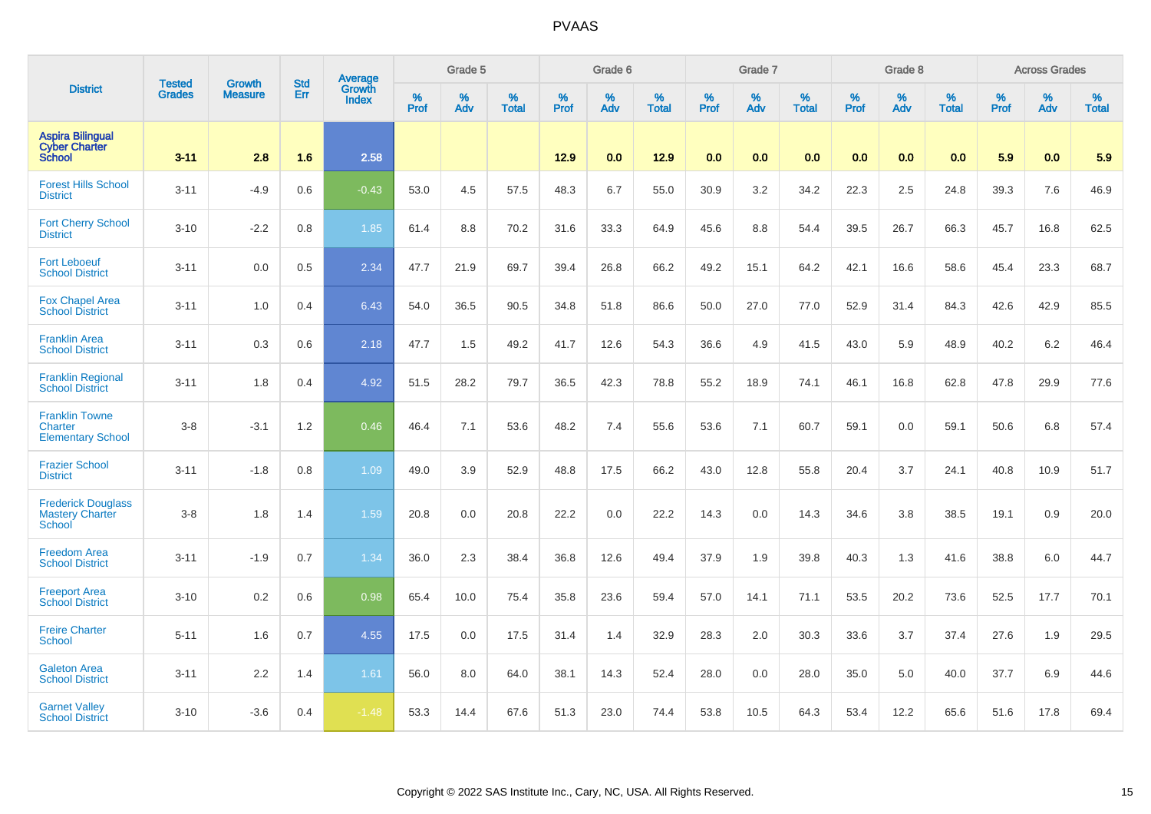|                                                                     | <b>Tested</b> | <b>Growth</b>  | <b>Std</b> | Average                |              | Grade 5  |                   |           | Grade 6  |                   |              | Grade 7  |                   |              | Grade 8  |                   |              | <b>Across Grades</b> |                   |
|---------------------------------------------------------------------|---------------|----------------|------------|------------------------|--------------|----------|-------------------|-----------|----------|-------------------|--------------|----------|-------------------|--------------|----------|-------------------|--------------|----------------------|-------------------|
| <b>District</b>                                                     | <b>Grades</b> | <b>Measure</b> | Err        | Growth<br><b>Index</b> | $\%$<br>Prof | %<br>Adv | %<br><b>Total</b> | %<br>Prof | %<br>Adv | %<br><b>Total</b> | $\%$<br>Prof | %<br>Adv | %<br><b>Total</b> | $\%$<br>Prof | %<br>Adv | %<br><b>Total</b> | $\%$<br>Prof | %<br>Adv             | %<br><b>Total</b> |
| <b>Aspira Bilingual</b><br><b>Cyber Charter</b><br><b>School</b>    | $3 - 11$      | 2.8            | 1.6        | 2.58                   |              |          |                   | 12.9      | 0.0      | 12.9              | 0.0          | 0.0      | 0.0               | 0.0          | 0.0      | 0.0               | 5.9          | 0.0                  | 5.9               |
| <b>Forest Hills School</b><br><b>District</b>                       | $3 - 11$      | $-4.9$         | 0.6        | $-0.43$                | 53.0         | 4.5      | 57.5              | 48.3      | 6.7      | 55.0              | 30.9         | 3.2      | 34.2              | 22.3         | 2.5      | 24.8              | 39.3         | 7.6                  | 46.9              |
| <b>Fort Cherry School</b><br><b>District</b>                        | $3 - 10$      | $-2.2$         | 0.8        | 1.85                   | 61.4         | 8.8      | 70.2              | 31.6      | 33.3     | 64.9              | 45.6         | 8.8      | 54.4              | 39.5         | 26.7     | 66.3              | 45.7         | 16.8                 | 62.5              |
| <b>Fort Leboeuf</b><br><b>School District</b>                       | $3 - 11$      | 0.0            | 0.5        | 2.34                   | 47.7         | 21.9     | 69.7              | 39.4      | 26.8     | 66.2              | 49.2         | 15.1     | 64.2              | 42.1         | 16.6     | 58.6              | 45.4         | 23.3                 | 68.7              |
| <b>Fox Chapel Area</b><br><b>School District</b>                    | $3 - 11$      | 1.0            | 0.4        | 6.43                   | 54.0         | 36.5     | 90.5              | 34.8      | 51.8     | 86.6              | 50.0         | 27.0     | 77.0              | 52.9         | 31.4     | 84.3              | 42.6         | 42.9                 | 85.5              |
| <b>Franklin Area</b><br><b>School District</b>                      | $3 - 11$      | 0.3            | 0.6        | 2.18                   | 47.7         | 1.5      | 49.2              | 41.7      | 12.6     | 54.3              | 36.6         | 4.9      | 41.5              | 43.0         | 5.9      | 48.9              | 40.2         | 6.2                  | 46.4              |
| <b>Franklin Regional</b><br><b>School District</b>                  | $3 - 11$      | 1.8            | 0.4        | 4.92                   | 51.5         | 28.2     | 79.7              | 36.5      | 42.3     | 78.8              | 55.2         | 18.9     | 74.1              | 46.1         | 16.8     | 62.8              | 47.8         | 29.9                 | 77.6              |
| <b>Franklin Towne</b><br><b>Charter</b><br><b>Elementary School</b> | $3-8$         | $-3.1$         | 1.2        | 0.46                   | 46.4         | 7.1      | 53.6              | 48.2      | 7.4      | 55.6              | 53.6         | 7.1      | 60.7              | 59.1         | 0.0      | 59.1              | 50.6         | 6.8                  | 57.4              |
| <b>Frazier School</b><br><b>District</b>                            | $3 - 11$      | $-1.8$         | 0.8        | 1.09                   | 49.0         | 3.9      | 52.9              | 48.8      | 17.5     | 66.2              | 43.0         | 12.8     | 55.8              | 20.4         | 3.7      | 24.1              | 40.8         | 10.9                 | 51.7              |
| <b>Frederick Douglass</b><br><b>Mastery Charter</b><br>School       | $3-8$         | 1.8            | 1.4        | 1.59                   | 20.8         | 0.0      | 20.8              | 22.2      | 0.0      | 22.2              | 14.3         | 0.0      | 14.3              | 34.6         | 3.8      | 38.5              | 19.1         | 0.9                  | 20.0              |
| <b>Freedom Area</b><br><b>School District</b>                       | $3 - 11$      | $-1.9$         | 0.7        | 1.34                   | 36.0         | 2.3      | 38.4              | 36.8      | 12.6     | 49.4              | 37.9         | 1.9      | 39.8              | 40.3         | 1.3      | 41.6              | 38.8         | 6.0                  | 44.7              |
| <b>Freeport Area</b><br><b>School District</b>                      | $3 - 10$      | 0.2            | 0.6        | 0.98                   | 65.4         | 10.0     | 75.4              | 35.8      | 23.6     | 59.4              | 57.0         | 14.1     | 71.1              | 53.5         | 20.2     | 73.6              | 52.5         | 17.7                 | 70.1              |
| <b>Freire Charter</b><br>School                                     | $5 - 11$      | 1.6            | 0.7        | 4.55                   | 17.5         | 0.0      | 17.5              | 31.4      | 1.4      | 32.9              | 28.3         | 2.0      | 30.3              | 33.6         | 3.7      | 37.4              | 27.6         | 1.9                  | 29.5              |
| <b>Galeton Area</b><br><b>School District</b>                       | $3 - 11$      | 2.2            | 1.4        | 1.61                   | 56.0         | 8.0      | 64.0              | 38.1      | 14.3     | 52.4              | 28.0         | 0.0      | 28.0              | 35.0         | 5.0      | 40.0              | 37.7         | 6.9                  | 44.6              |
| <b>Garnet Valley</b><br><b>School District</b>                      | $3 - 10$      | $-3.6$         | 0.4        | $-1.48$                | 53.3         | 14.4     | 67.6              | 51.3      | 23.0     | 74.4              | 53.8         | 10.5     | 64.3              | 53.4         | 12.2     | 65.6              | 51.6         | 17.8                 | 69.4              |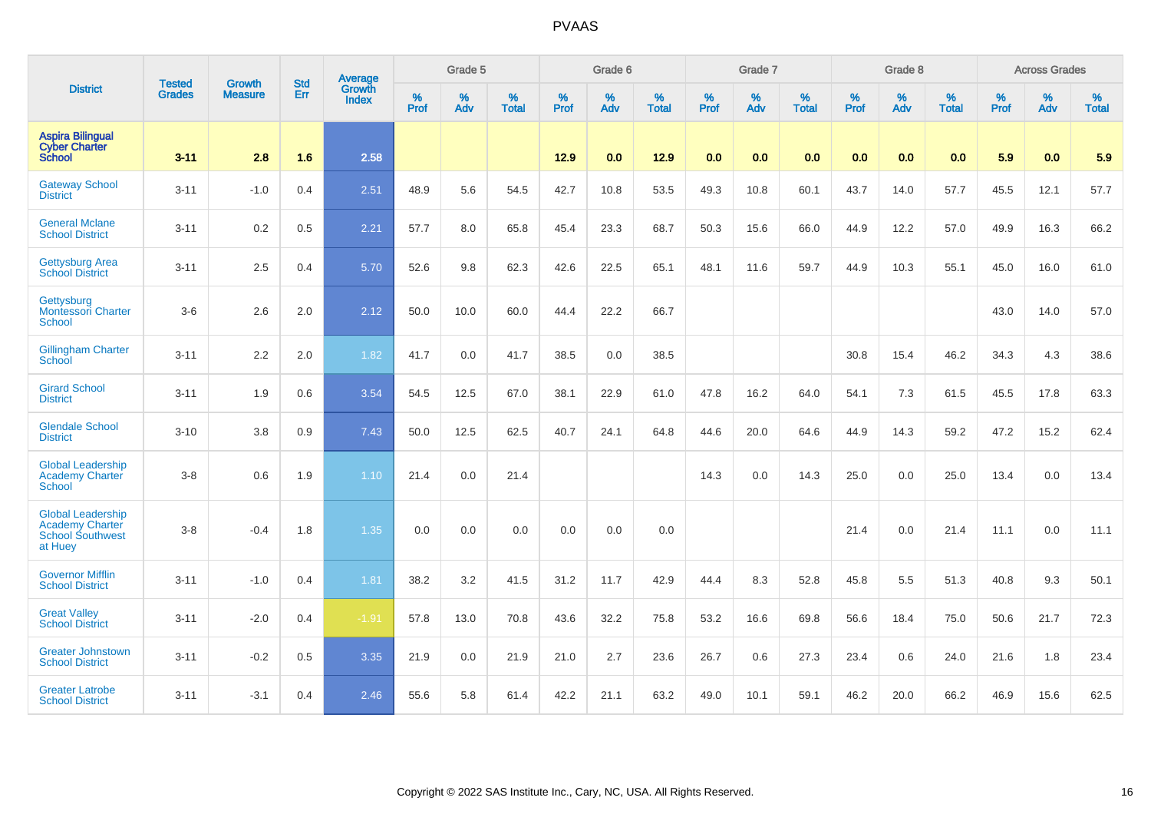|                                                                                          | <b>Tested</b> | <b>Growth</b>  | <b>Std</b> | Average                |                     | Grade 5  |                   |                     | Grade 6  |                   |              | Grade 7  |                   |              | Grade 8  |                   |                     | <b>Across Grades</b> |                   |
|------------------------------------------------------------------------------------------|---------------|----------------|------------|------------------------|---------------------|----------|-------------------|---------------------|----------|-------------------|--------------|----------|-------------------|--------------|----------|-------------------|---------------------|----------------------|-------------------|
| <b>District</b>                                                                          | <b>Grades</b> | <b>Measure</b> | <b>Err</b> | Growth<br><b>Index</b> | $\%$<br><b>Prof</b> | %<br>Adv | %<br><b>Total</b> | $\%$<br><b>Prof</b> | %<br>Adv | %<br><b>Total</b> | $\%$<br>Prof | %<br>Adv | %<br><b>Total</b> | $\%$<br>Prof | %<br>Adv | %<br><b>Total</b> | $\%$<br><b>Prof</b> | $\%$<br>Adv          | %<br><b>Total</b> |
| <b>Aspira Bilingual</b><br><b>Cyber Charter</b><br><b>School</b>                         | $3 - 11$      | 2.8            | 1.6        | 2.58                   |                     |          |                   | 12.9                | 0.0      | 12.9              | 0.0          | 0.0      | 0.0               | 0.0          | 0.0      | 0.0               | 5.9                 | 0.0                  | 5.9               |
| <b>Gateway School</b><br><b>District</b>                                                 | $3 - 11$      | $-1.0$         | 0.4        | 2.51                   | 48.9                | 5.6      | 54.5              | 42.7                | 10.8     | 53.5              | 49.3         | 10.8     | 60.1              | 43.7         | 14.0     | 57.7              | 45.5                | 12.1                 | 57.7              |
| <b>General Mclane</b><br><b>School District</b>                                          | $3 - 11$      | 0.2            | 0.5        | 2.21                   | 57.7                | 8.0      | 65.8              | 45.4                | 23.3     | 68.7              | 50.3         | 15.6     | 66.0              | 44.9         | 12.2     | 57.0              | 49.9                | 16.3                 | 66.2              |
| <b>Gettysburg Area</b><br><b>School District</b>                                         | $3 - 11$      | 2.5            | 0.4        | 5.70                   | 52.6                | 9.8      | 62.3              | 42.6                | 22.5     | 65.1              | 48.1         | 11.6     | 59.7              | 44.9         | 10.3     | 55.1              | 45.0                | 16.0                 | 61.0              |
| Gettysburg<br><b>Montessori Charter</b><br><b>School</b>                                 | $3-6$         | 2.6            | 2.0        | 2.12                   | 50.0                | 10.0     | 60.0              | 44.4                | 22.2     | 66.7              |              |          |                   |              |          |                   | 43.0                | 14.0                 | 57.0              |
| <b>Gillingham Charter</b><br>School                                                      | $3 - 11$      | 2.2            | $2.0\,$    | 1.82                   | 41.7                | 0.0      | 41.7              | 38.5                | 0.0      | 38.5              |              |          |                   | 30.8         | 15.4     | 46.2              | 34.3                | 4.3                  | 38.6              |
| <b>Girard School</b><br><b>District</b>                                                  | $3 - 11$      | 1.9            | 0.6        | 3.54                   | 54.5                | 12.5     | 67.0              | 38.1                | 22.9     | 61.0              | 47.8         | 16.2     | 64.0              | 54.1         | 7.3      | 61.5              | 45.5                | 17.8                 | 63.3              |
| <b>Glendale School</b><br><b>District</b>                                                | $3 - 10$      | 3.8            | 0.9        | 7.43                   | 50.0                | 12.5     | 62.5              | 40.7                | 24.1     | 64.8              | 44.6         | 20.0     | 64.6              | 44.9         | 14.3     | 59.2              | 47.2                | 15.2                 | 62.4              |
| <b>Global Leadership</b><br>Academy Charter<br>School                                    | $3-8$         | 0.6            | 1.9        | 1.10                   | 21.4                | 0.0      | 21.4              |                     |          |                   | 14.3         | 0.0      | 14.3              | 25.0         | 0.0      | 25.0              | 13.4                | 0.0                  | 13.4              |
| <b>Global Leadership</b><br><b>Academy Charter</b><br><b>School Southwest</b><br>at Huey | $3-8$         | $-0.4$         | 1.8        | 1.35                   | 0.0                 | 0.0      | 0.0               | 0.0                 | 0.0      | 0.0               |              |          |                   | 21.4         | 0.0      | 21.4              | 11.1                | 0.0                  | 11.1              |
| <b>Governor Mifflin</b><br><b>School District</b>                                        | $3 - 11$      | $-1.0$         | 0.4        | 1.81                   | 38.2                | 3.2      | 41.5              | 31.2                | 11.7     | 42.9              | 44.4         | 8.3      | 52.8              | 45.8         | 5.5      | 51.3              | 40.8                | 9.3                  | 50.1              |
| <b>Great Valley</b><br><b>School District</b>                                            | $3 - 11$      | $-2.0$         | 0.4        | $-1.91$                | 57.8                | 13.0     | 70.8              | 43.6                | 32.2     | 75.8              | 53.2         | 16.6     | 69.8              | 56.6         | 18.4     | 75.0              | 50.6                | 21.7                 | 72.3              |
| <b>Greater Johnstown</b><br><b>School District</b>                                       | $3 - 11$      | $-0.2$         | 0.5        | 3.35                   | 21.9                | 0.0      | 21.9              | 21.0                | 2.7      | 23.6              | 26.7         | 0.6      | 27.3              | 23.4         | 0.6      | 24.0              | 21.6                | 1.8                  | 23.4              |
| <b>Greater Latrobe</b><br><b>School District</b>                                         | $3 - 11$      | $-3.1$         | 0.4        | 2.46                   | 55.6                | 5.8      | 61.4              | 42.2                | 21.1     | 63.2              | 49.0         | 10.1     | 59.1              | 46.2         | 20.0     | 66.2              | 46.9                | 15.6                 | 62.5              |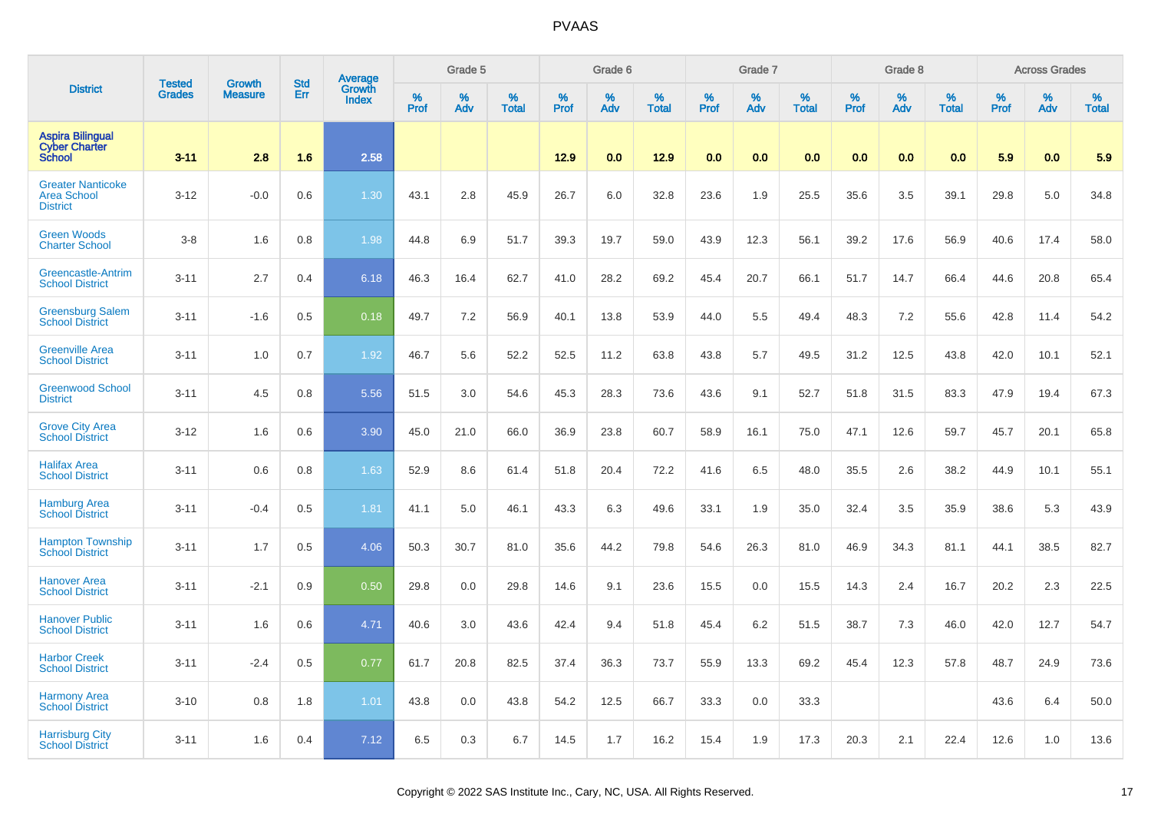|                                                                   | <b>Tested</b> | <b>Growth</b>  | <b>Std</b> |                            |           | Grade 5  |                   |           | Grade 6  |                   |           | Grade 7  |                   |           | Grade 8  |                   |           | <b>Across Grades</b> |                   |
|-------------------------------------------------------------------|---------------|----------------|------------|----------------------------|-----------|----------|-------------------|-----------|----------|-------------------|-----------|----------|-------------------|-----------|----------|-------------------|-----------|----------------------|-------------------|
| <b>District</b>                                                   | <b>Grades</b> | <b>Measure</b> | Err        | Average<br>Growth<br>Index | %<br>Prof | %<br>Adv | %<br><b>Total</b> | %<br>Prof | %<br>Adv | %<br><b>Total</b> | %<br>Prof | %<br>Adv | %<br><b>Total</b> | %<br>Prof | %<br>Adv | %<br><b>Total</b> | %<br>Prof | %<br>Adv             | %<br><b>Total</b> |
| <b>Aspira Bilingual</b><br><b>Cyber Charter</b><br><b>School</b>  | $3 - 11$      | 2.8            | 1.6        | 2.58                       |           |          |                   | 12.9      | 0.0      | 12.9              | 0.0       | 0.0      | 0.0               | 0.0       | 0.0      | 0.0               | 5.9       | 0.0                  | 5.9               |
| <b>Greater Nanticoke</b><br><b>Area School</b><br><b>District</b> | $3 - 12$      | $-0.0$         | 0.6        | 1.30                       | 43.1      | 2.8      | 45.9              | 26.7      | 6.0      | 32.8              | 23.6      | 1.9      | 25.5              | 35.6      | 3.5      | 39.1              | 29.8      | 5.0                  | 34.8              |
| <b>Green Woods</b><br><b>Charter School</b>                       | $3-8$         | 1.6            | 0.8        | 1.98                       | 44.8      | 6.9      | 51.7              | 39.3      | 19.7     | 59.0              | 43.9      | 12.3     | 56.1              | 39.2      | 17.6     | 56.9              | 40.6      | 17.4                 | 58.0              |
| Greencastle-Antrim<br><b>School District</b>                      | $3 - 11$      | 2.7            | 0.4        | 6.18                       | 46.3      | 16.4     | 62.7              | 41.0      | 28.2     | 69.2              | 45.4      | 20.7     | 66.1              | 51.7      | 14.7     | 66.4              | 44.6      | 20.8                 | 65.4              |
| <b>Greensburg Salem</b><br><b>School District</b>                 | $3 - 11$      | $-1.6$         | 0.5        | 0.18                       | 49.7      | 7.2      | 56.9              | 40.1      | 13.8     | 53.9              | 44.0      | 5.5      | 49.4              | 48.3      | 7.2      | 55.6              | 42.8      | 11.4                 | 54.2              |
| <b>Greenville Area</b><br><b>School District</b>                  | $3 - 11$      | 1.0            | 0.7        | 1.92                       | 46.7      | 5.6      | 52.2              | 52.5      | 11.2     | 63.8              | 43.8      | 5.7      | 49.5              | 31.2      | 12.5     | 43.8              | 42.0      | 10.1                 | 52.1              |
| <b>Greenwood School</b><br><b>District</b>                        | $3 - 11$      | 4.5            | 0.8        | 5.56                       | 51.5      | 3.0      | 54.6              | 45.3      | 28.3     | 73.6              | 43.6      | 9.1      | 52.7              | 51.8      | 31.5     | 83.3              | 47.9      | 19.4                 | 67.3              |
| <b>Grove City Area</b><br><b>School District</b>                  | $3 - 12$      | 1.6            | 0.6        | 3.90                       | 45.0      | 21.0     | 66.0              | 36.9      | 23.8     | 60.7              | 58.9      | 16.1     | 75.0              | 47.1      | 12.6     | 59.7              | 45.7      | 20.1                 | 65.8              |
| <b>Halifax Area</b><br><b>School District</b>                     | $3 - 11$      | 0.6            | 0.8        | 1.63                       | 52.9      | 8.6      | 61.4              | 51.8      | 20.4     | 72.2              | 41.6      | 6.5      | 48.0              | 35.5      | 2.6      | 38.2              | 44.9      | 10.1                 | 55.1              |
| <b>Hamburg Area</b><br><b>School District</b>                     | $3 - 11$      | $-0.4$         | 0.5        | 1.81                       | 41.1      | 5.0      | 46.1              | 43.3      | 6.3      | 49.6              | 33.1      | 1.9      | 35.0              | 32.4      | 3.5      | 35.9              | 38.6      | 5.3                  | 43.9              |
| <b>Hampton Township</b><br><b>School District</b>                 | $3 - 11$      | 1.7            | 0.5        | 4.06                       | 50.3      | 30.7     | 81.0              | 35.6      | 44.2     | 79.8              | 54.6      | 26.3     | 81.0              | 46.9      | 34.3     | 81.1              | 44.1      | 38.5                 | 82.7              |
| <b>Hanover Area</b><br><b>School District</b>                     | $3 - 11$      | $-2.1$         | 0.9        | 0.50                       | 29.8      | 0.0      | 29.8              | 14.6      | 9.1      | 23.6              | 15.5      | 0.0      | 15.5              | 14.3      | 2.4      | 16.7              | 20.2      | 2.3                  | 22.5              |
| <b>Hanover Public</b><br><b>School District</b>                   | $3 - 11$      | 1.6            | 0.6        | 4.71                       | 40.6      | 3.0      | 43.6              | 42.4      | 9.4      | 51.8              | 45.4      | 6.2      | 51.5              | 38.7      | 7.3      | 46.0              | 42.0      | 12.7                 | 54.7              |
| <b>Harbor Creek</b><br><b>School District</b>                     | $3 - 11$      | $-2.4$         | 0.5        | 0.77                       | 61.7      | 20.8     | 82.5              | 37.4      | 36.3     | 73.7              | 55.9      | 13.3     | 69.2              | 45.4      | 12.3     | 57.8              | 48.7      | 24.9                 | 73.6              |
| <b>Harmony Area</b><br><b>School District</b>                     | $3 - 10$      | 0.8            | 1.8        | 1.01                       | 43.8      | 0.0      | 43.8              | 54.2      | 12.5     | 66.7              | 33.3      | 0.0      | 33.3              |           |          |                   | 43.6      | 6.4                  | 50.0              |
| <b>Harrisburg City</b><br><b>School District</b>                  | $3 - 11$      | 1.6            | 0.4        | 7.12                       | 6.5       | 0.3      | 6.7               | 14.5      | 1.7      | 16.2              | 15.4      | 1.9      | 17.3              | 20.3      | 2.1      | 22.4              | 12.6      | 1.0                  | 13.6              |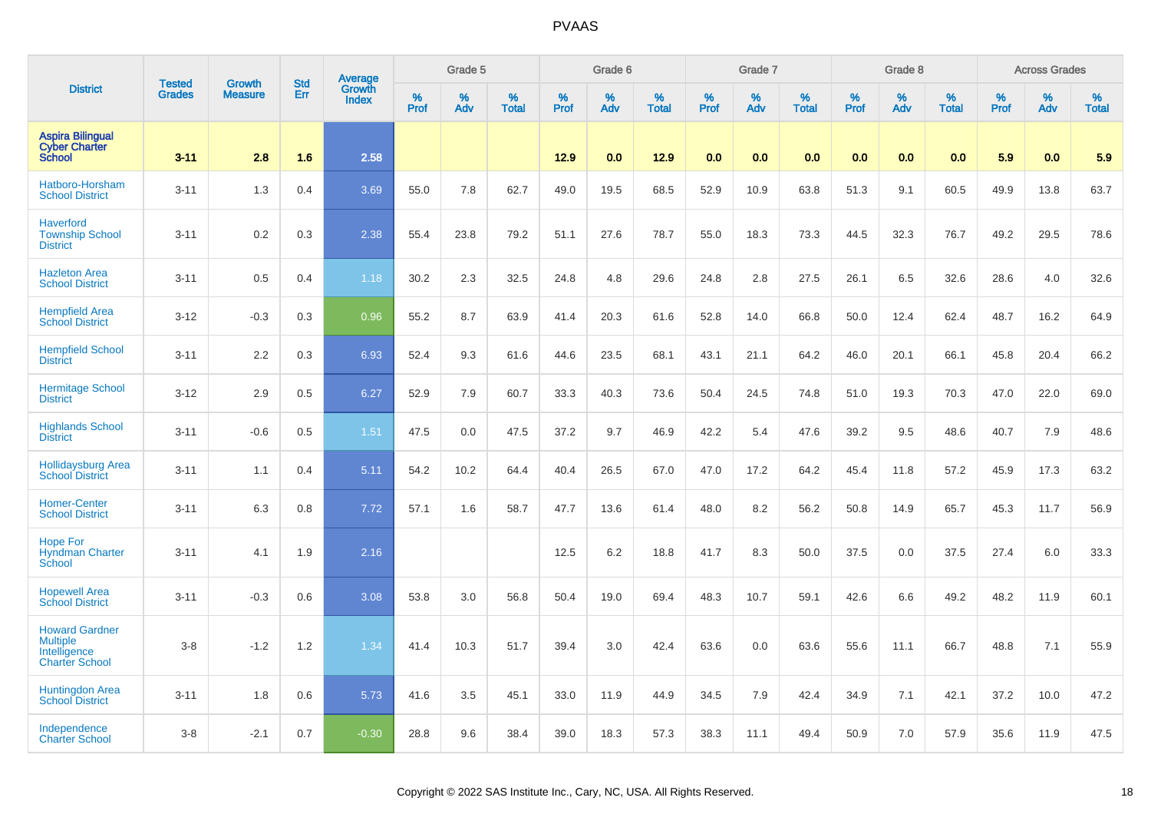|                                                                                   | <b>Tested</b> | <b>Growth</b>  | <b>Std</b> | Average                |                  | Grade 5  |                   |           | Grade 6  |                   |           | Grade 7  |                   |           | Grade 8  |                   |           | <b>Across Grades</b> |                   |
|-----------------------------------------------------------------------------------|---------------|----------------|------------|------------------------|------------------|----------|-------------------|-----------|----------|-------------------|-----------|----------|-------------------|-----------|----------|-------------------|-----------|----------------------|-------------------|
| <b>District</b>                                                                   | <b>Grades</b> | <b>Measure</b> | Err        | Growth<br><b>Index</b> | %<br><b>Prof</b> | %<br>Adv | %<br><b>Total</b> | %<br>Prof | %<br>Adv | %<br><b>Total</b> | %<br>Prof | %<br>Adv | %<br><b>Total</b> | %<br>Prof | %<br>Adv | %<br><b>Total</b> | %<br>Prof | %<br>Adv             | %<br><b>Total</b> |
| <b>Aspira Bilingual</b><br><b>Cyber Charter</b><br><b>School</b>                  | $3 - 11$      | 2.8            | 1.6        | 2.58                   |                  |          |                   | 12.9      | 0.0      | 12.9              | 0.0       | 0.0      | 0.0               | 0.0       | 0.0      | 0.0               | 5.9       | 0.0                  | 5.9               |
| Hatboro-Horsham<br><b>School District</b>                                         | $3 - 11$      | 1.3            | 0.4        | 3.69                   | 55.0             | 7.8      | 62.7              | 49.0      | 19.5     | 68.5              | 52.9      | 10.9     | 63.8              | 51.3      | 9.1      | 60.5              | 49.9      | 13.8                 | 63.7              |
| <b>Haverford</b><br><b>Township School</b><br><b>District</b>                     | $3 - 11$      | 0.2            | 0.3        | 2.38                   | 55.4             | 23.8     | 79.2              | 51.1      | 27.6     | 78.7              | 55.0      | 18.3     | 73.3              | 44.5      | 32.3     | 76.7              | 49.2      | 29.5                 | 78.6              |
| <b>Hazleton Area</b><br><b>School District</b>                                    | $3 - 11$      | 0.5            | 0.4        | 1.18                   | 30.2             | 2.3      | 32.5              | 24.8      | 4.8      | 29.6              | 24.8      | 2.8      | 27.5              | 26.1      | 6.5      | 32.6              | 28.6      | 4.0                  | 32.6              |
| <b>Hempfield Area</b><br><b>School District</b>                                   | $3 - 12$      | $-0.3$         | 0.3        | 0.96                   | 55.2             | 8.7      | 63.9              | 41.4      | 20.3     | 61.6              | 52.8      | 14.0     | 66.8              | 50.0      | 12.4     | 62.4              | 48.7      | 16.2                 | 64.9              |
| <b>Hempfield School</b><br><b>District</b>                                        | $3 - 11$      | 2.2            | 0.3        | 6.93                   | 52.4             | 9.3      | 61.6              | 44.6      | 23.5     | 68.1              | 43.1      | 21.1     | 64.2              | 46.0      | 20.1     | 66.1              | 45.8      | 20.4                 | 66.2              |
| <b>Hermitage School</b><br><b>District</b>                                        | $3 - 12$      | 2.9            | 0.5        | 6.27                   | 52.9             | 7.9      | 60.7              | 33.3      | 40.3     | 73.6              | 50.4      | 24.5     | 74.8              | 51.0      | 19.3     | 70.3              | 47.0      | 22.0                 | 69.0              |
| <b>Highlands School</b><br><b>District</b>                                        | $3 - 11$      | $-0.6$         | 0.5        | 1.51                   | 47.5             | 0.0      | 47.5              | 37.2      | 9.7      | 46.9              | 42.2      | 5.4      | 47.6              | 39.2      | 9.5      | 48.6              | 40.7      | 7.9                  | 48.6              |
| <b>Hollidaysburg Area</b><br><b>School District</b>                               | $3 - 11$      | 1.1            | 0.4        | 5.11                   | 54.2             | 10.2     | 64.4              | 40.4      | 26.5     | 67.0              | 47.0      | 17.2     | 64.2              | 45.4      | 11.8     | 57.2              | 45.9      | 17.3                 | 63.2              |
| <b>Homer-Center</b><br><b>School District</b>                                     | $3 - 11$      | 6.3            | 0.8        | 7.72                   | 57.1             | 1.6      | 58.7              | 47.7      | 13.6     | 61.4              | 48.0      | 8.2      | 56.2              | 50.8      | 14.9     | 65.7              | 45.3      | 11.7                 | 56.9              |
| <b>Hope For</b><br><b>Hyndman Charter</b><br>School                               | $3 - 11$      | 4.1            | 1.9        | 2.16                   |                  |          |                   | 12.5      | 6.2      | 18.8              | 41.7      | 8.3      | 50.0              | 37.5      | 0.0      | 37.5              | 27.4      | 6.0                  | 33.3              |
| <b>Hopewell Area</b><br><b>School District</b>                                    | $3 - 11$      | $-0.3$         | 0.6        | 3.08                   | 53.8             | 3.0      | 56.8              | 50.4      | 19.0     | 69.4              | 48.3      | 10.7     | 59.1              | 42.6      | 6.6      | 49.2              | 48.2      | 11.9                 | 60.1              |
| <b>Howard Gardner</b><br><b>Multiple</b><br>Intelligence<br><b>Charter School</b> | $3 - 8$       | $-1.2$         | 1.2        | 1.34                   | 41.4             | 10.3     | 51.7              | 39.4      | 3.0      | 42.4              | 63.6      | 0.0      | 63.6              | 55.6      | 11.1     | 66.7              | 48.8      | 7.1                  | 55.9              |
| Huntingdon Area<br>School District                                                | $3 - 11$      | 1.8            | 0.6        | 5.73                   | 41.6             | 3.5      | 45.1              | 33.0      | 11.9     | 44.9              | 34.5      | 7.9      | 42.4              | 34.9      | 7.1      | 42.1              | 37.2      | 10.0                 | 47.2              |
| Independence<br><b>Charter School</b>                                             | $3-8$         | $-2.1$         | 0.7        | $-0.30$                | 28.8             | 9.6      | 38.4              | 39.0      | 18.3     | 57.3              | 38.3      | 11.1     | 49.4              | 50.9      | 7.0      | 57.9              | 35.6      | 11.9                 | 47.5              |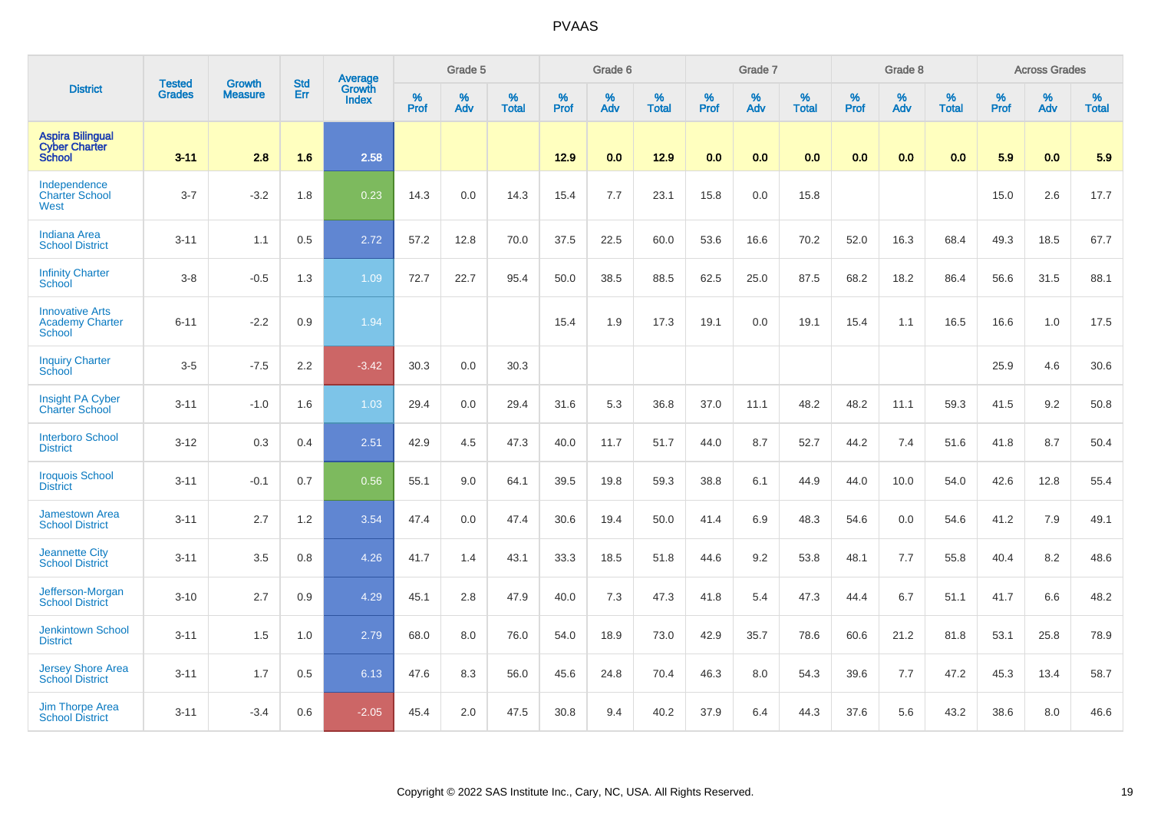|                                                                   |                                |                                 | <b>Std</b> | Average                |              | Grade 5  |                   |           | Grade 6  |                   |           | Grade 7  |                   |           | Grade 8  |                   |           | <b>Across Grades</b> |                   |
|-------------------------------------------------------------------|--------------------------------|---------------------------------|------------|------------------------|--------------|----------|-------------------|-----------|----------|-------------------|-----------|----------|-------------------|-----------|----------|-------------------|-----------|----------------------|-------------------|
| <b>District</b>                                                   | <b>Tested</b><br><b>Grades</b> | <b>Growth</b><br><b>Measure</b> | Err        | Growth<br><b>Index</b> | $\%$<br>Prof | %<br>Adv | %<br><b>Total</b> | %<br>Prof | %<br>Adv | %<br><b>Total</b> | %<br>Prof | %<br>Adv | %<br><b>Total</b> | %<br>Prof | %<br>Adv | %<br><b>Total</b> | %<br>Prof | %<br>Adv             | %<br><b>Total</b> |
| <b>Aspira Bilingual</b><br><b>Cyber Charter</b><br><b>School</b>  | $3 - 11$                       | 2.8                             | 1.6        | 2.58                   |              |          |                   | 12.9      | 0.0      | 12.9              | 0.0       | 0.0      | 0.0               | 0.0       | 0.0      | 0.0               | 5.9       | 0.0                  | 5.9               |
| Independence<br><b>Charter School</b><br>West                     | $3 - 7$                        | $-3.2$                          | 1.8        | 0.23                   | 14.3         | 0.0      | 14.3              | 15.4      | 7.7      | 23.1              | 15.8      | 0.0      | 15.8              |           |          |                   | 15.0      | 2.6                  | 17.7              |
| <b>Indiana Area</b><br><b>School District</b>                     | $3 - 11$                       | 1.1                             | 0.5        | 2.72                   | 57.2         | 12.8     | 70.0              | 37.5      | 22.5     | 60.0              | 53.6      | 16.6     | 70.2              | 52.0      | 16.3     | 68.4              | 49.3      | 18.5                 | 67.7              |
| <b>Infinity Charter</b><br>School                                 | $3-8$                          | $-0.5$                          | 1.3        | 1.09                   | 72.7         | 22.7     | 95.4              | 50.0      | 38.5     | 88.5              | 62.5      | 25.0     | 87.5              | 68.2      | 18.2     | 86.4              | 56.6      | 31.5                 | 88.1              |
| <b>Innovative Arts</b><br><b>Academy Charter</b><br><b>School</b> | $6 - 11$                       | $-2.2$                          | 0.9        | 1.94                   |              |          |                   | 15.4      | 1.9      | 17.3              | 19.1      | 0.0      | 19.1              | 15.4      | 1.1      | 16.5              | 16.6      | 1.0                  | 17.5              |
| <b>Inquiry Charter</b><br>School                                  | $3-5$                          | $-7.5$                          | 2.2        | $-3.42$                | 30.3         | 0.0      | 30.3              |           |          |                   |           |          |                   |           |          |                   | 25.9      | 4.6                  | 30.6              |
| <b>Insight PA Cyber</b><br><b>Charter School</b>                  | $3 - 11$                       | $-1.0$                          | 1.6        | 1.03                   | 29.4         | 0.0      | 29.4              | 31.6      | 5.3      | 36.8              | 37.0      | 11.1     | 48.2              | 48.2      | 11.1     | 59.3              | 41.5      | 9.2                  | 50.8              |
| <b>Interboro School</b><br><b>District</b>                        | $3 - 12$                       | 0.3                             | 0.4        | 2.51                   | 42.9         | 4.5      | 47.3              | 40.0      | 11.7     | 51.7              | 44.0      | 8.7      | 52.7              | 44.2      | 7.4      | 51.6              | 41.8      | 8.7                  | 50.4              |
| <b>Iroquois School</b><br><b>District</b>                         | $3 - 11$                       | $-0.1$                          | 0.7        | 0.56                   | 55.1         | 9.0      | 64.1              | 39.5      | 19.8     | 59.3              | 38.8      | 6.1      | 44.9              | 44.0      | 10.0     | 54.0              | 42.6      | 12.8                 | 55.4              |
| <b>Jamestown Area</b><br><b>School District</b>                   | $3 - 11$                       | 2.7                             | 1.2        | 3.54                   | 47.4         | 0.0      | 47.4              | 30.6      | 19.4     | 50.0              | 41.4      | 6.9      | 48.3              | 54.6      | 0.0      | 54.6              | 41.2      | 7.9                  | 49.1              |
| <b>Jeannette City</b><br><b>School District</b>                   | $3 - 11$                       | 3.5                             | 0.8        | 4.26                   | 41.7         | 1.4      | 43.1              | 33.3      | 18.5     | 51.8              | 44.6      | 9.2      | 53.8              | 48.1      | 7.7      | 55.8              | 40.4      | 8.2                  | 48.6              |
| Jefferson-Morgan<br><b>School District</b>                        | $3 - 10$                       | 2.7                             | 0.9        | 4.29                   | 45.1         | 2.8      | 47.9              | 40.0      | 7.3      | 47.3              | 41.8      | 5.4      | 47.3              | 44.4      | 6.7      | 51.1              | 41.7      | 6.6                  | 48.2              |
| <b>Jenkintown School</b><br><b>District</b>                       | $3 - 11$                       | 1.5                             | 1.0        | 2.79                   | 68.0         | 8.0      | 76.0              | 54.0      | 18.9     | 73.0              | 42.9      | 35.7     | 78.6              | 60.6      | 21.2     | 81.8              | 53.1      | 25.8                 | 78.9              |
| <b>Jersey Shore Area</b><br><b>School District</b>                | $3 - 11$                       | 1.7                             | 0.5        | 6.13                   | 47.6         | 8.3      | 56.0              | 45.6      | 24.8     | 70.4              | 46.3      | 8.0      | 54.3              | 39.6      | 7.7      | 47.2              | 45.3      | 13.4                 | 58.7              |
| <b>Jim Thorpe Area</b><br><b>School District</b>                  | $3 - 11$                       | $-3.4$                          | 0.6        | $-2.05$                | 45.4         | 2.0      | 47.5              | 30.8      | 9.4      | 40.2              | 37.9      | 6.4      | 44.3              | 37.6      | 5.6      | 43.2              | 38.6      | 8.0                  | 46.6              |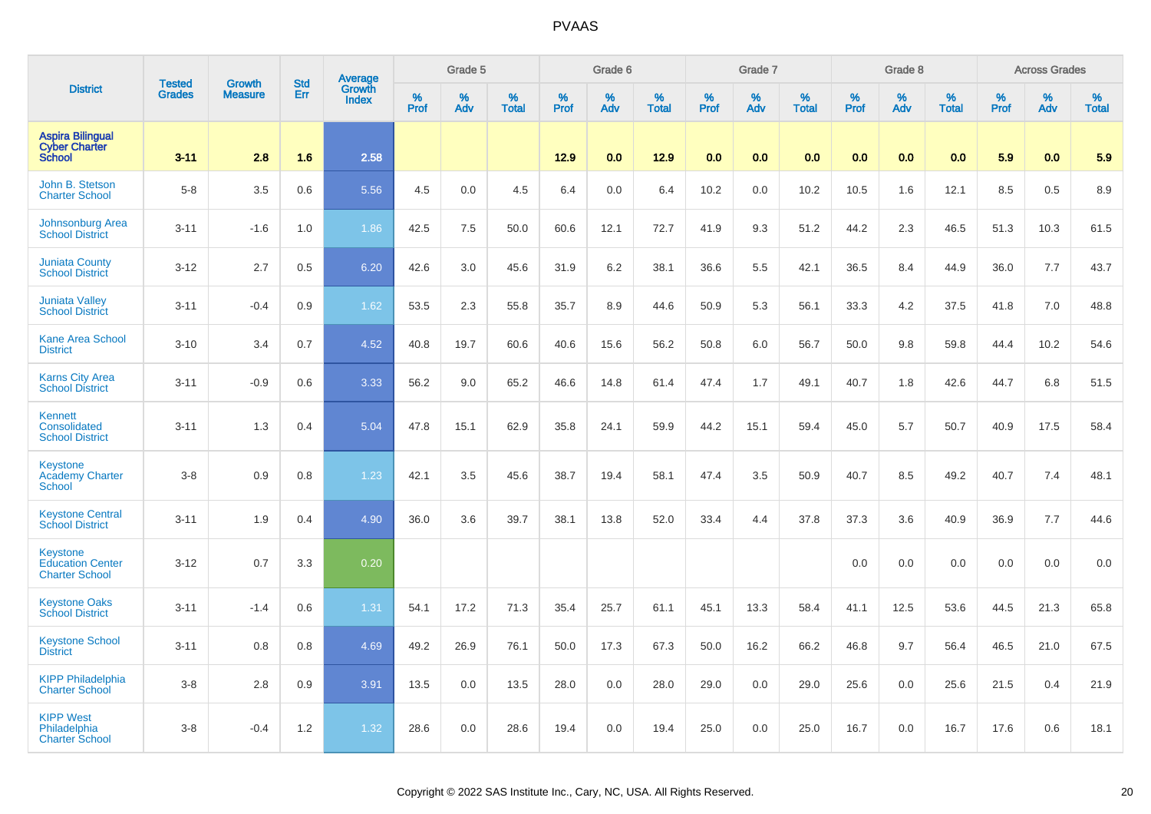|                                                                     | <b>Tested</b> | <b>Growth</b>  | <b>Std</b> | <b>Average</b>         |                  | Grade 5  |                   |           | Grade 6  |                   |           | Grade 7  |                   |                  | Grade 8  |                   |           | <b>Across Grades</b> |                   |
|---------------------------------------------------------------------|---------------|----------------|------------|------------------------|------------------|----------|-------------------|-----------|----------|-------------------|-----------|----------|-------------------|------------------|----------|-------------------|-----------|----------------------|-------------------|
| <b>District</b>                                                     | <b>Grades</b> | <b>Measure</b> | Err        | Growth<br><b>Index</b> | %<br><b>Prof</b> | %<br>Adv | %<br><b>Total</b> | %<br>Prof | %<br>Adv | %<br><b>Total</b> | %<br>Prof | %<br>Adv | %<br><b>Total</b> | %<br><b>Prof</b> | %<br>Adv | %<br><b>Total</b> | %<br>Prof | %<br>Adv             | %<br><b>Total</b> |
| <b>Aspira Bilingual</b><br><b>Cyber Charter</b><br><b>School</b>    | $3 - 11$      | 2.8            | 1.6        | 2.58                   |                  |          |                   | 12.9      | 0.0      | 12.9              | 0.0       | 0.0      | 0.0               | 0.0              | 0.0      | 0.0               | 5.9       | 0.0                  | 5.9               |
| John B. Stetson<br><b>Charter School</b>                            | $5 - 8$       | 3.5            | 0.6        | 5.56                   | 4.5              | 0.0      | 4.5               | 6.4       | 0.0      | 6.4               | 10.2      | 0.0      | 10.2              | 10.5             | 1.6      | 12.1              | 8.5       | 0.5                  | 8.9               |
| <b>Johnsonburg Area</b><br><b>School District</b>                   | $3 - 11$      | $-1.6$         | 1.0        | 1.86                   | 42.5             | 7.5      | 50.0              | 60.6      | 12.1     | 72.7              | 41.9      | 9.3      | 51.2              | 44.2             | 2.3      | 46.5              | 51.3      | 10.3                 | 61.5              |
| <b>Juniata County</b><br><b>School District</b>                     | $3 - 12$      | 2.7            | 0.5        | 6.20                   | 42.6             | 3.0      | 45.6              | 31.9      | 6.2      | 38.1              | 36.6      | 5.5      | 42.1              | 36.5             | 8.4      | 44.9              | 36.0      | 7.7                  | 43.7              |
| <b>Juniata Valley</b><br><b>School District</b>                     | $3 - 11$      | $-0.4$         | 0.9        | 1.62                   | 53.5             | 2.3      | 55.8              | 35.7      | 8.9      | 44.6              | 50.9      | 5.3      | 56.1              | 33.3             | 4.2      | 37.5              | 41.8      | 7.0                  | 48.8              |
| <b>Kane Area School</b><br><b>District</b>                          | $3 - 10$      | 3.4            | 0.7        | 4.52                   | 40.8             | 19.7     | 60.6              | 40.6      | 15.6     | 56.2              | 50.8      | 6.0      | 56.7              | 50.0             | 9.8      | 59.8              | 44.4      | 10.2                 | 54.6              |
| <b>Karns City Area</b><br><b>School District</b>                    | $3 - 11$      | $-0.9$         | 0.6        | 3.33                   | 56.2             | 9.0      | 65.2              | 46.6      | 14.8     | 61.4              | 47.4      | 1.7      | 49.1              | 40.7             | 1.8      | 42.6              | 44.7      | 6.8                  | 51.5              |
| Kennett<br>Consolidated<br><b>School District</b>                   | $3 - 11$      | 1.3            | 0.4        | 5.04                   | 47.8             | 15.1     | 62.9              | 35.8      | 24.1     | 59.9              | 44.2      | 15.1     | 59.4              | 45.0             | 5.7      | 50.7              | 40.9      | 17.5                 | 58.4              |
| <b>Keystone</b><br><b>Academy Charter</b><br><b>School</b>          | $3-8$         | 0.9            | 0.8        | 1.23                   | 42.1             | 3.5      | 45.6              | 38.7      | 19.4     | 58.1              | 47.4      | 3.5      | 50.9              | 40.7             | 8.5      | 49.2              | 40.7      | 7.4                  | 48.1              |
| <b>Keystone Central</b><br><b>School District</b>                   | $3 - 11$      | 1.9            | 0.4        | 4.90                   | 36.0             | 3.6      | 39.7              | 38.1      | 13.8     | 52.0              | 33.4      | 4.4      | 37.8              | 37.3             | 3.6      | 40.9              | 36.9      | 7.7                  | 44.6              |
| <b>Keystone</b><br><b>Education Center</b><br><b>Charter School</b> | $3 - 12$      | 0.7            | 3.3        | 0.20                   |                  |          |                   |           |          |                   |           |          |                   | 0.0              | 0.0      | 0.0               | 0.0       | 0.0                  | 0.0               |
| <b>Keystone Oaks</b><br><b>School District</b>                      | $3 - 11$      | $-1.4$         | 0.6        | 1.31                   | 54.1             | 17.2     | 71.3              | 35.4      | 25.7     | 61.1              | 45.1      | 13.3     | 58.4              | 41.1             | 12.5     | 53.6              | 44.5      | 21.3                 | 65.8              |
| <b>Keystone School</b><br><b>District</b>                           | $3 - 11$      | 0.8            | 0.8        | 4.69                   | 49.2             | 26.9     | 76.1              | 50.0      | 17.3     | 67.3              | 50.0      | 16.2     | 66.2              | 46.8             | 9.7      | 56.4              | 46.5      | 21.0                 | 67.5              |
| <b>KIPP Philadelphia</b><br><b>Charter School</b>                   | $3-8$         | 2.8            | 0.9        | 3.91                   | 13.5             | 0.0      | 13.5              | 28.0      | 0.0      | 28.0              | 29.0      | 0.0      | 29.0              | 25.6             | 0.0      | 25.6              | 21.5      | 0.4                  | 21.9              |
| <b>KIPP West</b><br>Philadelphia<br><b>Charter School</b>           | $3-8$         | $-0.4$         | 1.2        | 1.32                   | 28.6             | 0.0      | 28.6              | 19.4      | 0.0      | 19.4              | 25.0      | 0.0      | 25.0              | 16.7             | 0.0      | 16.7              | 17.6      | 0.6                  | 18.1              |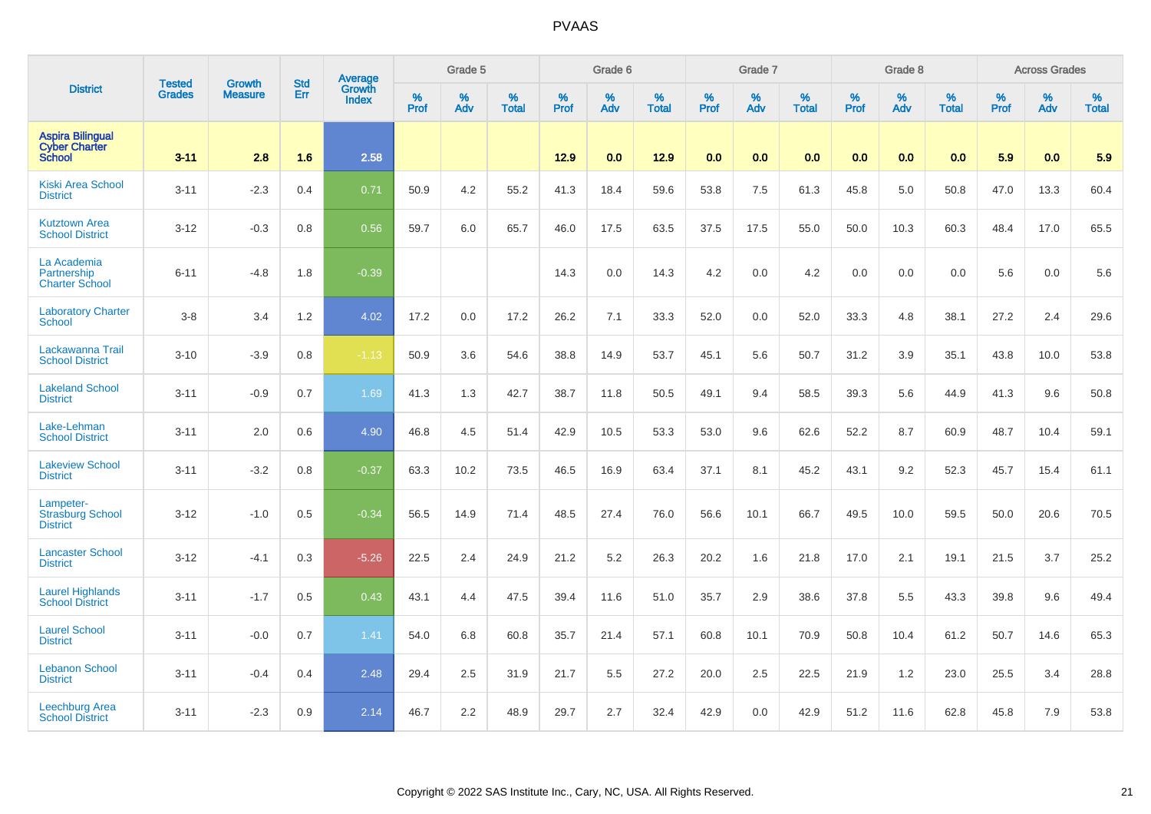|                                                                  |                                | <b>Growth</b>  | <b>Std</b> | Average                |           | Grade 5  |                   |           | Grade 6  |                   |           | Grade 7  |                   |           | Grade 8  |                   |           | <b>Across Grades</b> |                   |
|------------------------------------------------------------------|--------------------------------|----------------|------------|------------------------|-----------|----------|-------------------|-----------|----------|-------------------|-----------|----------|-------------------|-----------|----------|-------------------|-----------|----------------------|-------------------|
| <b>District</b>                                                  | <b>Tested</b><br><b>Grades</b> | <b>Measure</b> | Err        | <b>Growth</b><br>Index | %<br>Prof | %<br>Adv | %<br><b>Total</b> | %<br>Prof | %<br>Adv | %<br><b>Total</b> | %<br>Prof | %<br>Adv | %<br><b>Total</b> | %<br>Prof | %<br>Adv | %<br><b>Total</b> | %<br>Prof | %<br>Adv             | %<br><b>Total</b> |
| <b>Aspira Bilingual</b><br><b>Cyber Charter</b><br><b>School</b> | $3 - 11$                       | 2.8            | 1.6        | 2.58                   |           |          |                   | 12.9      | 0.0      | 12.9              | 0.0       | 0.0      | 0.0               | 0.0       | 0.0      | 0.0               | 5.9       | 0.0                  | 5.9               |
| <b>Kiski Area School</b><br><b>District</b>                      | $3 - 11$                       | $-2.3$         | 0.4        | 0.71                   | 50.9      | 4.2      | 55.2              | 41.3      | 18.4     | 59.6              | 53.8      | 7.5      | 61.3              | 45.8      | 5.0      | 50.8              | 47.0      | 13.3                 | 60.4              |
| <b>Kutztown Area</b><br><b>School District</b>                   | $3 - 12$                       | $-0.3$         | 0.8        | 0.56                   | 59.7      | 6.0      | 65.7              | 46.0      | 17.5     | 63.5              | 37.5      | 17.5     | 55.0              | 50.0      | 10.3     | 60.3              | 48.4      | 17.0                 | 65.5              |
| La Academia<br>Partnership<br><b>Charter School</b>              | $6 - 11$                       | $-4.8$         | 1.8        | $-0.39$                |           |          |                   | 14.3      | 0.0      | 14.3              | 4.2       | 0.0      | 4.2               | 0.0       | 0.0      | 0.0               | 5.6       | 0.0                  | 5.6               |
| <b>Laboratory Charter</b><br><b>School</b>                       | $3-8$                          | 3.4            | 1.2        | 4.02                   | 17.2      | 0.0      | 17.2              | 26.2      | 7.1      | 33.3              | 52.0      | 0.0      | 52.0              | 33.3      | 4.8      | 38.1              | 27.2      | 2.4                  | 29.6              |
| Lackawanna Trail<br><b>School District</b>                       | $3 - 10$                       | $-3.9$         | 0.8        | $-1.13$                | 50.9      | 3.6      | 54.6              | 38.8      | 14.9     | 53.7              | 45.1      | 5.6      | 50.7              | 31.2      | 3.9      | 35.1              | 43.8      | 10.0                 | 53.8              |
| <b>Lakeland School</b><br><b>District</b>                        | $3 - 11$                       | $-0.9$         | 0.7        | 1.69                   | 41.3      | 1.3      | 42.7              | 38.7      | 11.8     | 50.5              | 49.1      | 9.4      | 58.5              | 39.3      | 5.6      | 44.9              | 41.3      | 9.6                  | 50.8              |
| Lake-Lehman<br><b>School District</b>                            | $3 - 11$                       | 2.0            | 0.6        | 4.90                   | 46.8      | 4.5      | 51.4              | 42.9      | 10.5     | 53.3              | 53.0      | 9.6      | 62.6              | 52.2      | 8.7      | 60.9              | 48.7      | 10.4                 | 59.1              |
| <b>Lakeview School</b><br><b>District</b>                        | $3 - 11$                       | $-3.2$         | 0.8        | $-0.37$                | 63.3      | 10.2     | 73.5              | 46.5      | 16.9     | 63.4              | 37.1      | 8.1      | 45.2              | 43.1      | 9.2      | 52.3              | 45.7      | 15.4                 | 61.1              |
| Lampeter-<br><b>Strasburg School</b><br><b>District</b>          | $3 - 12$                       | $-1.0$         | 0.5        | $-0.34$                | 56.5      | 14.9     | 71.4              | 48.5      | 27.4     | 76.0              | 56.6      | 10.1     | 66.7              | 49.5      | 10.0     | 59.5              | 50.0      | 20.6                 | 70.5              |
| <b>Lancaster School</b><br><b>District</b>                       | $3 - 12$                       | $-4.1$         | 0.3        | $-5.26$                | 22.5      | 2.4      | 24.9              | 21.2      | 5.2      | 26.3              | 20.2      | 1.6      | 21.8              | 17.0      | 2.1      | 19.1              | 21.5      | 3.7                  | 25.2              |
| <b>Laurel Highlands</b><br><b>School District</b>                | $3 - 11$                       | $-1.7$         | 0.5        | 0.43                   | 43.1      | 4.4      | 47.5              | 39.4      | 11.6     | 51.0              | 35.7      | 2.9      | 38.6              | 37.8      | 5.5      | 43.3              | 39.8      | 9.6                  | 49.4              |
| <b>Laurel School</b><br><b>District</b>                          | $3 - 11$                       | $-0.0$         | 0.7        | 1.41                   | 54.0      | 6.8      | 60.8              | 35.7      | 21.4     | 57.1              | 60.8      | 10.1     | 70.9              | 50.8      | 10.4     | 61.2              | 50.7      | 14.6                 | 65.3              |
| <b>Lebanon School</b><br><b>District</b>                         | $3 - 11$                       | $-0.4$         | 0.4        | 2.48                   | 29.4      | 2.5      | 31.9              | 21.7      | 5.5      | 27.2              | 20.0      | 2.5      | 22.5              | 21.9      | 1.2      | 23.0              | 25.5      | 3.4                  | 28.8              |
| <b>Leechburg Area</b><br><b>School District</b>                  | $3 - 11$                       | $-2.3$         | 0.9        | 2.14                   | 46.7      | 2.2      | 48.9              | 29.7      | 2.7      | 32.4              | 42.9      | 0.0      | 42.9              | 51.2      | 11.6     | 62.8              | 45.8      | 7.9                  | 53.8              |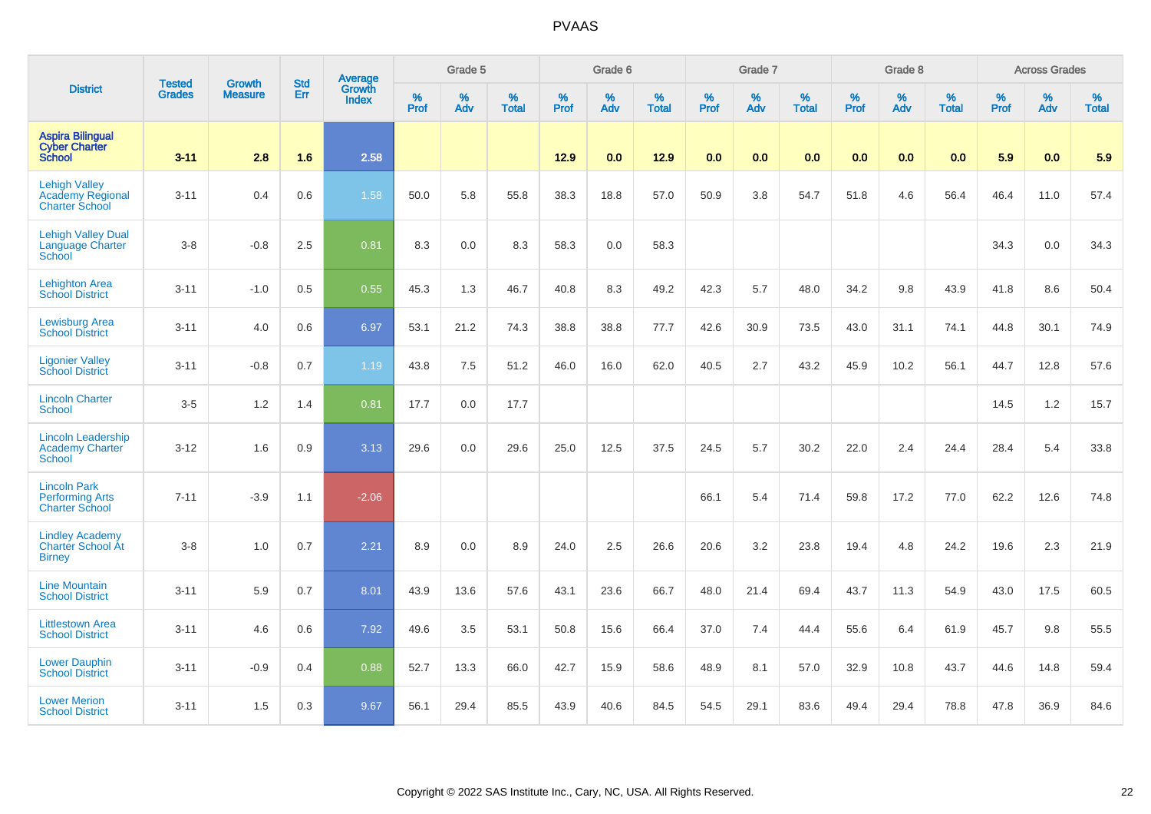|                                                                          |                                |                                 | <b>Std</b> | Average                       |              | Grade 5  |                   |           | Grade 6  |                   |           | Grade 7  |                   |           | Grade 8  |                   |           | <b>Across Grades</b> |                   |
|--------------------------------------------------------------------------|--------------------------------|---------------------------------|------------|-------------------------------|--------------|----------|-------------------|-----------|----------|-------------------|-----------|----------|-------------------|-----------|----------|-------------------|-----------|----------------------|-------------------|
| <b>District</b>                                                          | <b>Tested</b><br><b>Grades</b> | <b>Growth</b><br><b>Measure</b> | Err        | <b>Growth</b><br><b>Index</b> | $\%$<br>Prof | %<br>Adv | %<br><b>Total</b> | %<br>Prof | %<br>Adv | %<br><b>Total</b> | %<br>Prof | %<br>Adv | %<br><b>Total</b> | %<br>Prof | %<br>Adv | %<br><b>Total</b> | %<br>Prof | %<br>Adv             | %<br><b>Total</b> |
| <b>Aspira Bilingual</b><br><b>Cyber Charter</b><br><b>School</b>         | $3 - 11$                       | 2.8                             | 1.6        | 2.58                          |              |          |                   | 12.9      | 0.0      | 12.9              | 0.0       | 0.0      | 0.0               | 0.0       | 0.0      | 0.0               | 5.9       | 0.0                  | 5.9               |
| <b>Lehigh Valley</b><br><b>Academy Regional</b><br><b>Charter School</b> | $3 - 11$                       | 0.4                             | 0.6        | 1.58                          | 50.0         | 5.8      | 55.8              | 38.3      | 18.8     | 57.0              | 50.9      | 3.8      | 54.7              | 51.8      | 4.6      | 56.4              | 46.4      | 11.0                 | 57.4              |
| <b>Lehigh Valley Dual</b><br><b>Language Charter</b><br>School           | $3-8$                          | $-0.8$                          | 2.5        | 0.81                          | 8.3          | 0.0      | 8.3               | 58.3      | 0.0      | 58.3              |           |          |                   |           |          |                   | 34.3      | 0.0                  | 34.3              |
| <b>Lehighton Area</b><br><b>School District</b>                          | $3 - 11$                       | $-1.0$                          | 0.5        | 0.55                          | 45.3         | 1.3      | 46.7              | 40.8      | 8.3      | 49.2              | 42.3      | 5.7      | 48.0              | 34.2      | 9.8      | 43.9              | 41.8      | 8.6                  | 50.4              |
| <b>Lewisburg Area</b><br><b>School District</b>                          | $3 - 11$                       | 4.0                             | 0.6        | 6.97                          | 53.1         | 21.2     | 74.3              | 38.8      | 38.8     | 77.7              | 42.6      | 30.9     | 73.5              | 43.0      | 31.1     | 74.1              | 44.8      | 30.1                 | 74.9              |
| <b>Ligonier Valley</b><br><b>School District</b>                         | $3 - 11$                       | $-0.8$                          | 0.7        | 1.19                          | 43.8         | 7.5      | 51.2              | 46.0      | 16.0     | 62.0              | 40.5      | 2.7      | 43.2              | 45.9      | 10.2     | 56.1              | 44.7      | 12.8                 | 57.6              |
| <b>Lincoln Charter</b><br><b>School</b>                                  | $3-5$                          | 1.2                             | 1.4        | 0.81                          | 17.7         | 0.0      | 17.7              |           |          |                   |           |          |                   |           |          |                   | 14.5      | $1.2$                | 15.7              |
| <b>Lincoln Leadership</b><br><b>Academy Charter</b><br><b>School</b>     | $3 - 12$                       | 1.6                             | 0.9        | 3.13                          | 29.6         | 0.0      | 29.6              | 25.0      | 12.5     | 37.5              | 24.5      | 5.7      | 30.2              | 22.0      | 2.4      | 24.4              | 28.4      | 5.4                  | 33.8              |
| <b>Lincoln Park</b><br><b>Performing Arts</b><br><b>Charter School</b>   | $7 - 11$                       | $-3.9$                          | 1.1        | $-2.06$                       |              |          |                   |           |          |                   | 66.1      | 5.4      | 71.4              | 59.8      | 17.2     | 77.0              | 62.2      | 12.6                 | 74.8              |
| <b>Lindley Academy</b><br>Charter School At<br><b>Birney</b>             | $3-8$                          | 1.0                             | 0.7        | 2.21                          | 8.9          | 0.0      | 8.9               | 24.0      | 2.5      | 26.6              | 20.6      | 3.2      | 23.8              | 19.4      | 4.8      | 24.2              | 19.6      | 2.3                  | 21.9              |
| <b>Line Mountain</b><br><b>School District</b>                           | $3 - 11$                       | 5.9                             | 0.7        | 8.01                          | 43.9         | 13.6     | 57.6              | 43.1      | 23.6     | 66.7              | 48.0      | 21.4     | 69.4              | 43.7      | 11.3     | 54.9              | 43.0      | 17.5                 | 60.5              |
| <b>Littlestown Area</b><br><b>School District</b>                        | $3 - 11$                       | 4.6                             | 0.6        | 7.92                          | 49.6         | 3.5      | 53.1              | 50.8      | 15.6     | 66.4              | 37.0      | 7.4      | 44.4              | 55.6      | 6.4      | 61.9              | 45.7      | 9.8                  | 55.5              |
| <b>Lower Dauphin</b><br><b>School District</b>                           | $3 - 11$                       | $-0.9$                          | 0.4        | 0.88                          | 52.7         | 13.3     | 66.0              | 42.7      | 15.9     | 58.6              | 48.9      | 8.1      | 57.0              | 32.9      | 10.8     | 43.7              | 44.6      | 14.8                 | 59.4              |
| <b>Lower Merion</b><br><b>School District</b>                            | $3 - 11$                       | 1.5                             | 0.3        | 9.67                          | 56.1         | 29.4     | 85.5              | 43.9      | 40.6     | 84.5              | 54.5      | 29.1     | 83.6              | 49.4      | 29.4     | 78.8              | 47.8      | 36.9                 | 84.6              |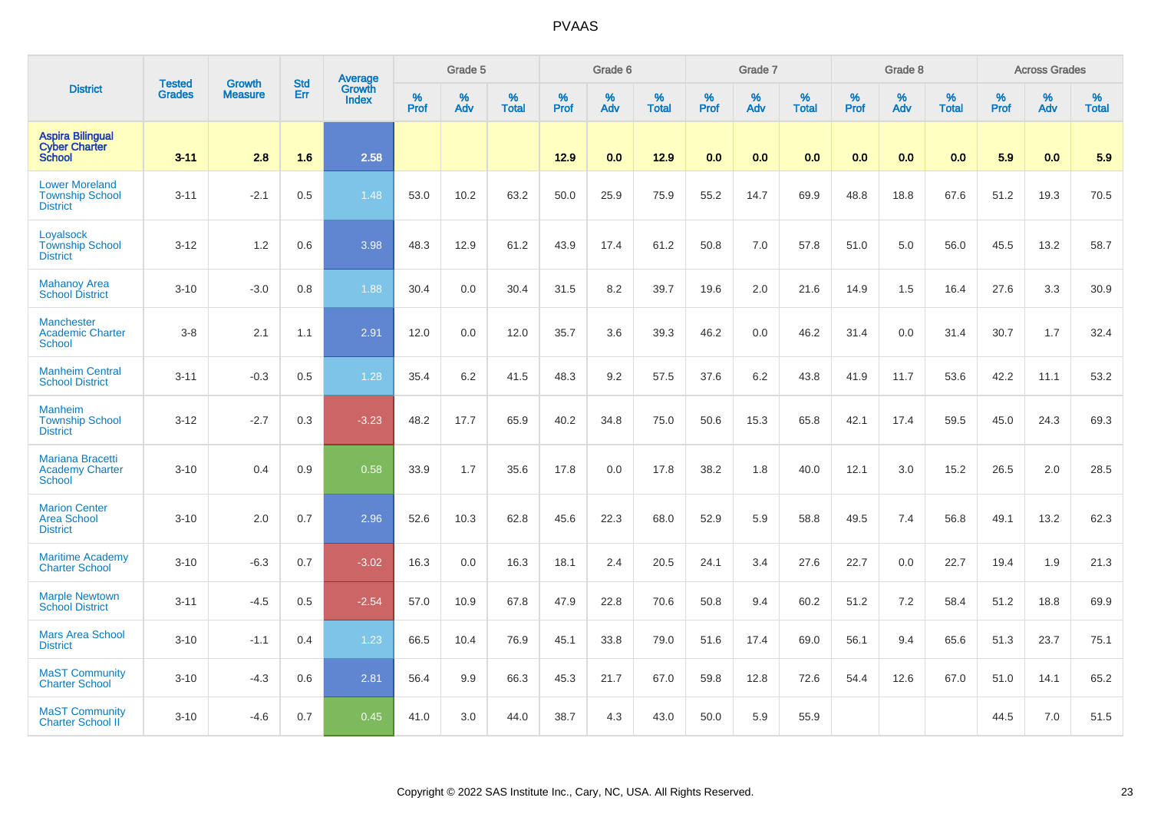|                                                                    | <b>Tested</b> | <b>Growth</b>  | <b>Std</b> | Average         |                     | Grade 5  |                   |              | Grade 6  |                   |              | Grade 7  |                   |              | Grade 8  |                   |              | <b>Across Grades</b> |                   |
|--------------------------------------------------------------------|---------------|----------------|------------|-----------------|---------------------|----------|-------------------|--------------|----------|-------------------|--------------|----------|-------------------|--------------|----------|-------------------|--------------|----------------------|-------------------|
| <b>District</b>                                                    | <b>Grades</b> | <b>Measure</b> | Err        | Growth<br>Index | $\%$<br><b>Prof</b> | %<br>Adv | %<br><b>Total</b> | $\%$<br>Prof | %<br>Adv | %<br><b>Total</b> | $\%$<br>Prof | %<br>Adv | %<br><b>Total</b> | $\%$<br>Prof | %<br>Adv | %<br><b>Total</b> | $\%$<br>Prof | $\%$<br>Adv          | %<br><b>Total</b> |
| <b>Aspira Bilingual</b><br><b>Cyber Charter</b><br><b>School</b>   | $3 - 11$      | 2.8            | 1.6        | 2.58            |                     |          |                   | 12.9         | 0.0      | 12.9              | 0.0          | 0.0      | 0.0               | 0.0          | 0.0      | 0.0               | 5.9          | 0.0                  | 5.9               |
| <b>Lower Moreland</b><br><b>Township School</b><br><b>District</b> | $3 - 11$      | $-2.1$         | 0.5        | 1.48            | 53.0                | 10.2     | 63.2              | 50.0         | 25.9     | 75.9              | 55.2         | 14.7     | 69.9              | 48.8         | 18.8     | 67.6              | 51.2         | 19.3                 | 70.5              |
| Loyalsock<br><b>Township School</b><br><b>District</b>             | $3 - 12$      | 1.2            | 0.6        | 3.98            | 48.3                | 12.9     | 61.2              | 43.9         | 17.4     | 61.2              | 50.8         | 7.0      | 57.8              | 51.0         | 5.0      | 56.0              | 45.5         | 13.2                 | 58.7              |
| <b>Mahanoy Area</b><br><b>School District</b>                      | $3 - 10$      | $-3.0$         | 0.8        | 1.88            | 30.4                | 0.0      | 30.4              | 31.5         | 8.2      | 39.7              | 19.6         | 2.0      | 21.6              | 14.9         | 1.5      | 16.4              | 27.6         | 3.3                  | 30.9              |
| <b>Manchester</b><br><b>Academic Charter</b><br><b>School</b>      | $3 - 8$       | 2.1            | 1.1        | 2.91            | 12.0                | 0.0      | 12.0              | 35.7         | 3.6      | 39.3              | 46.2         | 0.0      | 46.2              | 31.4         | 0.0      | 31.4              | 30.7         | 1.7                  | 32.4              |
| <b>Manheim Central</b><br><b>School District</b>                   | $3 - 11$      | $-0.3$         | 0.5        | 1.28            | 35.4                | 6.2      | 41.5              | 48.3         | 9.2      | 57.5              | 37.6         | 6.2      | 43.8              | 41.9         | 11.7     | 53.6              | 42.2         | 11.1                 | 53.2              |
| <b>Manheim</b><br><b>Township School</b><br><b>District</b>        | $3 - 12$      | $-2.7$         | 0.3        | $-3.23$         | 48.2                | 17.7     | 65.9              | 40.2         | 34.8     | 75.0              | 50.6         | 15.3     | 65.8              | 42.1         | 17.4     | 59.5              | 45.0         | 24.3                 | 69.3              |
| <b>Mariana Bracetti</b><br><b>Academy Charter</b><br><b>School</b> | $3 - 10$      | 0.4            | 0.9        | 0.58            | 33.9                | 1.7      | 35.6              | 17.8         | 0.0      | 17.8              | 38.2         | 1.8      | 40.0              | 12.1         | 3.0      | 15.2              | 26.5         | 2.0                  | 28.5              |
| <b>Marion Center</b><br><b>Area School</b><br><b>District</b>      | $3 - 10$      | 2.0            | 0.7        | 2.96            | 52.6                | 10.3     | 62.8              | 45.6         | 22.3     | 68.0              | 52.9         | 5.9      | 58.8              | 49.5         | 7.4      | 56.8              | 49.1         | 13.2                 | 62.3              |
| <b>Maritime Academy</b><br><b>Charter School</b>                   | $3 - 10$      | $-6.3$         | 0.7        | $-3.02$         | 16.3                | 0.0      | 16.3              | 18.1         | 2.4      | 20.5              | 24.1         | 3.4      | 27.6              | 22.7         | 0.0      | 22.7              | 19.4         | 1.9                  | 21.3              |
| <b>Marple Newtown</b><br><b>School District</b>                    | $3 - 11$      | $-4.5$         | 0.5        | $-2.54$         | 57.0                | 10.9     | 67.8              | 47.9         | 22.8     | 70.6              | 50.8         | 9.4      | 60.2              | 51.2         | 7.2      | 58.4              | 51.2         | 18.8                 | 69.9              |
| <b>Mars Area School</b><br><b>District</b>                         | $3 - 10$      | $-1.1$         | 0.4        | 1.23            | 66.5                | 10.4     | 76.9              | 45.1         | 33.8     | 79.0              | 51.6         | 17.4     | 69.0              | 56.1         | 9.4      | 65.6              | 51.3         | 23.7                 | 75.1              |
| <b>MaST Community</b><br><b>Charter School</b>                     | $3 - 10$      | $-4.3$         | 0.6        | 2.81            | 56.4                | 9.9      | 66.3              | 45.3         | 21.7     | 67.0              | 59.8         | 12.8     | 72.6              | 54.4         | 12.6     | 67.0              | 51.0         | 14.1                 | 65.2              |
| <b>MaST Community</b><br><b>Charter School II</b>                  | $3 - 10$      | $-4.6$         | 0.7        | 0.45            | 41.0                | 3.0      | 44.0              | 38.7         | 4.3      | 43.0              | 50.0         | 5.9      | 55.9              |              |          |                   | 44.5         | 7.0                  | 51.5              |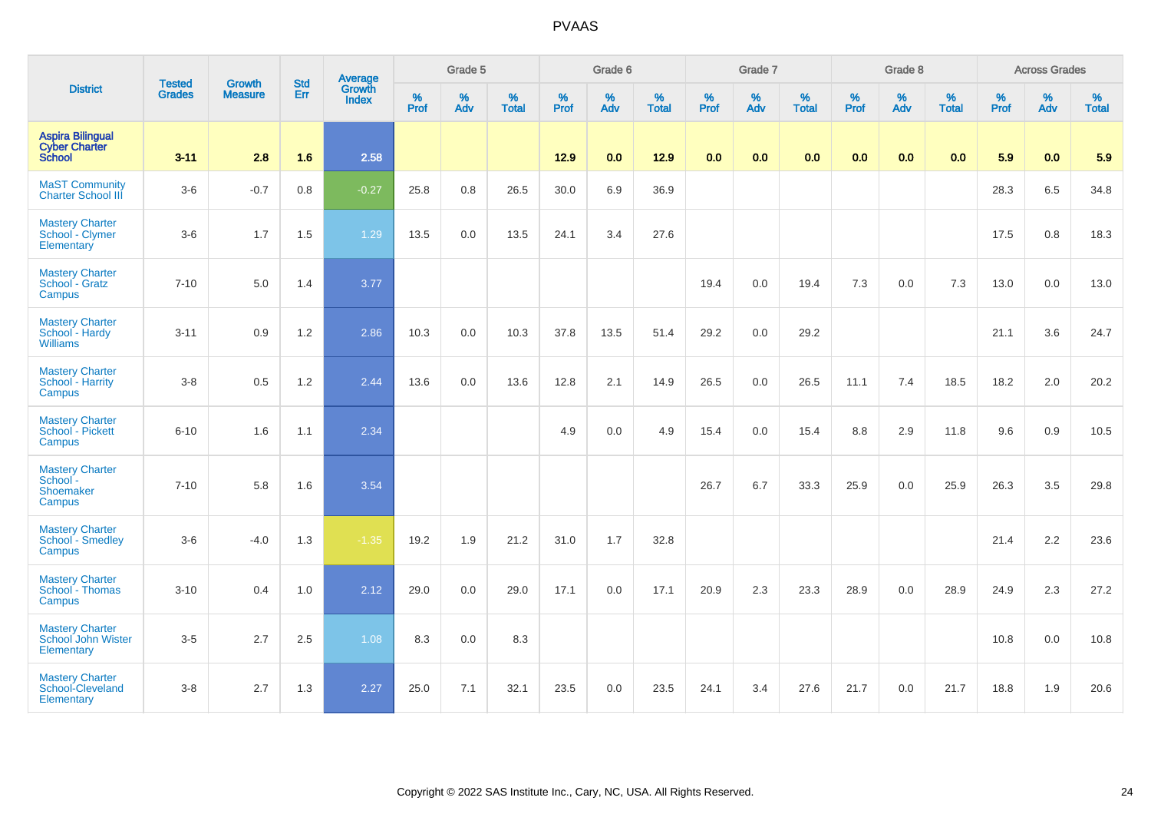|                                                                  |                                |                                 | <b>Std</b> | Average                |                     | Grade 5  |                   |              | Grade 6  |                   |              | Grade 7  |                   |              | Grade 8  |                   |           | <b>Across Grades</b> |                   |
|------------------------------------------------------------------|--------------------------------|---------------------------------|------------|------------------------|---------------------|----------|-------------------|--------------|----------|-------------------|--------------|----------|-------------------|--------------|----------|-------------------|-----------|----------------------|-------------------|
| <b>District</b>                                                  | <b>Tested</b><br><b>Grades</b> | <b>Growth</b><br><b>Measure</b> | Err        | Growth<br><b>Index</b> | $\%$<br><b>Prof</b> | %<br>Adv | %<br><b>Total</b> | $\%$<br>Prof | %<br>Adv | %<br><b>Total</b> | $\%$<br>Prof | %<br>Adv | %<br><b>Total</b> | $\%$<br>Prof | %<br>Adv | %<br><b>Total</b> | %<br>Prof | %<br>Adv             | %<br><b>Total</b> |
| <b>Aspira Bilingual</b><br><b>Cyber Charter</b><br><b>School</b> | $3 - 11$                       | 2.8                             | 1.6        | 2.58                   |                     |          |                   | 12.9         | 0.0      | 12.9              | 0.0          | 0.0      | 0.0               | 0.0          | 0.0      | 0.0               | 5.9       | 0.0                  | 5.9               |
| <b>MaST Community</b><br><b>Charter School III</b>               | $3-6$                          | $-0.7$                          | $0.8\,$    | $-0.27$                | 25.8                | $0.8\,$  | 26.5              | 30.0         | 6.9      | 36.9              |              |          |                   |              |          |                   | 28.3      | 6.5                  | 34.8              |
| <b>Mastery Charter</b><br>School - Clymer<br>Elementary          | $3-6$                          | 1.7                             | 1.5        | 1.29                   | 13.5                | 0.0      | 13.5              | 24.1         | 3.4      | 27.6              |              |          |                   |              |          |                   | 17.5      | 0.8                  | 18.3              |
| <b>Mastery Charter</b><br>School - Gratz<br>Campus               | $7 - 10$                       | 5.0                             | 1.4        | 3.77                   |                     |          |                   |              |          |                   | 19.4         | 0.0      | 19.4              | 7.3          | 0.0      | 7.3               | 13.0      | 0.0                  | 13.0              |
| <b>Mastery Charter</b><br>School - Hardy<br><b>Williams</b>      | $3 - 11$                       | 0.9                             | 1.2        | 2.86                   | 10.3                | 0.0      | 10.3              | 37.8         | 13.5     | 51.4              | 29.2         | 0.0      | 29.2              |              |          |                   | 21.1      | 3.6                  | 24.7              |
| <b>Mastery Charter</b><br>School - Harrity<br>Campus             | $3-8$                          | 0.5                             | 1.2        | 2.44                   | 13.6                | 0.0      | 13.6              | 12.8         | 2.1      | 14.9              | 26.5         | 0.0      | 26.5              | 11.1         | 7.4      | 18.5              | 18.2      | 2.0                  | 20.2              |
| <b>Mastery Charter</b><br>School - Pickett<br>Campus             | $6 - 10$                       | 1.6                             | 1.1        | 2.34                   |                     |          |                   | 4.9          | 0.0      | 4.9               | 15.4         | 0.0      | 15.4              | 8.8          | 2.9      | 11.8              | 9.6       | 0.9                  | 10.5              |
| <b>Mastery Charter</b><br>School -<br>Shoemaker<br>Campus        | $7 - 10$                       | 5.8                             | 1.6        | 3.54                   |                     |          |                   |              |          |                   | 26.7         | 6.7      | 33.3              | 25.9         | 0.0      | 25.9              | 26.3      | 3.5                  | 29.8              |
| <b>Mastery Charter</b><br>School - Smedley<br>Campus             | $3-6$                          | $-4.0$                          | 1.3        | $-1.35$                | 19.2                | 1.9      | 21.2              | 31.0         | 1.7      | 32.8              |              |          |                   |              |          |                   | 21.4      | 2.2                  | 23.6              |
| <b>Mastery Charter</b><br>School - Thomas<br>Campus              | $3 - 10$                       | 0.4                             | 1.0        | 2.12                   | 29.0                | 0.0      | 29.0              | 17.1         | 0.0      | 17.1              | 20.9         | 2.3      | 23.3              | 28.9         | 0.0      | 28.9              | 24.9      | 2.3                  | 27.2              |
| <b>Mastery Charter</b><br>School John Wister<br>Elementary       | $3-5$                          | 2.7                             | 2.5        | 1.08                   | 8.3                 | 0.0      | 8.3               |              |          |                   |              |          |                   |              |          |                   | 10.8      | 0.0                  | 10.8              |
| <b>Mastery Charter</b><br>School-Cleveland<br>Elementary         | $3-8$                          | 2.7                             | 1.3        | 2.27                   | 25.0                | 7.1      | 32.1              | 23.5         | 0.0      | 23.5              | 24.1         | 3.4      | 27.6              | 21.7         | 0.0      | 21.7              | 18.8      | 1.9                  | 20.6              |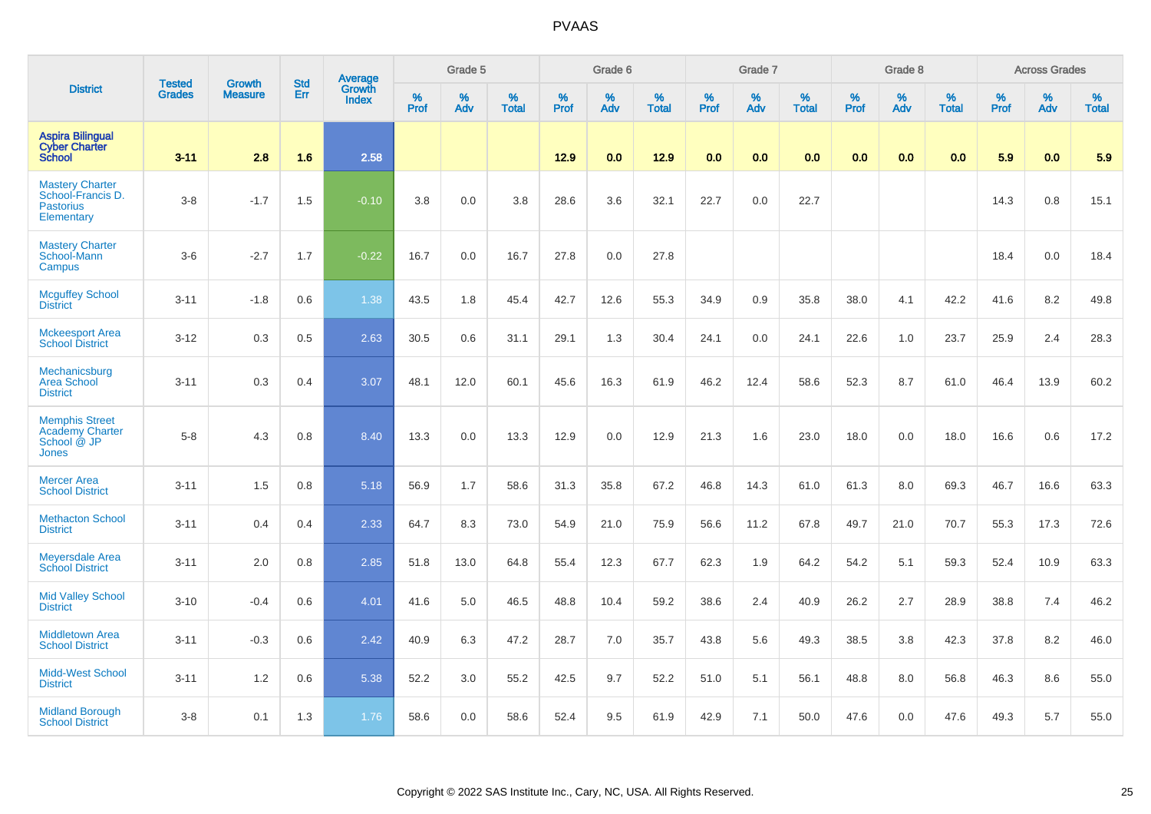|                                                                                | <b>Tested</b> | <b>Growth</b>  | <b>Std</b> |                                   |              | Grade 5  |                      |              | Grade 6  |                      |              | Grade 7  |                   |              | Grade 8  |                   |              | <b>Across Grades</b> |                      |
|--------------------------------------------------------------------------------|---------------|----------------|------------|-----------------------------------|--------------|----------|----------------------|--------------|----------|----------------------|--------------|----------|-------------------|--------------|----------|-------------------|--------------|----------------------|----------------------|
| <b>District</b>                                                                | <b>Grades</b> | <b>Measure</b> | Err        | Average<br>Growth<br><b>Index</b> | $\%$<br>Prof | %<br>Adv | $\%$<br><b>Total</b> | $\%$<br>Prof | %<br>Adv | $\%$<br><b>Total</b> | $\%$<br>Prof | %<br>Adv | %<br><b>Total</b> | $\%$<br>Prof | %<br>Adv | %<br><b>Total</b> | $\%$<br>Prof | $\%$<br>Adv          | $\%$<br><b>Total</b> |
| <b>Aspira Bilingual</b><br><b>Cyber Charter</b><br><b>School</b>               | $3 - 11$      | 2.8            | 1.6        | 2.58                              |              |          |                      | 12.9         | 0.0      | 12.9                 | 0.0          | 0.0      | 0.0               | 0.0          | 0.0      | 0.0               | 5.9          | 0.0                  | 5.9                  |
| <b>Mastery Charter</b><br>School-Francis D.<br><b>Pastorius</b><br>Elementary  | $3-8$         | $-1.7$         | 1.5        | $-0.10$                           | 3.8          | 0.0      | 3.8                  | 28.6         | 3.6      | 32.1                 | 22.7         | 0.0      | 22.7              |              |          |                   | 14.3         | 0.8                  | 15.1                 |
| <b>Mastery Charter</b><br>School-Mann<br>Campus                                | $3-6$         | $-2.7$         | 1.7        | $-0.22$                           | 16.7         | 0.0      | 16.7                 | 27.8         | 0.0      | 27.8                 |              |          |                   |              |          |                   | 18.4         | 0.0                  | 18.4                 |
| <b>Mcguffey School</b><br><b>District</b>                                      | $3 - 11$      | $-1.8$         | 0.6        | 1.38                              | 43.5         | 1.8      | 45.4                 | 42.7         | 12.6     | 55.3                 | 34.9         | 0.9      | 35.8              | 38.0         | 4.1      | 42.2              | 41.6         | 8.2                  | 49.8                 |
| <b>Mckeesport Area</b><br><b>School District</b>                               | $3 - 12$      | 0.3            | 0.5        | 2.63                              | 30.5         | 0.6      | 31.1                 | 29.1         | 1.3      | 30.4                 | 24.1         | 0.0      | 24.1              | 22.6         | 1.0      | 23.7              | 25.9         | 2.4                  | 28.3                 |
| Mechanicsburg<br><b>Area School</b><br><b>District</b>                         | $3 - 11$      | 0.3            | 0.4        | 3.07                              | 48.1         | 12.0     | 60.1                 | 45.6         | 16.3     | 61.9                 | 46.2         | 12.4     | 58.6              | 52.3         | 8.7      | 61.0              | 46.4         | 13.9                 | 60.2                 |
| <b>Memphis Street</b><br><b>Academy Charter</b><br>School @ JP<br><b>Jones</b> | $5-8$         | 4.3            | 0.8        | 8.40                              | 13.3         | 0.0      | 13.3                 | 12.9         | 0.0      | 12.9                 | 21.3         | 1.6      | 23.0              | 18.0         | 0.0      | 18.0              | 16.6         | 0.6                  | 17.2                 |
| <b>Mercer Area</b><br><b>School District</b>                                   | $3 - 11$      | 1.5            | 0.8        | 5.18                              | 56.9         | 1.7      | 58.6                 | 31.3         | 35.8     | 67.2                 | 46.8         | 14.3     | 61.0              | 61.3         | 8.0      | 69.3              | 46.7         | 16.6                 | 63.3                 |
| <b>Methacton School</b><br><b>District</b>                                     | $3 - 11$      | 0.4            | 0.4        | 2.33                              | 64.7         | 8.3      | 73.0                 | 54.9         | 21.0     | 75.9                 | 56.6         | 11.2     | 67.8              | 49.7         | 21.0     | 70.7              | 55.3         | 17.3                 | 72.6                 |
| <b>Meyersdale Area</b><br><b>School District</b>                               | $3 - 11$      | 2.0            | 0.8        | 2.85                              | 51.8         | 13.0     | 64.8                 | 55.4         | 12.3     | 67.7                 | 62.3         | 1.9      | 64.2              | 54.2         | 5.1      | 59.3              | 52.4         | 10.9                 | 63.3                 |
| <b>Mid Valley School</b><br><b>District</b>                                    | $3 - 10$      | $-0.4$         | 0.6        | 4.01                              | 41.6         | 5.0      | 46.5                 | 48.8         | 10.4     | 59.2                 | 38.6         | 2.4      | 40.9              | 26.2         | 2.7      | 28.9              | 38.8         | 7.4                  | 46.2                 |
| <b>Middletown Area</b><br><b>School District</b>                               | $3 - 11$      | $-0.3$         | 0.6        | 2.42                              | 40.9         | 6.3      | 47.2                 | 28.7         | 7.0      | 35.7                 | 43.8         | 5.6      | 49.3              | 38.5         | 3.8      | 42.3              | 37.8         | 8.2                  | 46.0                 |
| <b>Midd-West School</b><br><b>District</b>                                     | $3 - 11$      | 1.2            | 0.6        | 5.38                              | 52.2         | 3.0      | 55.2                 | 42.5         | 9.7      | 52.2                 | 51.0         | 5.1      | 56.1              | 48.8         | 8.0      | 56.8              | 46.3         | 8.6                  | 55.0                 |
| <b>Midland Borough</b><br><b>School District</b>                               | $3-8$         | 0.1            | 1.3        | 1.76                              | 58.6         | 0.0      | 58.6                 | 52.4         | 9.5      | 61.9                 | 42.9         | 7.1      | 50.0              | 47.6         | 0.0      | 47.6              | 49.3         | 5.7                  | 55.0                 |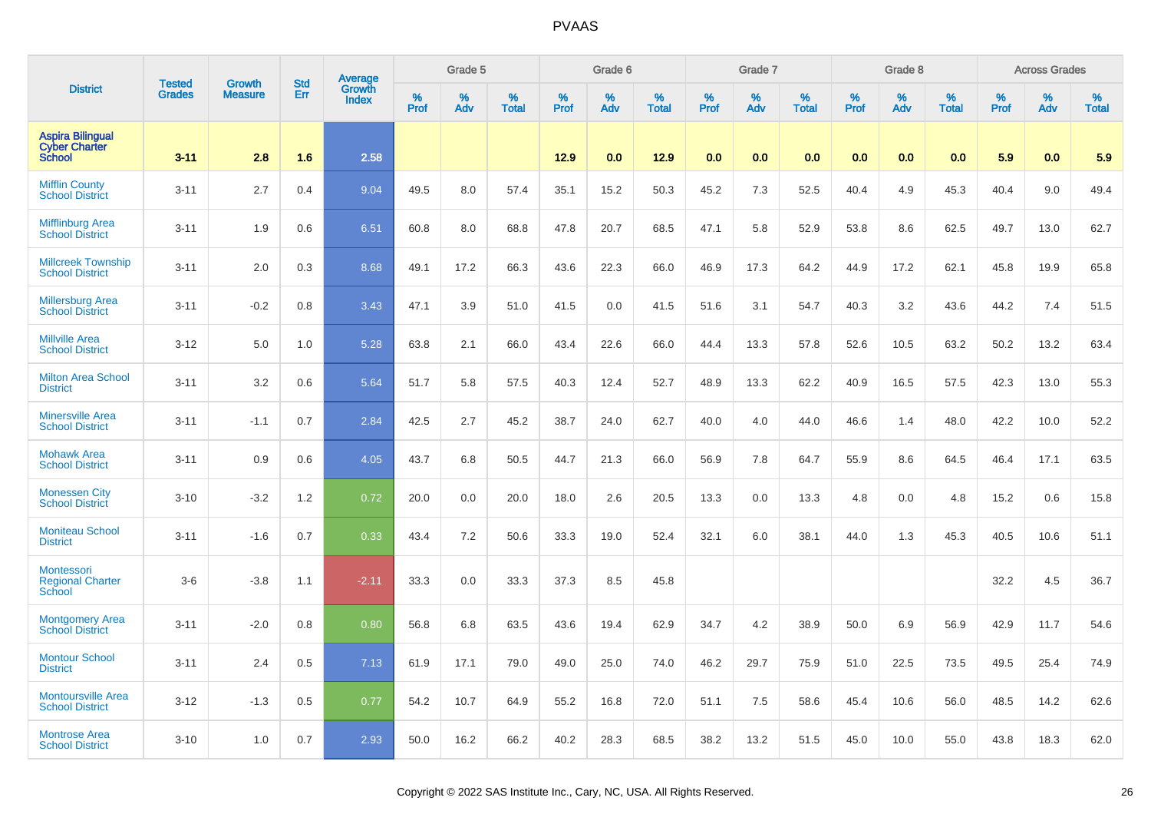|                                                                  | <b>Tested</b> | <b>Growth</b>  | <b>Std</b> | Average                |           | Grade 5  |                   |           | Grade 6  |                   |           | Grade 7  |                   |           | Grade 8  |                   |           | <b>Across Grades</b> |                   |
|------------------------------------------------------------------|---------------|----------------|------------|------------------------|-----------|----------|-------------------|-----------|----------|-------------------|-----------|----------|-------------------|-----------|----------|-------------------|-----------|----------------------|-------------------|
| <b>District</b>                                                  | <b>Grades</b> | <b>Measure</b> | Err        | Growth<br><b>Index</b> | %<br>Prof | %<br>Adv | %<br><b>Total</b> | %<br>Prof | %<br>Adv | %<br><b>Total</b> | %<br>Prof | %<br>Adv | %<br><b>Total</b> | %<br>Prof | %<br>Adv | %<br><b>Total</b> | %<br>Prof | %<br>Adv             | %<br><b>Total</b> |
| <b>Aspira Bilingual</b><br><b>Cyber Charter</b><br><b>School</b> | $3 - 11$      | 2.8            | 1.6        | 2.58                   |           |          |                   | 12.9      | 0.0      | 12.9              | 0.0       | 0.0      | 0.0               | 0.0       | 0.0      | 0.0               | 5.9       | 0.0                  | 5.9               |
| <b>Mifflin County</b><br><b>School District</b>                  | $3 - 11$      | 2.7            | 0.4        | 9.04                   | 49.5      | 8.0      | 57.4              | 35.1      | 15.2     | 50.3              | 45.2      | 7.3      | 52.5              | 40.4      | 4.9      | 45.3              | 40.4      | 9.0                  | 49.4              |
| <b>Mifflinburg Area</b><br><b>School District</b>                | $3 - 11$      | 1.9            | 0.6        | 6.51                   | 60.8      | 8.0      | 68.8              | 47.8      | 20.7     | 68.5              | 47.1      | 5.8      | 52.9              | 53.8      | 8.6      | 62.5              | 49.7      | 13.0                 | 62.7              |
| <b>Millcreek Township</b><br><b>School District</b>              | $3 - 11$      | 2.0            | 0.3        | 8.68                   | 49.1      | 17.2     | 66.3              | 43.6      | 22.3     | 66.0              | 46.9      | 17.3     | 64.2              | 44.9      | 17.2     | 62.1              | 45.8      | 19.9                 | 65.8              |
| <b>Millersburg Area</b><br><b>School District</b>                | $3 - 11$      | $-0.2$         | 0.8        | 3.43                   | 47.1      | 3.9      | 51.0              | 41.5      | 0.0      | 41.5              | 51.6      | 3.1      | 54.7              | 40.3      | 3.2      | 43.6              | 44.2      | 7.4                  | 51.5              |
| <b>Millville Area</b><br><b>School District</b>                  | $3 - 12$      | 5.0            | 1.0        | 5.28                   | 63.8      | 2.1      | 66.0              | 43.4      | 22.6     | 66.0              | 44.4      | 13.3     | 57.8              | 52.6      | 10.5     | 63.2              | 50.2      | 13.2                 | 63.4              |
| <b>Milton Area School</b><br><b>District</b>                     | $3 - 11$      | 3.2            | 0.6        | 5.64                   | 51.7      | 5.8      | 57.5              | 40.3      | 12.4     | 52.7              | 48.9      | 13.3     | 62.2              | 40.9      | 16.5     | 57.5              | 42.3      | 13.0                 | 55.3              |
| <b>Minersville Area</b><br><b>School District</b>                | $3 - 11$      | $-1.1$         | 0.7        | 2.84                   | 42.5      | 2.7      | 45.2              | 38.7      | 24.0     | 62.7              | 40.0      | 4.0      | 44.0              | 46.6      | 1.4      | 48.0              | 42.2      | 10.0                 | 52.2              |
| <b>Mohawk Area</b><br><b>School District</b>                     | $3 - 11$      | 0.9            | 0.6        | 4.05                   | 43.7      | 6.8      | 50.5              | 44.7      | 21.3     | 66.0              | 56.9      | 7.8      | 64.7              | 55.9      | 8.6      | 64.5              | 46.4      | 17.1                 | 63.5              |
| <b>Monessen City</b><br><b>School District</b>                   | $3 - 10$      | $-3.2$         | 1.2        | 0.72                   | 20.0      | 0.0      | 20.0              | 18.0      | 2.6      | 20.5              | 13.3      | 0.0      | 13.3              | 4.8       | 0.0      | 4.8               | 15.2      | 0.6                  | 15.8              |
| <b>Moniteau School</b><br><b>District</b>                        | $3 - 11$      | $-1.6$         | 0.7        | 0.33                   | 43.4      | 7.2      | 50.6              | 33.3      | 19.0     | 52.4              | 32.1      | 6.0      | 38.1              | 44.0      | 1.3      | 45.3              | 40.5      | 10.6                 | 51.1              |
| Montessori<br><b>Regional Charter</b><br>School                  | $3-6$         | $-3.8$         | 1.1        | $-2.11$                | 33.3      | 0.0      | 33.3              | 37.3      | 8.5      | 45.8              |           |          |                   |           |          |                   | 32.2      | 4.5                  | 36.7              |
| <b>Montgomery Area</b><br><b>School District</b>                 | $3 - 11$      | $-2.0$         | 0.8        | 0.80                   | 56.8      | 6.8      | 63.5              | 43.6      | 19.4     | 62.9              | 34.7      | 4.2      | 38.9              | 50.0      | 6.9      | 56.9              | 42.9      | 11.7                 | 54.6              |
| <b>Montour School</b><br><b>District</b>                         | $3 - 11$      | 2.4            | 0.5        | 7.13                   | 61.9      | 17.1     | 79.0              | 49.0      | 25.0     | 74.0              | 46.2      | 29.7     | 75.9              | 51.0      | 22.5     | 73.5              | 49.5      | 25.4                 | 74.9              |
| <b>Montoursville Area</b><br><b>School District</b>              | $3 - 12$      | $-1.3$         | 0.5        | 0.77                   | 54.2      | 10.7     | 64.9              | 55.2      | 16.8     | 72.0              | 51.1      | 7.5      | 58.6              | 45.4      | 10.6     | 56.0              | 48.5      | 14.2                 | 62.6              |
| <b>Montrose Area</b><br><b>School District</b>                   | $3 - 10$      | 1.0            | 0.7        | 2.93                   | 50.0      | 16.2     | 66.2              | 40.2      | 28.3     | 68.5              | 38.2      | 13.2     | 51.5              | 45.0      | 10.0     | 55.0              | 43.8      | 18.3                 | 62.0              |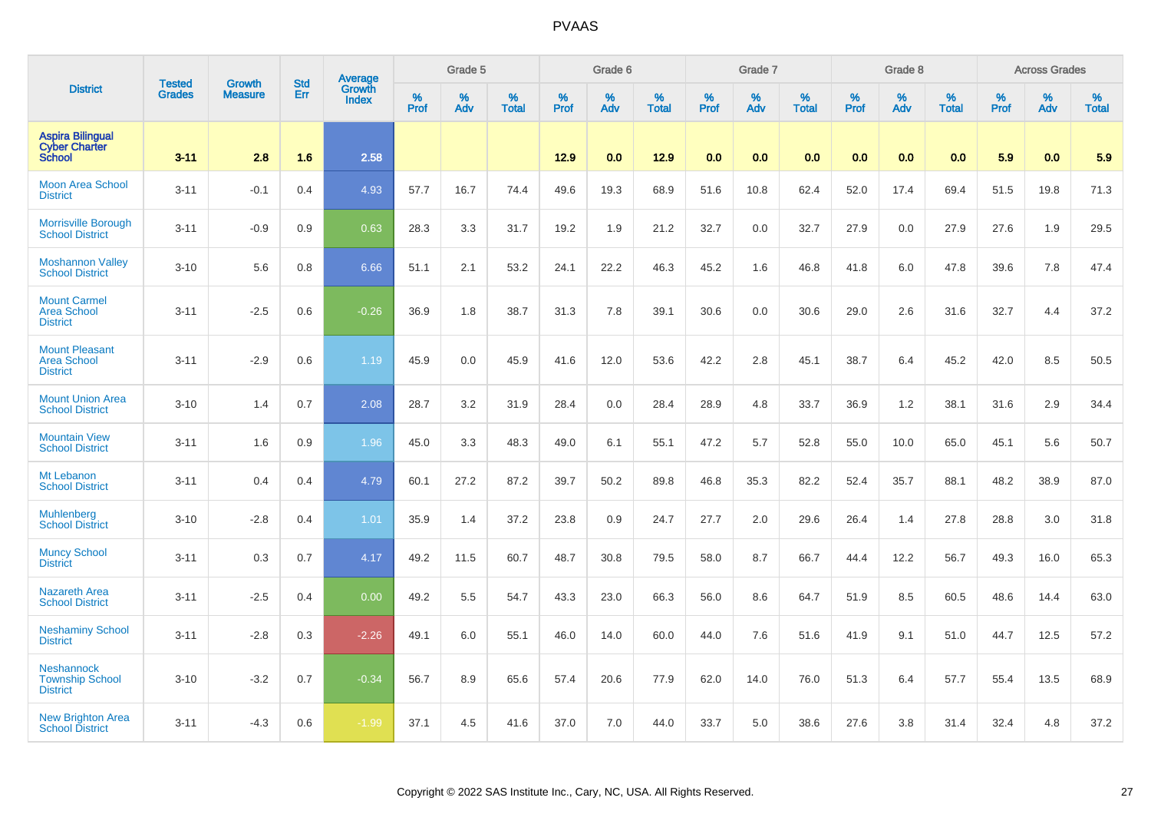|                                                                  |                                | <b>Growth</b>  | <b>Std</b> | Average         |              | Grade 5  |                   |           | Grade 6  |                   |              | Grade 7  |                   |           | Grade 8  |                   |              | <b>Across Grades</b> |                   |
|------------------------------------------------------------------|--------------------------------|----------------|------------|-----------------|--------------|----------|-------------------|-----------|----------|-------------------|--------------|----------|-------------------|-----------|----------|-------------------|--------------|----------------------|-------------------|
| <b>District</b>                                                  | <b>Tested</b><br><b>Grades</b> | <b>Measure</b> | Err        | Growth<br>Index | $\%$<br>Prof | %<br>Adv | %<br><b>Total</b> | %<br>Prof | %<br>Adv | %<br><b>Total</b> | $\%$<br>Prof | %<br>Adv | %<br><b>Total</b> | %<br>Prof | %<br>Adv | %<br><b>Total</b> | $\%$<br>Prof | %<br>Adv             | %<br><b>Total</b> |
| <b>Aspira Bilingual</b><br><b>Cyber Charter</b><br><b>School</b> | $3 - 11$                       | 2.8            | 1.6        | 2.58            |              |          |                   | 12.9      | 0.0      | 12.9              | 0.0          | 0.0      | 0.0               | 0.0       | 0.0      | 0.0               | 5.9          | 0.0                  | 5.9               |
| <b>Moon Area School</b><br><b>District</b>                       | $3 - 11$                       | $-0.1$         | 0.4        | 4.93            | 57.7         | 16.7     | 74.4              | 49.6      | 19.3     | 68.9              | 51.6         | 10.8     | 62.4              | 52.0      | 17.4     | 69.4              | 51.5         | 19.8                 | 71.3              |
| <b>Morrisville Borough</b><br><b>School District</b>             | $3 - 11$                       | $-0.9$         | 0.9        | 0.63            | 28.3         | 3.3      | 31.7              | 19.2      | 1.9      | 21.2              | 32.7         | 0.0      | 32.7              | 27.9      | 0.0      | 27.9              | 27.6         | 1.9                  | 29.5              |
| <b>Moshannon Valley</b><br><b>School District</b>                | $3 - 10$                       | 5.6            | 0.8        | 6.66            | 51.1         | 2.1      | 53.2              | 24.1      | 22.2     | 46.3              | 45.2         | 1.6      | 46.8              | 41.8      | 6.0      | 47.8              | 39.6         | 7.8                  | 47.4              |
| <b>Mount Carmel</b><br><b>Area School</b><br><b>District</b>     | $3 - 11$                       | $-2.5$         | 0.6        | $-0.26$         | 36.9         | 1.8      | 38.7              | 31.3      | 7.8      | 39.1              | 30.6         | 0.0      | 30.6              | 29.0      | 2.6      | 31.6              | 32.7         | 4.4                  | 37.2              |
| <b>Mount Pleasant</b><br><b>Area School</b><br><b>District</b>   | $3 - 11$                       | $-2.9$         | 0.6        | 1.19            | 45.9         | 0.0      | 45.9              | 41.6      | 12.0     | 53.6              | 42.2         | 2.8      | 45.1              | 38.7      | 6.4      | 45.2              | 42.0         | 8.5                  | 50.5              |
| <b>Mount Union Area</b><br><b>School District</b>                | $3 - 10$                       | 1.4            | 0.7        | 2.08            | 28.7         | 3.2      | 31.9              | 28.4      | 0.0      | 28.4              | 28.9         | 4.8      | 33.7              | 36.9      | 1.2      | 38.1              | 31.6         | 2.9                  | 34.4              |
| <b>Mountain View</b><br><b>School District</b>                   | $3 - 11$                       | 1.6            | 0.9        | 1.96            | 45.0         | 3.3      | 48.3              | 49.0      | 6.1      | 55.1              | 47.2         | 5.7      | 52.8              | 55.0      | 10.0     | 65.0              | 45.1         | 5.6                  | 50.7              |
| Mt Lebanon<br><b>School District</b>                             | $3 - 11$                       | 0.4            | 0.4        | 4.79            | 60.1         | 27.2     | 87.2              | 39.7      | 50.2     | 89.8              | 46.8         | 35.3     | 82.2              | 52.4      | 35.7     | 88.1              | 48.2         | 38.9                 | 87.0              |
| <b>Muhlenberg</b><br><b>School District</b>                      | $3 - 10$                       | $-2.8$         | 0.4        | 1.01            | 35.9         | 1.4      | 37.2              | 23.8      | 0.9      | 24.7              | 27.7         | 2.0      | 29.6              | 26.4      | 1.4      | 27.8              | 28.8         | 3.0                  | 31.8              |
| <b>Muncy School</b><br><b>District</b>                           | $3 - 11$                       | 0.3            | 0.7        | 4.17            | 49.2         | 11.5     | 60.7              | 48.7      | 30.8     | 79.5              | 58.0         | 8.7      | 66.7              | 44.4      | 12.2     | 56.7              | 49.3         | 16.0                 | 65.3              |
| Nazareth Area<br><b>School District</b>                          | $3 - 11$                       | $-2.5$         | 0.4        | 0.00            | 49.2         | 5.5      | 54.7              | 43.3      | 23.0     | 66.3              | 56.0         | 8.6      | 64.7              | 51.9      | 8.5      | 60.5              | 48.6         | 14.4                 | 63.0              |
| <b>Neshaminy School</b><br><b>District</b>                       | $3 - 11$                       | $-2.8$         | 0.3        | $-2.26$         | 49.1         | 6.0      | 55.1              | 46.0      | 14.0     | 60.0              | 44.0         | 7.6      | 51.6              | 41.9      | 9.1      | 51.0              | 44.7         | 12.5                 | 57.2              |
| <b>Neshannock</b><br><b>Township School</b><br><b>District</b>   | $3 - 10$                       | $-3.2$         | 0.7        | $-0.34$         | 56.7         | 8.9      | 65.6              | 57.4      | 20.6     | 77.9              | 62.0         | 14.0     | 76.0              | 51.3      | 6.4      | 57.7              | 55.4         | 13.5                 | 68.9              |
| <b>New Brighton Area</b><br><b>School District</b>               | $3 - 11$                       | $-4.3$         | 0.6        | $-1.99$         | 37.1         | 4.5      | 41.6              | 37.0      | 7.0      | 44.0              | 33.7         | 5.0      | 38.6              | 27.6      | 3.8      | 31.4              | 32.4         | 4.8                  | 37.2              |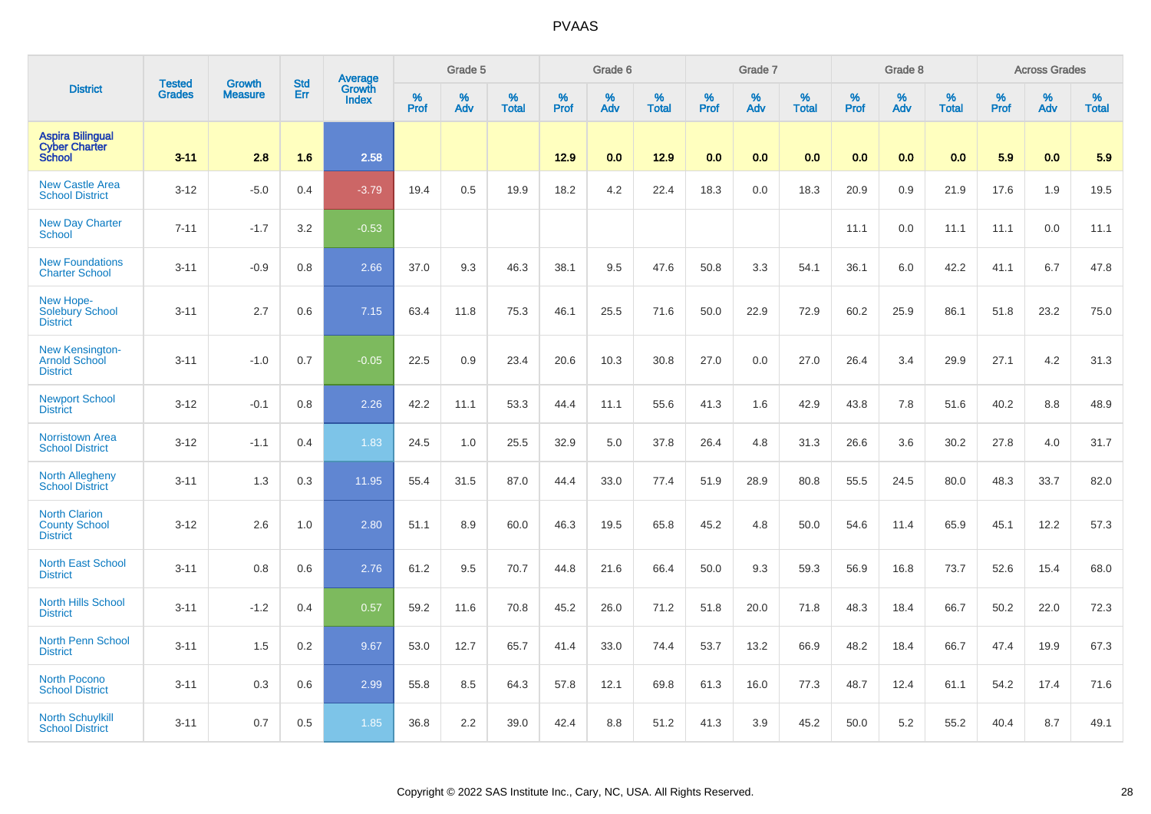|                                                                   |                                | <b>Growth</b>  | <b>Std</b> | Average                |              | Grade 5  |                   |           | Grade 6  |                   |           | Grade 7  |                   |           | Grade 8  |                   |              | <b>Across Grades</b> |                   |
|-------------------------------------------------------------------|--------------------------------|----------------|------------|------------------------|--------------|----------|-------------------|-----------|----------|-------------------|-----------|----------|-------------------|-----------|----------|-------------------|--------------|----------------------|-------------------|
| <b>District</b>                                                   | <b>Tested</b><br><b>Grades</b> | <b>Measure</b> | Err        | Growth<br><b>Index</b> | $\%$<br>Prof | %<br>Adv | %<br><b>Total</b> | %<br>Prof | %<br>Adv | %<br><b>Total</b> | %<br>Prof | %<br>Adv | %<br><b>Total</b> | %<br>Prof | %<br>Adv | %<br><b>Total</b> | $\%$<br>Prof | %<br>Adv             | %<br><b>Total</b> |
| <b>Aspira Bilingual</b><br><b>Cyber Charter</b><br><b>School</b>  | $3 - 11$                       | 2.8            | 1.6        | 2.58                   |              |          |                   | 12.9      | 0.0      | 12.9              | 0.0       | 0.0      | 0.0               | 0.0       | 0.0      | 0.0               | 5.9          | 0.0                  | 5.9               |
| <b>New Castle Area</b><br><b>School District</b>                  | $3 - 12$                       | $-5.0$         | 0.4        | $-3.79$                | 19.4         | 0.5      | 19.9              | 18.2      | 4.2      | 22.4              | 18.3      | 0.0      | 18.3              | 20.9      | 0.9      | 21.9              | 17.6         | 1.9                  | 19.5              |
| <b>New Day Charter</b><br><b>School</b>                           | $7 - 11$                       | $-1.7$         | 3.2        | $-0.53$                |              |          |                   |           |          |                   |           |          |                   | 11.1      | 0.0      | 11.1              | 11.1         | 0.0                  | 11.1              |
| <b>New Foundations</b><br><b>Charter School</b>                   | $3 - 11$                       | $-0.9$         | 0.8        | 2.66                   | 37.0         | 9.3      | 46.3              | 38.1      | 9.5      | 47.6              | 50.8      | 3.3      | 54.1              | 36.1      | 6.0      | 42.2              | 41.1         | 6.7                  | 47.8              |
| New Hope-<br><b>Solebury School</b><br><b>District</b>            | $3 - 11$                       | 2.7            | 0.6        | 7.15                   | 63.4         | 11.8     | 75.3              | 46.1      | 25.5     | 71.6              | 50.0      | 22.9     | 72.9              | 60.2      | 25.9     | 86.1              | 51.8         | 23.2                 | 75.0              |
| <b>New Kensington-</b><br><b>Arnold School</b><br><b>District</b> | $3 - 11$                       | $-1.0$         | 0.7        | $-0.05$                | 22.5         | 0.9      | 23.4              | 20.6      | 10.3     | 30.8              | 27.0      | 0.0      | 27.0              | 26.4      | 3.4      | 29.9              | 27.1         | 4.2                  | 31.3              |
| <b>Newport School</b><br><b>District</b>                          | $3 - 12$                       | $-0.1$         | 0.8        | 2.26                   | 42.2         | 11.1     | 53.3              | 44.4      | 11.1     | 55.6              | 41.3      | 1.6      | 42.9              | 43.8      | 7.8      | 51.6              | 40.2         | 8.8                  | 48.9              |
| <b>Norristown Area</b><br><b>School District</b>                  | $3 - 12$                       | $-1.1$         | 0.4        | 1.83                   | 24.5         | 1.0      | 25.5              | 32.9      | 5.0      | 37.8              | 26.4      | 4.8      | 31.3              | 26.6      | 3.6      | 30.2              | 27.8         | 4.0                  | 31.7              |
| <b>North Allegheny</b><br><b>School District</b>                  | $3 - 11$                       | 1.3            | 0.3        | 11.95                  | 55.4         | 31.5     | 87.0              | 44.4      | 33.0     | 77.4              | 51.9      | 28.9     | 80.8              | 55.5      | 24.5     | 80.0              | 48.3         | 33.7                 | 82.0              |
| <b>North Clarion</b><br><b>County School</b><br><b>District</b>   | $3 - 12$                       | 2.6            | 1.0        | 2.80                   | 51.1         | 8.9      | 60.0              | 46.3      | 19.5     | 65.8              | 45.2      | 4.8      | 50.0              | 54.6      | 11.4     | 65.9              | 45.1         | 12.2                 | 57.3              |
| <b>North East School</b><br><b>District</b>                       | $3 - 11$                       | 0.8            | 0.6        | 2.76                   | 61.2         | 9.5      | 70.7              | 44.8      | 21.6     | 66.4              | 50.0      | 9.3      | 59.3              | 56.9      | 16.8     | 73.7              | 52.6         | 15.4                 | 68.0              |
| <b>North Hills School</b><br><b>District</b>                      | $3 - 11$                       | $-1.2$         | 0.4        | 0.57                   | 59.2         | 11.6     | 70.8              | 45.2      | 26.0     | 71.2              | 51.8      | 20.0     | 71.8              | 48.3      | 18.4     | 66.7              | 50.2         | 22.0                 | 72.3              |
| <b>North Penn School</b><br><b>District</b>                       | $3 - 11$                       | 1.5            | 0.2        | 9.67                   | 53.0         | 12.7     | 65.7              | 41.4      | 33.0     | 74.4              | 53.7      | 13.2     | 66.9              | 48.2      | 18.4     | 66.7              | 47.4         | 19.9                 | 67.3              |
| <b>North Pocono</b><br><b>School District</b>                     | $3 - 11$                       | 0.3            | 0.6        | 2.99                   | 55.8         | 8.5      | 64.3              | 57.8      | 12.1     | 69.8              | 61.3      | 16.0     | 77.3              | 48.7      | 12.4     | 61.1              | 54.2         | 17.4                 | 71.6              |
| <b>North Schuylkill</b><br><b>School District</b>                 | $3 - 11$                       | 0.7            | 0.5        | 1.85                   | 36.8         | 2.2      | 39.0              | 42.4      | 8.8      | 51.2              | 41.3      | 3.9      | 45.2              | 50.0      | 5.2      | 55.2              | 40.4         | 8.7                  | 49.1              |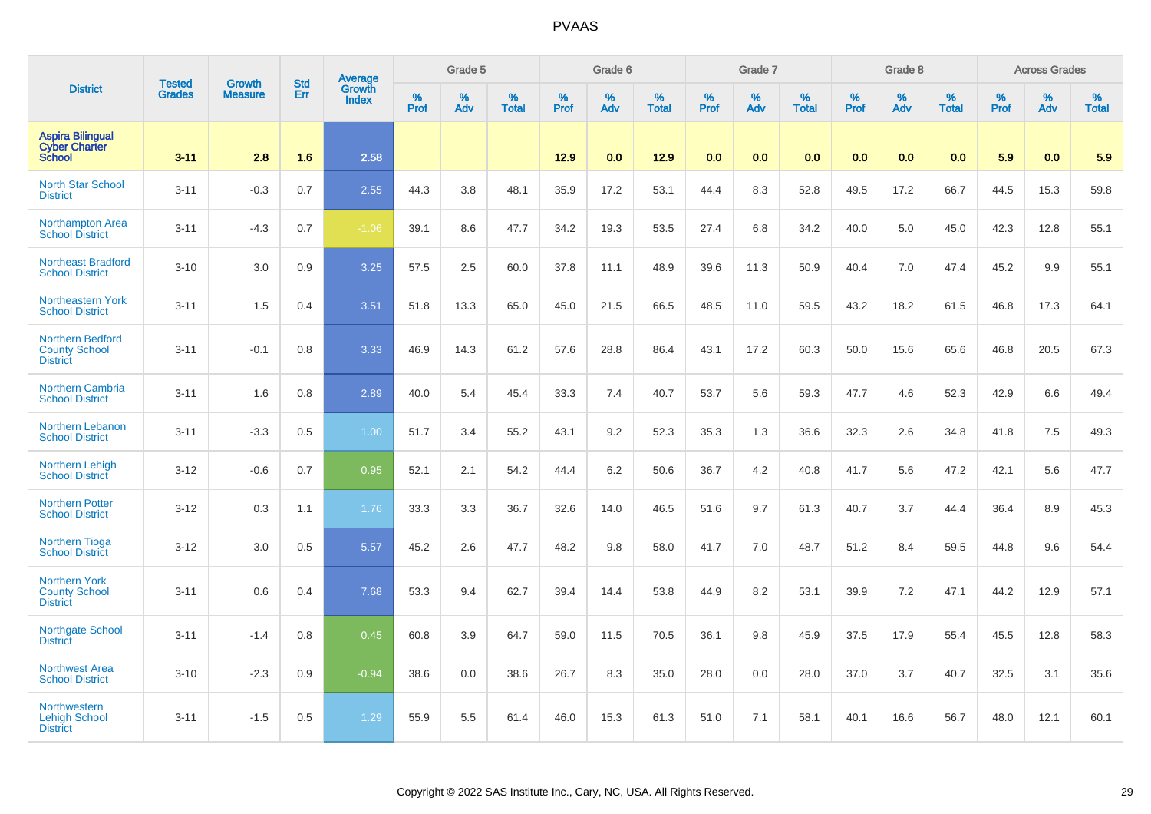|                                                                    | <b>Tested</b> | <b>Growth</b>  | <b>Std</b> |                                          |                  | Grade 5  |                   |                  | Grade 6  |                   |           | Grade 7  |                   |           | Grade 8  |                   |                  | <b>Across Grades</b> |                   |
|--------------------------------------------------------------------|---------------|----------------|------------|------------------------------------------|------------------|----------|-------------------|------------------|----------|-------------------|-----------|----------|-------------------|-----------|----------|-------------------|------------------|----------------------|-------------------|
| <b>District</b>                                                    | <b>Grades</b> | <b>Measure</b> | Err        | <b>Average</b><br>Growth<br><b>Index</b> | %<br><b>Prof</b> | %<br>Adv | %<br><b>Total</b> | %<br><b>Prof</b> | %<br>Adv | %<br><b>Total</b> | %<br>Prof | %<br>Adv | %<br><b>Total</b> | %<br>Prof | %<br>Adv | %<br><b>Total</b> | %<br><b>Prof</b> | $\%$<br>Adv          | %<br><b>Total</b> |
| <b>Aspira Bilingual</b><br><b>Cyber Charter</b><br><b>School</b>   | $3 - 11$      | 2.8            | 1.6        | 2.58                                     |                  |          |                   | 12.9             | 0.0      | 12.9              | 0.0       | 0.0      | 0.0               | 0.0       | 0.0      | 0.0               | 5.9              | 0.0                  | 5.9               |
| <b>North Star School</b><br><b>District</b>                        | $3 - 11$      | $-0.3$         | 0.7        | 2.55                                     | 44.3             | 3.8      | 48.1              | 35.9             | 17.2     | 53.1              | 44.4      | 8.3      | 52.8              | 49.5      | 17.2     | 66.7              | 44.5             | 15.3                 | 59.8              |
| Northampton Area<br><b>School District</b>                         | $3 - 11$      | $-4.3$         | 0.7        | $-1.06$                                  | 39.1             | 8.6      | 47.7              | 34.2             | 19.3     | 53.5              | 27.4      | 6.8      | 34.2              | 40.0      | 5.0      | 45.0              | 42.3             | 12.8                 | 55.1              |
| <b>Northeast Bradford</b><br><b>School District</b>                | $3 - 10$      | 3.0            | 0.9        | 3.25                                     | 57.5             | 2.5      | 60.0              | 37.8             | 11.1     | 48.9              | 39.6      | 11.3     | 50.9              | 40.4      | 7.0      | 47.4              | 45.2             | 9.9                  | 55.1              |
| <b>Northeastern York</b><br><b>School District</b>                 | $3 - 11$      | 1.5            | 0.4        | 3.51                                     | 51.8             | 13.3     | 65.0              | 45.0             | 21.5     | 66.5              | 48.5      | 11.0     | 59.5              | 43.2      | 18.2     | 61.5              | 46.8             | 17.3                 | 64.1              |
| <b>Northern Bedford</b><br><b>County School</b><br><b>District</b> | $3 - 11$      | $-0.1$         | 0.8        | 3.33                                     | 46.9             | 14.3     | 61.2              | 57.6             | 28.8     | 86.4              | 43.1      | 17.2     | 60.3              | 50.0      | 15.6     | 65.6              | 46.8             | 20.5                 | 67.3              |
| Northern Cambria<br><b>School District</b>                         | $3 - 11$      | 1.6            | 0.8        | 2.89                                     | 40.0             | 5.4      | 45.4              | 33.3             | 7.4      | 40.7              | 53.7      | 5.6      | 59.3              | 47.7      | 4.6      | 52.3              | 42.9             | 6.6                  | 49.4              |
| Northern Lebanon<br><b>School District</b>                         | $3 - 11$      | $-3.3$         | 0.5        | 1.00                                     | 51.7             | 3.4      | 55.2              | 43.1             | 9.2      | 52.3              | 35.3      | 1.3      | 36.6              | 32.3      | 2.6      | 34.8              | 41.8             | 7.5                  | 49.3              |
| Northern Lehigh<br><b>School District</b>                          | $3 - 12$      | $-0.6$         | 0.7        | 0.95                                     | 52.1             | 2.1      | 54.2              | 44.4             | 6.2      | 50.6              | 36.7      | 4.2      | 40.8              | 41.7      | 5.6      | 47.2              | 42.1             | 5.6                  | 47.7              |
| <b>Northern Potter</b><br><b>School District</b>                   | $3 - 12$      | 0.3            | 1.1        | 1.76                                     | 33.3             | 3.3      | 36.7              | 32.6             | 14.0     | 46.5              | 51.6      | 9.7      | 61.3              | 40.7      | 3.7      | 44.4              | 36.4             | 8.9                  | 45.3              |
| <b>Northern Tioga</b><br><b>School District</b>                    | $3 - 12$      | 3.0            | 0.5        | 5.57                                     | 45.2             | 2.6      | 47.7              | 48.2             | 9.8      | 58.0              | 41.7      | 7.0      | 48.7              | 51.2      | 8.4      | 59.5              | 44.8             | 9.6                  | 54.4              |
| <b>Northern York</b><br><b>County School</b><br><b>District</b>    | $3 - 11$      | 0.6            | 0.4        | 7.68                                     | 53.3             | 9.4      | 62.7              | 39.4             | 14.4     | 53.8              | 44.9      | 8.2      | 53.1              | 39.9      | 7.2      | 47.1              | 44.2             | 12.9                 | 57.1              |
| <b>Northgate School</b><br><b>District</b>                         | $3 - 11$      | $-1.4$         | 0.8        | 0.45                                     | 60.8             | 3.9      | 64.7              | 59.0             | 11.5     | 70.5              | 36.1      | 9.8      | 45.9              | 37.5      | 17.9     | 55.4              | 45.5             | 12.8                 | 58.3              |
| <b>Northwest Area</b><br><b>School District</b>                    | $3 - 10$      | $-2.3$         | 0.9        | $-0.94$                                  | 38.6             | 0.0      | 38.6              | 26.7             | 8.3      | 35.0              | 28.0      | 0.0      | 28.0              | 37.0      | 3.7      | 40.7              | 32.5             | 3.1                  | 35.6              |
| <b>Northwestern</b><br><b>Lehigh School</b><br><b>District</b>     | $3 - 11$      | $-1.5$         | 0.5        | 1.29                                     | 55.9             | 5.5      | 61.4              | 46.0             | 15.3     | 61.3              | 51.0      | 7.1      | 58.1              | 40.1      | 16.6     | 56.7              | 48.0             | 12.1                 | 60.1              |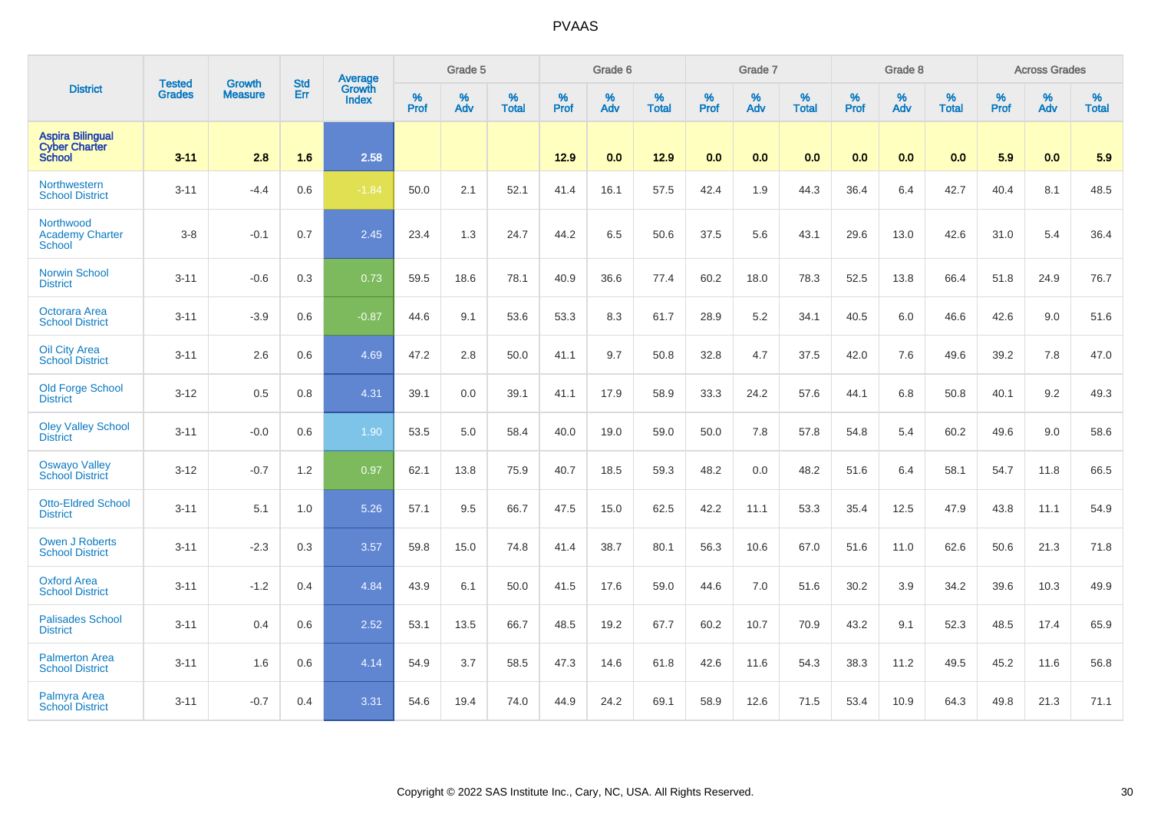|                                                                  |                                |                                 | <b>Std</b> | Average                |           | Grade 5  |                   |           | Grade 6  |                   |           | Grade 7  |                   |           | Grade 8  |                   |           | <b>Across Grades</b> |                   |
|------------------------------------------------------------------|--------------------------------|---------------------------------|------------|------------------------|-----------|----------|-------------------|-----------|----------|-------------------|-----------|----------|-------------------|-----------|----------|-------------------|-----------|----------------------|-------------------|
| <b>District</b>                                                  | <b>Tested</b><br><b>Grades</b> | <b>Growth</b><br><b>Measure</b> | Err        | Growth<br><b>Index</b> | %<br>Prof | %<br>Adv | %<br><b>Total</b> | %<br>Prof | %<br>Adv | %<br><b>Total</b> | %<br>Prof | %<br>Adv | %<br><b>Total</b> | %<br>Prof | %<br>Adv | %<br><b>Total</b> | %<br>Prof | %<br>Adv             | %<br><b>Total</b> |
| <b>Aspira Bilingual</b><br><b>Cyber Charter</b><br><b>School</b> | $3 - 11$                       | 2.8                             | 1.6        | 2.58                   |           |          |                   | 12.9      | 0.0      | 12.9              | 0.0       | 0.0      | 0.0               | 0.0       | 0.0      | 0.0               | 5.9       | 0.0                  | 5.9               |
| <b>Northwestern</b><br><b>School District</b>                    | $3 - 11$                       | $-4.4$                          | 0.6        | $-1.84$                | 50.0      | 2.1      | 52.1              | 41.4      | 16.1     | 57.5              | 42.4      | 1.9      | 44.3              | 36.4      | 6.4      | 42.7              | 40.4      | 8.1                  | 48.5              |
| Northwood<br><b>Academy Charter</b><br><b>School</b>             | $3 - 8$                        | $-0.1$                          | 0.7        | 2.45                   | 23.4      | 1.3      | 24.7              | 44.2      | 6.5      | 50.6              | 37.5      | 5.6      | 43.1              | 29.6      | 13.0     | 42.6              | 31.0      | 5.4                  | 36.4              |
| <b>Norwin School</b><br><b>District</b>                          | $3 - 11$                       | $-0.6$                          | 0.3        | 0.73                   | 59.5      | 18.6     | 78.1              | 40.9      | 36.6     | 77.4              | 60.2      | 18.0     | 78.3              | 52.5      | 13.8     | 66.4              | 51.8      | 24.9                 | 76.7              |
| <b>Octorara Area</b><br><b>School District</b>                   | $3 - 11$                       | $-3.9$                          | 0.6        | $-0.87$                | 44.6      | 9.1      | 53.6              | 53.3      | 8.3      | 61.7              | 28.9      | 5.2      | 34.1              | 40.5      | 6.0      | 46.6              | 42.6      | 9.0                  | 51.6              |
| <b>Oil City Area</b><br><b>School District</b>                   | $3 - 11$                       | 2.6                             | 0.6        | 4.69                   | 47.2      | 2.8      | 50.0              | 41.1      | 9.7      | 50.8              | 32.8      | 4.7      | 37.5              | 42.0      | 7.6      | 49.6              | 39.2      | 7.8                  | 47.0              |
| Old Forge School<br><b>District</b>                              | $3 - 12$                       | 0.5                             | 0.8        | 4.31                   | 39.1      | 0.0      | 39.1              | 41.1      | 17.9     | 58.9              | 33.3      | 24.2     | 57.6              | 44.1      | 6.8      | 50.8              | 40.1      | 9.2                  | 49.3              |
| <b>Oley Valley School</b><br><b>District</b>                     | $3 - 11$                       | $-0.0$                          | 0.6        | 1.90                   | 53.5      | 5.0      | 58.4              | 40.0      | 19.0     | 59.0              | 50.0      | 7.8      | 57.8              | 54.8      | 5.4      | 60.2              | 49.6      | 9.0                  | 58.6              |
| <b>Oswayo Valley</b><br>School District                          | $3 - 12$                       | $-0.7$                          | 1.2        | 0.97                   | 62.1      | 13.8     | 75.9              | 40.7      | 18.5     | 59.3              | 48.2      | 0.0      | 48.2              | 51.6      | 6.4      | 58.1              | 54.7      | 11.8                 | 66.5              |
| <b>Otto-Eldred School</b><br><b>District</b>                     | $3 - 11$                       | 5.1                             | 1.0        | 5.26                   | 57.1      | 9.5      | 66.7              | 47.5      | 15.0     | 62.5              | 42.2      | 11.1     | 53.3              | 35.4      | 12.5     | 47.9              | 43.8      | 11.1                 | 54.9              |
| <b>Owen J Roberts</b><br><b>School District</b>                  | $3 - 11$                       | $-2.3$                          | 0.3        | 3.57                   | 59.8      | 15.0     | 74.8              | 41.4      | 38.7     | 80.1              | 56.3      | 10.6     | 67.0              | 51.6      | 11.0     | 62.6              | 50.6      | 21.3                 | 71.8              |
| <b>Oxford Area</b><br><b>School District</b>                     | $3 - 11$                       | $-1.2$                          | 0.4        | 4.84                   | 43.9      | 6.1      | 50.0              | 41.5      | 17.6     | 59.0              | 44.6      | 7.0      | 51.6              | 30.2      | 3.9      | 34.2              | 39.6      | 10.3                 | 49.9              |
| <b>Palisades School</b><br><b>District</b>                       | $3 - 11$                       | 0.4                             | 0.6        | 2.52                   | 53.1      | 13.5     | 66.7              | 48.5      | 19.2     | 67.7              | 60.2      | 10.7     | 70.9              | 43.2      | 9.1      | 52.3              | 48.5      | 17.4                 | 65.9              |
| <b>Palmerton Area</b><br><b>School District</b>                  | $3 - 11$                       | 1.6                             | 0.6        | 4.14                   | 54.9      | 3.7      | 58.5              | 47.3      | 14.6     | 61.8              | 42.6      | 11.6     | 54.3              | 38.3      | 11.2     | 49.5              | 45.2      | 11.6                 | 56.8              |
| Palmyra Area<br><b>School District</b>                           | $3 - 11$                       | $-0.7$                          | 0.4        | 3.31                   | 54.6      | 19.4     | 74.0              | 44.9      | 24.2     | 69.1              | 58.9      | 12.6     | 71.5              | 53.4      | 10.9     | 64.3              | 49.8      | 21.3                 | 71.1              |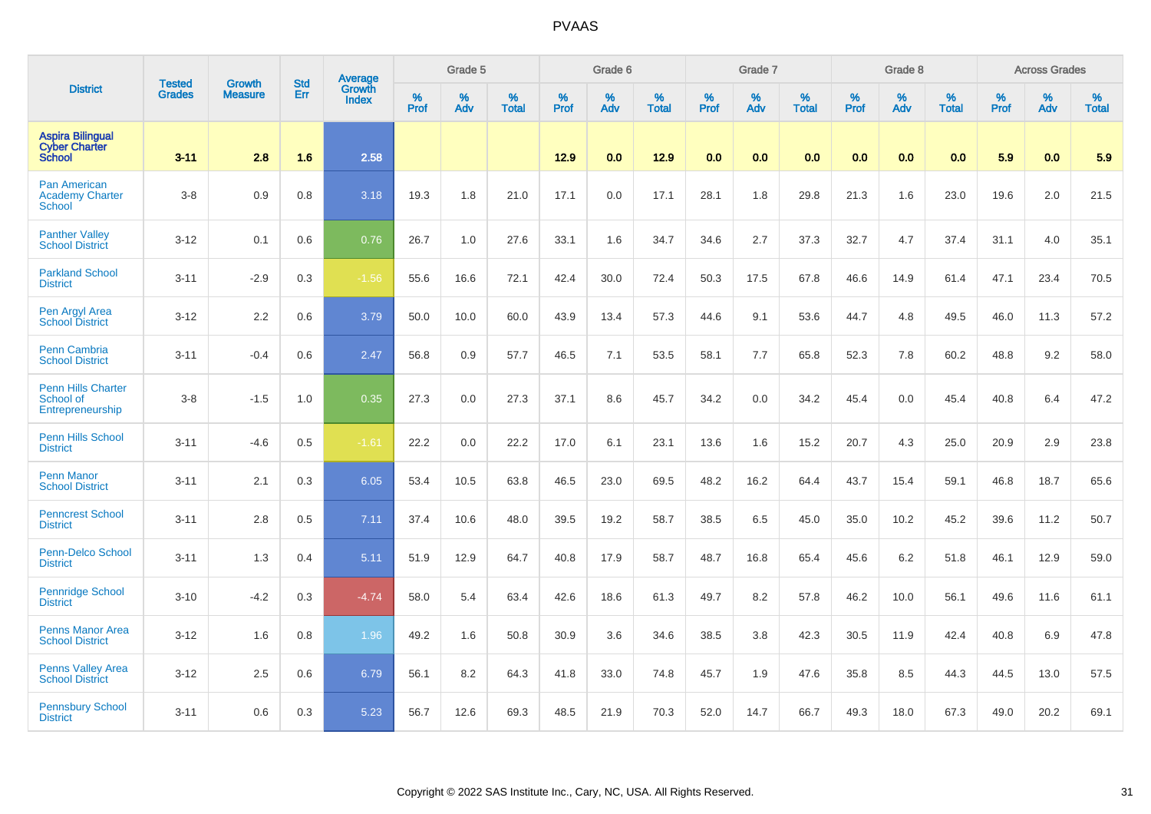|                                                                  | <b>Tested</b> | <b>Growth</b>  | <b>Std</b> | Average                |              | Grade 5  |                   |           | Grade 6  |                   |                  | Grade 7  |                   |                  | Grade 8  |                   |                  | <b>Across Grades</b> |                   |
|------------------------------------------------------------------|---------------|----------------|------------|------------------------|--------------|----------|-------------------|-----------|----------|-------------------|------------------|----------|-------------------|------------------|----------|-------------------|------------------|----------------------|-------------------|
| <b>District</b>                                                  | <b>Grades</b> | <b>Measure</b> | Err        | Growth<br><b>Index</b> | $\%$<br>Prof | %<br>Adv | %<br><b>Total</b> | %<br>Prof | %<br>Adv | %<br><b>Total</b> | %<br><b>Prof</b> | %<br>Adv | %<br><b>Total</b> | %<br><b>Prof</b> | %<br>Adv | %<br><b>Total</b> | %<br><b>Prof</b> | $\%$<br>Adv          | %<br><b>Total</b> |
| <b>Aspira Bilingual</b><br><b>Cyber Charter</b><br><b>School</b> | $3 - 11$      | 2.8            | 1.6        | 2.58                   |              |          |                   | 12.9      | 0.0      | 12.9              | 0.0              | 0.0      | 0.0               | 0.0              | 0.0      | 0.0               | 5.9              | 0.0                  | 5.9               |
| Pan American<br><b>Academy Charter</b><br><b>School</b>          | $3-8$         | 0.9            | 0.8        | 3.18                   | 19.3         | 1.8      | 21.0              | 17.1      | 0.0      | 17.1              | 28.1             | 1.8      | 29.8              | 21.3             | 1.6      | 23.0              | 19.6             | 2.0                  | 21.5              |
| <b>Panther Valley</b><br><b>School District</b>                  | $3 - 12$      | 0.1            | 0.6        | 0.76                   | 26.7         | 1.0      | 27.6              | 33.1      | 1.6      | 34.7              | 34.6             | 2.7      | 37.3              | 32.7             | 4.7      | 37.4              | 31.1             | 4.0                  | 35.1              |
| <b>Parkland School</b><br><b>District</b>                        | $3 - 11$      | $-2.9$         | 0.3        | $-1.56$                | 55.6         | 16.6     | 72.1              | 42.4      | 30.0     | 72.4              | 50.3             | 17.5     | 67.8              | 46.6             | 14.9     | 61.4              | 47.1             | 23.4                 | 70.5              |
| Pen Argyl Area<br><b>School District</b>                         | $3 - 12$      | 2.2            | 0.6        | 3.79                   | 50.0         | 10.0     | 60.0              | 43.9      | 13.4     | 57.3              | 44.6             | 9.1      | 53.6              | 44.7             | 4.8      | 49.5              | 46.0             | 11.3                 | 57.2              |
| <b>Penn Cambria</b><br><b>School District</b>                    | $3 - 11$      | $-0.4$         | 0.6        | 2.47                   | 56.8         | 0.9      | 57.7              | 46.5      | 7.1      | 53.5              | 58.1             | 7.7      | 65.8              | 52.3             | 7.8      | 60.2              | 48.8             | 9.2                  | 58.0              |
| <b>Penn Hills Charter</b><br>School of<br>Entrepreneurship       | $3-8$         | $-1.5$         | 1.0        | 0.35                   | 27.3         | 0.0      | 27.3              | 37.1      | 8.6      | 45.7              | 34.2             | 0.0      | 34.2              | 45.4             | 0.0      | 45.4              | 40.8             | 6.4                  | 47.2              |
| <b>Penn Hills School</b><br><b>District</b>                      | $3 - 11$      | $-4.6$         | 0.5        | $-1.61$                | 22.2         | 0.0      | 22.2              | 17.0      | 6.1      | 23.1              | 13.6             | 1.6      | 15.2              | 20.7             | 4.3      | 25.0              | 20.9             | 2.9                  | 23.8              |
| <b>Penn Manor</b><br><b>School District</b>                      | $3 - 11$      | 2.1            | 0.3        | 6.05                   | 53.4         | 10.5     | 63.8              | 46.5      | 23.0     | 69.5              | 48.2             | 16.2     | 64.4              | 43.7             | 15.4     | 59.1              | 46.8             | 18.7                 | 65.6              |
| <b>Penncrest School</b><br><b>District</b>                       | $3 - 11$      | 2.8            | 0.5        | 7.11                   | 37.4         | 10.6     | 48.0              | 39.5      | 19.2     | 58.7              | 38.5             | 6.5      | 45.0              | 35.0             | 10.2     | 45.2              | 39.6             | 11.2                 | 50.7              |
| <b>Penn-Delco School</b><br><b>District</b>                      | $3 - 11$      | 1.3            | 0.4        | 5.11                   | 51.9         | 12.9     | 64.7              | 40.8      | 17.9     | 58.7              | 48.7             | 16.8     | 65.4              | 45.6             | 6.2      | 51.8              | 46.1             | 12.9                 | 59.0              |
| <b>Pennridge School</b><br><b>District</b>                       | $3 - 10$      | $-4.2$         | 0.3        | $-4.74$                | 58.0         | 5.4      | 63.4              | 42.6      | 18.6     | 61.3              | 49.7             | 8.2      | 57.8              | 46.2             | 10.0     | 56.1              | 49.6             | 11.6                 | 61.1              |
| <b>Penns Manor Area</b><br><b>School District</b>                | $3 - 12$      | 1.6            | 0.8        | 1.96                   | 49.2         | 1.6      | 50.8              | 30.9      | 3.6      | 34.6              | 38.5             | 3.8      | 42.3              | 30.5             | 11.9     | 42.4              | 40.8             | 6.9                  | 47.8              |
| <b>Penns Valley Area</b><br><b>School District</b>               | $3 - 12$      | 2.5            | 0.6        | 6.79                   | 56.1         | 8.2      | 64.3              | 41.8      | 33.0     | 74.8              | 45.7             | 1.9      | 47.6              | 35.8             | 8.5      | 44.3              | 44.5             | 13.0                 | 57.5              |
| <b>Pennsbury School</b><br><b>District</b>                       | $3 - 11$      | 0.6            | 0.3        | 5.23                   | 56.7         | 12.6     | 69.3              | 48.5      | 21.9     | 70.3              | 52.0             | 14.7     | 66.7              | 49.3             | 18.0     | 67.3              | 49.0             | 20.2                 | 69.1              |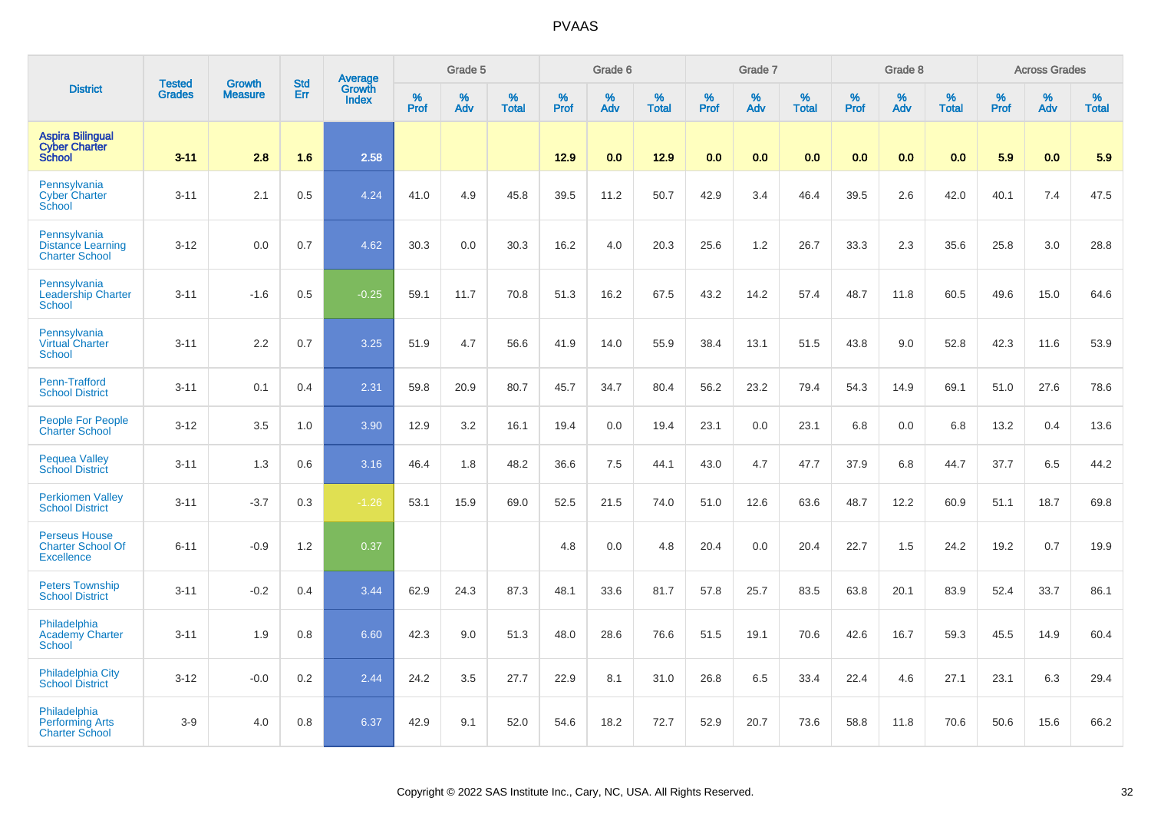|                                                                       | <b>Tested</b> | <b>Growth</b>  | <b>Std</b> |                                          |           | Grade 5  |                   |           | Grade 6  |                   |           | Grade 7  |                   |           | Grade 8  |                   |           | <b>Across Grades</b> |                   |
|-----------------------------------------------------------------------|---------------|----------------|------------|------------------------------------------|-----------|----------|-------------------|-----------|----------|-------------------|-----------|----------|-------------------|-----------|----------|-------------------|-----------|----------------------|-------------------|
| <b>District</b>                                                       | <b>Grades</b> | <b>Measure</b> | Err        | <b>Average</b><br>Growth<br><b>Index</b> | %<br>Prof | %<br>Adv | %<br><b>Total</b> | %<br>Prof | %<br>Adv | %<br><b>Total</b> | %<br>Prof | %<br>Adv | %<br><b>Total</b> | %<br>Prof | %<br>Adv | %<br><b>Total</b> | %<br>Prof | %<br>Adv             | %<br><b>Total</b> |
| <b>Aspira Bilingual</b><br><b>Cyber Charter</b><br><b>School</b>      | $3 - 11$      | 2.8            | 1.6        | 2.58                                     |           |          |                   | 12.9      | 0.0      | 12.9              | 0.0       | 0.0      | 0.0               | 0.0       | 0.0      | 0.0               | 5.9       | 0.0                  | 5.9               |
| Pennsylvania<br><b>Cyber Charter</b><br>School                        | $3 - 11$      | 2.1            | 0.5        | 4.24                                     | 41.0      | 4.9      | 45.8              | 39.5      | 11.2     | 50.7              | 42.9      | 3.4      | 46.4              | 39.5      | 2.6      | 42.0              | 40.1      | 7.4                  | 47.5              |
| Pennsylvania<br><b>Distance Learning</b><br><b>Charter School</b>     | $3 - 12$      | 0.0            | 0.7        | 4.62                                     | 30.3      | 0.0      | 30.3              | 16.2      | 4.0      | 20.3              | 25.6      | 1.2      | 26.7              | 33.3      | 2.3      | 35.6              | 25.8      | 3.0                  | 28.8              |
| Pennsylvania<br><b>Leadership Charter</b><br><b>School</b>            | $3 - 11$      | $-1.6$         | 0.5        | $-0.25$                                  | 59.1      | 11.7     | 70.8              | 51.3      | 16.2     | 67.5              | 43.2      | 14.2     | 57.4              | 48.7      | 11.8     | 60.5              | 49.6      | 15.0                 | 64.6              |
| Pennsylvania<br><b>Virtual Charter</b><br>School                      | $3 - 11$      | 2.2            | 0.7        | 3.25                                     | 51.9      | 4.7      | 56.6              | 41.9      | 14.0     | 55.9              | 38.4      | 13.1     | 51.5              | 43.8      | 9.0      | 52.8              | 42.3      | 11.6                 | 53.9              |
| Penn-Trafford<br><b>School District</b>                               | $3 - 11$      | 0.1            | 0.4        | 2.31                                     | 59.8      | 20.9     | 80.7              | 45.7      | 34.7     | 80.4              | 56.2      | 23.2     | 79.4              | 54.3      | 14.9     | 69.1              | 51.0      | 27.6                 | 78.6              |
| <b>People For People</b><br><b>Charter School</b>                     | $3-12$        | 3.5            | 1.0        | 3.90                                     | 12.9      | 3.2      | 16.1              | 19.4      | 0.0      | 19.4              | 23.1      | 0.0      | 23.1              | 6.8       | 0.0      | 6.8               | 13.2      | 0.4                  | 13.6              |
| <b>Pequea Valley</b><br><b>School District</b>                        | $3 - 11$      | 1.3            | 0.6        | 3.16                                     | 46.4      | 1.8      | 48.2              | 36.6      | 7.5      | 44.1              | 43.0      | 4.7      | 47.7              | 37.9      | 6.8      | 44.7              | 37.7      | 6.5                  | 44.2              |
| <b>Perkiomen Valley</b><br><b>School District</b>                     | $3 - 11$      | $-3.7$         | 0.3        | $-1.26$                                  | 53.1      | 15.9     | 69.0              | 52.5      | 21.5     | 74.0              | 51.0      | 12.6     | 63.6              | 48.7      | 12.2     | 60.9              | 51.1      | 18.7                 | 69.8              |
| <b>Perseus House</b><br><b>Charter School Of</b><br><b>Excellence</b> | $6 - 11$      | $-0.9$         | 1.2        | 0.37                                     |           |          |                   | 4.8       | 0.0      | 4.8               | 20.4      | 0.0      | 20.4              | 22.7      | 1.5      | 24.2              | 19.2      | 0.7                  | 19.9              |
| <b>Peters Township</b><br><b>School District</b>                      | $3 - 11$      | $-0.2$         | 0.4        | 3.44                                     | 62.9      | 24.3     | 87.3              | 48.1      | 33.6     | 81.7              | 57.8      | 25.7     | 83.5              | 63.8      | 20.1     | 83.9              | 52.4      | 33.7                 | 86.1              |
| Philadelphia<br><b>Academy Charter</b><br><b>School</b>               | $3 - 11$      | 1.9            | 0.8        | 6.60                                     | 42.3      | 9.0      | 51.3              | 48.0      | 28.6     | 76.6              | 51.5      | 19.1     | 70.6              | 42.6      | 16.7     | 59.3              | 45.5      | 14.9                 | 60.4              |
| <b>Philadelphia City</b><br><b>School District</b>                    | $3 - 12$      | $-0.0$         | 0.2        | 2.44                                     | 24.2      | 3.5      | 27.7              | 22.9      | 8.1      | 31.0              | 26.8      | 6.5      | 33.4              | 22.4      | 4.6      | 27.1              | 23.1      | 6.3                  | 29.4              |
| Philadelphia<br><b>Performing Arts</b><br><b>Charter School</b>       | $3-9$         | 4.0            | 0.8        | 6.37                                     | 42.9      | 9.1      | 52.0              | 54.6      | 18.2     | 72.7              | 52.9      | 20.7     | 73.6              | 58.8      | 11.8     | 70.6              | 50.6      | 15.6                 | 66.2              |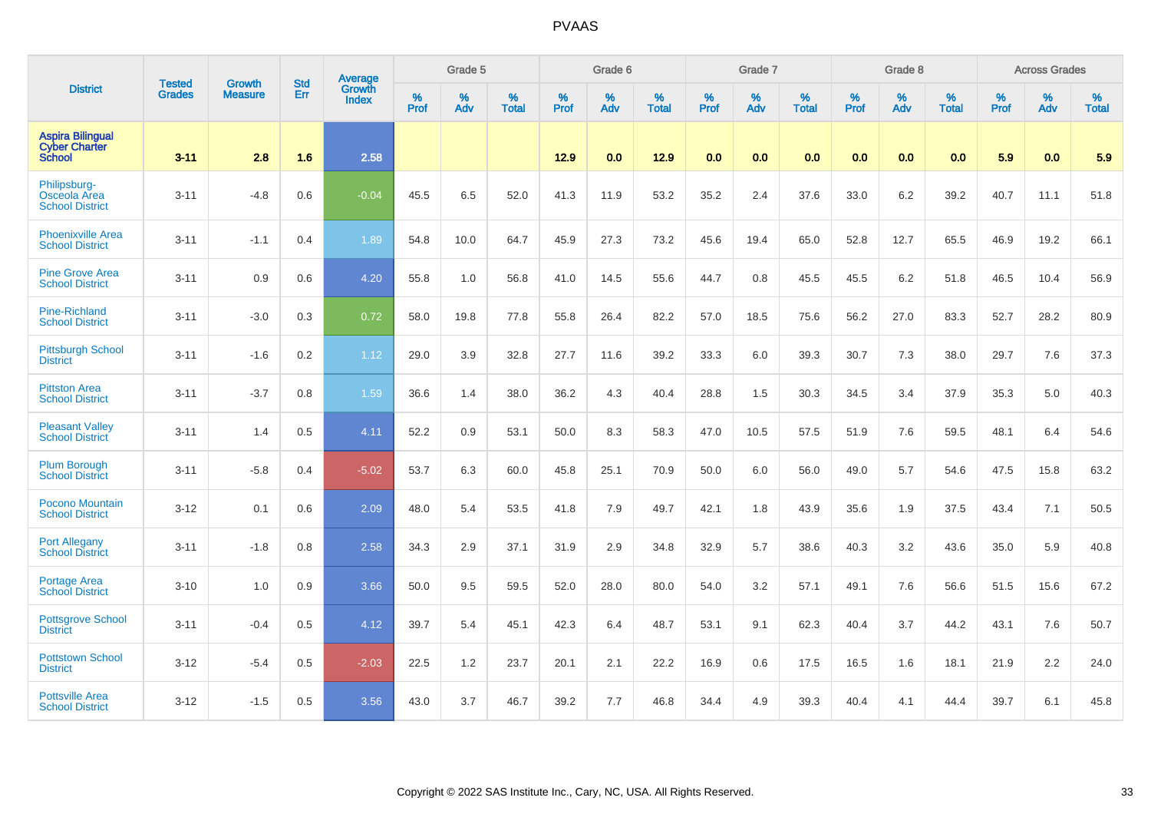|                                                                  |                                |                                 | <b>Std</b> | Average                       |           | Grade 5  |                   |           | Grade 6  |                   |           | Grade 7  |                   |           | Grade 8  |                   |           | <b>Across Grades</b> |                   |
|------------------------------------------------------------------|--------------------------------|---------------------------------|------------|-------------------------------|-----------|----------|-------------------|-----------|----------|-------------------|-----------|----------|-------------------|-----------|----------|-------------------|-----------|----------------------|-------------------|
| <b>District</b>                                                  | <b>Tested</b><br><b>Grades</b> | <b>Growth</b><br><b>Measure</b> | Err        | <b>Growth</b><br><b>Index</b> | %<br>Prof | %<br>Adv | %<br><b>Total</b> | %<br>Prof | %<br>Adv | %<br><b>Total</b> | %<br>Prof | %<br>Adv | %<br><b>Total</b> | %<br>Prof | %<br>Adv | %<br><b>Total</b> | %<br>Prof | %<br>Adv             | %<br><b>Total</b> |
| <b>Aspira Bilingual</b><br><b>Cyber Charter</b><br><b>School</b> | $3 - 11$                       | 2.8                             | 1.6        | 2.58                          |           |          |                   | 12.9      | 0.0      | 12.9              | 0.0       | 0.0      | 0.0               | 0.0       | 0.0      | 0.0               | 5.9       | 0.0                  | 5.9               |
| Philipsburg-<br>Osceola Area<br><b>School District</b>           | $3 - 11$                       | $-4.8$                          | 0.6        | $-0.04$                       | 45.5      | 6.5      | 52.0              | 41.3      | 11.9     | 53.2              | 35.2      | 2.4      | 37.6              | 33.0      | $6.2\,$  | 39.2              | 40.7      | 11.1                 | 51.8              |
| <b>Phoenixville Area</b><br><b>School District</b>               | $3 - 11$                       | $-1.1$                          | 0.4        | 1.89                          | 54.8      | 10.0     | 64.7              | 45.9      | 27.3     | 73.2              | 45.6      | 19.4     | 65.0              | 52.8      | 12.7     | 65.5              | 46.9      | 19.2                 | 66.1              |
| <b>Pine Grove Area</b><br><b>School District</b>                 | $3 - 11$                       | 0.9                             | 0.6        | 4.20                          | 55.8      | 1.0      | 56.8              | 41.0      | 14.5     | 55.6              | 44.7      | 0.8      | 45.5              | 45.5      | $6.2\,$  | 51.8              | 46.5      | 10.4                 | 56.9              |
| <b>Pine-Richland</b><br><b>School District</b>                   | $3 - 11$                       | $-3.0$                          | 0.3        | 0.72                          | 58.0      | 19.8     | 77.8              | 55.8      | 26.4     | 82.2              | 57.0      | 18.5     | 75.6              | 56.2      | 27.0     | 83.3              | 52.7      | 28.2                 | 80.9              |
| <b>Pittsburgh School</b><br><b>District</b>                      | $3 - 11$                       | $-1.6$                          | 0.2        | 1.12                          | 29.0      | 3.9      | 32.8              | 27.7      | 11.6     | 39.2              | 33.3      | 6.0      | 39.3              | 30.7      | 7.3      | 38.0              | 29.7      | 7.6                  | 37.3              |
| <b>Pittston Area</b><br><b>School District</b>                   | $3 - 11$                       | $-3.7$                          | 0.8        | 1.59                          | 36.6      | 1.4      | 38.0              | 36.2      | 4.3      | 40.4              | 28.8      | 1.5      | 30.3              | 34.5      | 3.4      | 37.9              | 35.3      | 5.0                  | 40.3              |
| <b>Pleasant Valley</b><br><b>School District</b>                 | $3 - 11$                       | 1.4                             | 0.5        | 4.11                          | 52.2      | 0.9      | 53.1              | 50.0      | 8.3      | 58.3              | 47.0      | 10.5     | 57.5              | 51.9      | 7.6      | 59.5              | 48.1      | 6.4                  | 54.6              |
| <b>Plum Borough</b><br><b>School District</b>                    | $3 - 11$                       | $-5.8$                          | 0.4        | $-5.02$                       | 53.7      | 6.3      | 60.0              | 45.8      | 25.1     | 70.9              | 50.0      | 6.0      | 56.0              | 49.0      | 5.7      | 54.6              | 47.5      | 15.8                 | 63.2              |
| <b>Pocono Mountain</b><br><b>School District</b>                 | $3 - 12$                       | 0.1                             | 0.6        | 2.09                          | 48.0      | 5.4      | 53.5              | 41.8      | 7.9      | 49.7              | 42.1      | 1.8      | 43.9              | 35.6      | 1.9      | 37.5              | 43.4      | 7.1                  | 50.5              |
| <b>Port Allegany</b><br><b>School District</b>                   | $3 - 11$                       | $-1.8$                          | 0.8        | 2.58                          | 34.3      | 2.9      | 37.1              | 31.9      | 2.9      | 34.8              | 32.9      | 5.7      | 38.6              | 40.3      | 3.2      | 43.6              | 35.0      | 5.9                  | 40.8              |
| <b>Portage Area</b><br><b>School District</b>                    | $3 - 10$                       | 1.0                             | 0.9        | 3.66                          | 50.0      | 9.5      | 59.5              | 52.0      | 28.0     | 80.0              | 54.0      | 3.2      | 57.1              | 49.1      | 7.6      | 56.6              | 51.5      | 15.6                 | 67.2              |
| <b>Pottsgrove School</b><br><b>District</b>                      | $3 - 11$                       | $-0.4$                          | 0.5        | 4.12                          | 39.7      | 5.4      | 45.1              | 42.3      | 6.4      | 48.7              | 53.1      | 9.1      | 62.3              | 40.4      | 3.7      | 44.2              | 43.1      | 7.6                  | 50.7              |
| <b>Pottstown School</b><br><b>District</b>                       | $3 - 12$                       | $-5.4$                          | 0.5        | $-2.03$                       | 22.5      | 1.2      | 23.7              | 20.1      | 2.1      | 22.2              | 16.9      | 0.6      | 17.5              | 16.5      | 1.6      | 18.1              | 21.9      | 2.2                  | 24.0              |
| <b>Pottsville Area</b><br><b>School District</b>                 | $3 - 12$                       | $-1.5$                          | 0.5        | 3.56                          | 43.0      | 3.7      | 46.7              | 39.2      | 7.7      | 46.8              | 34.4      | 4.9      | 39.3              | 40.4      | 4.1      | 44.4              | 39.7      | 6.1                  | 45.8              |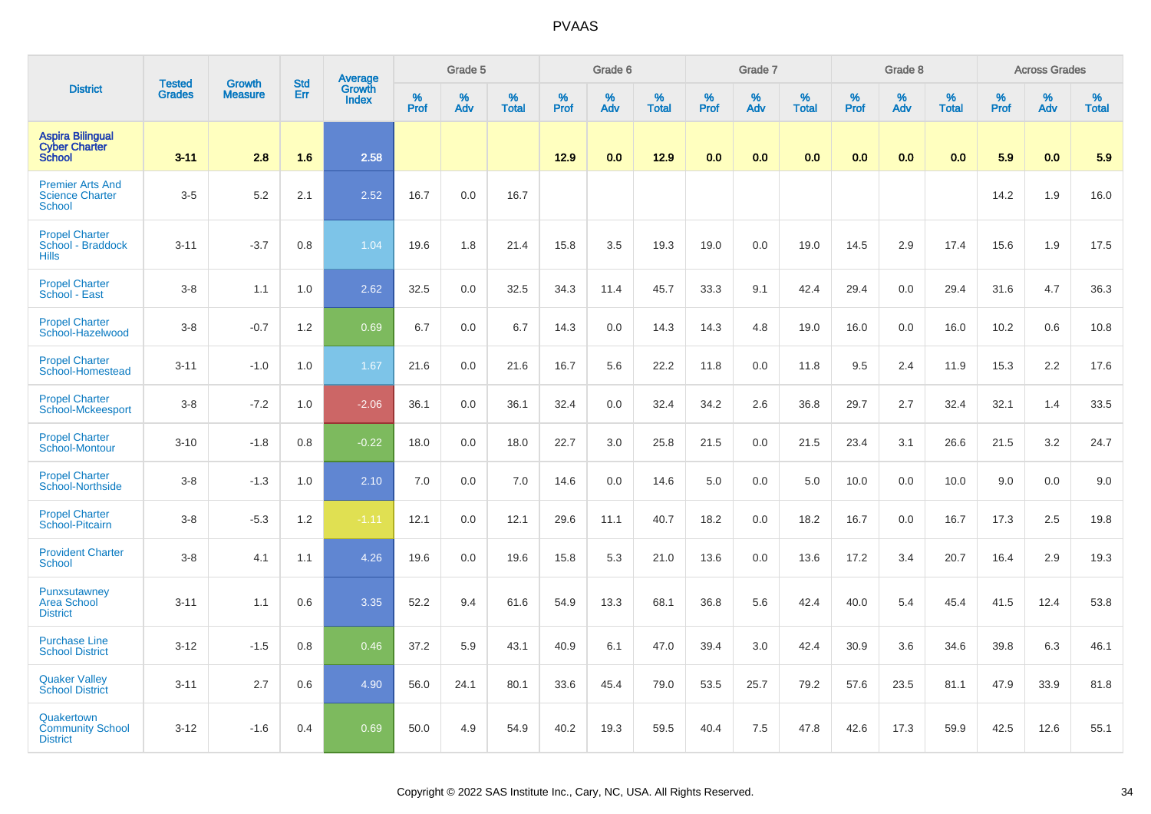|                                                                    | <b>Tested</b> | <b>Growth</b>  | <b>Std</b> | Average                |                  | Grade 5  |                   |                  | Grade 6  |                   |                  | Grade 7  |                   |           | Grade 8  |                   |           | <b>Across Grades</b> |                   |
|--------------------------------------------------------------------|---------------|----------------|------------|------------------------|------------------|----------|-------------------|------------------|----------|-------------------|------------------|----------|-------------------|-----------|----------|-------------------|-----------|----------------------|-------------------|
| <b>District</b>                                                    | <b>Grades</b> | <b>Measure</b> | Err        | Growth<br><b>Index</b> | %<br><b>Prof</b> | %<br>Adv | %<br><b>Total</b> | %<br><b>Prof</b> | %<br>Adv | %<br><b>Total</b> | %<br><b>Prof</b> | %<br>Adv | %<br><b>Total</b> | %<br>Prof | %<br>Adv | %<br><b>Total</b> | %<br>Prof | %<br>Adv             | %<br><b>Total</b> |
| <b>Aspira Bilingual</b><br><b>Cyber Charter</b><br><b>School</b>   | $3 - 11$      | 2.8            | 1.6        | 2.58                   |                  |          |                   | 12.9             | 0.0      | 12.9              | 0.0              | 0.0      | 0.0               | 0.0       | 0.0      | 0.0               | 5.9       | 0.0                  | 5.9               |
| <b>Premier Arts And</b><br><b>Science Charter</b><br><b>School</b> | $3-5$         | 5.2            | 2.1        | 2.52                   | 16.7             | 0.0      | 16.7              |                  |          |                   |                  |          |                   |           |          |                   | 14.2      | 1.9                  | 16.0              |
| <b>Propel Charter</b><br>School - Braddock<br><b>Hills</b>         | $3 - 11$      | $-3.7$         | 0.8        | 1.04                   | 19.6             | 1.8      | 21.4              | 15.8             | 3.5      | 19.3              | 19.0             | 0.0      | 19.0              | 14.5      | 2.9      | 17.4              | 15.6      | 1.9                  | 17.5              |
| <b>Propel Charter</b><br>School - East                             | $3 - 8$       | 1.1            | 1.0        | 2.62                   | 32.5             | 0.0      | 32.5              | 34.3             | 11.4     | 45.7              | 33.3             | 9.1      | 42.4              | 29.4      | 0.0      | 29.4              | 31.6      | 4.7                  | 36.3              |
| <b>Propel Charter</b><br>School-Hazelwood                          | $3 - 8$       | $-0.7$         | 1.2        | 0.69                   | 6.7              | 0.0      | 6.7               | 14.3             | 0.0      | 14.3              | 14.3             | 4.8      | 19.0              | 16.0      | 0.0      | 16.0              | 10.2      | 0.6                  | 10.8              |
| <b>Propel Charter</b><br>School-Homestead                          | $3 - 11$      | $-1.0$         | 1.0        | 1.67                   | 21.6             | 0.0      | 21.6              | 16.7             | 5.6      | 22.2              | 11.8             | 0.0      | 11.8              | 9.5       | 2.4      | 11.9              | 15.3      | 2.2                  | 17.6              |
| <b>Propel Charter</b><br>School-Mckeesport                         | $3 - 8$       | $-7.2$         | 1.0        | $-2.06$                | 36.1             | 0.0      | 36.1              | 32.4             | 0.0      | 32.4              | 34.2             | 2.6      | 36.8              | 29.7      | 2.7      | 32.4              | 32.1      | 1.4                  | 33.5              |
| <b>Propel Charter</b><br>School-Montour                            | $3 - 10$      | $-1.8$         | 0.8        | $-0.22$                | 18.0             | 0.0      | 18.0              | 22.7             | 3.0      | 25.8              | 21.5             | 0.0      | 21.5              | 23.4      | 3.1      | 26.6              | 21.5      | 3.2                  | 24.7              |
| <b>Propel Charter</b><br><b>School-Northside</b>                   | $3 - 8$       | $-1.3$         | 1.0        | 2.10                   | 7.0              | 0.0      | 7.0               | 14.6             | 0.0      | 14.6              | 5.0              | 0.0      | 5.0               | 10.0      | 0.0      | 10.0              | 9.0       | 0.0                  | 9.0               |
| <b>Propel Charter</b><br>School-Pitcairn                           | $3 - 8$       | $-5.3$         | 1.2        | $-1.11$                | 12.1             | 0.0      | 12.1              | 29.6             | 11.1     | 40.7              | 18.2             | 0.0      | 18.2              | 16.7      | 0.0      | 16.7              | 17.3      | 2.5                  | 19.8              |
| <b>Provident Charter</b><br>School                                 | $3 - 8$       | 4.1            | 1.1        | 4.26                   | 19.6             | 0.0      | 19.6              | 15.8             | 5.3      | 21.0              | 13.6             | 0.0      | 13.6              | 17.2      | 3.4      | 20.7              | 16.4      | 2.9                  | 19.3              |
| Punxsutawney<br><b>Area School</b><br><b>District</b>              | $3 - 11$      | 1.1            | 0.6        | 3.35                   | 52.2             | 9.4      | 61.6              | 54.9             | 13.3     | 68.1              | 36.8             | 5.6      | 42.4              | 40.0      | 5.4      | 45.4              | 41.5      | 12.4                 | 53.8              |
| <b>Purchase Line</b><br><b>School District</b>                     | $3 - 12$      | $-1.5$         | 0.8        | 0.46                   | 37.2             | 5.9      | 43.1              | 40.9             | 6.1      | 47.0              | 39.4             | 3.0      | 42.4              | 30.9      | 3.6      | 34.6              | 39.8      | 6.3                  | 46.1              |
| <b>Quaker Valley</b><br><b>School District</b>                     | $3 - 11$      | 2.7            | 0.6        | 4.90                   | 56.0             | 24.1     | 80.1              | 33.6             | 45.4     | 79.0              | 53.5             | 25.7     | 79.2              | 57.6      | 23.5     | 81.1              | 47.9      | 33.9                 | 81.8              |
| Quakertown<br><b>Community School</b><br><b>District</b>           | $3 - 12$      | $-1.6$         | 0.4        | 0.69                   | 50.0             | 4.9      | 54.9              | 40.2             | 19.3     | 59.5              | 40.4             | 7.5      | 47.8              | 42.6      | 17.3     | 59.9              | 42.5      | 12.6                 | 55.1              |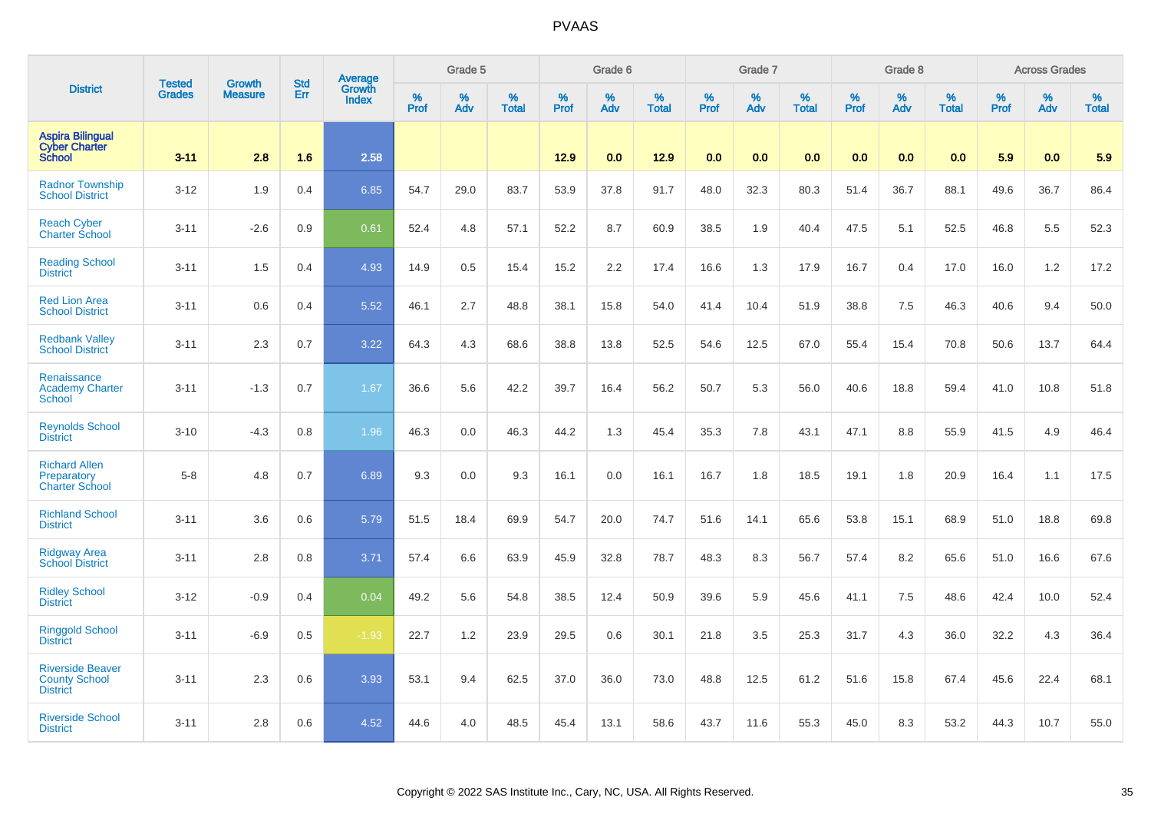|                                                                    |                                | <b>Growth</b>  | <b>Std</b> |                            |              | Grade 5  |                   |           | Grade 6  |                   |              | Grade 7  |                   |              | Grade 8  |                   |              | <b>Across Grades</b> |                   |
|--------------------------------------------------------------------|--------------------------------|----------------|------------|----------------------------|--------------|----------|-------------------|-----------|----------|-------------------|--------------|----------|-------------------|--------------|----------|-------------------|--------------|----------------------|-------------------|
| <b>District</b>                                                    | <b>Tested</b><br><b>Grades</b> | <b>Measure</b> | Err        | Average<br>Growth<br>Index | $\%$<br>Prof | %<br>Adv | %<br><b>Total</b> | %<br>Prof | %<br>Adv | %<br><b>Total</b> | $\%$<br>Prof | %<br>Adv | %<br><b>Total</b> | $\%$<br>Prof | %<br>Adv | %<br><b>Total</b> | $\%$<br>Prof | %<br>Adv             | %<br><b>Total</b> |
| <b>Aspira Bilingual</b><br><b>Cyber Charter</b><br><b>School</b>   | $3 - 11$                       | 2.8            | 1.6        | 2.58                       |              |          |                   | 12.9      | 0.0      | 12.9              | 0.0          | 0.0      | 0.0               | 0.0          | 0.0      | 0.0               | 5.9          | 0.0                  | 5.9               |
| <b>Radnor Township</b><br><b>School District</b>                   | $3 - 12$                       | 1.9            | 0.4        | 6.85                       | 54.7         | 29.0     | 83.7              | 53.9      | 37.8     | 91.7              | 48.0         | 32.3     | 80.3              | 51.4         | 36.7     | 88.1              | 49.6         | 36.7                 | 86.4              |
| <b>Reach Cyber</b><br><b>Charter School</b>                        | $3 - 11$                       | $-2.6$         | 0.9        | 0.61                       | 52.4         | 4.8      | 57.1              | 52.2      | 8.7      | 60.9              | 38.5         | 1.9      | 40.4              | 47.5         | 5.1      | 52.5              | 46.8         | 5.5                  | 52.3              |
| <b>Reading School</b><br><b>District</b>                           | $3 - 11$                       | 1.5            | 0.4        | 4.93                       | 14.9         | 0.5      | 15.4              | 15.2      | 2.2      | 17.4              | 16.6         | 1.3      | 17.9              | 16.7         | 0.4      | 17.0              | 16.0         | 1.2                  | 17.2              |
| <b>Red Lion Area</b><br><b>School District</b>                     | $3 - 11$                       | 0.6            | 0.4        | 5.52                       | 46.1         | 2.7      | 48.8              | 38.1      | 15.8     | 54.0              | 41.4         | 10.4     | 51.9              | 38.8         | 7.5      | 46.3              | 40.6         | 9.4                  | 50.0              |
| <b>Redbank Valley</b><br><b>School District</b>                    | $3 - 11$                       | 2.3            | 0.7        | 3.22                       | 64.3         | 4.3      | 68.6              | 38.8      | 13.8     | 52.5              | 54.6         | 12.5     | 67.0              | 55.4         | 15.4     | 70.8              | 50.6         | 13.7                 | 64.4              |
| Renaissance<br><b>Academy Charter</b><br><b>School</b>             | $3 - 11$                       | $-1.3$         | 0.7        | 1.67                       | 36.6         | 5.6      | 42.2              | 39.7      | 16.4     | 56.2              | 50.7         | 5.3      | 56.0              | 40.6         | 18.8     | 59.4              | 41.0         | 10.8                 | 51.8              |
| <b>Reynolds School</b><br><b>District</b>                          | $3 - 10$                       | $-4.3$         | 0.8        | 1.96                       | 46.3         | 0.0      | 46.3              | 44.2      | 1.3      | 45.4              | 35.3         | 7.8      | 43.1              | 47.1         | 8.8      | 55.9              | 41.5         | 4.9                  | 46.4              |
| <b>Richard Allen</b><br>Preparatory<br><b>Charter School</b>       | $5-8$                          | 4.8            | 0.7        | 6.89                       | 9.3          | 0.0      | 9.3               | 16.1      | 0.0      | 16.1              | 16.7         | 1.8      | 18.5              | 19.1         | 1.8      | 20.9              | 16.4         | 1.1                  | 17.5              |
| <b>Richland School</b><br><b>District</b>                          | $3 - 11$                       | 3.6            | 0.6        | 5.79                       | 51.5         | 18.4     | 69.9              | 54.7      | 20.0     | 74.7              | 51.6         | 14.1     | 65.6              | 53.8         | 15.1     | 68.9              | 51.0         | 18.8                 | 69.8              |
| <b>Ridgway Area</b><br><b>School District</b>                      | $3 - 11$                       | 2.8            | 0.8        | 3.71                       | 57.4         | 6.6      | 63.9              | 45.9      | 32.8     | 78.7              | 48.3         | 8.3      | 56.7              | 57.4         | 8.2      | 65.6              | 51.0         | 16.6                 | 67.6              |
| <b>Ridley School</b><br><b>District</b>                            | $3 - 12$                       | $-0.9$         | 0.4        | 0.04                       | 49.2         | 5.6      | 54.8              | 38.5      | 12.4     | 50.9              | 39.6         | 5.9      | 45.6              | 41.1         | 7.5      | 48.6              | 42.4         | 10.0                 | 52.4              |
| <b>Ringgold School</b><br><b>District</b>                          | $3 - 11$                       | $-6.9$         | 0.5        | $-1.93$                    | 22.7         | $1.2$    | 23.9              | 29.5      | 0.6      | 30.1              | 21.8         | 3.5      | 25.3              | 31.7         | 4.3      | 36.0              | 32.2         | 4.3                  | 36.4              |
| <b>Riverside Beaver</b><br><b>County School</b><br><b>District</b> | $3 - 11$                       | 2.3            | 0.6        | 3.93                       | 53.1         | 9.4      | 62.5              | 37.0      | 36.0     | 73.0              | 48.8         | 12.5     | 61.2              | 51.6         | 15.8     | 67.4              | 45.6         | 22.4                 | 68.1              |
| <b>Riverside School</b><br><b>District</b>                         | $3 - 11$                       | 2.8            | 0.6        | 4.52                       | 44.6         | 4.0      | 48.5              | 45.4      | 13.1     | 58.6              | 43.7         | 11.6     | 55.3              | 45.0         | 8.3      | 53.2              | 44.3         | 10.7                 | 55.0              |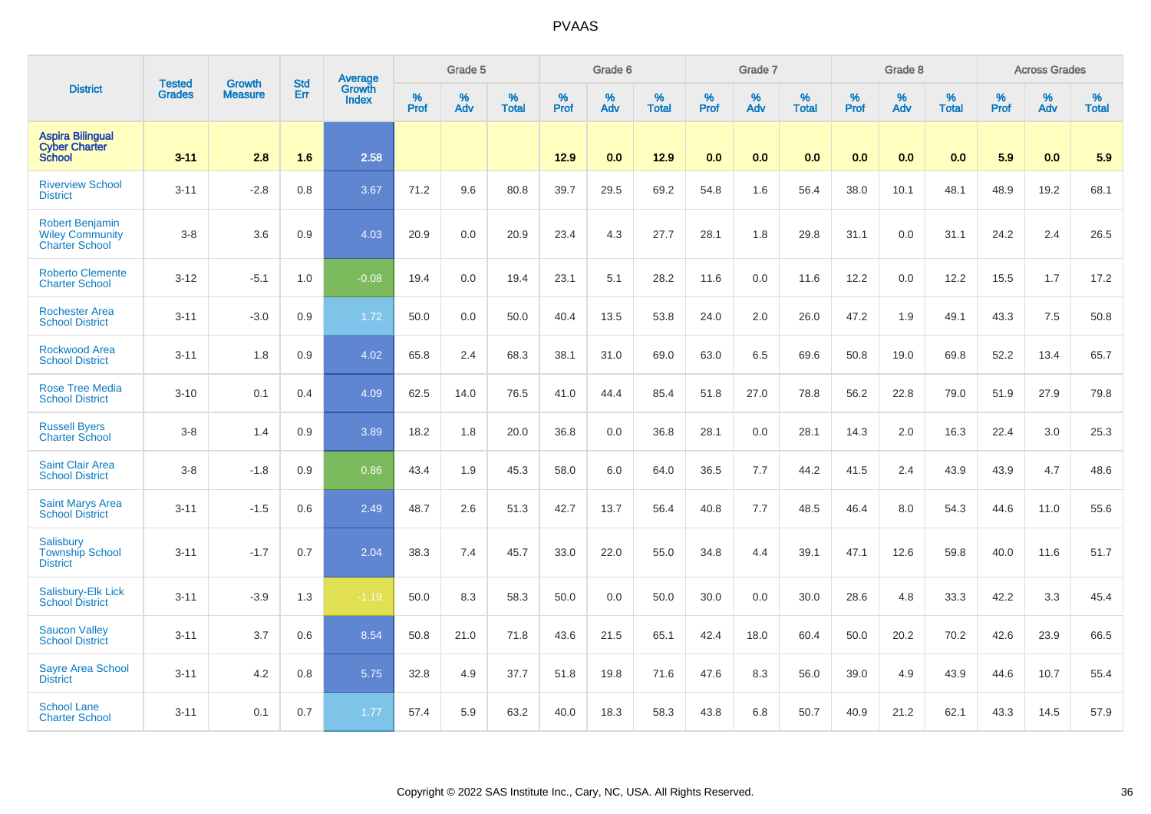|                                                                           | <b>Tested</b> | <b>Growth</b>  | <b>Std</b> | Average         |              | Grade 5  |                   |           | Grade 6  |                   |           | Grade 7  |                   |           | Grade 8  |                   |           | <b>Across Grades</b> |                   |
|---------------------------------------------------------------------------|---------------|----------------|------------|-----------------|--------------|----------|-------------------|-----------|----------|-------------------|-----------|----------|-------------------|-----------|----------|-------------------|-----------|----------------------|-------------------|
| <b>District</b>                                                           | <b>Grades</b> | <b>Measure</b> | Err        | Growth<br>Index | $\%$<br>Prof | %<br>Adv | %<br><b>Total</b> | %<br>Prof | %<br>Adv | %<br><b>Total</b> | %<br>Prof | %<br>Adv | %<br><b>Total</b> | %<br>Prof | %<br>Adv | %<br><b>Total</b> | %<br>Prof | %<br>Adv             | %<br><b>Total</b> |
| <b>Aspira Bilingual</b><br><b>Cyber Charter</b><br><b>School</b>          | $3 - 11$      | 2.8            | 1.6        | 2.58            |              |          |                   | 12.9      | 0.0      | 12.9              | 0.0       | 0.0      | 0.0               | 0.0       | 0.0      | 0.0               | 5.9       | 0.0                  | 5.9               |
| <b>Riverview School</b><br><b>District</b>                                | $3 - 11$      | $-2.8$         | 0.8        | 3.67            | 71.2         | 9.6      | 80.8              | 39.7      | 29.5     | 69.2              | 54.8      | 1.6      | 56.4              | 38.0      | 10.1     | 48.1              | 48.9      | 19.2                 | 68.1              |
| <b>Robert Benjamin</b><br><b>Wiley Community</b><br><b>Charter School</b> | $3 - 8$       | 3.6            | 0.9        | 4.03            | 20.9         | 0.0      | 20.9              | 23.4      | 4.3      | 27.7              | 28.1      | 1.8      | 29.8              | 31.1      | 0.0      | 31.1              | 24.2      | 2.4                  | 26.5              |
| <b>Roberto Clemente</b><br><b>Charter School</b>                          | $3 - 12$      | $-5.1$         | 1.0        | $-0.08$         | 19.4         | 0.0      | 19.4              | 23.1      | 5.1      | 28.2              | 11.6      | 0.0      | 11.6              | 12.2      | 0.0      | 12.2              | 15.5      | 1.7                  | 17.2              |
| <b>Rochester Area</b><br><b>School District</b>                           | $3 - 11$      | $-3.0$         | 0.9        | 1.72            | 50.0         | 0.0      | 50.0              | 40.4      | 13.5     | 53.8              | 24.0      | 2.0      | 26.0              | 47.2      | 1.9      | 49.1              | 43.3      | 7.5                  | 50.8              |
| <b>Rockwood Area</b><br><b>School District</b>                            | $3 - 11$      | 1.8            | 0.9        | 4.02            | 65.8         | 2.4      | 68.3              | 38.1      | 31.0     | 69.0              | 63.0      | 6.5      | 69.6              | 50.8      | 19.0     | 69.8              | 52.2      | 13.4                 | 65.7              |
| <b>Rose Tree Media</b><br><b>School District</b>                          | $3 - 10$      | 0.1            | 0.4        | 4.09            | 62.5         | 14.0     | 76.5              | 41.0      | 44.4     | 85.4              | 51.8      | 27.0     | 78.8              | 56.2      | 22.8     | 79.0              | 51.9      | 27.9                 | 79.8              |
| <b>Russell Byers</b><br><b>Charter School</b>                             | $3 - 8$       | 1.4            | 0.9        | 3.89            | 18.2         | 1.8      | 20.0              | 36.8      | 0.0      | 36.8              | 28.1      | 0.0      | 28.1              | 14.3      | 2.0      | 16.3              | 22.4      | 3.0                  | 25.3              |
| <b>Saint Clair Area</b><br><b>School District</b>                         | $3 - 8$       | $-1.8$         | 0.9        | 0.86            | 43.4         | 1.9      | 45.3              | 58.0      | 6.0      | 64.0              | 36.5      | 7.7      | 44.2              | 41.5      | 2.4      | 43.9              | 43.9      | 4.7                  | 48.6              |
| <b>Saint Marys Area</b><br><b>School District</b>                         | $3 - 11$      | $-1.5$         | 0.6        | 2.49            | 48.7         | 2.6      | 51.3              | 42.7      | 13.7     | 56.4              | 40.8      | 7.7      | 48.5              | 46.4      | 8.0      | 54.3              | 44.6      | 11.0                 | 55.6              |
| Salisbury<br><b>Township School</b><br><b>District</b>                    | $3 - 11$      | $-1.7$         | 0.7        | 2.04            | 38.3         | 7.4      | 45.7              | 33.0      | 22.0     | 55.0              | 34.8      | 4.4      | 39.1              | 47.1      | 12.6     | 59.8              | 40.0      | 11.6                 | 51.7              |
| Salisbury-Elk Lick<br><b>School District</b>                              | $3 - 11$      | $-3.9$         | 1.3        | $-1.19$         | 50.0         | 8.3      | 58.3              | 50.0      | 0.0      | 50.0              | 30.0      | 0.0      | 30.0              | 28.6      | 4.8      | 33.3              | 42.2      | 3.3                  | 45.4              |
| <b>Saucon Valley</b><br><b>School District</b>                            | $3 - 11$      | 3.7            | 0.6        | 8.54            | 50.8         | 21.0     | 71.8              | 43.6      | 21.5     | 65.1              | 42.4      | 18.0     | 60.4              | 50.0      | 20.2     | 70.2              | 42.6      | 23.9                 | 66.5              |
| <b>Sayre Area School</b><br><b>District</b>                               | $3 - 11$      | 4.2            | 0.8        | 5.75            | 32.8         | 4.9      | 37.7              | 51.8      | 19.8     | 71.6              | 47.6      | 8.3      | 56.0              | 39.0      | 4.9      | 43.9              | 44.6      | 10.7                 | 55.4              |
| <b>School Lane</b><br><b>Charter School</b>                               | $3 - 11$      | 0.1            | 0.7        | 1.77            | 57.4         | 5.9      | 63.2              | 40.0      | 18.3     | 58.3              | 43.8      | 6.8      | 50.7              | 40.9      | 21.2     | 62.1              | 43.3      | 14.5                 | 57.9              |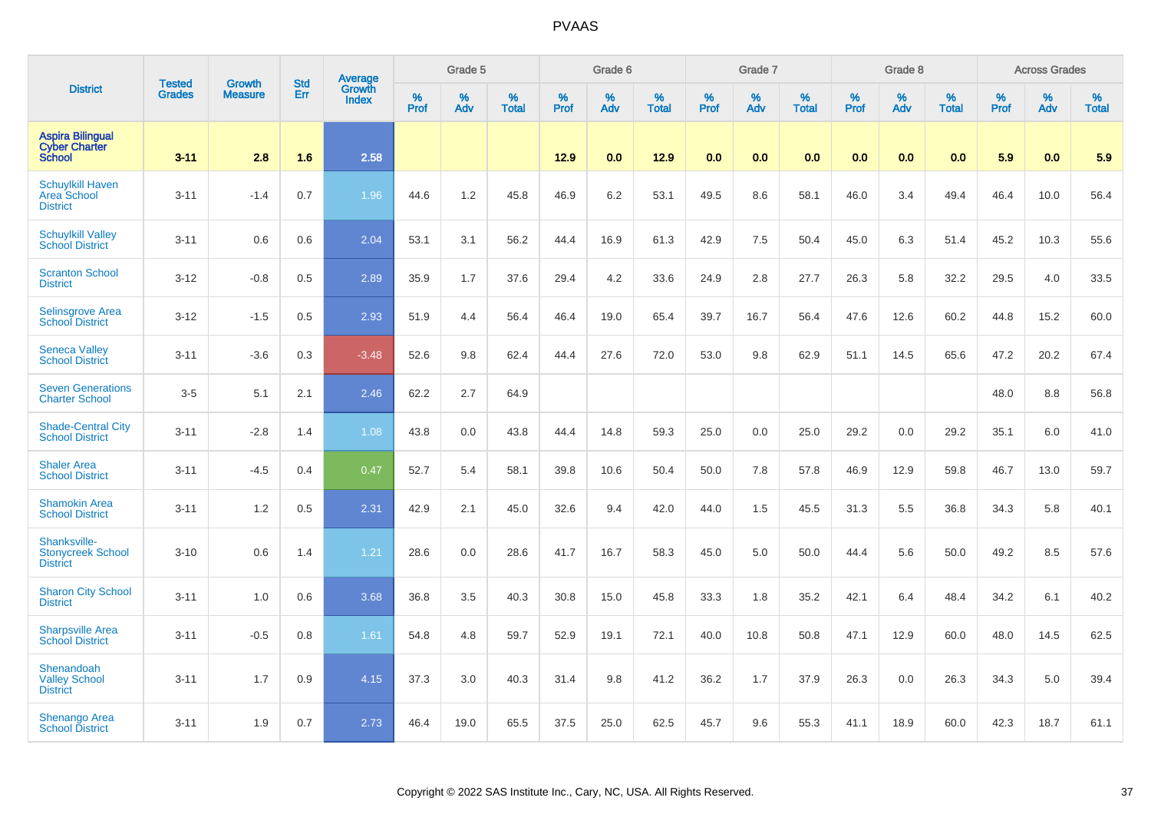|                                                                  | <b>Tested</b> | <b>Growth</b>  | <b>Std</b> | Average<br>Growth |                  | Grade 5  |                   |           | Grade 6  |                   |           | Grade 7  |                   |           | Grade 8  |                   |           | <b>Across Grades</b> |                   |
|------------------------------------------------------------------|---------------|----------------|------------|-------------------|------------------|----------|-------------------|-----------|----------|-------------------|-----------|----------|-------------------|-----------|----------|-------------------|-----------|----------------------|-------------------|
| <b>District</b>                                                  | <b>Grades</b> | <b>Measure</b> | Err        | <b>Index</b>      | %<br><b>Prof</b> | %<br>Adv | %<br><b>Total</b> | %<br>Prof | %<br>Adv | %<br><b>Total</b> | %<br>Prof | %<br>Adv | %<br><b>Total</b> | %<br>Prof | %<br>Adv | %<br><b>Total</b> | %<br>Prof | %<br>Adv             | %<br><b>Total</b> |
| <b>Aspira Bilingual</b><br><b>Cyber Charter</b><br><b>School</b> | $3 - 11$      | 2.8            | 1.6        | 2.58              |                  |          |                   | 12.9      | 0.0      | 12.9              | 0.0       | 0.0      | 0.0               | 0.0       | 0.0      | 0.0               | 5.9       | 0.0                  | 5.9               |
| <b>Schuylkill Haven</b><br>Area School<br><b>District</b>        | $3 - 11$      | $-1.4$         | 0.7        | 1.96              | 44.6             | 1.2      | 45.8              | 46.9      | 6.2      | 53.1              | 49.5      | 8.6      | 58.1              | 46.0      | 3.4      | 49.4              | 46.4      | 10.0                 | 56.4              |
| <b>Schuylkill Valley</b><br><b>School District</b>               | $3 - 11$      | 0.6            | 0.6        | 2.04              | 53.1             | 3.1      | 56.2              | 44.4      | 16.9     | 61.3              | 42.9      | 7.5      | 50.4              | 45.0      | 6.3      | 51.4              | 45.2      | 10.3                 | 55.6              |
| <b>Scranton School</b><br><b>District</b>                        | $3 - 12$      | $-0.8$         | 0.5        | 2.89              | 35.9             | 1.7      | 37.6              | 29.4      | 4.2      | 33.6              | 24.9      | 2.8      | 27.7              | 26.3      | 5.8      | 32.2              | 29.5      | 4.0                  | 33.5              |
| <b>Selinsgrove Area</b><br><b>School District</b>                | $3 - 12$      | $-1.5$         | 0.5        | 2.93              | 51.9             | 4.4      | 56.4              | 46.4      | 19.0     | 65.4              | 39.7      | 16.7     | 56.4              | 47.6      | 12.6     | 60.2              | 44.8      | 15.2                 | 60.0              |
| <b>Seneca Valley</b><br><b>School District</b>                   | $3 - 11$      | $-3.6$         | 0.3        | $-3.48$           | 52.6             | 9.8      | 62.4              | 44.4      | 27.6     | 72.0              | 53.0      | 9.8      | 62.9              | 51.1      | 14.5     | 65.6              | 47.2      | 20.2                 | 67.4              |
| <b>Seven Generations</b><br><b>Charter School</b>                | $3-5$         | 5.1            | 2.1        | 2.46              | 62.2             | 2.7      | 64.9              |           |          |                   |           |          |                   |           |          |                   | 48.0      | 8.8                  | 56.8              |
| <b>Shade-Central City</b><br><b>School District</b>              | $3 - 11$      | $-2.8$         | 1.4        | 1.08              | 43.8             | 0.0      | 43.8              | 44.4      | 14.8     | 59.3              | 25.0      | 0.0      | 25.0              | 29.2      | 0.0      | 29.2              | 35.1      | 6.0                  | 41.0              |
| <b>Shaler Area</b><br><b>School District</b>                     | $3 - 11$      | $-4.5$         | 0.4        | 0.47              | 52.7             | 5.4      | 58.1              | 39.8      | 10.6     | 50.4              | 50.0      | 7.8      | 57.8              | 46.9      | 12.9     | 59.8              | 46.7      | 13.0                 | 59.7              |
| <b>Shamokin Area</b><br><b>School District</b>                   | $3 - 11$      | 1.2            | 0.5        | 2.31              | 42.9             | 2.1      | 45.0              | 32.6      | 9.4      | 42.0              | 44.0      | 1.5      | 45.5              | 31.3      | 5.5      | 36.8              | 34.3      | 5.8                  | 40.1              |
| Shanksville-<br><b>Stonycreek School</b><br><b>District</b>      | $3 - 10$      | 0.6            | 1.4        | 1.21              | 28.6             | 0.0      | 28.6              | 41.7      | 16.7     | 58.3              | 45.0      | 5.0      | 50.0              | 44.4      | 5.6      | 50.0              | 49.2      | 8.5                  | 57.6              |
| <b>Sharon City School</b><br><b>District</b>                     | $3 - 11$      | 1.0            | 0.6        | 3.68              | 36.8             | 3.5      | 40.3              | 30.8      | 15.0     | 45.8              | 33.3      | 1.8      | 35.2              | 42.1      | 6.4      | 48.4              | 34.2      | 6.1                  | 40.2              |
| <b>Sharpsville Area</b><br><b>School District</b>                | $3 - 11$      | $-0.5$         | 0.8        | 1.61              | 54.8             | 4.8      | 59.7              | 52.9      | 19.1     | 72.1              | 40.0      | 10.8     | 50.8              | 47.1      | 12.9     | 60.0              | 48.0      | 14.5                 | 62.5              |
| Shenandoah<br><b>Valley School</b><br><b>District</b>            | $3 - 11$      | 1.7            | 0.9        | 4.15              | 37.3             | 3.0      | 40.3              | 31.4      | 9.8      | 41.2              | 36.2      | 1.7      | 37.9              | 26.3      | 0.0      | 26.3              | 34.3      | 5.0                  | 39.4              |
| Shenango Area<br><b>School District</b>                          | $3 - 11$      | 1.9            | 0.7        | 2.73              | 46.4             | 19.0     | 65.5              | 37.5      | 25.0     | 62.5              | 45.7      | 9.6      | 55.3              | 41.1      | 18.9     | 60.0              | 42.3      | 18.7                 | 61.1              |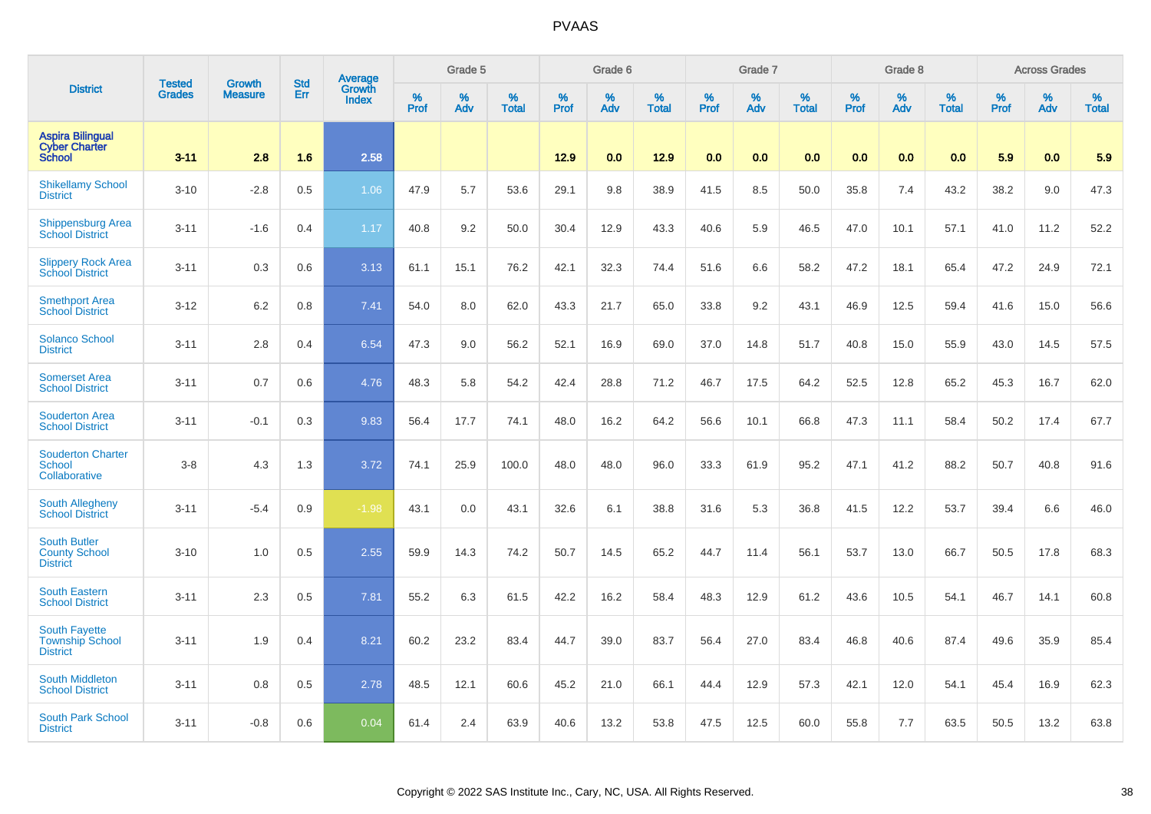|                                                                   | <b>Tested</b> | <b>Growth</b>  | <b>Std</b> | Average         |              | Grade 5  |                   |           | Grade 6  |                   |              | Grade 7  |                   |           | Grade 8  |                   |              | <b>Across Grades</b> |                   |
|-------------------------------------------------------------------|---------------|----------------|------------|-----------------|--------------|----------|-------------------|-----------|----------|-------------------|--------------|----------|-------------------|-----------|----------|-------------------|--------------|----------------------|-------------------|
| <b>District</b>                                                   | <b>Grades</b> | <b>Measure</b> | Err        | Growth<br>Index | $\%$<br>Prof | %<br>Adv | %<br><b>Total</b> | %<br>Prof | %<br>Adv | %<br><b>Total</b> | $\%$<br>Prof | %<br>Adv | %<br><b>Total</b> | %<br>Prof | %<br>Adv | %<br><b>Total</b> | $\%$<br>Prof | %<br>Adv             | %<br><b>Total</b> |
| <b>Aspira Bilingual</b><br><b>Cyber Charter</b><br><b>School</b>  | $3 - 11$      | 2.8            | 1.6        | 2.58            |              |          |                   | 12.9      | 0.0      | 12.9              | 0.0          | 0.0      | 0.0               | 0.0       | 0.0      | 0.0               | 5.9          | 0.0                  | 5.9               |
| <b>Shikellamy School</b><br><b>District</b>                       | $3 - 10$      | $-2.8$         | 0.5        | 1.06            | 47.9         | 5.7      | 53.6              | 29.1      | 9.8      | 38.9              | 41.5         | 8.5      | 50.0              | 35.8      | 7.4      | 43.2              | 38.2         | 9.0                  | 47.3              |
| <b>Shippensburg Area</b><br><b>School District</b>                | $3 - 11$      | $-1.6$         | 0.4        | 1.17            | 40.8         | 9.2      | 50.0              | 30.4      | 12.9     | 43.3              | 40.6         | 5.9      | 46.5              | 47.0      | 10.1     | 57.1              | 41.0         | 11.2                 | 52.2              |
| <b>Slippery Rock Area</b><br><b>School District</b>               | $3 - 11$      | 0.3            | 0.6        | 3.13            | 61.1         | 15.1     | 76.2              | 42.1      | 32.3     | 74.4              | 51.6         | 6.6      | 58.2              | 47.2      | 18.1     | 65.4              | 47.2         | 24.9                 | 72.1              |
| <b>Smethport Area</b><br><b>School District</b>                   | $3 - 12$      | 6.2            | 0.8        | 7.41            | 54.0         | 8.0      | 62.0              | 43.3      | 21.7     | 65.0              | 33.8         | 9.2      | 43.1              | 46.9      | 12.5     | 59.4              | 41.6         | 15.0                 | 56.6              |
| <b>Solanco School</b><br><b>District</b>                          | $3 - 11$      | 2.8            | 0.4        | 6.54            | 47.3         | 9.0      | 56.2              | 52.1      | 16.9     | 69.0              | 37.0         | 14.8     | 51.7              | 40.8      | 15.0     | 55.9              | 43.0         | 14.5                 | 57.5              |
| <b>Somerset Area</b><br><b>School District</b>                    | $3 - 11$      | 0.7            | 0.6        | 4.76            | 48.3         | 5.8      | 54.2              | 42.4      | 28.8     | 71.2              | 46.7         | 17.5     | 64.2              | 52.5      | 12.8     | 65.2              | 45.3         | 16.7                 | 62.0              |
| <b>Souderton Area</b><br><b>School District</b>                   | $3 - 11$      | $-0.1$         | 0.3        | 9.83            | 56.4         | 17.7     | 74.1              | 48.0      | 16.2     | 64.2              | 56.6         | 10.1     | 66.8              | 47.3      | 11.1     | 58.4              | 50.2         | 17.4                 | 67.7              |
| <b>Souderton Charter</b><br><b>School</b><br>Collaborative        | $3-8$         | 4.3            | 1.3        | 3.72            | 74.1         | 25.9     | 100.0             | 48.0      | 48.0     | 96.0              | 33.3         | 61.9     | 95.2              | 47.1      | 41.2     | 88.2              | 50.7         | 40.8                 | 91.6              |
| <b>South Allegheny</b><br><b>School District</b>                  | $3 - 11$      | $-5.4$         | 0.9        | $-1.98$         | 43.1         | 0.0      | 43.1              | 32.6      | 6.1      | 38.8              | 31.6         | 5.3      | 36.8              | 41.5      | 12.2     | 53.7              | 39.4         | 6.6                  | 46.0              |
| <b>South Butler</b><br><b>County School</b><br><b>District</b>    | $3 - 10$      | 1.0            | 0.5        | 2.55            | 59.9         | 14.3     | 74.2              | 50.7      | 14.5     | 65.2              | 44.7         | 11.4     | 56.1              | 53.7      | 13.0     | 66.7              | 50.5         | 17.8                 | 68.3              |
| <b>South Eastern</b><br><b>School District</b>                    | $3 - 11$      | 2.3            | 0.5        | 7.81            | 55.2         | 6.3      | 61.5              | 42.2      | 16.2     | 58.4              | 48.3         | 12.9     | 61.2              | 43.6      | 10.5     | 54.1              | 46.7         | 14.1                 | 60.8              |
| <b>South Fayette</b><br><b>Township School</b><br><b>District</b> | $3 - 11$      | 1.9            | 0.4        | 8.21            | 60.2         | 23.2     | 83.4              | 44.7      | 39.0     | 83.7              | 56.4         | 27.0     | 83.4              | 46.8      | 40.6     | 87.4              | 49.6         | 35.9                 | 85.4              |
| <b>South Middleton</b><br><b>School District</b>                  | $3 - 11$      | 0.8            | 0.5        | 2.78            | 48.5         | 12.1     | 60.6              | 45.2      | 21.0     | 66.1              | 44.4         | 12.9     | 57.3              | 42.1      | 12.0     | 54.1              | 45.4         | 16.9                 | 62.3              |
| South Park School<br><b>District</b>                              | $3 - 11$      | $-0.8$         | 0.6        | 0.04            | 61.4         | 2.4      | 63.9              | 40.6      | 13.2     | 53.8              | 47.5         | 12.5     | 60.0              | 55.8      | 7.7      | 63.5              | 50.5         | 13.2                 | 63.8              |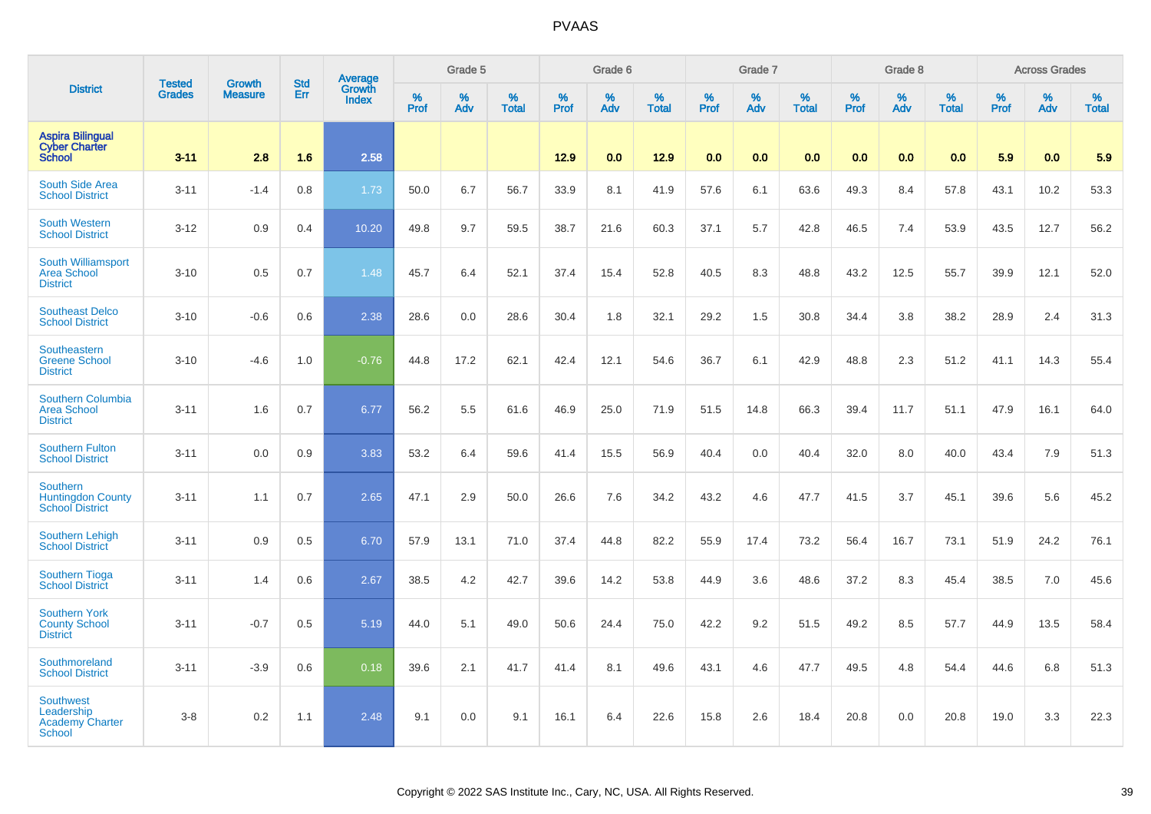|                                                                           | <b>Tested</b> | <b>Growth</b>  | <b>Std</b> | Average<br>Growth |                     | Grade 5  |                   |                  | Grade 6  |                   |                  | Grade 7  |                   |                  | Grade 8  |                   |           | <b>Across Grades</b> |                   |
|---------------------------------------------------------------------------|---------------|----------------|------------|-------------------|---------------------|----------|-------------------|------------------|----------|-------------------|------------------|----------|-------------------|------------------|----------|-------------------|-----------|----------------------|-------------------|
| <b>District</b>                                                           | <b>Grades</b> | <b>Measure</b> | Err        | <b>Index</b>      | $\%$<br><b>Prof</b> | %<br>Adv | %<br><b>Total</b> | %<br><b>Prof</b> | %<br>Adv | %<br><b>Total</b> | %<br><b>Prof</b> | %<br>Adv | %<br><b>Total</b> | %<br><b>Prof</b> | %<br>Adv | %<br><b>Total</b> | %<br>Prof | %<br>Adv             | %<br><b>Total</b> |
| <b>Aspira Bilingual</b><br><b>Cyber Charter</b><br><b>School</b>          | $3 - 11$      | 2.8            | 1.6        | 2.58              |                     |          |                   | $12.9$           | 0.0      | 12.9              | 0.0              | 0.0      | 0.0               | 0.0              | 0.0      | 0.0               | 5.9       | 0.0                  | 5.9               |
| South Side Area<br><b>School District</b>                                 | $3 - 11$      | $-1.4$         | 0.8        | 1.73              | 50.0                | 6.7      | 56.7              | 33.9             | 8.1      | 41.9              | 57.6             | 6.1      | 63.6              | 49.3             | 8.4      | 57.8              | 43.1      | 10.2                 | 53.3              |
| <b>South Western</b><br><b>School District</b>                            | $3 - 12$      | 0.9            | 0.4        | 10.20             | 49.8                | 9.7      | 59.5              | 38.7             | 21.6     | 60.3              | 37.1             | 5.7      | 42.8              | 46.5             | 7.4      | 53.9              | 43.5      | 12.7                 | 56.2              |
| South Williamsport<br><b>Area School</b><br><b>District</b>               | $3 - 10$      | 0.5            | 0.7        | 1.48              | 45.7                | 6.4      | 52.1              | 37.4             | 15.4     | 52.8              | 40.5             | 8.3      | 48.8              | 43.2             | 12.5     | 55.7              | 39.9      | 12.1                 | 52.0              |
| <b>Southeast Delco</b><br><b>School District</b>                          | $3 - 10$      | $-0.6$         | 0.6        | 2.38              | 28.6                | 0.0      | 28.6              | 30.4             | 1.8      | 32.1              | 29.2             | 1.5      | 30.8              | 34.4             | 3.8      | 38.2              | 28.9      | 2.4                  | 31.3              |
| Southeastern<br><b>Greene School</b><br><b>District</b>                   | $3 - 10$      | $-4.6$         | 1.0        | $-0.76$           | 44.8                | 17.2     | 62.1              | 42.4             | 12.1     | 54.6              | 36.7             | 6.1      | 42.9              | 48.8             | 2.3      | 51.2              | 41.1      | 14.3                 | 55.4              |
| Southern Columbia<br><b>Area School</b><br><b>District</b>                | $3 - 11$      | 1.6            | 0.7        | 6.77              | 56.2                | 5.5      | 61.6              | 46.9             | 25.0     | 71.9              | 51.5             | 14.8     | 66.3              | 39.4             | 11.7     | 51.1              | 47.9      | 16.1                 | 64.0              |
| <b>Southern Fulton</b><br><b>School District</b>                          | $3 - 11$      | 0.0            | 0.9        | 3.83              | 53.2                | 6.4      | 59.6              | 41.4             | 15.5     | 56.9              | 40.4             | 0.0      | 40.4              | 32.0             | 8.0      | 40.0              | 43.4      | 7.9                  | 51.3              |
| <b>Southern</b><br><b>Huntingdon County</b><br><b>School District</b>     | $3 - 11$      | 1.1            | 0.7        | 2.65              | 47.1                | 2.9      | 50.0              | 26.6             | 7.6      | 34.2              | 43.2             | 4.6      | 47.7              | 41.5             | 3.7      | 45.1              | 39.6      | 5.6                  | 45.2              |
| <b>Southern Lehigh</b><br><b>School District</b>                          | $3 - 11$      | 0.9            | 0.5        | 6.70              | 57.9                | 13.1     | 71.0              | 37.4             | 44.8     | 82.2              | 55.9             | 17.4     | 73.2              | 56.4             | 16.7     | 73.1              | 51.9      | 24.2                 | 76.1              |
| <b>Southern Tioga</b><br><b>School District</b>                           | $3 - 11$      | 1.4            | 0.6        | 2.67              | 38.5                | 4.2      | 42.7              | 39.6             | 14.2     | 53.8              | 44.9             | 3.6      | 48.6              | 37.2             | 8.3      | 45.4              | 38.5      | 7.0                  | 45.6              |
| <b>Southern York</b><br><b>County School</b><br><b>District</b>           | $3 - 11$      | $-0.7$         | 0.5        | 5.19              | 44.0                | 5.1      | 49.0              | 50.6             | 24.4     | 75.0              | 42.2             | 9.2      | 51.5              | 49.2             | 8.5      | 57.7              | 44.9      | 13.5                 | 58.4              |
| Southmoreland<br><b>School District</b>                                   | $3 - 11$      | $-3.9$         | 0.6        | 0.18              | 39.6                | 2.1      | 41.7              | 41.4             | 8.1      | 49.6              | 43.1             | 4.6      | 47.7              | 49.5             | 4.8      | 54.4              | 44.6      | 6.8                  | 51.3              |
| <b>Southwest</b><br>Leadership<br><b>Academy Charter</b><br><b>School</b> | $3-8$         | 0.2            | 1.1        | 2.48              | 9.1                 | 0.0      | 9.1               | 16.1             | 6.4      | 22.6              | 15.8             | 2.6      | 18.4              | 20.8             | 0.0      | 20.8              | 19.0      | 3.3                  | 22.3              |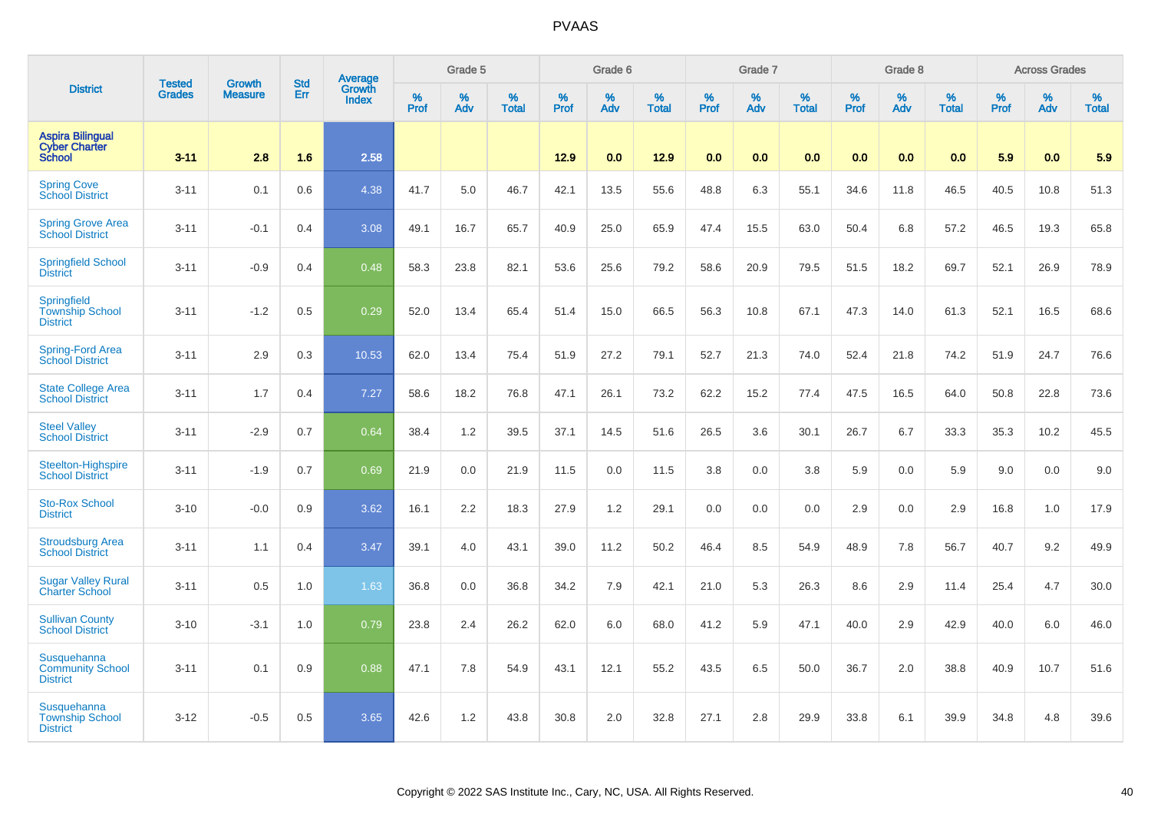|                                                                  | <b>Tested</b> | <b>Growth</b>  | <b>Std</b> | Average                |                  | Grade 5  |                   |           | Grade 6  |                   |           | Grade 7  |                   |           | Grade 8  |                   |           | <b>Across Grades</b> |                   |
|------------------------------------------------------------------|---------------|----------------|------------|------------------------|------------------|----------|-------------------|-----------|----------|-------------------|-----------|----------|-------------------|-----------|----------|-------------------|-----------|----------------------|-------------------|
| <b>District</b>                                                  | <b>Grades</b> | <b>Measure</b> | Err        | Growth<br><b>Index</b> | %<br><b>Prof</b> | %<br>Adv | %<br><b>Total</b> | %<br>Prof | %<br>Adv | %<br><b>Total</b> | %<br>Prof | %<br>Adv | %<br><b>Total</b> | %<br>Prof | %<br>Adv | %<br><b>Total</b> | %<br>Prof | %<br>Adv             | %<br><b>Total</b> |
| <b>Aspira Bilingual</b><br><b>Cyber Charter</b><br><b>School</b> | $3 - 11$      | 2.8            | 1.6        | 2.58                   |                  |          |                   | $12.9$    | 0.0      | 12.9              | 0.0       | 0.0      | 0.0               | 0.0       | 0.0      | 0.0               | 5.9       | 0.0                  | 5.9               |
| <b>Spring Cove</b><br>School District                            | $3 - 11$      | 0.1            | 0.6        | 4.38                   | 41.7             | 5.0      | 46.7              | 42.1      | 13.5     | 55.6              | 48.8      | 6.3      | 55.1              | 34.6      | 11.8     | 46.5              | 40.5      | 10.8                 | 51.3              |
| <b>Spring Grove Area</b><br><b>School District</b>               | $3 - 11$      | $-0.1$         | 0.4        | 3.08                   | 49.1             | 16.7     | 65.7              | 40.9      | 25.0     | 65.9              | 47.4      | 15.5     | 63.0              | 50.4      | 6.8      | 57.2              | 46.5      | 19.3                 | 65.8              |
| <b>Springfield School</b><br><b>District</b>                     | $3 - 11$      | $-0.9$         | 0.4        | 0.48                   | 58.3             | 23.8     | 82.1              | 53.6      | 25.6     | 79.2              | 58.6      | 20.9     | 79.5              | 51.5      | 18.2     | 69.7              | 52.1      | 26.9                 | 78.9              |
| Springfield<br><b>Township School</b><br><b>District</b>         | $3 - 11$      | $-1.2$         | 0.5        | 0.29                   | 52.0             | 13.4     | 65.4              | 51.4      | 15.0     | 66.5              | 56.3      | 10.8     | 67.1              | 47.3      | 14.0     | 61.3              | 52.1      | 16.5                 | 68.6              |
| <b>Spring-Ford Area</b><br>School District                       | $3 - 11$      | 2.9            | 0.3        | 10.53                  | 62.0             | 13.4     | 75.4              | 51.9      | 27.2     | 79.1              | 52.7      | 21.3     | 74.0              | 52.4      | 21.8     | 74.2              | 51.9      | 24.7                 | 76.6              |
| <b>State College Area</b><br><b>School District</b>              | $3 - 11$      | 1.7            | 0.4        | 7.27                   | 58.6             | 18.2     | 76.8              | 47.1      | 26.1     | 73.2              | 62.2      | 15.2     | 77.4              | 47.5      | 16.5     | 64.0              | 50.8      | 22.8                 | 73.6              |
| <b>Steel Valley</b><br><b>School District</b>                    | $3 - 11$      | $-2.9$         | 0.7        | 0.64                   | 38.4             | 1.2      | 39.5              | 37.1      | 14.5     | 51.6              | 26.5      | 3.6      | 30.1              | 26.7      | 6.7      | 33.3              | 35.3      | 10.2                 | 45.5              |
| Steelton-Highspire<br><b>School District</b>                     | $3 - 11$      | $-1.9$         | 0.7        | 0.69                   | 21.9             | 0.0      | 21.9              | 11.5      | 0.0      | 11.5              | 3.8       | 0.0      | 3.8               | 5.9       | 0.0      | 5.9               | 9.0       | 0.0                  | 9.0               |
| <b>Sto-Rox School</b><br><b>District</b>                         | $3 - 10$      | $-0.0$         | 0.9        | 3.62                   | 16.1             | 2.2      | 18.3              | 27.9      | 1.2      | 29.1              | 0.0       | 0.0      | 0.0               | 2.9       | 0.0      | 2.9               | 16.8      | 1.0                  | 17.9              |
| <b>Stroudsburg Area</b><br><b>School District</b>                | $3 - 11$      | 1.1            | 0.4        | 3.47                   | 39.1             | 4.0      | 43.1              | 39.0      | 11.2     | 50.2              | 46.4      | 8.5      | 54.9              | 48.9      | 7.8      | 56.7              | 40.7      | 9.2                  | 49.9              |
| <b>Sugar Valley Rural</b><br><b>Charter School</b>               | $3 - 11$      | 0.5            | 1.0        | 1.63                   | 36.8             | 0.0      | 36.8              | 34.2      | 7.9      | 42.1              | 21.0      | 5.3      | 26.3              | 8.6       | 2.9      | 11.4              | 25.4      | 4.7                  | 30.0              |
| <b>Sullivan County</b><br><b>School District</b>                 | $3 - 10$      | $-3.1$         | 1.0        | 0.79                   | 23.8             | 2.4      | 26.2              | 62.0      | 6.0      | 68.0              | 41.2      | 5.9      | 47.1              | 40.0      | 2.9      | 42.9              | 40.0      | 6.0                  | 46.0              |
| Susquehanna<br><b>Community School</b><br><b>District</b>        | $3 - 11$      | 0.1            | 0.9        | 0.88                   | 47.1             | 7.8      | 54.9              | 43.1      | 12.1     | 55.2              | 43.5      | 6.5      | 50.0              | 36.7      | 2.0      | 38.8              | 40.9      | 10.7                 | 51.6              |
| Susquehanna<br><b>Township School</b><br><b>District</b>         | $3 - 12$      | $-0.5$         | 0.5        | 3.65                   | 42.6             | 1.2      | 43.8              | 30.8      | 2.0      | 32.8              | 27.1      | 2.8      | 29.9              | 33.8      | 6.1      | 39.9              | 34.8      | 4.8                  | 39.6              |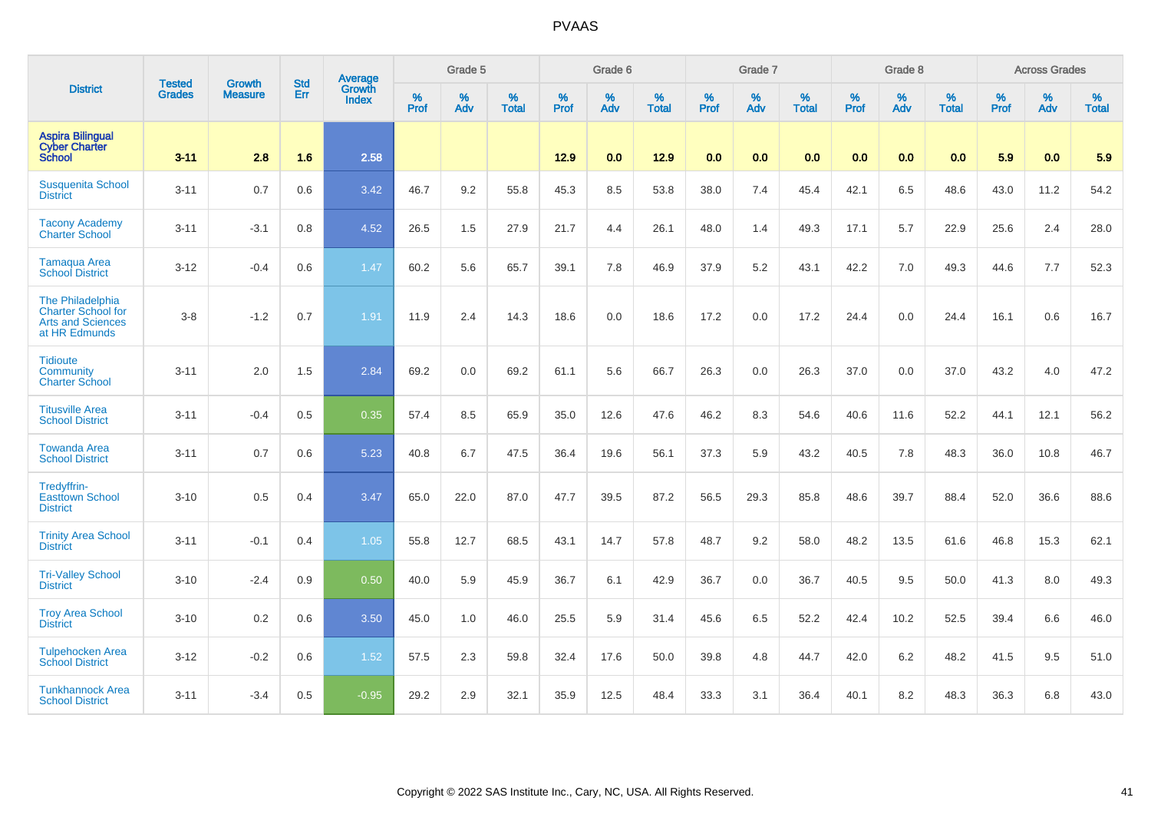|                                                                                            |                                |                                 | <b>Std</b> | Average                |                     | Grade 5  |                   |                     | Grade 6  |                   |              | Grade 7  |                   |              | Grade 8  |                   |                     | <b>Across Grades</b> |                   |
|--------------------------------------------------------------------------------------------|--------------------------------|---------------------------------|------------|------------------------|---------------------|----------|-------------------|---------------------|----------|-------------------|--------------|----------|-------------------|--------------|----------|-------------------|---------------------|----------------------|-------------------|
| <b>District</b>                                                                            | <b>Tested</b><br><b>Grades</b> | <b>Growth</b><br><b>Measure</b> | <b>Err</b> | Growth<br><b>Index</b> | $\%$<br><b>Prof</b> | %<br>Adv | %<br><b>Total</b> | $\%$<br><b>Prof</b> | %<br>Adv | %<br><b>Total</b> | $\%$<br>Prof | %<br>Adv | %<br><b>Total</b> | $\%$<br>Prof | %<br>Adv | %<br><b>Total</b> | $\%$<br><b>Prof</b> | $\%$<br>Adv          | %<br><b>Total</b> |
| <b>Aspira Bilingual</b><br><b>Cyber Charter</b><br><b>School</b>                           | $3 - 11$                       | 2.8                             | 1.6        | 2.58                   |                     |          |                   | 12.9                | 0.0      | 12.9              | 0.0          | 0.0      | 0.0               | 0.0          | 0.0      | 0.0               | 5.9                 | 0.0                  | 5.9               |
| <b>Susquenita School</b><br><b>District</b>                                                | $3 - 11$                       | 0.7                             | 0.6        | 3.42                   | 46.7                | 9.2      | 55.8              | 45.3                | 8.5      | 53.8              | 38.0         | 7.4      | 45.4              | 42.1         | 6.5      | 48.6              | 43.0                | 11.2                 | 54.2              |
| <b>Tacony Academy</b><br>Charter School                                                    | $3 - 11$                       | $-3.1$                          | 0.8        | 4.52                   | 26.5                | 1.5      | 27.9              | 21.7                | 4.4      | 26.1              | 48.0         | 1.4      | 49.3              | 17.1         | 5.7      | 22.9              | 25.6                | 2.4                  | 28.0              |
| <b>Tamaqua Area</b><br><b>School District</b>                                              | $3 - 12$                       | $-0.4$                          | 0.6        | 1.47                   | 60.2                | 5.6      | 65.7              | 39.1                | 7.8      | 46.9              | 37.9         | 5.2      | 43.1              | 42.2         | 7.0      | 49.3              | 44.6                | 7.7                  | 52.3              |
| The Philadelphia<br><b>Charter School for</b><br><b>Arts and Sciences</b><br>at HR Edmunds | $3-8$                          | $-1.2$                          | 0.7        | 1.91                   | 11.9                | 2.4      | 14.3              | 18.6                | 0.0      | 18.6              | 17.2         | 0.0      | 17.2              | 24.4         | 0.0      | 24.4              | 16.1                | 0.6                  | 16.7              |
| <b>Tidioute</b><br>Community<br><b>Charter School</b>                                      | $3 - 11$                       | 2.0                             | 1.5        | 2.84                   | 69.2                | 0.0      | 69.2              | 61.1                | 5.6      | 66.7              | 26.3         | 0.0      | 26.3              | 37.0         | 0.0      | 37.0              | 43.2                | 4.0                  | 47.2              |
| <b>Titusville Area</b><br><b>School District</b>                                           | $3 - 11$                       | $-0.4$                          | 0.5        | 0.35                   | 57.4                | 8.5      | 65.9              | 35.0                | 12.6     | 47.6              | 46.2         | 8.3      | 54.6              | 40.6         | 11.6     | 52.2              | 44.1                | 12.1                 | 56.2              |
| <b>Towanda Area</b><br><b>School District</b>                                              | $3 - 11$                       | 0.7                             | 0.6        | 5.23                   | 40.8                | 6.7      | 47.5              | 36.4                | 19.6     | 56.1              | 37.3         | 5.9      | 43.2              | 40.5         | 7.8      | 48.3              | 36.0                | 10.8                 | 46.7              |
| Tredyffrin-<br><b>Easttown School</b><br><b>District</b>                                   | $3 - 10$                       | 0.5                             | 0.4        | 3.47                   | 65.0                | 22.0     | 87.0              | 47.7                | 39.5     | 87.2              | 56.5         | 29.3     | 85.8              | 48.6         | 39.7     | 88.4              | 52.0                | 36.6                 | 88.6              |
| <b>Trinity Area School</b><br><b>District</b>                                              | $3 - 11$                       | $-0.1$                          | 0.4        | 1.05                   | 55.8                | 12.7     | 68.5              | 43.1                | 14.7     | 57.8              | 48.7         | 9.2      | 58.0              | 48.2         | 13.5     | 61.6              | 46.8                | 15.3                 | 62.1              |
| <b>Tri-Valley School</b><br><b>District</b>                                                | $3 - 10$                       | $-2.4$                          | 0.9        | 0.50                   | 40.0                | 5.9      | 45.9              | 36.7                | 6.1      | 42.9              | 36.7         | 0.0      | 36.7              | 40.5         | 9.5      | 50.0              | 41.3                | 8.0                  | 49.3              |
| <b>Troy Area School</b><br><b>District</b>                                                 | $3 - 10$                       | 0.2                             | 0.6        | 3.50                   | 45.0                | 1.0      | 46.0              | 25.5                | 5.9      | 31.4              | 45.6         | 6.5      | 52.2              | 42.4         | 10.2     | 52.5              | 39.4                | 6.6                  | 46.0              |
| <b>Tulpehocken Area</b><br><b>School District</b>                                          | $3 - 12$                       | $-0.2$                          | 0.6        | 1.52                   | 57.5                | 2.3      | 59.8              | 32.4                | 17.6     | 50.0              | 39.8         | 4.8      | 44.7              | 42.0         | 6.2      | 48.2              | 41.5                | 9.5                  | 51.0              |
| <b>Tunkhannock Area</b><br><b>School District</b>                                          | $3 - 11$                       | $-3.4$                          | 0.5        | $-0.95$                | 29.2                | 2.9      | 32.1              | 35.9                | 12.5     | 48.4              | 33.3         | 3.1      | 36.4              | 40.1         | 8.2      | 48.3              | 36.3                | 6.8                  | 43.0              |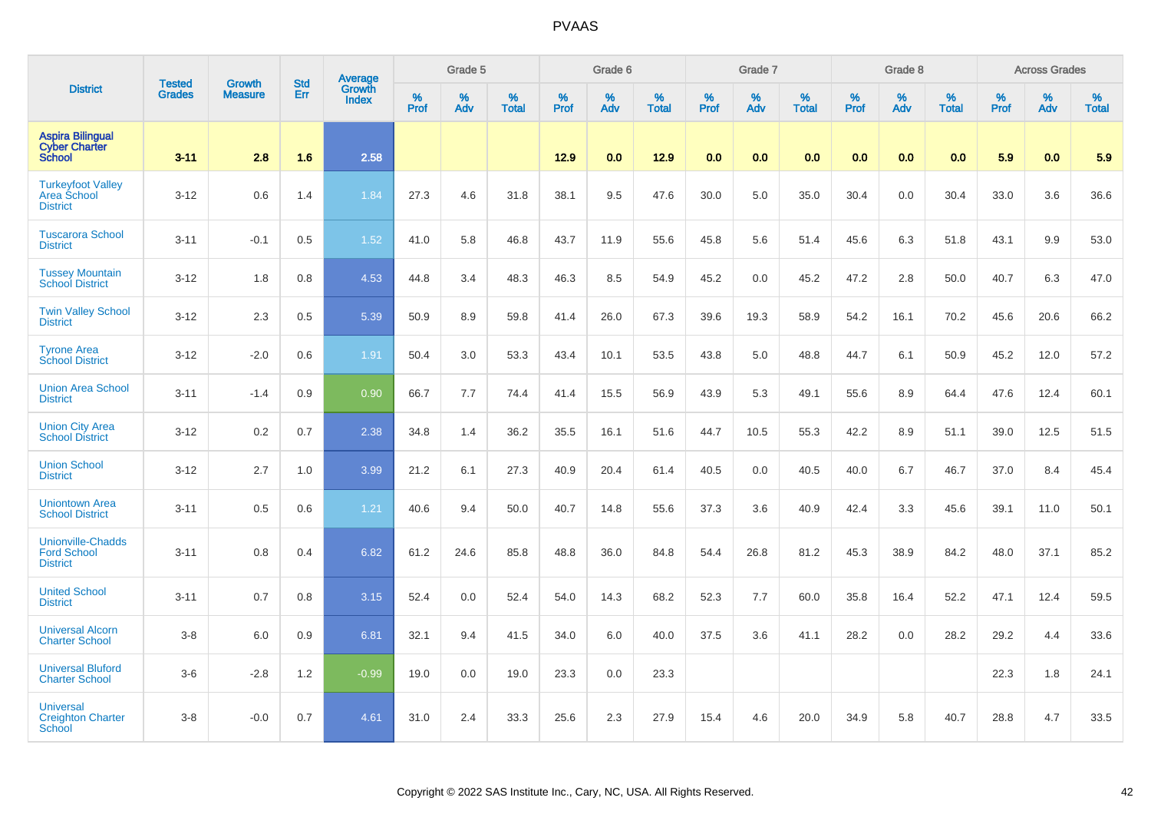|                                                                   | <b>Tested</b> | <b>Growth</b>  | <b>Std</b> |                                          |           | Grade 5  |                   |           | Grade 6  |                   |           | Grade 7  |                   |           | Grade 8  |                   |           | <b>Across Grades</b> |                   |
|-------------------------------------------------------------------|---------------|----------------|------------|------------------------------------------|-----------|----------|-------------------|-----------|----------|-------------------|-----------|----------|-------------------|-----------|----------|-------------------|-----------|----------------------|-------------------|
| <b>District</b>                                                   | <b>Grades</b> | <b>Measure</b> | Err        | <b>Average</b><br>Growth<br><b>Index</b> | %<br>Prof | %<br>Adv | %<br><b>Total</b> | %<br>Prof | %<br>Adv | %<br><b>Total</b> | %<br>Prof | %<br>Adv | %<br><b>Total</b> | %<br>Prof | %<br>Adv | %<br><b>Total</b> | %<br>Prof | %<br>Adv             | %<br><b>Total</b> |
| <b>Aspira Bilingual</b><br><b>Cyber Charter</b><br><b>School</b>  | $3 - 11$      | 2.8            | 1.6        | 2.58                                     |           |          |                   | $12.9$    | 0.0      | 12.9              | 0.0       | 0.0      | 0.0               | 0.0       | 0.0      | 0.0               | 5.9       | 0.0                  | 5.9               |
| <b>Turkeyfoot Valley</b><br>Area School<br><b>District</b>        | $3 - 12$      | 0.6            | 1.4        | 1.84                                     | 27.3      | 4.6      | 31.8              | 38.1      | 9.5      | 47.6              | 30.0      | 5.0      | 35.0              | 30.4      | 0.0      | 30.4              | 33.0      | 3.6                  | 36.6              |
| <b>Tuscarora School</b><br><b>District</b>                        | $3 - 11$      | $-0.1$         | 0.5        | 1.52                                     | 41.0      | 5.8      | 46.8              | 43.7      | 11.9     | 55.6              | 45.8      | 5.6      | 51.4              | 45.6      | 6.3      | 51.8              | 43.1      | 9.9                  | 53.0              |
| <b>Tussey Mountain</b><br><b>School District</b>                  | $3 - 12$      | 1.8            | 0.8        | 4.53                                     | 44.8      | 3.4      | 48.3              | 46.3      | 8.5      | 54.9              | 45.2      | 0.0      | 45.2              | 47.2      | 2.8      | 50.0              | 40.7      | 6.3                  | 47.0              |
| <b>Twin Valley School</b><br><b>District</b>                      | $3 - 12$      | 2.3            | 0.5        | 5.39                                     | 50.9      | 8.9      | 59.8              | 41.4      | 26.0     | 67.3              | 39.6      | 19.3     | 58.9              | 54.2      | 16.1     | 70.2              | 45.6      | 20.6                 | 66.2              |
| <b>Tyrone Area</b><br><b>School District</b>                      | $3 - 12$      | $-2.0$         | 0.6        | 1.91                                     | 50.4      | 3.0      | 53.3              | 43.4      | 10.1     | 53.5              | 43.8      | 5.0      | 48.8              | 44.7      | 6.1      | 50.9              | 45.2      | 12.0                 | 57.2              |
| <b>Union Area School</b><br><b>District</b>                       | $3 - 11$      | $-1.4$         | 0.9        | 0.90                                     | 66.7      | 7.7      | 74.4              | 41.4      | 15.5     | 56.9              | 43.9      | 5.3      | 49.1              | 55.6      | 8.9      | 64.4              | 47.6      | 12.4                 | 60.1              |
| <b>Union City Area</b><br><b>School District</b>                  | $3 - 12$      | 0.2            | 0.7        | 2.38                                     | 34.8      | 1.4      | 36.2              | 35.5      | 16.1     | 51.6              | 44.7      | 10.5     | 55.3              | 42.2      | 8.9      | 51.1              | 39.0      | 12.5                 | 51.5              |
| <b>Union School</b><br><b>District</b>                            | $3 - 12$      | 2.7            | 1.0        | 3.99                                     | 21.2      | 6.1      | 27.3              | 40.9      | 20.4     | 61.4              | 40.5      | 0.0      | 40.5              | 40.0      | 6.7      | 46.7              | 37.0      | 8.4                  | 45.4              |
| <b>Uniontown Area</b><br><b>School District</b>                   | $3 - 11$      | 0.5            | 0.6        | 1.21                                     | 40.6      | 9.4      | 50.0              | 40.7      | 14.8     | 55.6              | 37.3      | 3.6      | 40.9              | 42.4      | 3.3      | 45.6              | 39.1      | 11.0                 | 50.1              |
| <b>Unionville-Chadds</b><br><b>Ford School</b><br><b>District</b> | $3 - 11$      | 0.8            | 0.4        | 6.82                                     | 61.2      | 24.6     | 85.8              | 48.8      | 36.0     | 84.8              | 54.4      | 26.8     | 81.2              | 45.3      | 38.9     | 84.2              | 48.0      | 37.1                 | 85.2              |
| <b>United School</b><br><b>District</b>                           | $3 - 11$      | 0.7            | 0.8        | 3.15                                     | 52.4      | 0.0      | 52.4              | 54.0      | 14.3     | 68.2              | 52.3      | 7.7      | 60.0              | 35.8      | 16.4     | 52.2              | 47.1      | 12.4                 | 59.5              |
| <b>Universal Alcorn</b><br><b>Charter School</b>                  | $3-8$         | 6.0            | 0.9        | 6.81                                     | 32.1      | 9.4      | 41.5              | 34.0      | 6.0      | 40.0              | 37.5      | 3.6      | 41.1              | 28.2      | 0.0      | 28.2              | 29.2      | 4.4                  | 33.6              |
| <b>Universal Bluford</b><br><b>Charter School</b>                 | $3-6$         | $-2.8$         | 1.2        | $-0.99$                                  | 19.0      | 0.0      | 19.0              | 23.3      | 0.0      | 23.3              |           |          |                   |           |          |                   | 22.3      | 1.8                  | 24.1              |
| <b>Universal</b><br><b>Creighton Charter</b><br><b>School</b>     | $3-8$         | $-0.0$         | 0.7        | 4.61                                     | 31.0      | 2.4      | 33.3              | 25.6      | 2.3      | 27.9              | 15.4      | 4.6      | 20.0              | 34.9      | 5.8      | 40.7              | 28.8      | 4.7                  | 33.5              |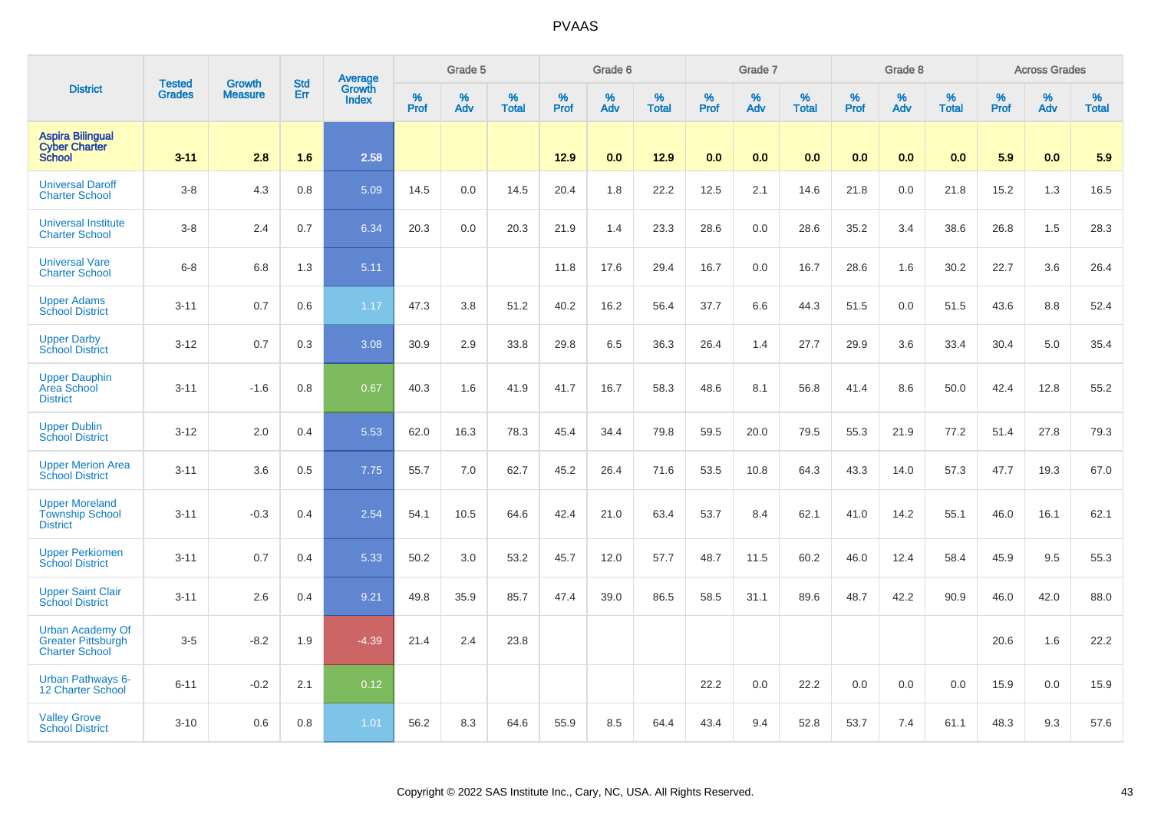|                                                                               |                                | <b>Growth</b>  | <b>Std</b> | Average                |              | Grade 5  |                   |           | Grade 6  |                   |              | Grade 7  |                   |           | Grade 8  |                   |           | <b>Across Grades</b> |                   |
|-------------------------------------------------------------------------------|--------------------------------|----------------|------------|------------------------|--------------|----------|-------------------|-----------|----------|-------------------|--------------|----------|-------------------|-----------|----------|-------------------|-----------|----------------------|-------------------|
| <b>District</b>                                                               | <b>Tested</b><br><b>Grades</b> | <b>Measure</b> | Err        | Growth<br><b>Index</b> | $\%$<br>Prof | %<br>Adv | %<br><b>Total</b> | %<br>Prof | %<br>Adv | %<br><b>Total</b> | $\%$<br>Prof | %<br>Adv | %<br><b>Total</b> | %<br>Prof | %<br>Adv | %<br><b>Total</b> | %<br>Prof | %<br>Adv             | %<br><b>Total</b> |
| <b>Aspira Bilingual</b><br><b>Cyber Charter</b><br><b>School</b>              | $3 - 11$                       | 2.8            | 1.6        | 2.58                   |              |          |                   | 12.9      | 0.0      | 12.9              | 0.0          | 0.0      | 0.0               | 0.0       | 0.0      | 0.0               | 5.9       | 0.0                  | 5.9               |
| <b>Universal Daroff</b><br><b>Charter School</b>                              | $3-8$                          | 4.3            | 0.8        | 5.09                   | 14.5         | 0.0      | 14.5              | 20.4      | 1.8      | 22.2              | 12.5         | 2.1      | 14.6              | 21.8      | 0.0      | 21.8              | 15.2      | 1.3                  | 16.5              |
| <b>Universal Institute</b><br><b>Charter School</b>                           | $3-8$                          | 2.4            | 0.7        | 6.34                   | 20.3         | 0.0      | 20.3              | 21.9      | 1.4      | 23.3              | 28.6         | 0.0      | 28.6              | 35.2      | 3.4      | 38.6              | 26.8      | 1.5                  | 28.3              |
| <b>Universal Vare</b><br><b>Charter School</b>                                | $6-8$                          | 6.8            | 1.3        | 5.11                   |              |          |                   | 11.8      | 17.6     | 29.4              | 16.7         | 0.0      | 16.7              | 28.6      | 1.6      | 30.2              | 22.7      | 3.6                  | 26.4              |
| <b>Upper Adams</b><br><b>School District</b>                                  | $3 - 11$                       | 0.7            | 0.6        | 1.17                   | 47.3         | 3.8      | 51.2              | 40.2      | 16.2     | 56.4              | 37.7         | 6.6      | 44.3              | 51.5      | 0.0      | 51.5              | 43.6      | 8.8                  | 52.4              |
| <b>Upper Darby</b><br><b>School District</b>                                  | $3 - 12$                       | 0.7            | 0.3        | 3.08                   | 30.9         | 2.9      | 33.8              | 29.8      | 6.5      | 36.3              | 26.4         | 1.4      | 27.7              | 29.9      | 3.6      | 33.4              | 30.4      | 5.0                  | 35.4              |
| <b>Upper Dauphin</b><br><b>Area School</b><br><b>District</b>                 | $3 - 11$                       | $-1.6$         | 0.8        | 0.67                   | 40.3         | 1.6      | 41.9              | 41.7      | 16.7     | 58.3              | 48.6         | 8.1      | 56.8              | 41.4      | 8.6      | 50.0              | 42.4      | 12.8                 | 55.2              |
| <b>Upper Dublin</b><br><b>School District</b>                                 | $3 - 12$                       | 2.0            | 0.4        | 5.53                   | 62.0         | 16.3     | 78.3              | 45.4      | 34.4     | 79.8              | 59.5         | 20.0     | 79.5              | 55.3      | 21.9     | 77.2              | 51.4      | 27.8                 | 79.3              |
| <b>Upper Merion Area</b><br><b>School District</b>                            | $3 - 11$                       | 3.6            | 0.5        | 7.75                   | 55.7         | 7.0      | 62.7              | 45.2      | 26.4     | 71.6              | 53.5         | 10.8     | 64.3              | 43.3      | 14.0     | 57.3              | 47.7      | 19.3                 | 67.0              |
| <b>Upper Moreland</b><br><b>Township School</b><br><b>District</b>            | $3 - 11$                       | $-0.3$         | 0.4        | 2.54                   | 54.1         | 10.5     | 64.6              | 42.4      | 21.0     | 63.4              | 53.7         | 8.4      | 62.1              | 41.0      | 14.2     | 55.1              | 46.0      | 16.1                 | 62.1              |
| <b>Upper Perkiomen</b><br><b>School District</b>                              | $3 - 11$                       | 0.7            | 0.4        | 5.33                   | 50.2         | 3.0      | 53.2              | 45.7      | 12.0     | 57.7              | 48.7         | 11.5     | 60.2              | 46.0      | 12.4     | 58.4              | 45.9      | 9.5                  | 55.3              |
| <b>Upper Saint Clair</b><br><b>School District</b>                            | $3 - 11$                       | 2.6            | 0.4        | 9.21                   | 49.8         | 35.9     | 85.7              | 47.4      | 39.0     | 86.5              | 58.5         | 31.1     | 89.6              | 48.7      | 42.2     | 90.9              | 46.0      | 42.0                 | 88.0              |
| <b>Urban Academy Of</b><br><b>Greater Pittsburgh</b><br><b>Charter School</b> | $3-5$                          | $-8.2$         | 1.9        | $-4.39$                | 21.4         | 2.4      | 23.8              |           |          |                   |              |          |                   |           |          |                   | 20.6      | 1.6                  | 22.2              |
| <b>Urban Pathways 6-</b><br>12 Charter School                                 | $6 - 11$                       | $-0.2$         | 2.1        | 0.12                   |              |          |                   |           |          |                   | 22.2         | 0.0      | 22.2              | 0.0       | 0.0      | 0.0               | 15.9      | 0.0                  | 15.9              |
| <b>Valley Grove</b><br><b>School District</b>                                 | $3 - 10$                       | 0.6            | 0.8        | 1.01                   | 56.2         | 8.3      | 64.6              | 55.9      | 8.5      | 64.4              | 43.4         | 9.4      | 52.8              | 53.7      | 7.4      | 61.1              | 48.3      | 9.3                  | 57.6              |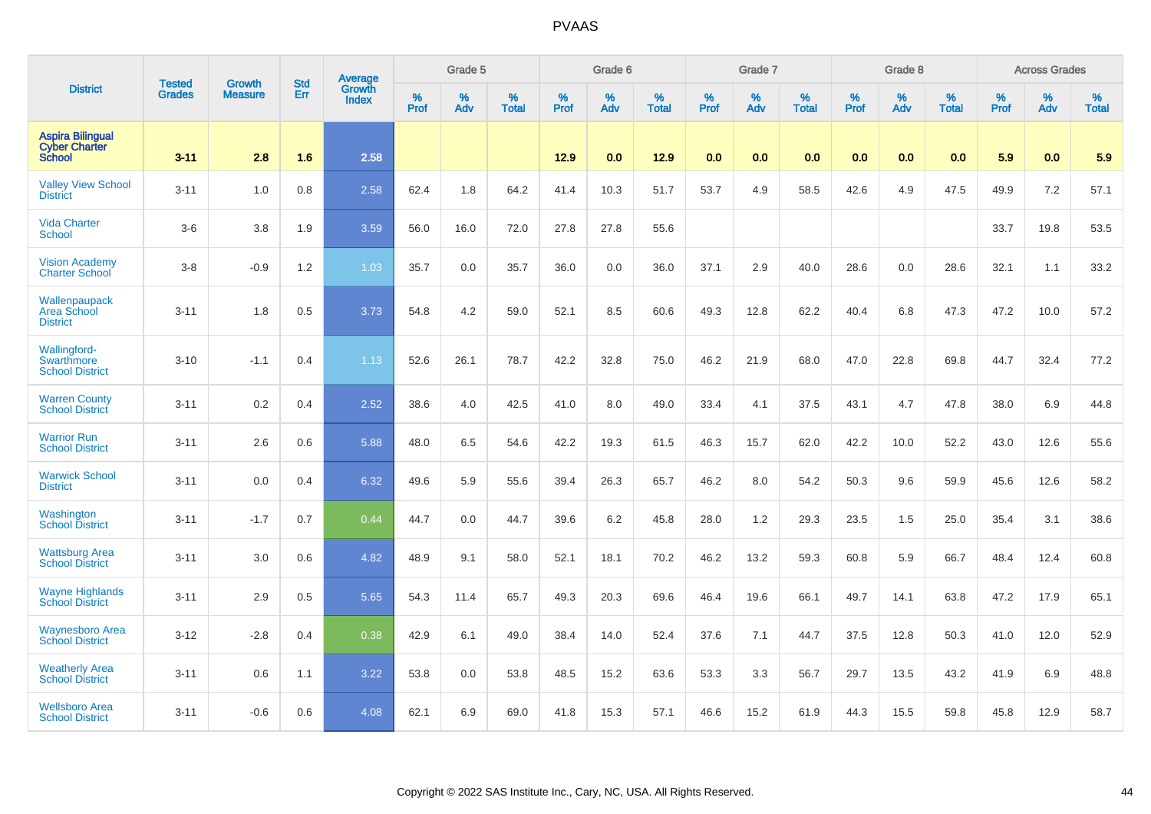|                                                                  | <b>Tested</b> | <b>Growth</b>  | <b>Std</b> | Average                       |           | Grade 5  |                   |           | Grade 6  |                   |           | Grade 7  |                   |           | Grade 8  |                   |           | <b>Across Grades</b> |                   |
|------------------------------------------------------------------|---------------|----------------|------------|-------------------------------|-----------|----------|-------------------|-----------|----------|-------------------|-----------|----------|-------------------|-----------|----------|-------------------|-----------|----------------------|-------------------|
| <b>District</b>                                                  | <b>Grades</b> | <b>Measure</b> | Err        | <b>Growth</b><br><b>Index</b> | %<br>Prof | %<br>Adv | %<br><b>Total</b> | %<br>Prof | %<br>Adv | %<br><b>Total</b> | %<br>Prof | %<br>Adv | %<br><b>Total</b> | %<br>Prof | %<br>Adv | %<br><b>Total</b> | %<br>Prof | %<br>Adv             | %<br><b>Total</b> |
| <b>Aspira Bilingual</b><br><b>Cyber Charter</b><br><b>School</b> | $3 - 11$      | 2.8            | 1.6        | 2.58                          |           |          |                   | 12.9      | 0.0      | 12.9              | 0.0       | 0.0      | 0.0               | 0.0       | 0.0      | 0.0               | 5.9       | 0.0                  | 5.9               |
| <b>Valley View School</b><br><b>District</b>                     | $3 - 11$      | 1.0            | 0.8        | 2.58                          | 62.4      | 1.8      | 64.2              | 41.4      | 10.3     | 51.7              | 53.7      | 4.9      | 58.5              | 42.6      | 4.9      | 47.5              | 49.9      | 7.2                  | 57.1              |
| <b>Vida Charter</b><br><b>School</b>                             | $3-6$         | 3.8            | 1.9        | 3.59                          | 56.0      | 16.0     | 72.0              | 27.8      | 27.8     | 55.6              |           |          |                   |           |          |                   | 33.7      | 19.8                 | 53.5              |
| <b>Vision Academy</b><br><b>Charter School</b>                   | $3 - 8$       | $-0.9$         | 1.2        | 1.03                          | 35.7      | 0.0      | 35.7              | 36.0      | 0.0      | 36.0              | 37.1      | 2.9      | 40.0              | 28.6      | 0.0      | 28.6              | 32.1      | 1.1                  | 33.2              |
| Wallenpaupack<br>Area School<br><b>District</b>                  | $3 - 11$      | 1.8            | 0.5        | 3.73                          | 54.8      | 4.2      | 59.0              | 52.1      | 8.5      | 60.6              | 49.3      | 12.8     | 62.2              | 40.4      | 6.8      | 47.3              | 47.2      | 10.0                 | 57.2              |
| Wallingford-<br>Swarthmore<br><b>School District</b>             | $3 - 10$      | $-1.1$         | 0.4        | 1.13                          | 52.6      | 26.1     | 78.7              | 42.2      | 32.8     | 75.0              | 46.2      | 21.9     | 68.0              | 47.0      | 22.8     | 69.8              | 44.7      | 32.4                 | 77.2              |
| <b>Warren County</b><br><b>School District</b>                   | $3 - 11$      | 0.2            | 0.4        | 2.52                          | 38.6      | 4.0      | 42.5              | 41.0      | 8.0      | 49.0              | 33.4      | 4.1      | 37.5              | 43.1      | 4.7      | 47.8              | 38.0      | 6.9                  | 44.8              |
| <b>Warrior Run</b><br><b>School District</b>                     | $3 - 11$      | 2.6            | 0.6        | 5.88                          | 48.0      | 6.5      | 54.6              | 42.2      | 19.3     | 61.5              | 46.3      | 15.7     | 62.0              | 42.2      | 10.0     | 52.2              | 43.0      | 12.6                 | 55.6              |
| <b>Warwick School</b><br><b>District</b>                         | $3 - 11$      | 0.0            | 0.4        | 6.32                          | 49.6      | 5.9      | 55.6              | 39.4      | 26.3     | 65.7              | 46.2      | 8.0      | 54.2              | 50.3      | 9.6      | 59.9              | 45.6      | 12.6                 | 58.2              |
| Washington<br><b>School District</b>                             | $3 - 11$      | $-1.7$         | 0.7        | 0.44                          | 44.7      | 0.0      | 44.7              | 39.6      | 6.2      | 45.8              | 28.0      | 1.2      | 29.3              | 23.5      | 1.5      | 25.0              | 35.4      | 3.1                  | 38.6              |
| <b>Wattsburg Area</b><br><b>School District</b>                  | $3 - 11$      | 3.0            | 0.6        | 4.82                          | 48.9      | 9.1      | 58.0              | 52.1      | 18.1     | 70.2              | 46.2      | 13.2     | 59.3              | 60.8      | 5.9      | 66.7              | 48.4      | 12.4                 | 60.8              |
| <b>Wayne Highlands</b><br><b>School District</b>                 | $3 - 11$      | 2.9            | 0.5        | 5.65                          | 54.3      | 11.4     | 65.7              | 49.3      | 20.3     | 69.6              | 46.4      | 19.6     | 66.1              | 49.7      | 14.1     | 63.8              | 47.2      | 17.9                 | 65.1              |
| <b>Waynesboro Area</b><br><b>School District</b>                 | $3 - 12$      | $-2.8$         | 0.4        | 0.38                          | 42.9      | 6.1      | 49.0              | 38.4      | 14.0     | 52.4              | 37.6      | 7.1      | 44.7              | 37.5      | 12.8     | 50.3              | 41.0      | 12.0                 | 52.9              |
| <b>Weatherly Area</b><br><b>School District</b>                  | $3 - 11$      | 0.6            | 1.1        | 3.22                          | 53.8      | 0.0      | 53.8              | 48.5      | 15.2     | 63.6              | 53.3      | 3.3      | 56.7              | 29.7      | 13.5     | 43.2              | 41.9      | 6.9                  | 48.8              |
| <b>Wellsboro Area</b><br><b>School District</b>                  | $3 - 11$      | $-0.6$         | 0.6        | 4.08                          | 62.1      | 6.9      | 69.0              | 41.8      | 15.3     | 57.1              | 46.6      | 15.2     | 61.9              | 44.3      | 15.5     | 59.8              | 45.8      | 12.9                 | 58.7              |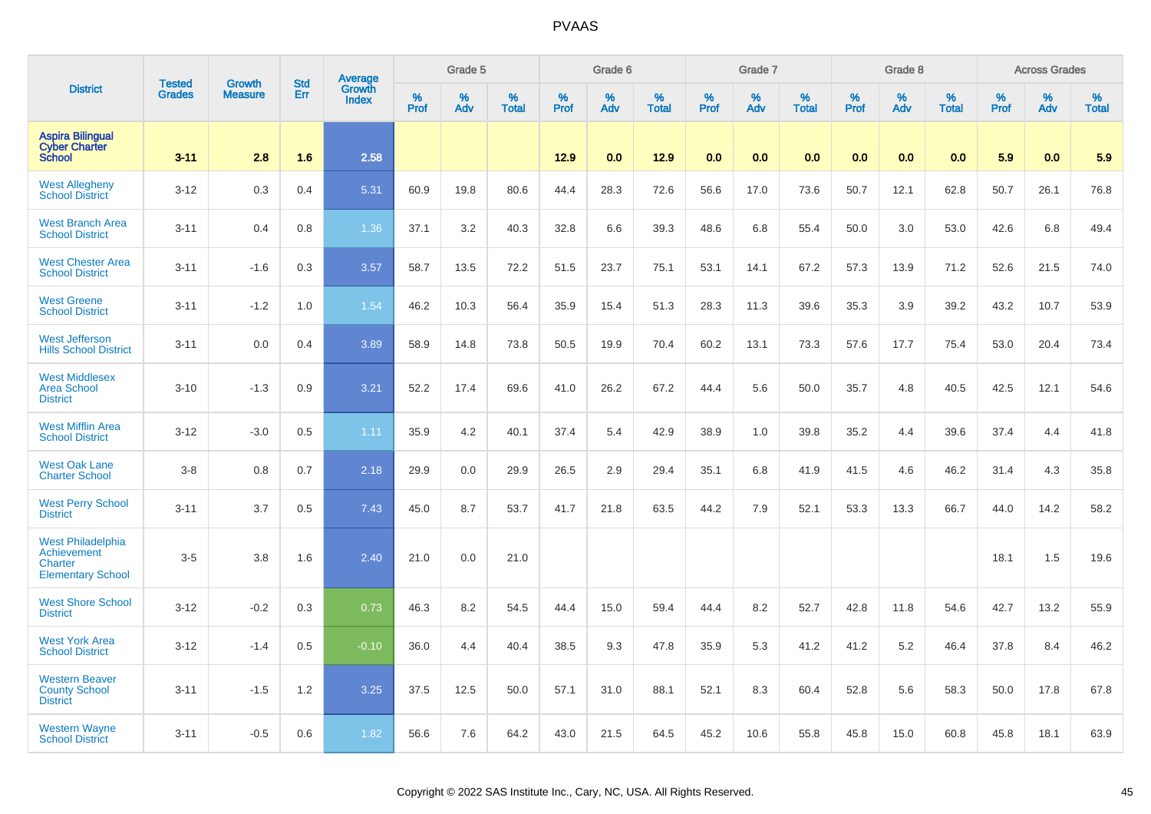|                                                                                | <b>Tested</b> | <b>Growth</b>  | <b>Std</b> | <b>Average</b><br>Growth |           | Grade 5  |                   |           | Grade 6  |                   |           | Grade 7  |                   |           | Grade 8  |                   |           | <b>Across Grades</b> |                   |
|--------------------------------------------------------------------------------|---------------|----------------|------------|--------------------------|-----------|----------|-------------------|-----------|----------|-------------------|-----------|----------|-------------------|-----------|----------|-------------------|-----------|----------------------|-------------------|
| <b>District</b>                                                                | <b>Grades</b> | <b>Measure</b> | Err        | <b>Index</b>             | %<br>Prof | %<br>Adv | %<br><b>Total</b> | %<br>Prof | %<br>Adv | %<br><b>Total</b> | %<br>Prof | %<br>Adv | %<br><b>Total</b> | %<br>Prof | %<br>Adv | %<br><b>Total</b> | %<br>Prof | %<br>Adv             | %<br><b>Total</b> |
| <b>Aspira Bilingual</b><br><b>Cyber Charter</b><br><b>School</b>               | $3 - 11$      | 2.8            | 1.6        | 2.58                     |           |          |                   | 12.9      | 0.0      | 12.9              | 0.0       | 0.0      | 0.0               | 0.0       | 0.0      | 0.0               | 5.9       | 0.0                  | 5.9               |
| <b>West Allegheny</b><br><b>School District</b>                                | $3 - 12$      | 0.3            | 0.4        | 5.31                     | 60.9      | 19.8     | 80.6              | 44.4      | 28.3     | 72.6              | 56.6      | 17.0     | 73.6              | 50.7      | 12.1     | 62.8              | 50.7      | 26.1                 | 76.8              |
| <b>West Branch Area</b><br><b>School District</b>                              | $3 - 11$      | 0.4            | 0.8        | 1.36                     | 37.1      | 3.2      | 40.3              | 32.8      | 6.6      | 39.3              | 48.6      | 6.8      | 55.4              | 50.0      | 3.0      | 53.0              | 42.6      | 6.8                  | 49.4              |
| <b>West Chester Area</b><br><b>School District</b>                             | $3 - 11$      | $-1.6$         | 0.3        | 3.57                     | 58.7      | 13.5     | 72.2              | 51.5      | 23.7     | 75.1              | 53.1      | 14.1     | 67.2              | 57.3      | 13.9     | 71.2              | 52.6      | 21.5                 | 74.0              |
| <b>West Greene</b><br><b>School District</b>                                   | $3 - 11$      | $-1.2$         | 1.0        | 1.54                     | 46.2      | 10.3     | 56.4              | 35.9      | 15.4     | 51.3              | 28.3      | 11.3     | 39.6              | 35.3      | 3.9      | 39.2              | 43.2      | 10.7                 | 53.9              |
| <b>West Jefferson</b><br><b>Hills School District</b>                          | $3 - 11$      | 0.0            | 0.4        | 3.89                     | 58.9      | 14.8     | 73.8              | 50.5      | 19.9     | 70.4              | 60.2      | 13.1     | 73.3              | 57.6      | 17.7     | 75.4              | 53.0      | 20.4                 | 73.4              |
| <b>West Middlesex</b><br><b>Area School</b><br><b>District</b>                 | $3 - 10$      | $-1.3$         | 0.9        | 3.21                     | 52.2      | 17.4     | 69.6              | 41.0      | 26.2     | 67.2              | 44.4      | 5.6      | 50.0              | 35.7      | 4.8      | 40.5              | 42.5      | 12.1                 | 54.6              |
| <b>West Mifflin Area</b><br><b>School District</b>                             | $3 - 12$      | $-3.0$         | 0.5        | 1.11                     | 35.9      | 4.2      | 40.1              | 37.4      | 5.4      | 42.9              | 38.9      | 1.0      | 39.8              | 35.2      | 4.4      | 39.6              | 37.4      | 4.4                  | 41.8              |
| <b>West Oak Lane</b><br><b>Charter School</b>                                  | $3-8$         | 0.8            | 0.7        | 2.18                     | 29.9      | 0.0      | 29.9              | 26.5      | 2.9      | 29.4              | 35.1      | 6.8      | 41.9              | 41.5      | 4.6      | 46.2              | 31.4      | 4.3                  | 35.8              |
| <b>West Perry School</b><br><b>District</b>                                    | $3 - 11$      | 3.7            | 0.5        | 7.43                     | 45.0      | 8.7      | 53.7              | 41.7      | 21.8     | 63.5              | 44.2      | 7.9      | 52.1              | 53.3      | 13.3     | 66.7              | 44.0      | 14.2                 | 58.2              |
| <b>West Philadelphia</b><br>Achievement<br>Charter<br><b>Elementary School</b> | $3-5$         | 3.8            | 1.6        | 2.40                     | 21.0      | 0.0      | 21.0              |           |          |                   |           |          |                   |           |          |                   | 18.1      | 1.5                  | 19.6              |
| <b>West Shore School</b><br><b>District</b>                                    | $3 - 12$      | $-0.2$         | 0.3        | 0.73                     | 46.3      | 8.2      | 54.5              | 44.4      | 15.0     | 59.4              | 44.4      | 8.2      | 52.7              | 42.8      | 11.8     | 54.6              | 42.7      | 13.2                 | 55.9              |
| <b>West York Area</b><br><b>School District</b>                                | $3 - 12$      | $-1.4$         | 0.5        | $-0.10$                  | 36.0      | 4.4      | 40.4              | 38.5      | 9.3      | 47.8              | 35.9      | 5.3      | 41.2              | 41.2      | 5.2      | 46.4              | 37.8      | 8.4                  | 46.2              |
| <b>Western Beaver</b><br><b>County School</b><br><b>District</b>               | $3 - 11$      | $-1.5$         | 1.2        | 3.25                     | 37.5      | 12.5     | 50.0              | 57.1      | 31.0     | 88.1              | 52.1      | 8.3      | 60.4              | 52.8      | 5.6      | 58.3              | 50.0      | 17.8                 | 67.8              |
| <b>Western Wayne</b><br><b>School District</b>                                 | $3 - 11$      | $-0.5$         | 0.6        | 1.82                     | 56.6      | 7.6      | 64.2              | 43.0      | 21.5     | 64.5              | 45.2      | 10.6     | 55.8              | 45.8      | 15.0     | 60.8              | 45.8      | 18.1                 | 63.9              |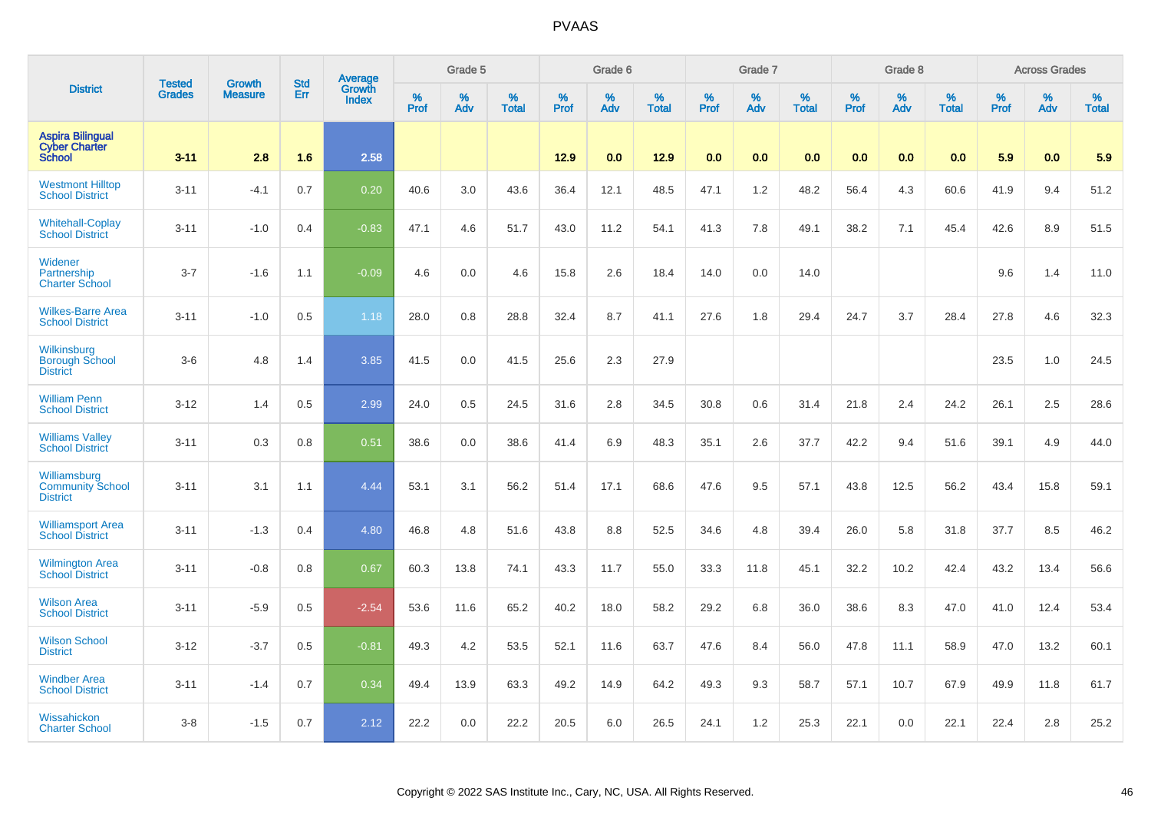|                                                                  |                                | <b>Growth</b>  | <b>Std</b> |                            |              | Grade 5  |                   |           | Grade 6  |                   |              | Grade 7  |                   |           | Grade 8  |                   |              | <b>Across Grades</b> |                   |
|------------------------------------------------------------------|--------------------------------|----------------|------------|----------------------------|--------------|----------|-------------------|-----------|----------|-------------------|--------------|----------|-------------------|-----------|----------|-------------------|--------------|----------------------|-------------------|
| <b>District</b>                                                  | <b>Tested</b><br><b>Grades</b> | <b>Measure</b> | Err        | Average<br>Growth<br>Index | $\%$<br>Prof | %<br>Adv | %<br><b>Total</b> | %<br>Prof | %<br>Adv | %<br><b>Total</b> | $\%$<br>Prof | %<br>Adv | %<br><b>Total</b> | %<br>Prof | %<br>Adv | %<br><b>Total</b> | $\%$<br>Prof | $\%$<br>Adv          | %<br><b>Total</b> |
| <b>Aspira Bilingual</b><br><b>Cyber Charter</b><br><b>School</b> | $3 - 11$                       | 2.8            | 1.6        | 2.58                       |              |          |                   | 12.9      | 0.0      | 12.9              | 0.0          | 0.0      | 0.0               | 0.0       | 0.0      | 0.0               | 5.9          | 0.0                  | 5.9               |
| <b>Westmont Hilltop</b><br><b>School District</b>                | $3 - 11$                       | $-4.1$         | 0.7        | 0.20                       | 40.6         | 3.0      | 43.6              | 36.4      | 12.1     | 48.5              | 47.1         | 1.2      | 48.2              | 56.4      | 4.3      | 60.6              | 41.9         | 9.4                  | 51.2              |
| <b>Whitehall-Coplay</b><br><b>School District</b>                | $3 - 11$                       | $-1.0$         | 0.4        | $-0.83$                    | 47.1         | 4.6      | 51.7              | 43.0      | 11.2     | 54.1              | 41.3         | 7.8      | 49.1              | 38.2      | 7.1      | 45.4              | 42.6         | 8.9                  | 51.5              |
| Widener<br>Partnership<br><b>Charter School</b>                  | $3 - 7$                        | $-1.6$         | 1.1        | $-0.09$                    | 4.6          | 0.0      | 4.6               | 15.8      | 2.6      | 18.4              | 14.0         | 0.0      | 14.0              |           |          |                   | 9.6          | 1.4                  | 11.0              |
| <b>Wilkes-Barre Area</b><br><b>School District</b>               | $3 - 11$                       | $-1.0$         | 0.5        | 1.18                       | 28.0         | 0.8      | 28.8              | 32.4      | 8.7      | 41.1              | 27.6         | 1.8      | 29.4              | 24.7      | 3.7      | 28.4              | 27.8         | 4.6                  | 32.3              |
| Wilkinsburg<br><b>Borough School</b><br><b>District</b>          | $3-6$                          | 4.8            | 1.4        | 3.85                       | 41.5         | 0.0      | 41.5              | 25.6      | 2.3      | 27.9              |              |          |                   |           |          |                   | 23.5         | 1.0                  | 24.5              |
| <b>William Penn</b><br><b>School District</b>                    | $3 - 12$                       | 1.4            | 0.5        | 2.99                       | 24.0         | 0.5      | 24.5              | 31.6      | 2.8      | 34.5              | 30.8         | 0.6      | 31.4              | 21.8      | 2.4      | 24.2              | 26.1         | 2.5                  | 28.6              |
| <b>Williams Valley</b><br><b>School District</b>                 | $3 - 11$                       | 0.3            | 0.8        | 0.51                       | 38.6         | 0.0      | 38.6              | 41.4      | 6.9      | 48.3              | 35.1         | 2.6      | 37.7              | 42.2      | 9.4      | 51.6              | 39.1         | 4.9                  | 44.0              |
| Williamsburg<br><b>Community School</b><br><b>District</b>       | $3 - 11$                       | 3.1            | 1.1        | 4.44                       | 53.1         | 3.1      | 56.2              | 51.4      | 17.1     | 68.6              | 47.6         | 9.5      | 57.1              | 43.8      | 12.5     | 56.2              | 43.4         | 15.8                 | 59.1              |
| <b>Williamsport Area</b><br><b>School District</b>               | $3 - 11$                       | $-1.3$         | 0.4        | 4.80                       | 46.8         | 4.8      | 51.6              | 43.8      | 8.8      | 52.5              | 34.6         | 4.8      | 39.4              | 26.0      | 5.8      | 31.8              | 37.7         | 8.5                  | 46.2              |
| Wilmington Area<br>School District                               | $3 - 11$                       | $-0.8$         | 0.8        | 0.67                       | 60.3         | 13.8     | 74.1              | 43.3      | 11.7     | 55.0              | 33.3         | 11.8     | 45.1              | 32.2      | 10.2     | 42.4              | 43.2         | 13.4                 | 56.6              |
| <b>Wilson Area</b><br><b>School District</b>                     | $3 - 11$                       | $-5.9$         | 0.5        | $-2.54$                    | 53.6         | 11.6     | 65.2              | 40.2      | 18.0     | 58.2              | 29.2         | 6.8      | 36.0              | 38.6      | 8.3      | 47.0              | 41.0         | 12.4                 | 53.4              |
| <b>Wilson School</b><br><b>District</b>                          | $3 - 12$                       | $-3.7$         | 0.5        | $-0.81$                    | 49.3         | 4.2      | 53.5              | 52.1      | 11.6     | 63.7              | 47.6         | 8.4      | 56.0              | 47.8      | 11.1     | 58.9              | 47.0         | 13.2                 | 60.1              |
| <b>Windber Area</b><br><b>School District</b>                    | $3 - 11$                       | $-1.4$         | 0.7        | 0.34                       | 49.4         | 13.9     | 63.3              | 49.2      | 14.9     | 64.2              | 49.3         | 9.3      | 58.7              | 57.1      | 10.7     | 67.9              | 49.9         | 11.8                 | 61.7              |
| Wissahickon<br><b>Charter School</b>                             | $3-8$                          | $-1.5$         | 0.7        | 2.12                       | 22.2         | 0.0      | 22.2              | 20.5      | 6.0      | 26.5              | 24.1         | 1.2      | 25.3              | 22.1      | 0.0      | 22.1              | 22.4         | 2.8                  | 25.2              |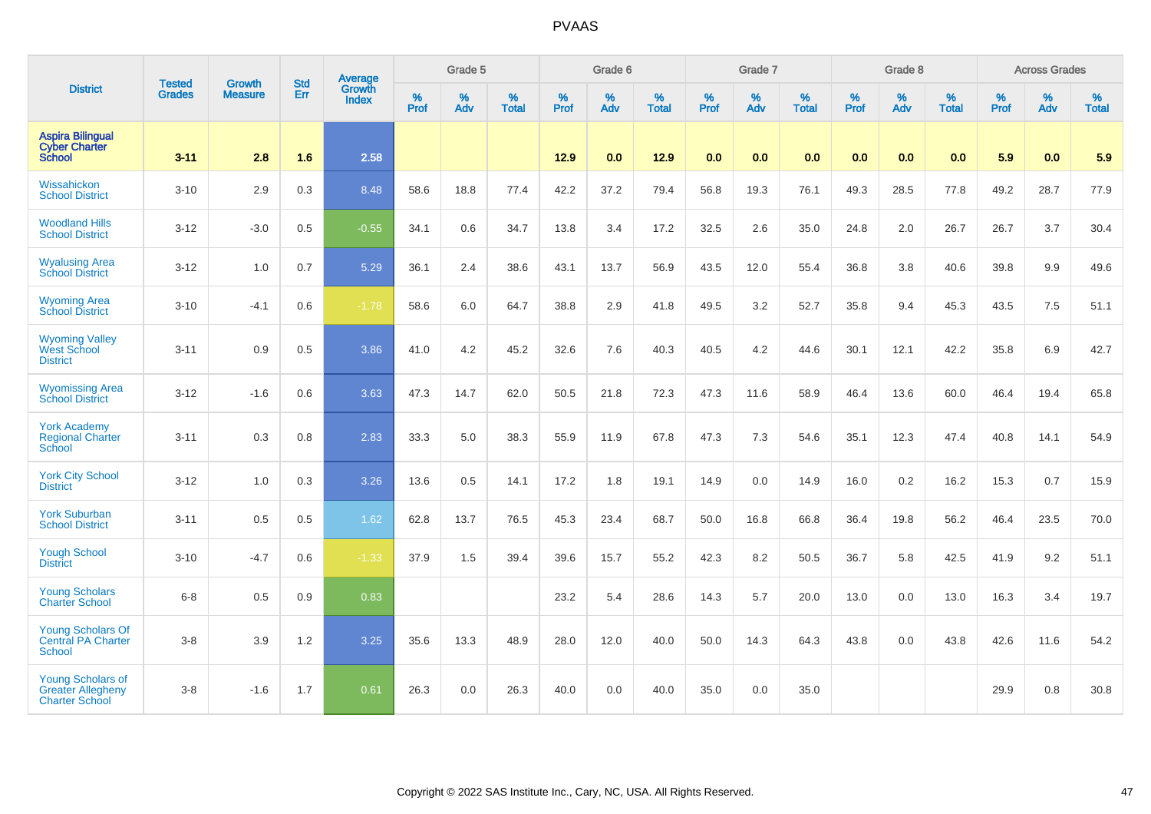|                                                                               |                                |                                 | <b>Std</b> | Average                       |                     | Grade 5  | Grade 6<br>%<br>%<br>% |             |      |                   |           | Grade 7  |                   |                  | Grade 8  |                   |                  | <b>Across Grades</b> |                   |
|-------------------------------------------------------------------------------|--------------------------------|---------------------------------|------------|-------------------------------|---------------------|----------|------------------------|-------------|------|-------------------|-----------|----------|-------------------|------------------|----------|-------------------|------------------|----------------------|-------------------|
| <b>District</b>                                                               | <b>Tested</b><br><b>Grades</b> | <b>Growth</b><br><b>Measure</b> | Err        | <b>Growth</b><br><b>Index</b> | $\%$<br><b>Prof</b> | %<br>Adv | <b>Total</b>           | <b>Prof</b> | Adv  | %<br><b>Total</b> | %<br>Prof | %<br>Adv | %<br><b>Total</b> | %<br><b>Prof</b> | %<br>Adv | %<br><b>Total</b> | %<br><b>Prof</b> | %<br>Adv             | %<br><b>Total</b> |
| <b>Aspira Bilingual</b><br><b>Cyber Charter</b><br><b>School</b>              | $3 - 11$                       | 2.8                             | 1.6        | 2.58                          |                     |          |                        | 12.9        | 0.0  | 12.9              | 0.0       | 0.0      | 0.0               | 0.0              | 0.0      | 0.0               | 5.9              | 0.0                  | 5.9               |
| Wissahickon<br><b>School District</b>                                         | $3 - 10$                       | 2.9                             | 0.3        | 8.48                          | 58.6                | 18.8     | 77.4                   | 42.2        | 37.2 | 79.4              | 56.8      | 19.3     | 76.1              | 49.3             | 28.5     | 77.8              | 49.2             | 28.7                 | 77.9              |
| <b>Woodland Hills</b><br><b>School District</b>                               | $3 - 12$                       | $-3.0$                          | 0.5        | $-0.55$                       | 34.1                | 0.6      | 34.7                   | 13.8        | 3.4  | 17.2              | 32.5      | 2.6      | 35.0              | 24.8             | 2.0      | 26.7              | 26.7             | 3.7                  | 30.4              |
| <b>Wyalusing Area</b><br><b>School District</b>                               | $3 - 12$                       | 1.0                             | 0.7        | 5.29                          | 36.1                | 2.4      | 38.6                   | 43.1        | 13.7 | 56.9              | 43.5      | 12.0     | 55.4              | 36.8             | 3.8      | 40.6              | 39.8             | 9.9                  | 49.6              |
| <b>Wyoming Area</b><br><b>School District</b>                                 | $3 - 10$                       | $-4.1$                          | 0.6        | $-1.78$                       | 58.6                | 6.0      | 64.7                   | 38.8        | 2.9  | 41.8              | 49.5      | 3.2      | 52.7              | 35.8             | 9.4      | 45.3              | 43.5             | 7.5                  | 51.1              |
| <b>Wyoming Valley</b><br>West School<br><b>District</b>                       | $3 - 11$                       | 0.9                             | 0.5        | 3.86                          | 41.0                | 4.2      | 45.2                   | 32.6        | 7.6  | 40.3              | 40.5      | 4.2      | 44.6              | 30.1             | 12.1     | 42.2              | 35.8             | 6.9                  | 42.7              |
| <b>Wyomissing Area</b><br><b>School District</b>                              | $3 - 12$                       | $-1.6$                          | 0.6        | 3.63                          | 47.3                | 14.7     | 62.0                   | 50.5        | 21.8 | 72.3              | 47.3      | 11.6     | 58.9              | 46.4             | 13.6     | 60.0              | 46.4             | 19.4                 | 65.8              |
| <b>York Academy</b><br><b>Regional Charter</b><br>School                      | $3 - 11$                       | 0.3                             | 0.8        | 2.83                          | 33.3                | 5.0      | 38.3                   | 55.9        | 11.9 | 67.8              | 47.3      | 7.3      | 54.6              | 35.1             | 12.3     | 47.4              | 40.8             | 14.1                 | 54.9              |
| <b>York City School</b><br><b>District</b>                                    | $3 - 12$                       | 1.0                             | 0.3        | 3.26                          | 13.6                | 0.5      | 14.1                   | 17.2        | 1.8  | 19.1              | 14.9      | 0.0      | 14.9              | 16.0             | 0.2      | 16.2              | 15.3             | 0.7                  | 15.9              |
| <b>York Suburban</b><br><b>School District</b>                                | $3 - 11$                       | 0.5                             | 0.5        | 1.62                          | 62.8                | 13.7     | 76.5                   | 45.3        | 23.4 | 68.7              | 50.0      | 16.8     | 66.8              | 36.4             | 19.8     | 56.2              | 46.4             | 23.5                 | 70.0              |
| <b>Yough School</b><br><b>District</b>                                        | $3 - 10$                       | $-4.7$                          | 0.6        | $-1.33$                       | 37.9                | 1.5      | 39.4                   | 39.6        | 15.7 | 55.2              | 42.3      | 8.2      | 50.5              | 36.7             | 5.8      | 42.5              | 41.9             | 9.2                  | 51.1              |
| <b>Young Scholars</b><br><b>Charter School</b>                                | $6 - 8$                        | 0.5                             | 0.9        | 0.83                          |                     |          |                        | 23.2        | 5.4  | 28.6              | 14.3      | 5.7      | 20.0              | 13.0             | 0.0      | 13.0              | 16.3             | 3.4                  | 19.7              |
| <b>Young Scholars Of</b><br><b>Central PA Charter</b><br><b>School</b>        | $3-8$                          | 3.9                             | 1.2        | 3.25                          | 35.6                | 13.3     | 48.9                   | 28.0        | 12.0 | 40.0              | 50.0      | 14.3     | 64.3              | 43.8             | 0.0      | 43.8              | 42.6             | 11.6                 | 54.2              |
| <b>Young Scholars of</b><br><b>Greater Allegheny</b><br><b>Charter School</b> | $3-8$                          | $-1.6$                          | 1.7        | 0.61                          | 26.3                | 0.0      | 26.3                   | 40.0        | 0.0  | 40.0              | 35.0      | 0.0      | 35.0              |                  |          |                   | 29.9             | 0.8                  | 30.8              |